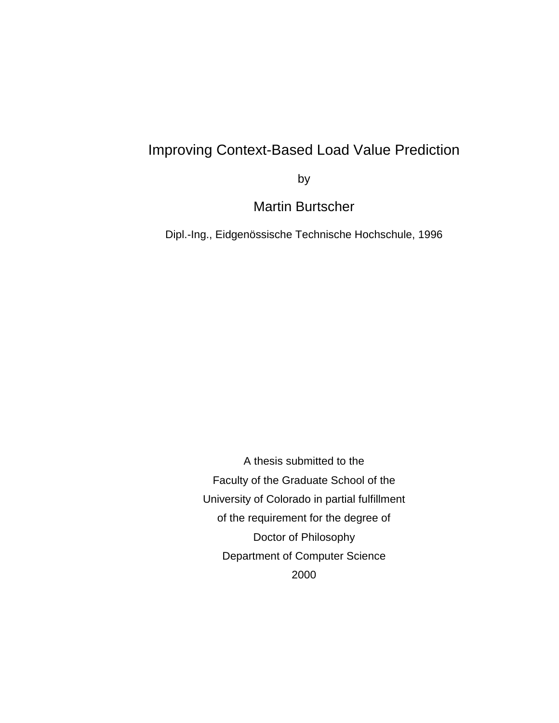## Improving Context-Based Load Value Prediction

by

Martin Burtscher

Dipl.-Ing., Eidgenössische Technische Hochschule, 1996

A thesis submitted to the Faculty of the Graduate School of the University of Colorado in partial fulfillment of the requirement for the degree of Doctor of Philosophy Department of Computer Science 2000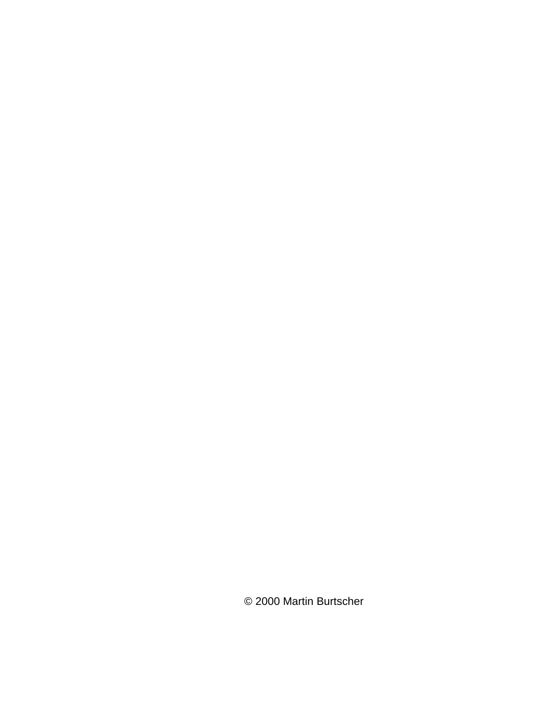© 2000 Martin Burtscher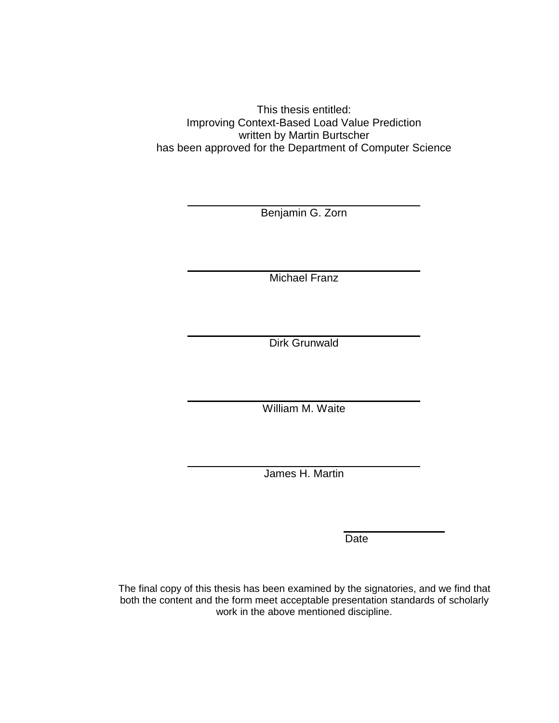This thesis entitled: Improving Context-Based Load Value Prediction written by Martin Burtscher has been approved for the Department of Computer Science

Benjamin G. Zorn

Michael Franz

Dirk Grunwald

William M. Waite

James H. Martin

**Date** 

The final copy of this thesis has been examined by the signatories, and we find that both the content and the form meet acceptable presentation standards of scholarly work in the above mentioned discipline.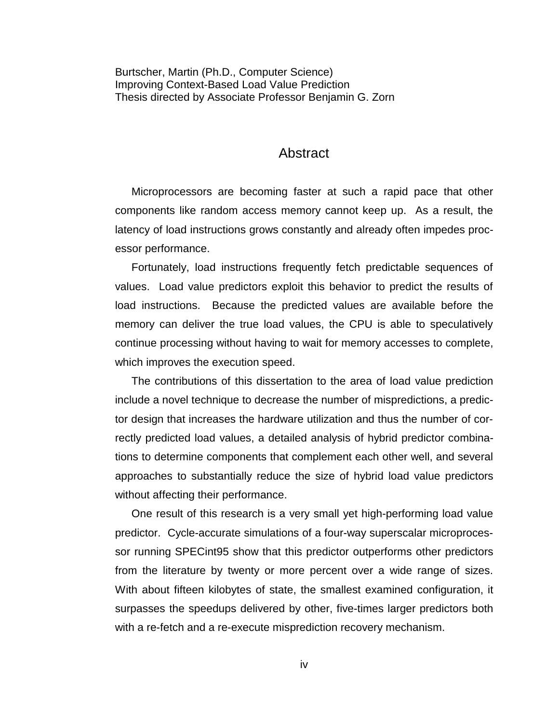Burtscher, Martin (Ph.D., Computer Science) Improving Context-Based Load Value Prediction Thesis directed by Associate Professor Benjamin G. Zorn

#### Abstract

Microprocessors are becoming faster at such a rapid pace that other components like random access memory cannot keep up. As a result, the latency of load instructions grows constantly and already often impedes processor performance.

Fortunately, load instructions frequently fetch predictable sequences of values. Load value predictors exploit this behavior to predict the results of load instructions. Because the predicted values are available before the memory can deliver the true load values, the CPU is able to speculatively continue processing without having to wait for memory accesses to complete, which improves the execution speed.

The contributions of this dissertation to the area of load value prediction include a novel technique to decrease the number of mispredictions, a predictor design that increases the hardware utilization and thus the number of correctly predicted load values, a detailed analysis of hybrid predictor combinations to determine components that complement each other well, and several approaches to substantially reduce the size of hybrid load value predictors without affecting their performance.

One result of this research is a very small yet high-performing load value predictor. Cycle-accurate simulations of a four-way superscalar microprocessor running SPECint95 show that this predictor outperforms other predictors from the literature by twenty or more percent over a wide range of sizes. With about fifteen kilobytes of state, the smallest examined configuration, it surpasses the speedups delivered by other, five-times larger predictors both with a re-fetch and a re-execute misprediction recovery mechanism.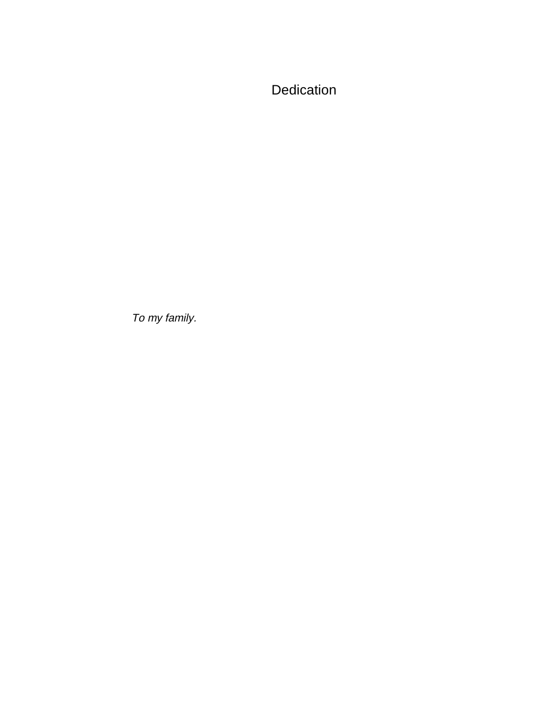Dedication

To my family.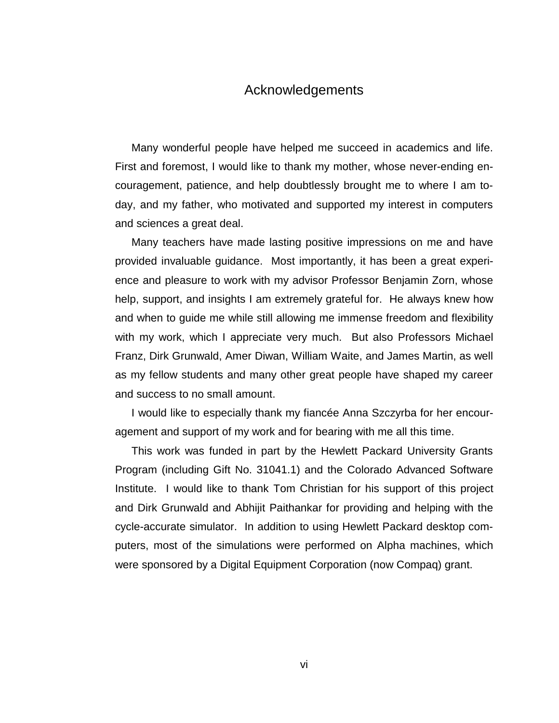### Acknowledgements

Many wonderful people have helped me succeed in academics and life. First and foremost, I would like to thank my mother, whose never-ending encouragement, patience, and help doubtlessly brought me to where I am today, and my father, who motivated and supported my interest in computers and sciences a great deal.

Many teachers have made lasting positive impressions on me and have provided invaluable guidance. Most importantly, it has been a great experience and pleasure to work with my advisor Professor Benjamin Zorn, whose help, support, and insights I am extremely grateful for. He always knew how and when to guide me while still allowing me immense freedom and flexibility with my work, which I appreciate very much. But also Professors Michael Franz, Dirk Grunwald, Amer Diwan, William Waite, and James Martin, as well as my fellow students and many other great people have shaped my career and success to no small amount.

I would like to especially thank my fiancée Anna Szczyrba for her encouragement and support of my work and for bearing with me all this time.

This work was funded in part by the Hewlett Packard University Grants Program (including Gift No. 31041.1) and the Colorado Advanced Software Institute. I would like to thank Tom Christian for his support of this project and Dirk Grunwald and Abhijit Paithankar for providing and helping with the cycle-accurate simulator. In addition to using Hewlett Packard desktop computers, most of the simulations were performed on Alpha machines, which were sponsored by a Digital Equipment Corporation (now Compaq) grant.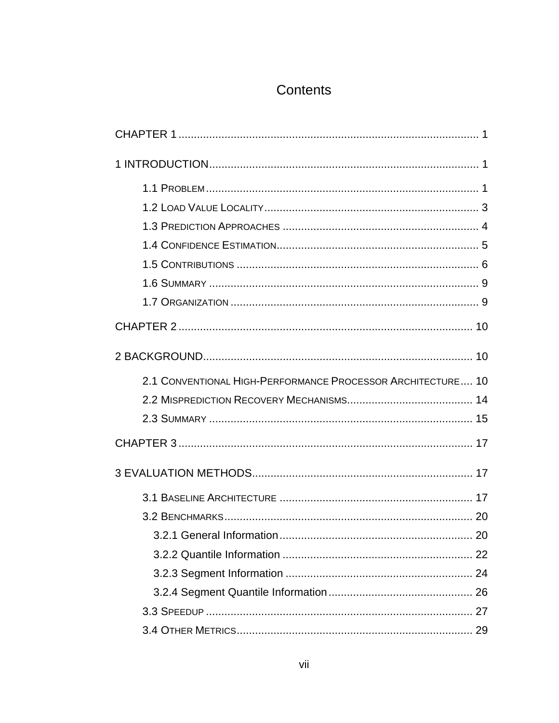## Contents

| 2.1 CONVENTIONAL HIGH-PERFORMANCE PROCESSOR ARCHITECTURE 10 |
|-------------------------------------------------------------|
|                                                             |
|                                                             |
|                                                             |
|                                                             |
|                                                             |
|                                                             |
|                                                             |
|                                                             |
|                                                             |
|                                                             |
|                                                             |
|                                                             |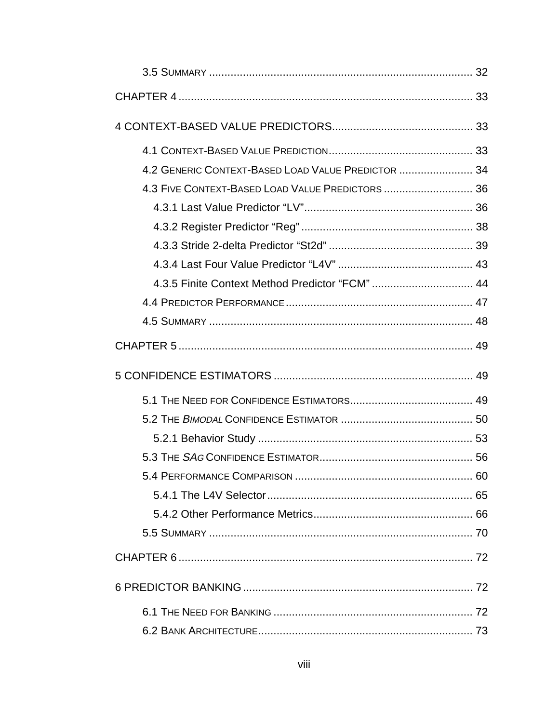| 4.2 GENERIC CONTEXT-BASED LOAD VALUE PREDICTOR  34 |  |
|----------------------------------------------------|--|
| 4.3 FIVE CONTEXT-BASED LOAD VALUE PREDICTORS  36   |  |
|                                                    |  |
|                                                    |  |
|                                                    |  |
|                                                    |  |
| 4.3.5 Finite Context Method Predictor "FCM"  44    |  |
|                                                    |  |
|                                                    |  |
|                                                    |  |
|                                                    |  |
|                                                    |  |
|                                                    |  |
|                                                    |  |
|                                                    |  |
|                                                    |  |
|                                                    |  |
|                                                    |  |
|                                                    |  |
|                                                    |  |
|                                                    |  |
|                                                    |  |
|                                                    |  |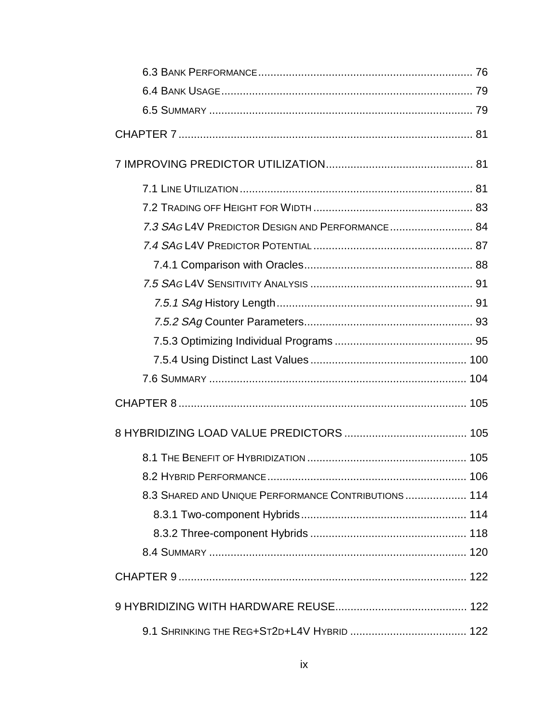| 7.3 SAG L4V PREDICTOR DESIGN AND PERFORMANCE 84     |  |
|-----------------------------------------------------|--|
|                                                     |  |
|                                                     |  |
|                                                     |  |
|                                                     |  |
|                                                     |  |
|                                                     |  |
|                                                     |  |
|                                                     |  |
|                                                     |  |
|                                                     |  |
|                                                     |  |
|                                                     |  |
|                                                     |  |
| 8.3 SHARED AND UNIQUE PERFORMANCE CONTRIBUTIONS 114 |  |
|                                                     |  |
|                                                     |  |
|                                                     |  |
|                                                     |  |
|                                                     |  |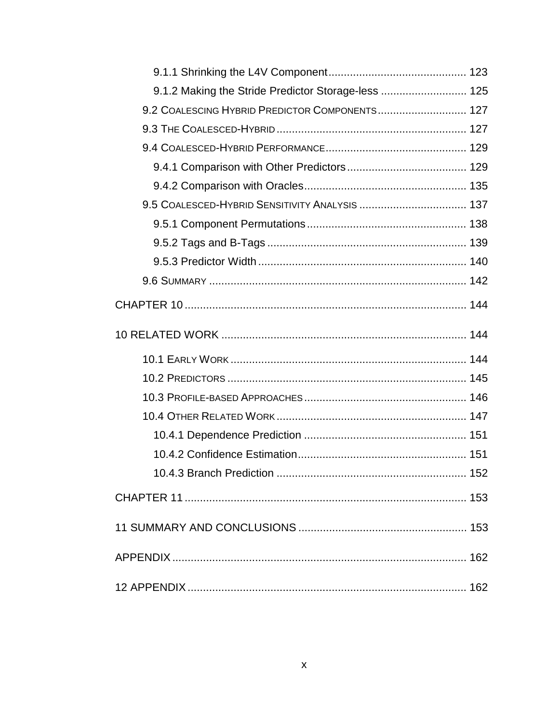| 9.1.2 Making the Stride Predictor Storage-less  125 |
|-----------------------------------------------------|
| 9.2 COALESCING HYBRID PREDICTOR COMPONENTS 127      |
|                                                     |
|                                                     |
|                                                     |
|                                                     |
|                                                     |
|                                                     |
|                                                     |
|                                                     |
|                                                     |
|                                                     |
|                                                     |
|                                                     |
|                                                     |
|                                                     |
|                                                     |
|                                                     |
|                                                     |
|                                                     |
|                                                     |
|                                                     |
|                                                     |
|                                                     |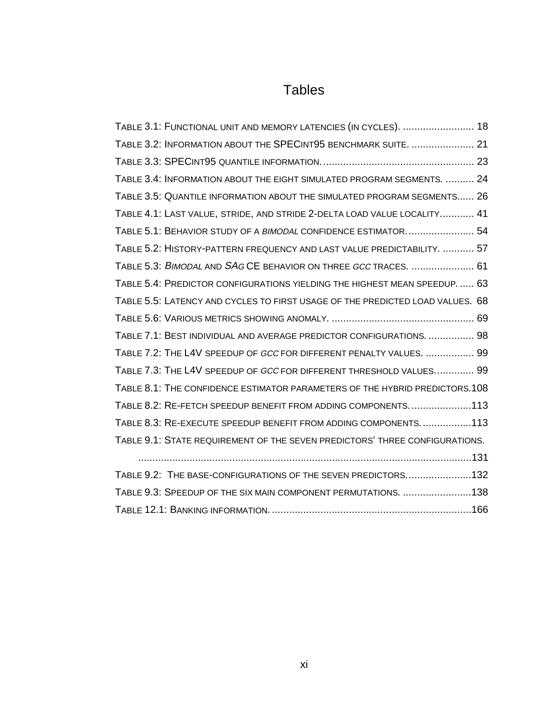## Tables

| TABLE 3.1: FUNCTIONAL UNIT AND MEMORY LATENCIES (IN CYCLES).  18              |
|-------------------------------------------------------------------------------|
| TABLE 3.2: INFORMATION ABOUT THE SPECINT95 BENCHMARK SUITE.  21               |
|                                                                               |
| TABLE 3.4: INFORMATION ABOUT THE EIGHT SIMULATED PROGRAM SEGMENTS.  24        |
| TABLE 3.5: QUANTILE INFORMATION ABOUT THE SIMULATED PROGRAM SEGMENTS 26       |
| TABLE 4.1: LAST VALUE, STRIDE, AND STRIDE 2-DELTA LOAD VALUE LOCALITY 41      |
| TABLE 5.1: BEHAVIOR STUDY OF A BIMODAL CONFIDENCE ESTIMATOR 54                |
| TABLE 5.2: HISTORY-PATTERN FREQUENCY AND LAST VALUE PREDICTABILITY.  57       |
| TABLE 5.3: BIMODAL AND SAG CE BEHAVIOR ON THREE GCC TRACES.  61               |
| TABLE 5.4: PREDICTOR CONFIGURATIONS YIELDING THE HIGHEST MEAN SPEEDUP 63      |
| TABLE 5.5: LATENCY AND CYCLES TO FIRST USAGE OF THE PREDICTED LOAD VALUES. 68 |
|                                                                               |
| TABLE 7.1: BEST INDIVIDUAL AND AVERAGE PREDICTOR CONFIGURATIONS.  98          |
| TABLE 7.2: THE L4V SPEEDUP OF GCC FOR DIFFERENT PENALTY VALUES.  99           |
| TABLE 7.3: THE L4V SPEEDUP OF GCC FOR DIFFERENT THRESHOLD VALUES 99           |
| TABLE 8.1: THE CONFIDENCE ESTIMATOR PARAMETERS OF THE HYBRID PREDICTORS. 108  |
| TABLE 8.2: RE-FETCH SPEEDUP BENEFIT FROM ADDING COMPONENTS113                 |
| TABLE 8.3: RE-EXECUTE SPEEDUP BENEFIT FROM ADDING COMPONENTS. 113             |
| TABLE 9.1: STATE REQUIREMENT OF THE SEVEN PREDICTORS' THREE CONFIGURATIONS.   |
|                                                                               |
| TABLE 9.2: THE BASE-CONFIGURATIONS OF THE SEVEN PREDICTORS132                 |
| TABLE 9.3: SPEEDUP OF THE SIX MAIN COMPONENT PERMUTATIONS. 138                |
|                                                                               |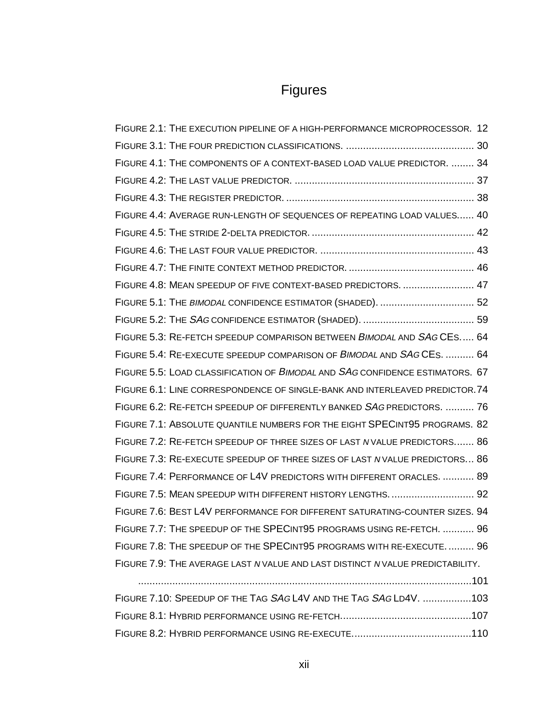# Figures

| FIGURE 2.1: THE EXECUTION PIPELINE OF A HIGH-PERFORMANCE MICROPROCESSOR. 12    |
|--------------------------------------------------------------------------------|
|                                                                                |
| FIGURE 4.1: THE COMPONENTS OF A CONTEXT-BASED LOAD VALUE PREDICTOR.  34        |
|                                                                                |
|                                                                                |
| FIGURE 4.4: AVERAGE RUN-LENGTH OF SEQUENCES OF REPEATING LOAD VALUES 40        |
|                                                                                |
|                                                                                |
|                                                                                |
| FIGURE 4.8: MEAN SPEEDUP OF FIVE CONTEXT-BASED PREDICTORS.  47                 |
| FIGURE 5.1: THE BIMODAL CONFIDENCE ESTIMATOR (SHADED).  52                     |
|                                                                                |
| FIGURE 5.3: RE-FETCH SPEEDUP COMPARISON BETWEEN BIMODAL AND SAG CES 64         |
| FIGURE 5.4: RE-EXECUTE SPEEDUP COMPARISON OF BIMODAL AND SAG CES.  64          |
| FIGURE 5.5: LOAD CLASSIFICATION OF BIMODAL AND SAG CONFIDENCE ESTIMATORS. 67   |
| FIGURE 6.1: LINE CORRESPONDENCE OF SINGLE-BANK AND INTERLEAVED PREDICTOR.74    |
| FIGURE 6.2: RE-FETCH SPEEDUP OF DIFFERENTLY BANKED SAG PREDICTORS.  76         |
| FIGURE 7.1: ABSOLUTE QUANTILE NUMBERS FOR THE EIGHT SPECINT95 PROGRAMS. 82     |
| FIGURE 7.2: RE-FETCH SPEEDUP OF THREE SIZES OF LAST NVALUE PREDICTORS 86       |
| FIGURE 7.3: RE-EXECUTE SPEEDUP OF THREE SIZES OF LAST N VALUE PREDICTORS 86    |
| FIGURE 7.4: PERFORMANCE OF L4V PREDICTORS WITH DIFFERENT ORACLES.  89          |
| FIGURE 7.5: MEAN SPEEDUP WITH DIFFERENT HISTORY LENGTHS.  92                   |
| FIGURE 7.6: BEST L4V PERFORMANCE FOR DIFFERENT SATURATING-COUNTER SIZES. 94    |
| FIGURE 7.7: THE SPEEDUP OF THE SPECINT95 PROGRAMS USING RE-FETCH.  96          |
| FIGURE 7.8: THE SPEEDUP OF THE SPECINT95 PROGRAMS WITH RE-EXECUTE 96           |
| FIGURE 7.9: THE AVERAGE LAST N VALUE AND LAST DISTINCT N VALUE PREDICTABILITY. |
|                                                                                |

| FIGURE 7.10: SPEEDUP OF THE TAG SAG L4V AND THE TAG SAG LD4V. 103 |  |
|-------------------------------------------------------------------|--|
|                                                                   |  |
|                                                                   |  |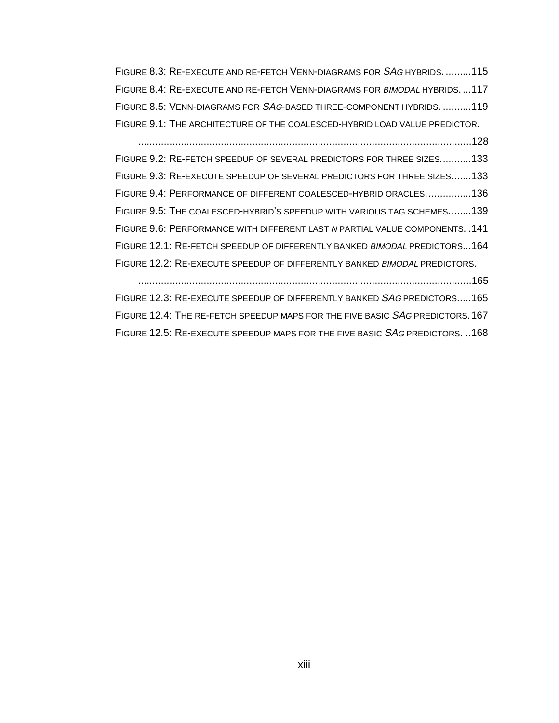FIGURE 8.3: RE-EXECUTE AND RE-FETCH VENN-DIAGRAMS FOR SAG HYBRIDS. .........115 FIGURE 8.4: RE-EXECUTE AND RE-FETCH VENN-DIAGRAMS FOR BIMODAL HYBRIDS. ...117 FIGURE 8.5: VENN-DIAGRAMS FOR SAG-BASED THREE-COMPONENT HYBRIDS. ..........119 FIGURE 9.1: THE ARCHITECTURE OF THE COALESCED-HYBRID LOAD VALUE PREDICTOR. .....................................................................................................................128

FIGURE 9.2: RE-FETCH SPEEDUP OF SEVERAL PREDICTORS FOR THREE SIZES...........133 FIGURE 9.3: RE-EXECUTE SPEEDUP OF SEVERAL PREDICTORS FOR THREE SIZES.......133 FIGURE 9.4: PERFORMANCE OF DIFFERENT COALESCED-HYBRID ORACLES................136 FIGURE 9.5: THE COALESCED-HYBRID'S SPEEDUP WITH VARIOUS TAG SCHEMES........139 FIGURE 9.6: PERFORMANCE WITH DIFFERENT LAST N PARTIAL VALUE COMPONENTS. .141 FIGURE 12.1: RE-FETCH SPEEDUP OF DIFFERENTLY BANKED BIMODAL PREDICTORS...164 FIGURE 12.2: RE-EXECUTE SPEEDUP OF DIFFERENTLY BANKED BIMODAL PREDICTORS. .....................................................................................................................165

FIGURE 12.3: RE-EXECUTE SPEEDUP OF DIFFERENTLY BANKED SAG PREDICTORS..... 165 FIGURE 12.4: THE RE-FETCH SPEEDUP MAPS FOR THE FIVE BASIC SAG PREDICTORS. 167 FIGURE 12.5: RE-EXECUTE SPEEDUP MAPS FOR THE FIVE BASIC SAG PREDICTORS. ..168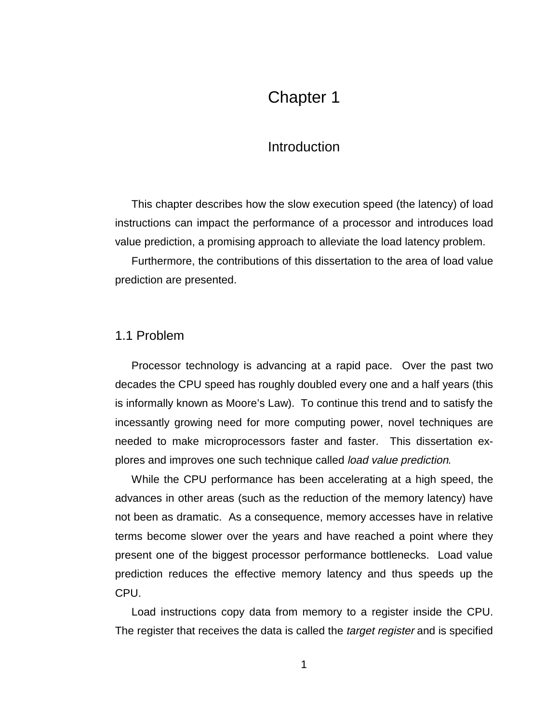## Chapter 1

### **Introduction**

This chapter describes how the slow execution speed (the latency) of load instructions can impact the performance of a processor and introduces load value prediction, a promising approach to alleviate the load latency problem.

Furthermore, the contributions of this dissertation to the area of load value prediction are presented.

#### 1.1 Problem

Processor technology is advancing at a rapid pace. Over the past two decades the CPU speed has roughly doubled every one and a half years (this is informally known as Moore's Law). To continue this trend and to satisfy the incessantly growing need for more computing power, novel techniques are needed to make microprocessors faster and faster. This dissertation explores and improves one such technique called *load value prediction*.

While the CPU performance has been accelerating at a high speed, the advances in other areas (such as the reduction of the memory latency) have not been as dramatic. As a consequence, memory accesses have in relative terms become slower over the years and have reached a point where they present one of the biggest processor performance bottlenecks. Load value prediction reduces the effective memory latency and thus speeds up the CPU.

Load instructions copy data from memory to a register inside the CPU. The register that receives the data is called the *target register* and is specified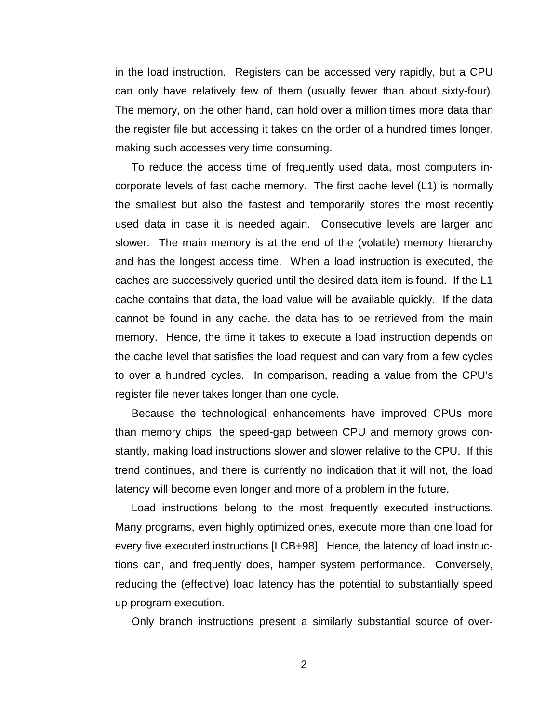in the load instruction. Registers can be accessed very rapidly, but a CPU can only have relatively few of them (usually fewer than about sixty-four). The memory, on the other hand, can hold over a million times more data than the register file but accessing it takes on the order of a hundred times longer, making such accesses very time consuming.

To reduce the access time of frequently used data, most computers incorporate levels of fast cache memory. The first cache level (L1) is normally the smallest but also the fastest and temporarily stores the most recently used data in case it is needed again. Consecutive levels are larger and slower. The main memory is at the end of the (volatile) memory hierarchy and has the longest access time. When a load instruction is executed, the caches are successively queried until the desired data item is found. If the L1 cache contains that data, the load value will be available quickly. If the data cannot be found in any cache, the data has to be retrieved from the main memory. Hence, the time it takes to execute a load instruction depends on the cache level that satisfies the load request and can vary from a few cycles to over a hundred cycles. In comparison, reading a value from the CPU's register file never takes longer than one cycle.

Because the technological enhancements have improved CPUs more than memory chips, the speed-gap between CPU and memory grows constantly, making load instructions slower and slower relative to the CPU. If this trend continues, and there is currently no indication that it will not, the load latency will become even longer and more of a problem in the future.

Load instructions belong to the most frequently executed instructions. Many programs, even highly optimized ones, execute more than one load for every five executed instructions [LCB+98]. Hence, the latency of load instructions can, and frequently does, hamper system performance. Conversely, reducing the (effective) load latency has the potential to substantially speed up program execution.

Only branch instructions present a similarly substantial source of over-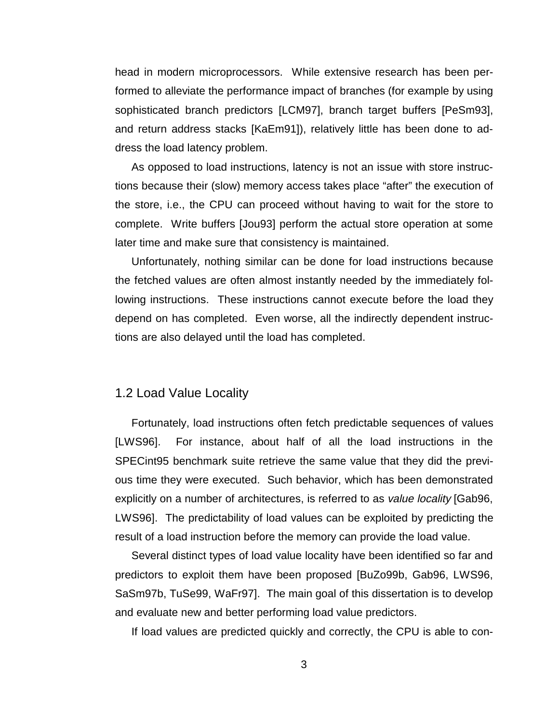head in modern microprocessors. While extensive research has been performed to alleviate the performance impact of branches (for example by using sophisticated branch predictors [LCM97], branch target buffers [PeSm93], and return address stacks [KaEm91]), relatively little has been done to address the load latency problem.

As opposed to load instructions, latency is not an issue with store instructions because their (slow) memory access takes place "after" the execution of the store, i.e., the CPU can proceed without having to wait for the store to complete. Write buffers [Jou93] perform the actual store operation at some later time and make sure that consistency is maintained.

Unfortunately, nothing similar can be done for load instructions because the fetched values are often almost instantly needed by the immediately following instructions. These instructions cannot execute before the load they depend on has completed. Even worse, all the indirectly dependent instructions are also delayed until the load has completed.

### 1.2 Load Value Locality

Fortunately, load instructions often fetch predictable sequences of values [LWS96]. For instance, about half of all the load instructions in the SPECint95 benchmark suite retrieve the same value that they did the previous time they were executed. Such behavior, which has been demonstrated explicitly on a number of architectures, is referred to as value locality [Gab96, LWS96]. The predictability of load values can be exploited by predicting the result of a load instruction before the memory can provide the load value.

Several distinct types of load value locality have been identified so far and predictors to exploit them have been proposed [BuZo99b, Gab96, LWS96, SaSm97b, TuSe99, WaFr97]. The main goal of this dissertation is to develop and evaluate new and better performing load value predictors.

If load values are predicted quickly and correctly, the CPU is able to con-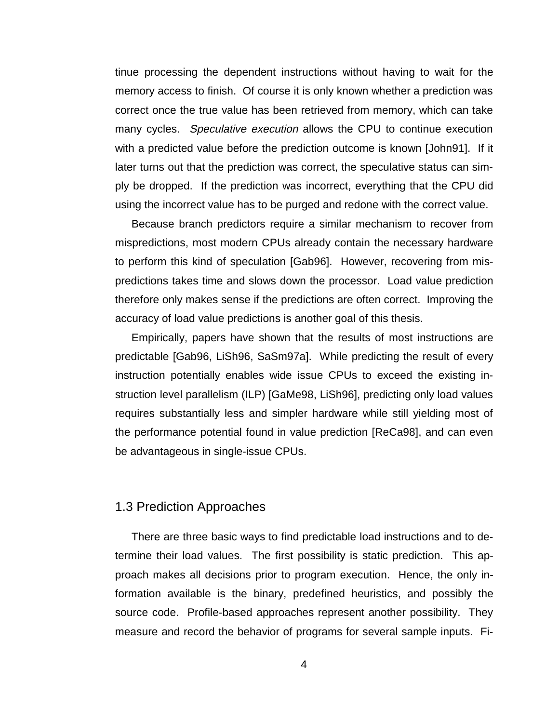tinue processing the dependent instructions without having to wait for the memory access to finish. Of course it is only known whether a prediction was correct once the true value has been retrieved from memory, which can take many cycles. Speculative execution allows the CPU to continue execution with a predicted value before the prediction outcome is known [John91]. If it later turns out that the prediction was correct, the speculative status can simply be dropped. If the prediction was incorrect, everything that the CPU did using the incorrect value has to be purged and redone with the correct value.

Because branch predictors require a similar mechanism to recover from mispredictions, most modern CPUs already contain the necessary hardware to perform this kind of speculation [Gab96]. However, recovering from mispredictions takes time and slows down the processor. Load value prediction therefore only makes sense if the predictions are often correct. Improving the accuracy of load value predictions is another goal of this thesis.

Empirically, papers have shown that the results of most instructions are predictable [Gab96, LiSh96, SaSm97a]. While predicting the result of every instruction potentially enables wide issue CPUs to exceed the existing instruction level parallelism (ILP) [GaMe98, LiSh96], predicting only load values requires substantially less and simpler hardware while still yielding most of the performance potential found in value prediction [ReCa98], and can even be advantageous in single-issue CPUs.

#### 1.3 Prediction Approaches

There are three basic ways to find predictable load instructions and to determine their load values. The first possibility is static prediction. This approach makes all decisions prior to program execution. Hence, the only information available is the binary, predefined heuristics, and possibly the source code. Profile-based approaches represent another possibility. They measure and record the behavior of programs for several sample inputs. Fi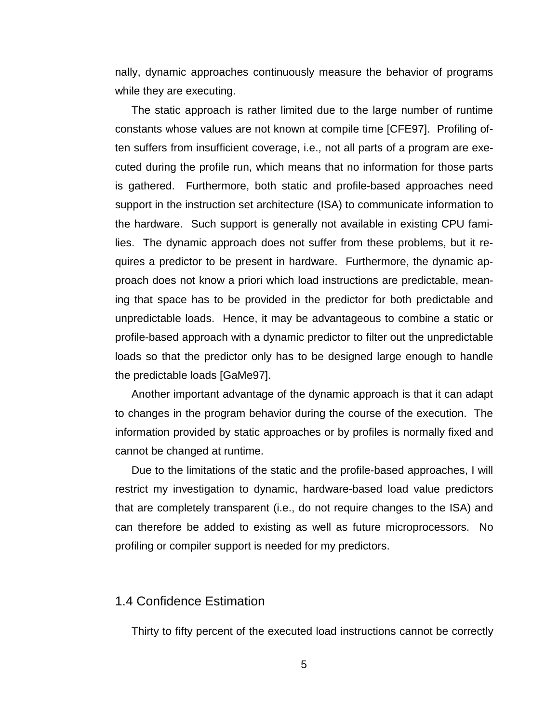nally, dynamic approaches continuously measure the behavior of programs while they are executing.

The static approach is rather limited due to the large number of runtime constants whose values are not known at compile time [CFE97]. Profiling often suffers from insufficient coverage, i.e., not all parts of a program are executed during the profile run, which means that no information for those parts is gathered. Furthermore, both static and profile-based approaches need support in the instruction set architecture (ISA) to communicate information to the hardware. Such support is generally not available in existing CPU families. The dynamic approach does not suffer from these problems, but it requires a predictor to be present in hardware. Furthermore, the dynamic approach does not know a priori which load instructions are predictable, meaning that space has to be provided in the predictor for both predictable and unpredictable loads. Hence, it may be advantageous to combine a static or profile-based approach with a dynamic predictor to filter out the unpredictable loads so that the predictor only has to be designed large enough to handle the predictable loads [GaMe97].

Another important advantage of the dynamic approach is that it can adapt to changes in the program behavior during the course of the execution. The information provided by static approaches or by profiles is normally fixed and cannot be changed at runtime.

Due to the limitations of the static and the profile-based approaches, I will restrict my investigation to dynamic, hardware-based load value predictors that are completely transparent (i.e., do not require changes to the ISA) and can therefore be added to existing as well as future microprocessors. No profiling or compiler support is needed for my predictors.

#### 1.4 Confidence Estimation

Thirty to fifty percent of the executed load instructions cannot be correctly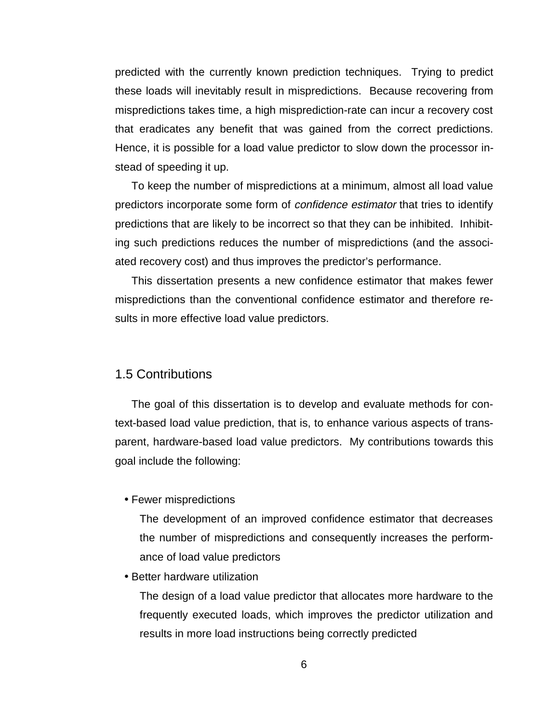predicted with the currently known prediction techniques. Trying to predict these loads will inevitably result in mispredictions. Because recovering from mispredictions takes time, a high misprediction-rate can incur a recovery cost that eradicates any benefit that was gained from the correct predictions. Hence, it is possible for a load value predictor to slow down the processor instead of speeding it up.

To keep the number of mispredictions at a minimum, almost all load value predictors incorporate some form of *confidence estimator* that tries to identify predictions that are likely to be incorrect so that they can be inhibited. Inhibiting such predictions reduces the number of mispredictions (and the associated recovery cost) and thus improves the predictor's performance.

This dissertation presents a new confidence estimator that makes fewer mispredictions than the conventional confidence estimator and therefore results in more effective load value predictors.

#### 1.5 Contributions

The goal of this dissertation is to develop and evaluate methods for context-based load value prediction, that is, to enhance various aspects of transparent, hardware-based load value predictors. My contributions towards this goal include the following:

#### • Fewer mispredictions

 The development of an improved confidence estimator that decreases the number of mispredictions and consequently increases the performance of load value predictors

• Better hardware utilization

 The design of a load value predictor that allocates more hardware to the frequently executed loads, which improves the predictor utilization and results in more load instructions being correctly predicted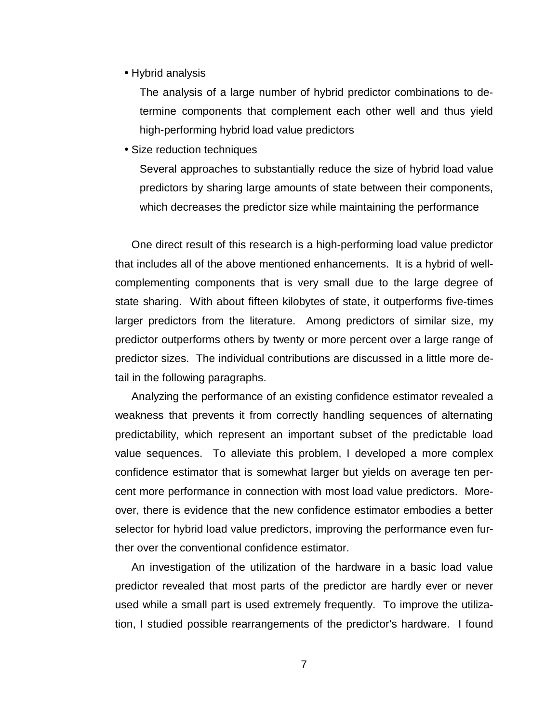• Hybrid analysis

 The analysis of a large number of hybrid predictor combinations to determine components that complement each other well and thus yield high-performing hybrid load value predictors

• Size reduction techniques

 Several approaches to substantially reduce the size of hybrid load value predictors by sharing large amounts of state between their components, which decreases the predictor size while maintaining the performance

One direct result of this research is a high-performing load value predictor that includes all of the above mentioned enhancements. It is a hybrid of wellcomplementing components that is very small due to the large degree of state sharing. With about fifteen kilobytes of state, it outperforms five-times larger predictors from the literature. Among predictors of similar size, my predictor outperforms others by twenty or more percent over a large range of predictor sizes. The individual contributions are discussed in a little more detail in the following paragraphs.

Analyzing the performance of an existing confidence estimator revealed a weakness that prevents it from correctly handling sequences of alternating predictability, which represent an important subset of the predictable load value sequences. To alleviate this problem, I developed a more complex confidence estimator that is somewhat larger but yields on average ten percent more performance in connection with most load value predictors. Moreover, there is evidence that the new confidence estimator embodies a better selector for hybrid load value predictors, improving the performance even further over the conventional confidence estimator.

An investigation of the utilization of the hardware in a basic load value predictor revealed that most parts of the predictor are hardly ever or never used while a small part is used extremely frequently. To improve the utilization, I studied possible rearrangements of the predictor's hardware. I found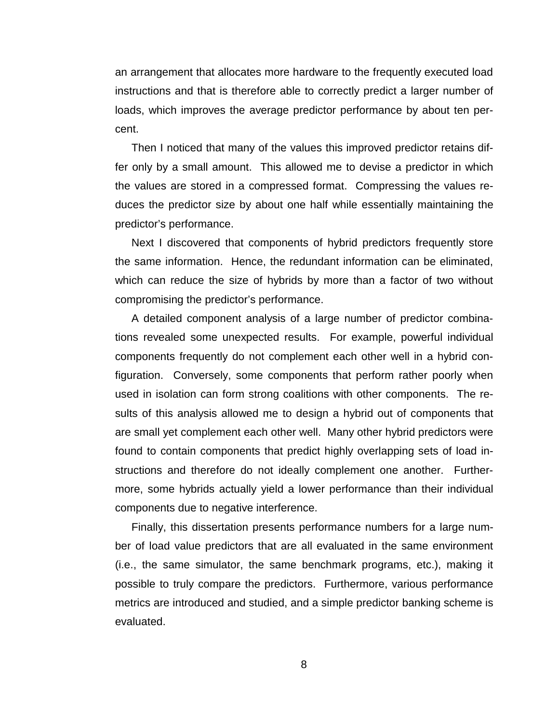an arrangement that allocates more hardware to the frequently executed load instructions and that is therefore able to correctly predict a larger number of loads, which improves the average predictor performance by about ten percent.

Then I noticed that many of the values this improved predictor retains differ only by a small amount. This allowed me to devise a predictor in which the values are stored in a compressed format. Compressing the values reduces the predictor size by about one half while essentially maintaining the predictor's performance.

Next I discovered that components of hybrid predictors frequently store the same information. Hence, the redundant information can be eliminated, which can reduce the size of hybrids by more than a factor of two without compromising the predictor's performance.

A detailed component analysis of a large number of predictor combinations revealed some unexpected results. For example, powerful individual components frequently do not complement each other well in a hybrid configuration. Conversely, some components that perform rather poorly when used in isolation can form strong coalitions with other components. The results of this analysis allowed me to design a hybrid out of components that are small yet complement each other well. Many other hybrid predictors were found to contain components that predict highly overlapping sets of load instructions and therefore do not ideally complement one another. Furthermore, some hybrids actually yield a lower performance than their individual components due to negative interference.

Finally, this dissertation presents performance numbers for a large number of load value predictors that are all evaluated in the same environment (i.e., the same simulator, the same benchmark programs, etc.), making it possible to truly compare the predictors. Furthermore, various performance metrics are introduced and studied, and a simple predictor banking scheme is evaluated.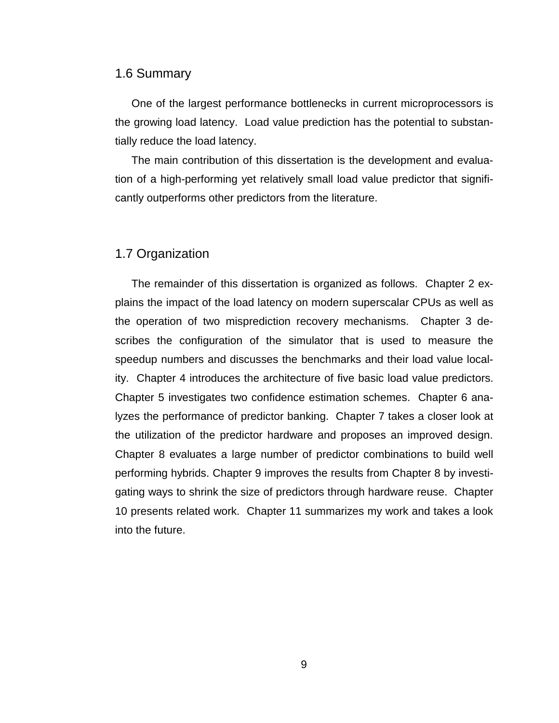#### 1.6 Summary

One of the largest performance bottlenecks in current microprocessors is the growing load latency. Load value prediction has the potential to substantially reduce the load latency.

The main contribution of this dissertation is the development and evaluation of a high-performing yet relatively small load value predictor that significantly outperforms other predictors from the literature.

### 1.7 Organization

The remainder of this dissertation is organized as follows. Chapter 2 explains the impact of the load latency on modern superscalar CPUs as well as the operation of two misprediction recovery mechanisms. Chapter 3 describes the configuration of the simulator that is used to measure the speedup numbers and discusses the benchmarks and their load value locality. Chapter 4 introduces the architecture of five basic load value predictors. Chapter 5 investigates two confidence estimation schemes. Chapter 6 analyzes the performance of predictor banking. Chapter 7 takes a closer look at the utilization of the predictor hardware and proposes an improved design. Chapter 8 evaluates a large number of predictor combinations to build well performing hybrids. Chapter 9 improves the results from Chapter 8 by investigating ways to shrink the size of predictors through hardware reuse. Chapter 10 presents related work. Chapter 11 summarizes my work and takes a look into the future.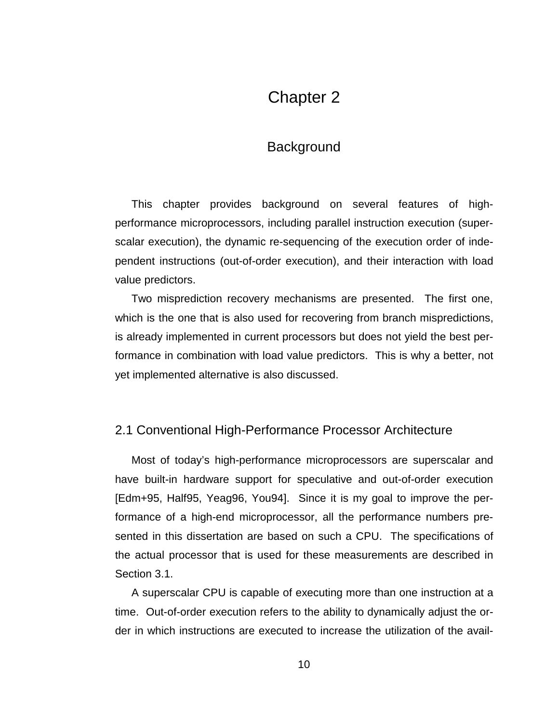## Chapter 2

## Background

This chapter provides background on several features of highperformance microprocessors, including parallel instruction execution (superscalar execution), the dynamic re-sequencing of the execution order of independent instructions (out-of-order execution), and their interaction with load value predictors.

Two misprediction recovery mechanisms are presented. The first one, which is the one that is also used for recovering from branch mispredictions, is already implemented in current processors but does not yield the best performance in combination with load value predictors. This is why a better, not yet implemented alternative is also discussed.

#### 2.1 Conventional High-Performance Processor Architecture

Most of today's high-performance microprocessors are superscalar and have built-in hardware support for speculative and out-of-order execution [Edm+95, Half95, Yeag96, You94]. Since it is my goal to improve the performance of a high-end microprocessor, all the performance numbers presented in this dissertation are based on such a CPU. The specifications of the actual processor that is used for these measurements are described in Section 3.1.

A superscalar CPU is capable of executing more than one instruction at a time. Out-of-order execution refers to the ability to dynamically adjust the order in which instructions are executed to increase the utilization of the avail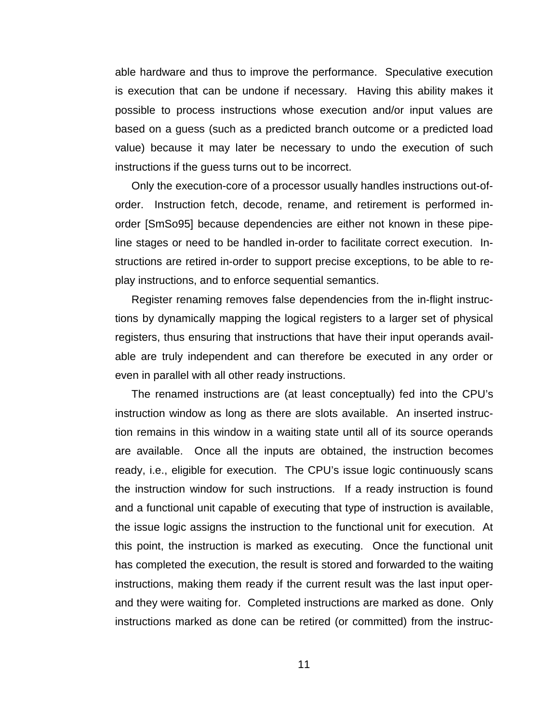able hardware and thus to improve the performance. Speculative execution is execution that can be undone if necessary. Having this ability makes it possible to process instructions whose execution and/or input values are based on a guess (such as a predicted branch outcome or a predicted load value) because it may later be necessary to undo the execution of such instructions if the guess turns out to be incorrect.

Only the execution-core of a processor usually handles instructions out-oforder. Instruction fetch, decode, rename, and retirement is performed inorder [SmSo95] because dependencies are either not known in these pipeline stages or need to be handled in-order to facilitate correct execution. Instructions are retired in-order to support precise exceptions, to be able to replay instructions, and to enforce sequential semantics.

Register renaming removes false dependencies from the in-flight instructions by dynamically mapping the logical registers to a larger set of physical registers, thus ensuring that instructions that have their input operands available are truly independent and can therefore be executed in any order or even in parallel with all other ready instructions.

The renamed instructions are (at least conceptually) fed into the CPU's instruction window as long as there are slots available. An inserted instruction remains in this window in a waiting state until all of its source operands are available. Once all the inputs are obtained, the instruction becomes ready, i.e., eligible for execution. The CPU's issue logic continuously scans the instruction window for such instructions. If a ready instruction is found and a functional unit capable of executing that type of instruction is available, the issue logic assigns the instruction to the functional unit for execution. At this point, the instruction is marked as executing. Once the functional unit has completed the execution, the result is stored and forwarded to the waiting instructions, making them ready if the current result was the last input operand they were waiting for. Completed instructions are marked as done. Only instructions marked as done can be retired (or committed) from the instruc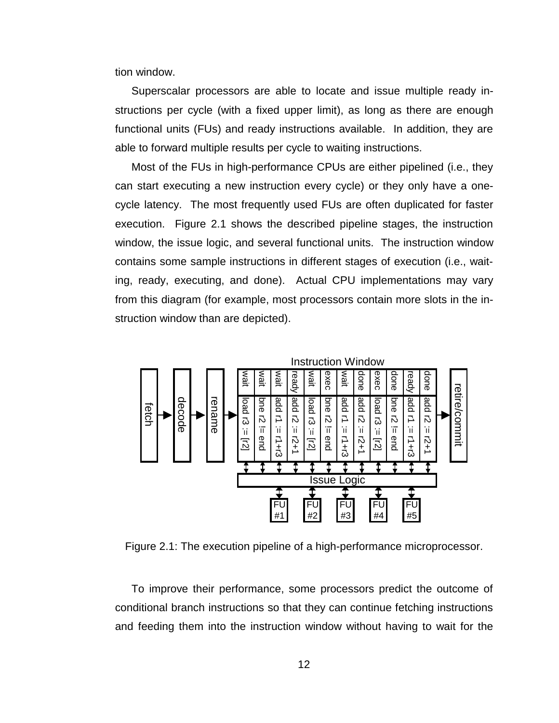tion window.

Superscalar processors are able to locate and issue multiple ready instructions per cycle (with a fixed upper limit), as long as there are enough functional units (FUs) and ready instructions available. In addition, they are able to forward multiple results per cycle to waiting instructions.

Most of the FUs in high-performance CPUs are either pipelined (i.e., they can start executing a new instruction every cycle) or they only have a onecycle latency. The most frequently used FUs are often duplicated for faster execution. Figure 2.1 shows the described pipeline stages, the instruction window, the issue logic, and several functional units. The instruction window contains some sample instructions in different stages of execution (i.e., waiting, ready, executing, and done). Actual CPU implementations may vary from this diagram (for example, most processors contain more slots in the instruction window than are depicted).



Figure 2.1: The execution pipeline of a high-performance microprocessor.

To improve their performance, some processors predict the outcome of conditional branch instructions so that they can continue fetching instructions and feeding them into the instruction window without having to wait for the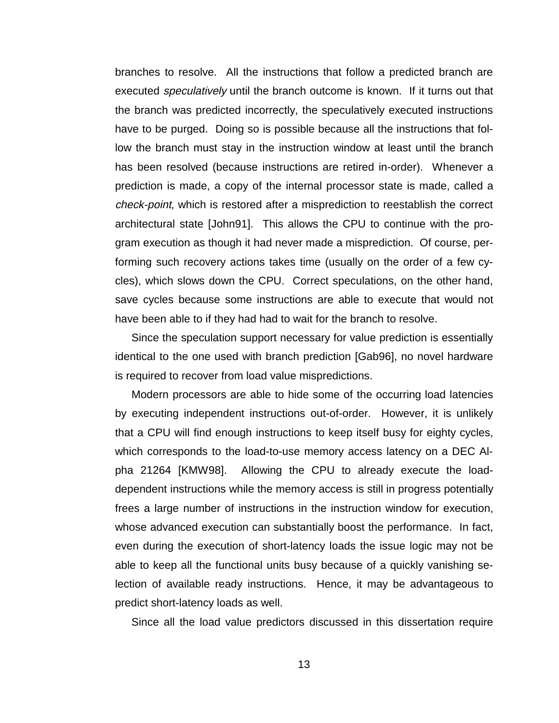branches to resolve. All the instructions that follow a predicted branch are executed *speculatively* until the branch outcome is known. If it turns out that the branch was predicted incorrectly, the speculatively executed instructions have to be purged. Doing so is possible because all the instructions that follow the branch must stay in the instruction window at least until the branch has been resolved (because instructions are retired in-order). Whenever a prediction is made, a copy of the internal processor state is made, called a check-point, which is restored after a misprediction to reestablish the correct architectural state [John91]. This allows the CPU to continue with the program execution as though it had never made a misprediction. Of course, performing such recovery actions takes time (usually on the order of a few cycles), which slows down the CPU. Correct speculations, on the other hand, save cycles because some instructions are able to execute that would not have been able to if they had had to wait for the branch to resolve.

Since the speculation support necessary for value prediction is essentially identical to the one used with branch prediction [Gab96], no novel hardware is required to recover from load value mispredictions.

Modern processors are able to hide some of the occurring load latencies by executing independent instructions out-of-order. However, it is unlikely that a CPU will find enough instructions to keep itself busy for eighty cycles, which corresponds to the load-to-use memory access latency on a DEC Alpha 21264 [KMW98]. Allowing the CPU to already execute the loaddependent instructions while the memory access is still in progress potentially frees a large number of instructions in the instruction window for execution, whose advanced execution can substantially boost the performance. In fact, even during the execution of short-latency loads the issue logic may not be able to keep all the functional units busy because of a quickly vanishing selection of available ready instructions. Hence, it may be advantageous to predict short-latency loads as well.

Since all the load value predictors discussed in this dissertation require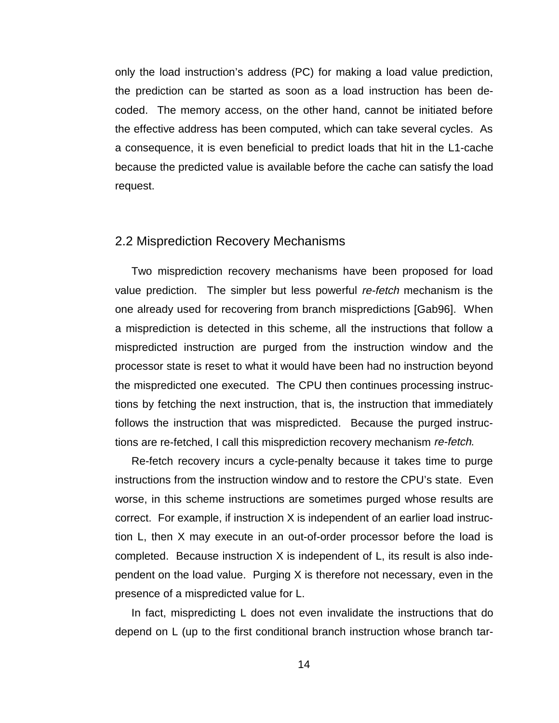only the load instruction's address (PC) for making a load value prediction, the prediction can be started as soon as a load instruction has been decoded. The memory access, on the other hand, cannot be initiated before the effective address has been computed, which can take several cycles. As a consequence, it is even beneficial to predict loads that hit in the L1-cache because the predicted value is available before the cache can satisfy the load request.

#### 2.2 Misprediction Recovery Mechanisms

Two misprediction recovery mechanisms have been proposed for load value prediction. The simpler but less powerful re-fetch mechanism is the one already used for recovering from branch mispredictions [Gab96]. When a misprediction is detected in this scheme, all the instructions that follow a mispredicted instruction are purged from the instruction window and the processor state is reset to what it would have been had no instruction beyond the mispredicted one executed. The CPU then continues processing instructions by fetching the next instruction, that is, the instruction that immediately follows the instruction that was mispredicted. Because the purged instructions are re-fetched, I call this misprediction recovery mechanism re-fetch.

Re-fetch recovery incurs a cycle-penalty because it takes time to purge instructions from the instruction window and to restore the CPU's state. Even worse, in this scheme instructions are sometimes purged whose results are correct. For example, if instruction X is independent of an earlier load instruction L, then X may execute in an out-of-order processor before the load is completed. Because instruction X is independent of L, its result is also independent on the load value. Purging X is therefore not necessary, even in the presence of a mispredicted value for L.

In fact, mispredicting L does not even invalidate the instructions that do depend on L (up to the first conditional branch instruction whose branch tar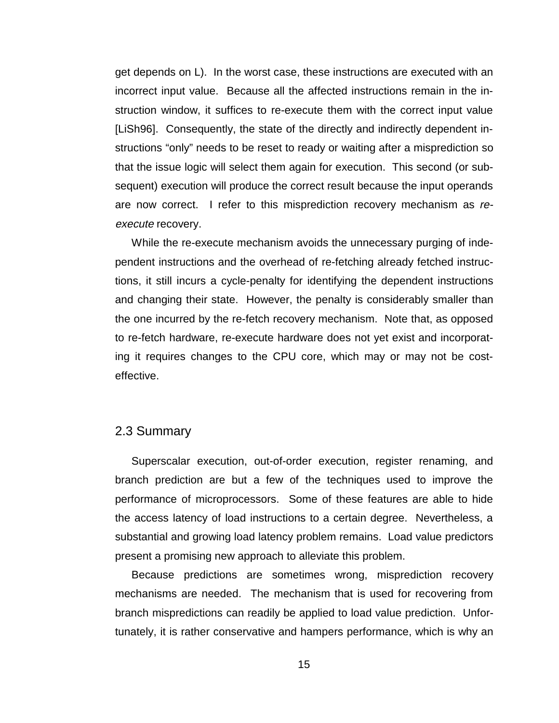get depends on L). In the worst case, these instructions are executed with an incorrect input value. Because all the affected instructions remain in the instruction window, it suffices to re-execute them with the correct input value [LiSh96]. Consequently, the state of the directly and indirectly dependent instructions "only" needs to be reset to ready or waiting after a misprediction so that the issue logic will select them again for execution. This second (or subsequent) execution will produce the correct result because the input operands are now correct. I refer to this misprediction recovery mechanism as reexecute recovery.

While the re-execute mechanism avoids the unnecessary purging of independent instructions and the overhead of re-fetching already fetched instructions, it still incurs a cycle-penalty for identifying the dependent instructions and changing their state. However, the penalty is considerably smaller than the one incurred by the re-fetch recovery mechanism. Note that, as opposed to re-fetch hardware, re-execute hardware does not yet exist and incorporating it requires changes to the CPU core, which may or may not be costeffective.

#### 2.3 Summary

Superscalar execution, out-of-order execution, register renaming, and branch prediction are but a few of the techniques used to improve the performance of microprocessors. Some of these features are able to hide the access latency of load instructions to a certain degree. Nevertheless, a substantial and growing load latency problem remains. Load value predictors present a promising new approach to alleviate this problem.

Because predictions are sometimes wrong, misprediction recovery mechanisms are needed. The mechanism that is used for recovering from branch mispredictions can readily be applied to load value prediction. Unfortunately, it is rather conservative and hampers performance, which is why an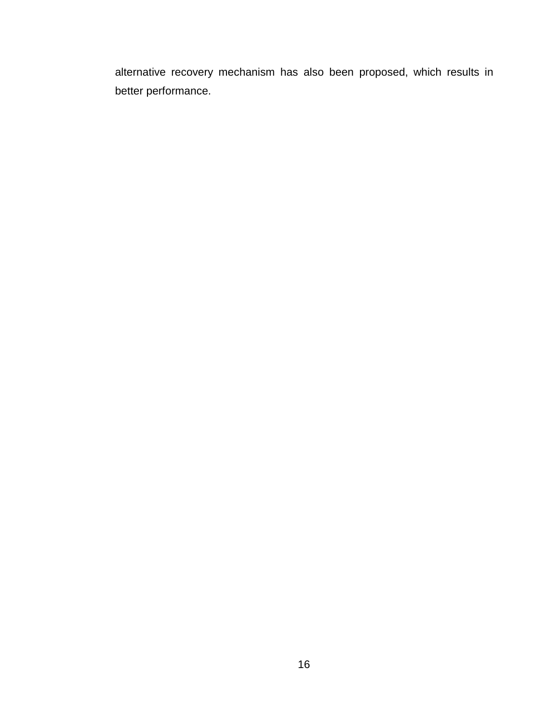alternative recovery mechanism has also been proposed, which results in better performance.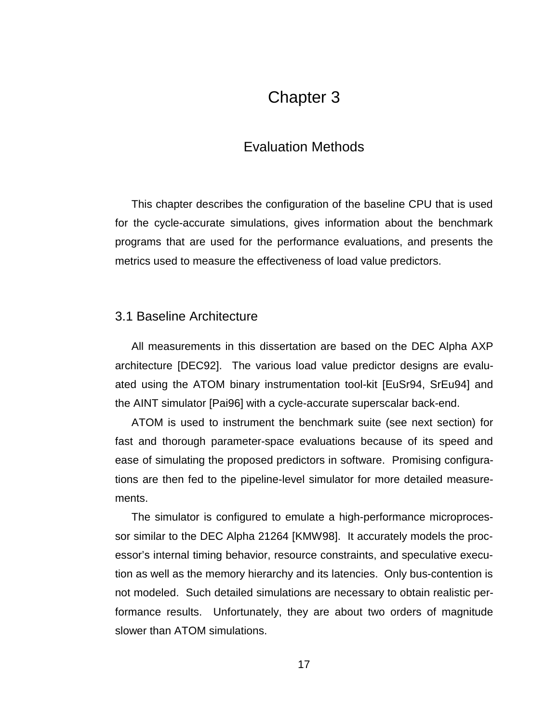## Chapter 3

## Evaluation Methods

This chapter describes the configuration of the baseline CPU that is used for the cycle-accurate simulations, gives information about the benchmark programs that are used for the performance evaluations, and presents the metrics used to measure the effectiveness of load value predictors.

### 3.1 Baseline Architecture

All measurements in this dissertation are based on the DEC Alpha AXP architecture [DEC92]. The various load value predictor designs are evaluated using the ATOM binary instrumentation tool-kit [EuSr94, SrEu94] and the AINT simulator [Pai96] with a cycle-accurate superscalar back-end.

ATOM is used to instrument the benchmark suite (see next section) for fast and thorough parameter-space evaluations because of its speed and ease of simulating the proposed predictors in software. Promising configurations are then fed to the pipeline-level simulator for more detailed measurements.

The simulator is configured to emulate a high-performance microprocessor similar to the DEC Alpha 21264 [KMW98]. It accurately models the processor's internal timing behavior, resource constraints, and speculative execution as well as the memory hierarchy and its latencies. Only bus-contention is not modeled. Such detailed simulations are necessary to obtain realistic performance results. Unfortunately, they are about two orders of magnitude slower than ATOM simulations.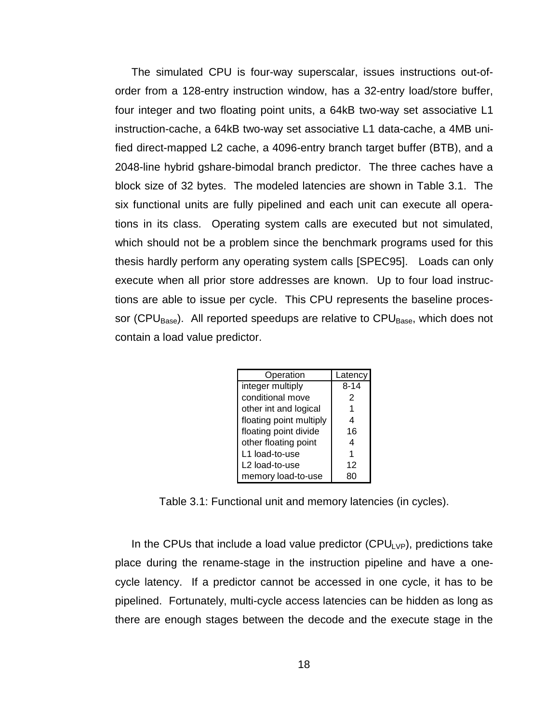The simulated CPU is four-way superscalar, issues instructions out-oforder from a 128-entry instruction window, has a 32-entry load/store buffer, four integer and two floating point units, a 64kB two-way set associative L1 instruction-cache, a 64kB two-way set associative L1 data-cache, a 4MB unified direct-mapped L2 cache, a 4096-entry branch target buffer (BTB), and a 2048-line hybrid gshare-bimodal branch predictor. The three caches have a block size of 32 bytes. The modeled latencies are shown in Table 3.1. The six functional units are fully pipelined and each unit can execute all operations in its class. Operating system calls are executed but not simulated, which should not be a problem since the benchmark programs used for this thesis hardly perform any operating system calls [SPEC95]. Loads can only execute when all prior store addresses are known. Up to four load instructions are able to issue per cycle. This CPU represents the baseline processor (CPU<sub>Base</sub>). All reported speedups are relative to CPU<sub>Base</sub>, which does not contain a load value predictor.

| Operation               | Latency  |
|-------------------------|----------|
| integer multiply        | $8 - 14$ |
| conditional move        | 2        |
| other int and logical   |          |
| floating point multiply | 4        |
| floating point divide   | 16       |
| other floating point    | 4        |
| L1 load-to-use          | 1        |
| L2 load-to-use          | 12       |
| memory load-to-use      |          |

Table 3.1: Functional unit and memory latencies (in cycles).

In the CPUs that include a load value predictor (CPU<sub>LVP</sub>), predictions take place during the rename-stage in the instruction pipeline and have a onecycle latency. If a predictor cannot be accessed in one cycle, it has to be pipelined. Fortunately, multi-cycle access latencies can be hidden as long as there are enough stages between the decode and the execute stage in the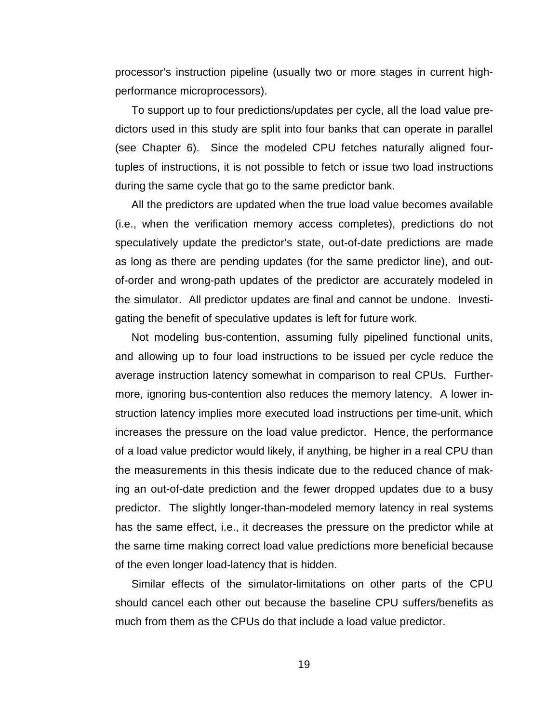processor's instruction pipeline (usually two or more stages in current highperformance microprocessors).

To support up to four predictions/updates per cycle, all the load value predictors used in this study are split into four banks that can operate in parallel (see Chapter 6). Since the modeled CPU fetches naturally aligned fourtuples of instructions, it is not possible to fetch or issue two load instructions during the same cycle that go to the same predictor bank.

All the predictors are updated when the true load value becomes available (i.e., when the verification memory access completes), predictions do not speculatively update the predictor's state, out-of-date predictions are made as long as there are pending updates (for the same predictor line), and outof-order and wrong-path updates of the predictor are accurately modeled in the simulator. All predictor updates are final and cannot be undone. Investigating the benefit of speculative updates is left for future work.

Not modeling bus-contention, assuming fully pipelined functional units, and allowing up to four load instructions to be issued per cycle reduce the average instruction latency somewhat in comparison to real CPUs. Furthermore, ignoring bus-contention also reduces the memory latency. A lower instruction latency implies more executed load instructions per time-unit, which increases the pressure on the load value predictor. Hence, the performance of a load value predictor would likely, if anything, be higher in a real CPU than the measurements in this thesis indicate due to the reduced chance of making an out-of-date prediction and the fewer dropped updates due to a busy predictor. The slightly longer-than-modeled memory latency in real systems has the same effect, i.e., it decreases the pressure on the predictor while at the same time making correct load value predictions more beneficial because of the even longer load-latency that is hidden.

Similar effects of the simulator-limitations on other parts of the CPU should cancel each other out because the baseline CPU suffers/benefits as much from them as the CPUs do that include a load value predictor.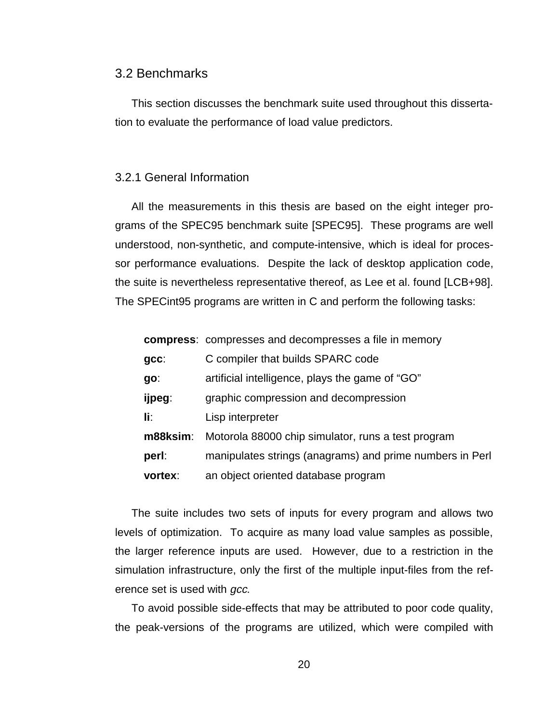#### 3.2 Benchmarks

This section discusses the benchmark suite used throughout this dissertation to evaluate the performance of load value predictors.

#### 3.2.1 General Information

All the measurements in this thesis are based on the eight integer programs of the SPEC95 benchmark suite [SPEC95]. These programs are well understood, non-synthetic, and compute-intensive, which is ideal for processor performance evaluations. Despite the lack of desktop application code, the suite is nevertheless representative thereof, as Lee et al. found [LCB+98]. The SPECint95 programs are written in C and perform the following tasks:

|          | compress: compresses and decompresses a file in memory   |
|----------|----------------------------------------------------------|
| $gcc$ :  | C compiler that builds SPARC code                        |
| go:      | artificial intelligence, plays the game of "GO"          |
| ijpeg:   | graphic compression and decompression                    |
| li:      | Lisp interpreter                                         |
| m88ksim: | Motorola 88000 chip simulator, runs a test program       |
| perl:    | manipulates strings (anagrams) and prime numbers in Perl |
| vortex:  | an object oriented database program                      |

The suite includes two sets of inputs for every program and allows two levels of optimization. To acquire as many load value samples as possible, the larger reference inputs are used. However, due to a restriction in the simulation infrastructure, only the first of the multiple input-files from the reference set is used with *gcc*.

To avoid possible side-effects that may be attributed to poor code quality, the peak-versions of the programs are utilized, which were compiled with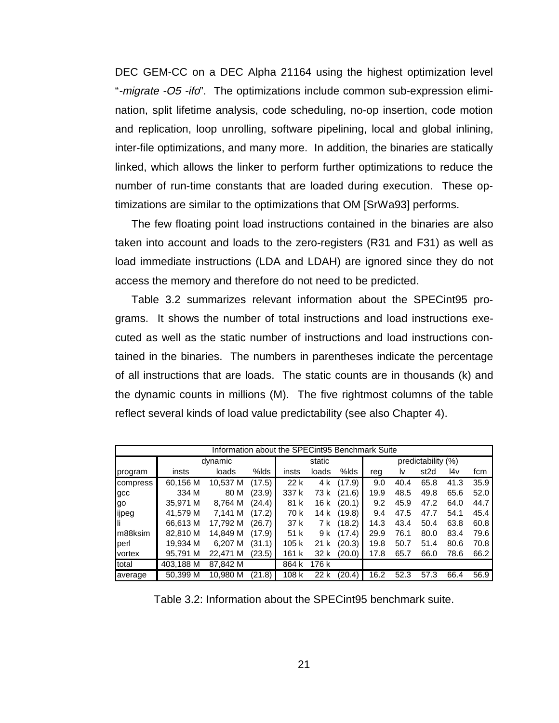DEC GEM-CC on a DEC Alpha 21164 using the highest optimization level "-migrate -O5 -ifo". The optimizations include common sub-expression elimination, split lifetime analysis, code scheduling, no-op insertion, code motion and replication, loop unrolling, software pipelining, local and global inlining, inter-file optimizations, and many more. In addition, the binaries are statically linked, which allows the linker to perform further optimizations to reduce the number of run-time constants that are loaded during execution. These optimizations are similar to the optimizations that OM [SrWa93] performs.

The few floating point load instructions contained in the binaries are also taken into account and loads to the zero-registers (R31 and F31) as well as load immediate instructions (LDA and LDAH) are ignored since they do not access the memory and therefore do not need to be predicted.

Table 3.2 summarizes relevant information about the SPECint95 programs. It shows the number of total instructions and load instructions executed as well as the static number of instructions and load instructions contained in the binaries. The numbers in parentheses indicate the percentage of all instructions that are loads. The static counts are in thousands (k) and the dynamic counts in millions (M). The five rightmost columns of the table reflect several kinds of load value predictability (see also Chapter 4).

| Information about the SPECint95 Benchmark Suite |           |          |        |       |                    |        |      |      |                  |      |      |
|-------------------------------------------------|-----------|----------|--------|-------|--------------------|--------|------|------|------------------|------|------|
|                                                 | dynamic   | static   |        |       | predictability (%) |        |      |      |                  |      |      |
| program                                         | insts     | loads    | %lds   | insts | loads              | %lds   | reg  | l٧   | st <sub>2d</sub> | l4v  | fcm  |
| compress                                        | 60,156 M  | 10,537 M | (17.5) | 22 k  | 4 k                | (17.9) | 9.0  | 40.4 | 65.8             | 41.3 | 35.9 |
| gcc                                             | 334 M     | 80 M     | (23.9) | 337 k | 73 k               | (21.6) | 19.9 | 48.5 | 49.8             | 65.6 | 52.0 |
| go                                              | 35.971 M  | 8.764 M  | (24.4) | 81 k  | 16 k               | (20.1) | 9.2  | 45.9 | 47.2             | 64.0 | 44.7 |
| ijpeg                                           | 41,579 M  | 7.141 M  | (17.2) | 70 k  | 14 k               | (19.8) | 9.4  | 47.5 | 47.7             | 54.1 | 45.4 |
|                                                 | 66,613 M  | 17,792 M | (26.7) | 37 k  | 7 k                | (18.2) | 14.3 | 43.4 | 50.4             | 63.8 | 60.8 |
| m88ksim                                         | 82,810 M  | 14.849 M | (17.9) | 51 k  | 9 k                | (17.4) | 29.9 | 76.1 | 80.0             | 83.4 | 79.6 |
| perl                                            | 19.934 M  | 6.207 M  | (31.1) | 105 k | 21 k               | (20.3) | 19.8 | 50.7 | 51.4             | 80.6 | 70.8 |
| vortex                                          | 95.791 M  | 22.471 M | (23.5) | 161 k | 32 k               | (20.0) | 17.8 | 65.7 | 66.0             | 78.6 | 66.2 |
| total                                           | 403,188 M | 87,842 M |        | 864 k | 176 k              |        |      |      |                  |      |      |
| average                                         | 50,399 M  | 10.980 M | (21.8) | 108 k | 22 k               | (20.4) | 16.2 | 52.3 | 57.3             | 66.4 | 56.9 |

Table 3.2: Information about the SPECint95 benchmark suite.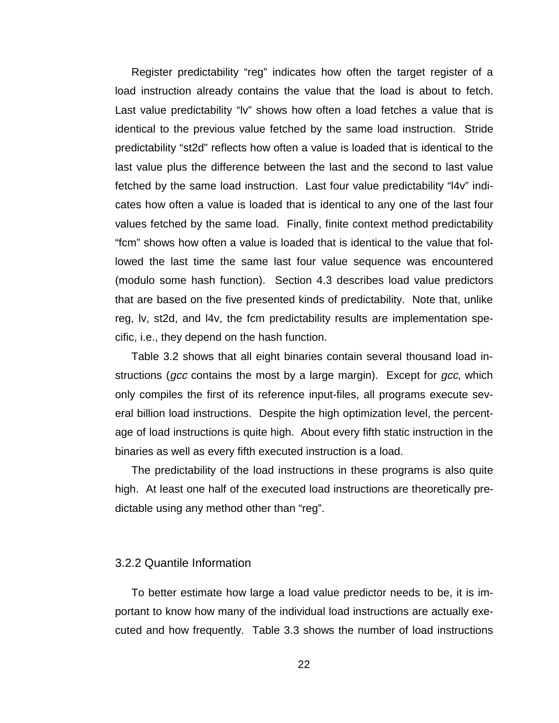Register predictability "reg" indicates how often the target register of a load instruction already contains the value that the load is about to fetch. Last value predictability "lv" shows how often a load fetches a value that is identical to the previous value fetched by the same load instruction. Stride predictability "st2d" reflects how often a value is loaded that is identical to the last value plus the difference between the last and the second to last value fetched by the same load instruction. Last four value predictability "l4v" indicates how often a value is loaded that is identical to any one of the last four values fetched by the same load. Finally, finite context method predictability "fcm" shows how often a value is loaded that is identical to the value that followed the last time the same last four value sequence was encountered (modulo some hash function). Section 4.3 describes load value predictors that are based on the five presented kinds of predictability. Note that, unlike reg, lv, st2d, and l4v, the fcm predictability results are implementation specific, i.e., they depend on the hash function.

Table 3.2 shows that all eight binaries contain several thousand load instructions (gcc contains the most by a large margin). Except for gcc, which only compiles the first of its reference input-files, all programs execute several billion load instructions. Despite the high optimization level, the percentage of load instructions is quite high. About every fifth static instruction in the binaries as well as every fifth executed instruction is a load.

The predictability of the load instructions in these programs is also quite high. At least one half of the executed load instructions are theoretically predictable using any method other than "reg".

#### 3.2.2 Quantile Information

To better estimate how large a load value predictor needs to be, it is important to know how many of the individual load instructions are actually executed and how frequently. Table 3.3 shows the number of load instructions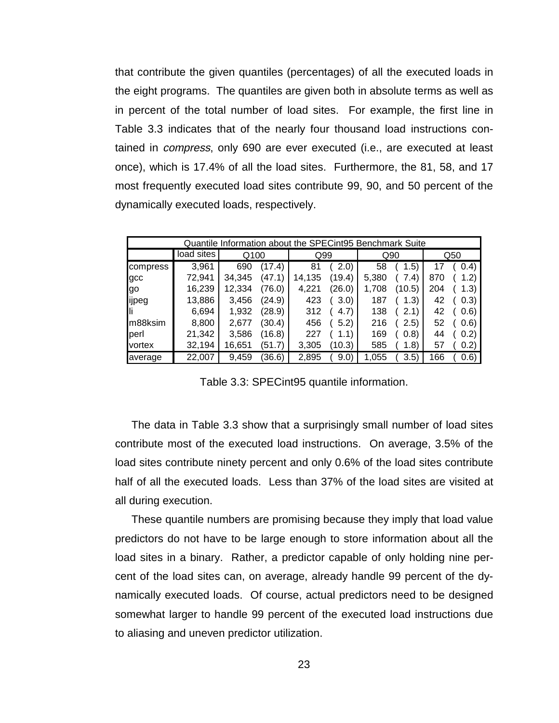that contribute the given quantiles (percentages) of all the executed loads in the eight programs. The quantiles are given both in absolute terms as well as in percent of the total number of load sites. For example, the first line in Table 3.3 indicates that of the nearly four thousand load instructions contained in compress, only 690 are ever executed (i.e., are executed at least once), which is 17.4% of all the load sites. Furthermore, the 81, 58, and 17 most frequently executed load sites contribute 99, 90, and 50 percent of the dynamically executed loads, respectively.

| Quantile Information about the SPECint95 Benchmark Suite |            |        |        |        |        |       |               |     |       |
|----------------------------------------------------------|------------|--------|--------|--------|--------|-------|---------------|-----|-------|
|                                                          | load sites | Q100   |        | Q99    |        |       | Q90           | Q50 |       |
| compress                                                 | 3,961      | 690    | (17.4) | 81     | (2.0)  | 58    | 1.5)          | 17  | (0.4) |
| gcc                                                      | 72,941     | 34.345 | (47.1) | 14,135 | (19.4) | 5,380 | 7.41          | 870 | (1.2) |
| lgo                                                      | 16,239     | 12,334 | (76.0) | 4.221  | (26.0) | 1.708 | (10.5)        | 204 | 1.3)  |
| ijpeg                                                    | 13,886     | 3,456  | (24.9) | 423    | 3.0)   | 187   | (1.3)         | 42  | (0.3) |
| Нì                                                       | 6,694      | 1,932  | (28.9) | 312    | (4.7)  | 138   | (2.1)         | 42  | (0.6) |
| m88ksim                                                  | 8,800      | 2.677  | (30.4) | 456    | 5.2)   | 216   | (2.5)         | 52  | (0.6) |
| perl                                                     | 21,342     | 3,586  | (16.8) | 227    | (1.1)  | 169   | (0.8)         | 44  | (0.2) |
| vortex                                                   | 32,194     | 16,651 | (51.7) | 3,305  | (10.3) | 585   | 1.8)          | 57  | (0.2) |
| average                                                  | 22,007     | 9,459  | (36.6) | 2,895  | 9.0)   | 1,055 | $3.5^{\circ}$ | 166 | (0.6) |

Table 3.3: SPECint95 quantile information.

The data in Table 3.3 show that a surprisingly small number of load sites contribute most of the executed load instructions. On average, 3.5% of the load sites contribute ninety percent and only 0.6% of the load sites contribute half of all the executed loads. Less than 37% of the load sites are visited at all during execution.

These quantile numbers are promising because they imply that load value predictors do not have to be large enough to store information about all the load sites in a binary. Rather, a predictor capable of only holding nine percent of the load sites can, on average, already handle 99 percent of the dynamically executed loads. Of course, actual predictors need to be designed somewhat larger to handle 99 percent of the executed load instructions due to aliasing and uneven predictor utilization.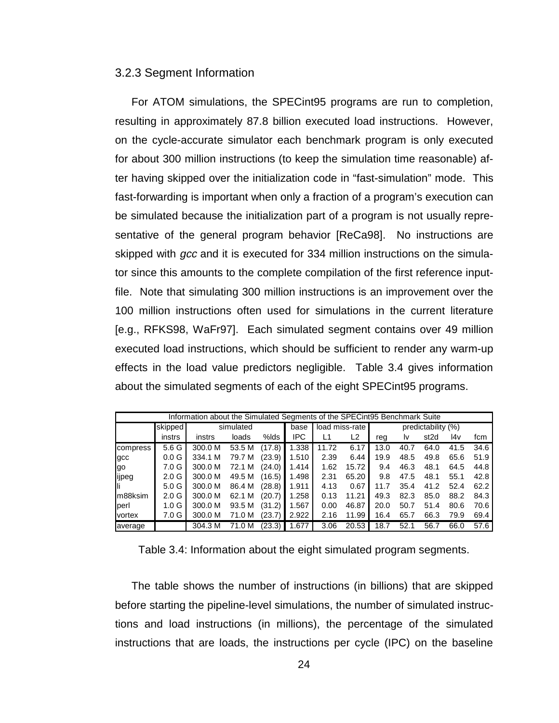#### 3.2.3 Segment Information

For ATOM simulations, the SPECint95 programs are run to completion, resulting in approximately 87.8 billion executed load instructions. However, on the cycle-accurate simulator each benchmark program is only executed for about 300 million instructions (to keep the simulation time reasonable) after having skipped over the initialization code in "fast-simulation" mode. This fast-forwarding is important when only a fraction of a program's execution can be simulated because the initialization part of a program is not usually representative of the general program behavior [ReCa98]. No instructions are skipped with gcc and it is executed for 334 million instructions on the simulator since this amounts to the complete compilation of the first reference inputfile. Note that simulating 300 million instructions is an improvement over the 100 million instructions often used for simulations in the current literature [e.g., RFKS98, WaFr97]. Each simulated segment contains over 49 million executed load instructions, which should be sufficient to render any warm-up effects in the load value predictors negligible. Table 3.4 gives information about the simulated segments of each of the eight SPECint95 programs.

| Information about the Simulated Segments of the SPECint95 Benchmark Suite |                  |         |           |        |       |       |                |                    |      |                  |      |      |
|---------------------------------------------------------------------------|------------------|---------|-----------|--------|-------|-------|----------------|--------------------|------|------------------|------|------|
|                                                                           | skipped          |         | simulated |        |       |       | load miss-rate | predictability (%) |      |                  |      |      |
|                                                                           | instrs           | instrs  | loads     | %lds   | IPC   | L1    | L2             | rea                | Iv.  | st <sub>2d</sub> | l4v  | fcm  |
| compress                                                                  | 5.6 G            | 300.0 M | 53.5 M    | (17.8) | 1.338 | 11.72 | 6.17           | 13.0               | 40.7 | 64.0             | 41.5 | 34.6 |
| gcc                                                                       | 0.0 <sub>G</sub> | 334.1 M | 79.7 M    | (23.9) | 1.510 | 2.39  | 6.44           | 19.9               | 48.5 | 49.8             | 65.6 | 51.9 |
| go                                                                        | 7.0 G            | 300.0 M | 72.1 M    | (24.0) | 1.414 | 1.62  | 15.72          | 9.4                | 46.3 | 48.1             | 64.5 | 44.8 |
| ijpeg                                                                     | 2.0 <sub>G</sub> | 300.0 M | 49.5 M    | (16.5) | 1.498 | 2.31  | 65.20          | 9.8                | 47.5 | 48.1             | 55.1 | 42.8 |
|                                                                           | 5.0 <sub>G</sub> | 300.0 M | 86.4 M    | (28.8) | 1.911 | 4.13  | 0.67           | 11.7               | 35.4 | 41.2             | 52.4 | 62.2 |
| m88ksim                                                                   | 2.0 <sub>G</sub> | 300.0 M | 62.1 M    | (20.7) | 1.258 | 0.13  | 11.21          | 49.3               | 82.3 | 85.0             | 88.2 | 84.3 |
| perl                                                                      | 1.0 <sub>G</sub> | 300.0 M | 93.5 M    | (31.2) | 1.567 | 0.00  | 46.87          | 20.0               | 50.7 | 51.4             | 80.6 | 70.6 |
| vortex                                                                    | 7.0 G            | 300.0 M | 71.0 M    | (23.7) | 2.922 | 2.16  | 11.99          | 16.4               | 65.7 | 66.3             | 79.9 | 69.4 |
| average                                                                   |                  | 304.3 M | 71.0 M    | (23.3) | 1.677 | 3.06  | 20.53          | 18.7               | 52.1 | 56.7             | 66.0 | 57.6 |

Table 3.4: Information about the eight simulated program segments.

The table shows the number of instructions (in billions) that are skipped before starting the pipeline-level simulations, the number of simulated instructions and load instructions (in millions), the percentage of the simulated instructions that are loads, the instructions per cycle (IPC) on the baseline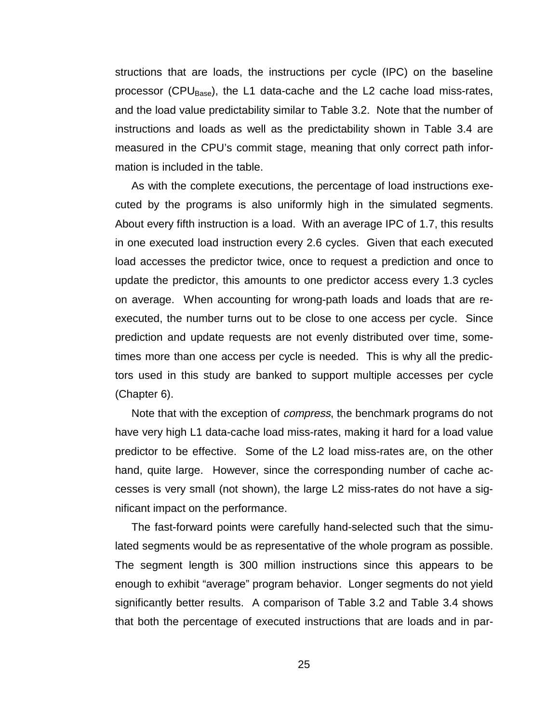structions that are loads, the instructions per cycle (IPC) on the baseline processor (CPU $_{Base}$ ), the L1 data-cache and the L2 cache load miss-rates, and the load value predictability similar to Table 3.2. Note that the number of instructions and loads as well as the predictability shown in Table 3.4 are measured in the CPU's commit stage, meaning that only correct path information is included in the table.

As with the complete executions, the percentage of load instructions executed by the programs is also uniformly high in the simulated segments. About every fifth instruction is a load. With an average IPC of 1.7, this results in one executed load instruction every 2.6 cycles. Given that each executed load accesses the predictor twice, once to request a prediction and once to update the predictor, this amounts to one predictor access every 1.3 cycles on average. When accounting for wrong-path loads and loads that are reexecuted, the number turns out to be close to one access per cycle. Since prediction and update requests are not evenly distributed over time, sometimes more than one access per cycle is needed. This is why all the predictors used in this study are banked to support multiple accesses per cycle (Chapter 6).

Note that with the exception of compress, the benchmark programs do not have very high L1 data-cache load miss-rates, making it hard for a load value predictor to be effective. Some of the L2 load miss-rates are, on the other hand, quite large. However, since the corresponding number of cache accesses is very small (not shown), the large L2 miss-rates do not have a significant impact on the performance.

The fast-forward points were carefully hand-selected such that the simulated segments would be as representative of the whole program as possible. The segment length is 300 million instructions since this appears to be enough to exhibit "average" program behavior. Longer segments do not yield significantly better results. A comparison of Table 3.2 and Table 3.4 shows that both the percentage of executed instructions that are loads and in par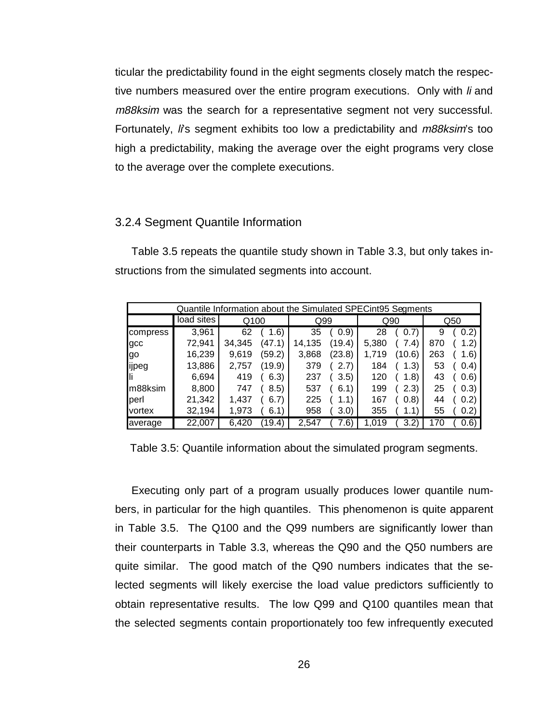ticular the predictability found in the eight segments closely match the respective numbers measured over the entire program executions. Only with *li* and m88ksim was the search for a representative segment not very successful. Fortunately, li's segment exhibits too low a predictability and m88ksim's too high a predictability, making the average over the eight programs very close to the average over the complete executions.

### 3.2.4 Segment Quantile Information

Table 3.5 repeats the quantile study shown in Table 3.3, but only takes instructions from the simulated segments into account.

| Quantile Information about the Simulated SPECint95 Segments |            |        |        |        |        |       |        |     |       |
|-------------------------------------------------------------|------------|--------|--------|--------|--------|-------|--------|-----|-------|
|                                                             | load sites | Q100   |        | Q99    |        |       | Q90    | Q50 |       |
| compress                                                    | 3,961      | 62     | 1.6)   | 35     | (0.9)  | 28    | (0.7)  | 9   | (0.2) |
| gcc                                                         | 72,941     | 34,345 | (47.1) | 14,135 | (19.4) | 5,380 | 7.4)   | 870 | 1.2)  |
| lgo                                                         | 16,239     | 9,619  | (59.2) | 3,868  | (23.8) | 1.719 | (10.6) | 263 | 1.6)  |
| ijpeg                                                       | 13,886     | 2,757  | (19.9) | 379    | 2.7    | 184   | 1.3)   | 53  | (0.4) |
| Ш                                                           | 6,694      | 419    | 6.3)   | 237    | (3.5)  | 120   | 1.8)   | 43  | (0.6) |
| m88ksim                                                     | 8,800      | 747    | 8.5)   | 537    | 6.1    | 199   | (2.3)  | 25  | (0.3) |
| perl                                                        | 21,342     | 1.437  | 6.7)   | 225    |        | 167   | (0.8)  | 44  | (0.2) |
| vortex                                                      | 32,194     | 1,973  | 6.1    | 958    | 3.0)   | 355   |        | 55  | 0.2)  |
| average                                                     | 22,007     | 6.420  | 19.4   | 2.547  | 7.6    | .019  |        |     | (0.6) |

Table 3.5: Quantile information about the simulated program segments.

Executing only part of a program usually produces lower quantile numbers, in particular for the high quantiles. This phenomenon is quite apparent in Table 3.5. The Q100 and the Q99 numbers are significantly lower than their counterparts in Table 3.3, whereas the Q90 and the Q50 numbers are quite similar. The good match of the Q90 numbers indicates that the selected segments will likely exercise the load value predictors sufficiently to obtain representative results. The low Q99 and Q100 quantiles mean that the selected segments contain proportionately too few infrequently executed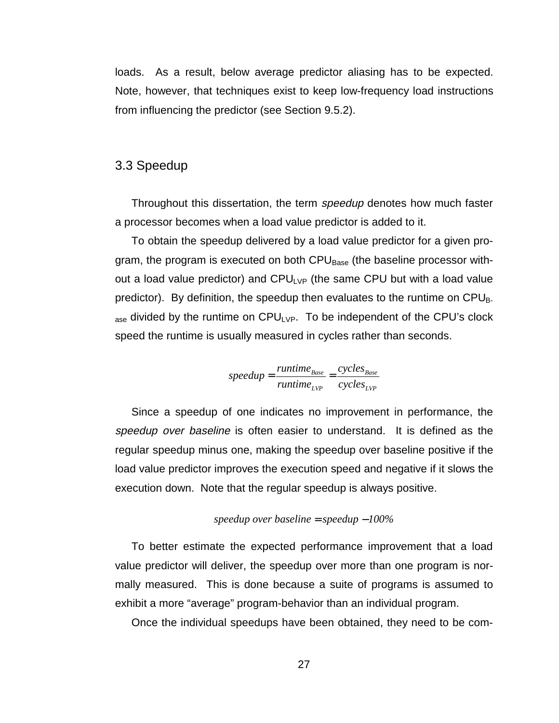loads. As a result, below average predictor aliasing has to be expected. Note, however, that techniques exist to keep low-frequency load instructions from influencing the predictor (see Section 9.5.2).

## 3.3 Speedup

Throughout this dissertation, the term *speedup* denotes how much faster a processor becomes when a load value predictor is added to it.

To obtain the speedup delivered by a load value predictor for a given program, the program is executed on both CPU<sub>Base</sub> (the baseline processor without a load value predictor) and  $CPU_{LVP}$  (the same CPU but with a load value predictor). By definition, the speedup then evaluates to the runtime on  $\text{CPU}_{\text{B}}$  $_{\text{ase}}$  divided by the runtime on CPU<sub>LVP</sub>. To be independent of the CPU's clock speed the runtime is usually measured in cycles rather than seconds.

$$
speedup = \frac{runtime_{Base}}{runtime_{LVP}} = \frac{cycles_{Base}}{cycles_{LVP}}
$$

Since a speedup of one indicates no improvement in performance, the speedup over baseline is often easier to understand. It is defined as the regular speedup minus one, making the speedup over baseline positive if the load value predictor improves the execution speed and negative if it slows the execution down. Note that the regular speedup is always positive.

$$
speedup over baseline = speedup - 100\%
$$

To better estimate the expected performance improvement that a load value predictor will deliver, the speedup over more than one program is normally measured. This is done because a suite of programs is assumed to exhibit a more "average" program-behavior than an individual program.

Once the individual speedups have been obtained, they need to be com-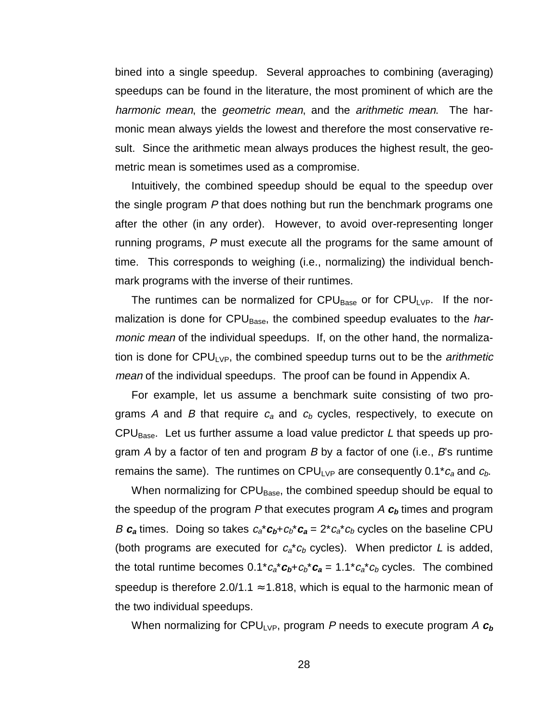bined into a single speedup. Several approaches to combining (averaging) speedups can be found in the literature, the most prominent of which are the harmonic mean, the geometric mean, and the arithmetic mean. The harmonic mean always yields the lowest and therefore the most conservative result. Since the arithmetic mean always produces the highest result, the geometric mean is sometimes used as a compromise.

Intuitively, the combined speedup should be equal to the speedup over the single program P that does nothing but run the benchmark programs one after the other (in any order). However, to avoid over-representing longer running programs, P must execute all the programs for the same amount of time. This corresponds to weighing (i.e., normalizing) the individual benchmark programs with the inverse of their runtimes.

The runtimes can be normalized for  $CPU_{Base}$  or for  $CPU_{LVP}$ . If the normalization is done for  $\text{CPU}_{\text{Base}}$ , the combined speedup evaluates to the *har*monic mean of the individual speedups. If, on the other hand, the normalization is done for  $CPU_{LVP}$ , the combined speedup turns out to be the *arithmetic* mean of the individual speedups. The proof can be found in Appendix A.

For example, let us assume a benchmark suite consisting of two programs A and B that require  $c_a$  and  $c_b$  cycles, respectively, to execute on CPU<sub>Base</sub>. Let us further assume a load value predictor L that speeds up program  $\overline{A}$  by a factor of ten and program  $\overline{B}$  by a factor of one (i.e.,  $\overline{B}$ 's runtime remains the same). The runtimes on CPU<sub>LVP</sub> are consequently 0.1<sup>\*</sup> $c_a$  and  $c_b$ .

When normalizing for CPU<sub>Base</sub>, the combined speedup should be equal to the speedup of the program P that executes program A **<sup>c</sup>b** times and program B  $c_a$  times. Doing so takes  $c_a^* c_b + c_b^* c_a = 2^* c_a^* c_b$  cycles on the baseline CPU (both programs are executed for  $c_a * c_b$  cycles). When predictor L is added, the total runtime becomes  $0.1^*c_a^*c_b+c_b^*c_a = 1.1^*c_a^*c_b$  cycles. The combined speedup is therefore 2.0/1.1  $\approx$  1.818, which is equal to the harmonic mean of the two individual speedups.

When normalizing for CPU<sub>LVP</sub>, program P needs to execute program A  $c_b$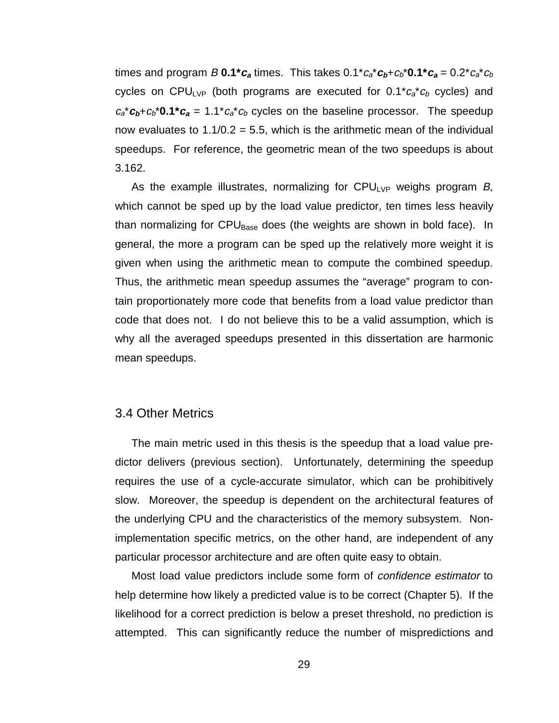times and program B  $0.1$ <sup>\*</sup> $c_a$  times. This takes  $0.1$ <sup>\*</sup> $c_a$ <sup>\*</sup> $c_b$ <sup>+</sup> $c_b$ <sup>\*</sup> $0.1$ <sup>\*</sup> $c_a$  =  $0.2$ <sup>\*</sup> $c_a$ <sup>\*</sup> $c_b$ cycles on CPULVP (both programs are executed for  $0.1^*c_a^*c_b$  cycles) and  $c_a^* c_b + c_b^* 0.1^* c_a = 1.1^* c_a^* c_b$  cycles on the baseline processor. The speedup now evaluates to  $1.1/0.2 = 5.5$ , which is the arithmetic mean of the individual speedups. For reference, the geometric mean of the two speedups is about 3.162.

As the example illustrates, normalizing for CPU<sub>LVP</sub> weighs program B, which cannot be sped up by the load value predictor, ten times less heavily than normalizing for CPU<sub>Base</sub> does (the weights are shown in bold face). In general, the more a program can be sped up the relatively more weight it is given when using the arithmetic mean to compute the combined speedup. Thus, the arithmetic mean speedup assumes the "average" program to contain proportionately more code that benefits from a load value predictor than code that does not. I do not believe this to be a valid assumption, which is why all the averaged speedups presented in this dissertation are harmonic mean speedups.

# 3.4 Other Metrics

The main metric used in this thesis is the speedup that a load value predictor delivers (previous section). Unfortunately, determining the speedup requires the use of a cycle-accurate simulator, which can be prohibitively slow. Moreover, the speedup is dependent on the architectural features of the underlying CPU and the characteristics of the memory subsystem. Nonimplementation specific metrics, on the other hand, are independent of any particular processor architecture and are often quite easy to obtain.

Most load value predictors include some form of confidence estimator to help determine how likely a predicted value is to be correct (Chapter 5). If the likelihood for a correct prediction is below a preset threshold, no prediction is attempted. This can significantly reduce the number of mispredictions and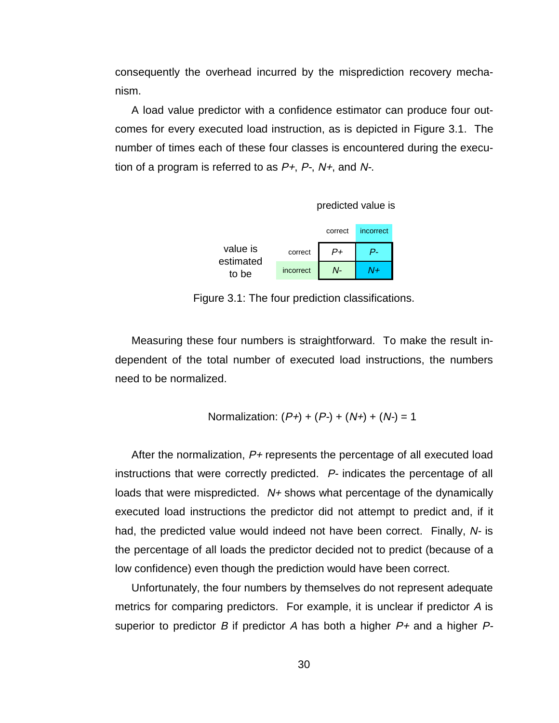consequently the overhead incurred by the misprediction recovery mechanism.

A load value predictor with a confidence estimator can produce four outcomes for every executed load instruction, as is depicted in Figure 3.1. The number of times each of these four classes is encountered during the execution of a program is referred to as  $P+$ ,  $P-$ ,  $N+$ , and  $N-$ .



|                    |           | correct | incorrect |  |
|--------------------|-----------|---------|-----------|--|
| value is           | correct   |         |           |  |
| estimated<br>to be | incorrect | N-      | $J+$      |  |

Figure 3.1: The four prediction classifications.

Measuring these four numbers is straightforward. To make the result independent of the total number of executed load instructions, the numbers need to be normalized.

Normalization: 
$$
(P+)+ (P-)+ (N+)+ (N-)= 1
$$

After the normalization,  $P_{+}$  represents the percentage of all executed load instructions that were correctly predicted. P- indicates the percentage of all loads that were mispredicted.  $N+$  shows what percentage of the dynamically executed load instructions the predictor did not attempt to predict and, if it had, the predicted value would indeed not have been correct. Finally, N- is the percentage of all loads the predictor decided not to predict (because of a low confidence) even though the prediction would have been correct.

Unfortunately, the four numbers by themselves do not represent adequate metrics for comparing predictors. For example, it is unclear if predictor A is superior to predictor B if predictor A has both a higher  $P+$  and a higher  $P-$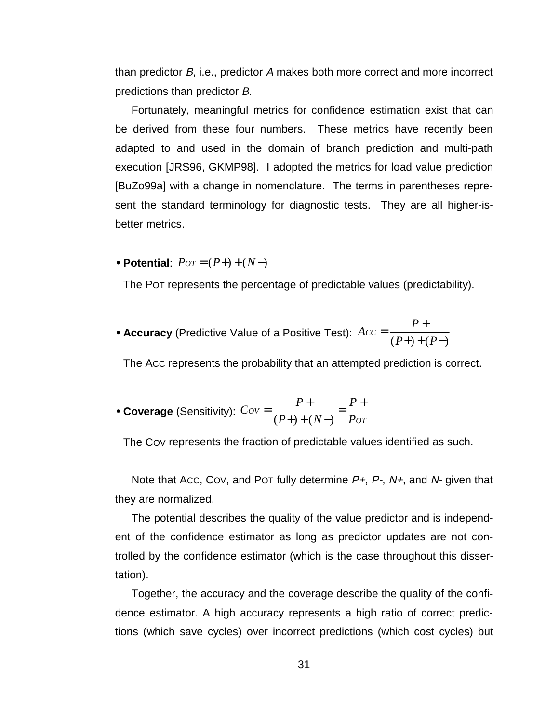than predictor B, i.e., predictor A makes both more correct and more incorrect predictions than predictor B.

Fortunately, meaningful metrics for confidence estimation exist that can be derived from these four numbers. These metrics have recently been adapted to and used in the domain of branch prediction and multi-path execution [JRS96, GKMP98]. I adopted the metrics for load value prediction [BuZo99a] with a change in nomenclature. The terms in parentheses represent the standard terminology for diagnostic tests. They are all higher-isbetter metrics.

• **Potential**: *POT* = (*P*+) + (*N*−)

The POT represents the percentage of predictable values (predictability).

• Accuracy (Predictive Value of a Positive Test):  $Acc = \frac{P+}{(P+)+(P-)}$ 

The ACC represents the probability that an attempted prediction is correct.

• **Coverage** (Sensitivity): 
$$
Cov = \frac{P+}{(P+)+(N-)} = \frac{P+}{Pov}
$$

The COV represents the fraction of predictable values identified as such.

Note that Acc, Cov, and Pot fully determine  $P_{+}$ ,  $P_{-}$ , N $_{+}$ , and N- given that they are normalized.

The potential describes the quality of the value predictor and is independent of the confidence estimator as long as predictor updates are not controlled by the confidence estimator (which is the case throughout this dissertation).

Together, the accuracy and the coverage describe the quality of the confidence estimator. A high accuracy represents a high ratio of correct predictions (which save cycles) over incorrect predictions (which cost cycles) but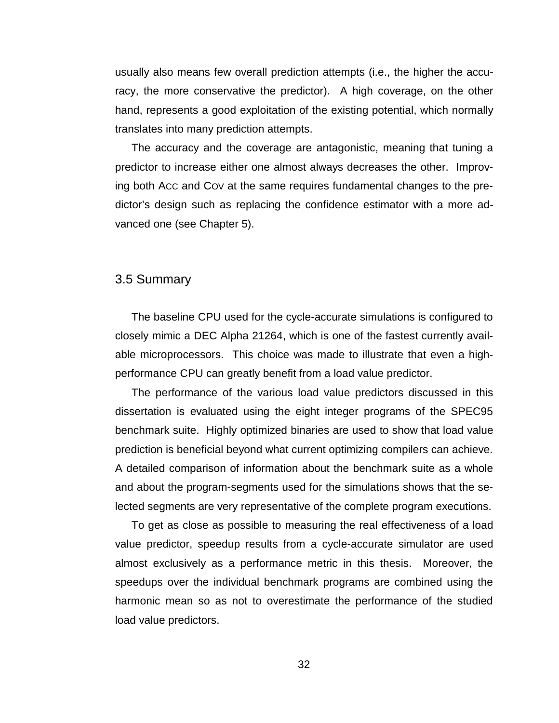usually also means few overall prediction attempts (i.e., the higher the accuracy, the more conservative the predictor). A high coverage, on the other hand, represents a good exploitation of the existing potential, which normally translates into many prediction attempts.

The accuracy and the coverage are antagonistic, meaning that tuning a predictor to increase either one almost always decreases the other. Improving both ACC and COV at the same requires fundamental changes to the predictor's design such as replacing the confidence estimator with a more advanced one (see Chapter 5).

### 3.5 Summary

The baseline CPU used for the cycle-accurate simulations is configured to closely mimic a DEC Alpha 21264, which is one of the fastest currently available microprocessors. This choice was made to illustrate that even a highperformance CPU can greatly benefit from a load value predictor.

The performance of the various load value predictors discussed in this dissertation is evaluated using the eight integer programs of the SPEC95 benchmark suite. Highly optimized binaries are used to show that load value prediction is beneficial beyond what current optimizing compilers can achieve. A detailed comparison of information about the benchmark suite as a whole and about the program-segments used for the simulations shows that the selected segments are very representative of the complete program executions.

To get as close as possible to measuring the real effectiveness of a load value predictor, speedup results from a cycle-accurate simulator are used almost exclusively as a performance metric in this thesis. Moreover, the speedups over the individual benchmark programs are combined using the harmonic mean so as not to overestimate the performance of the studied load value predictors.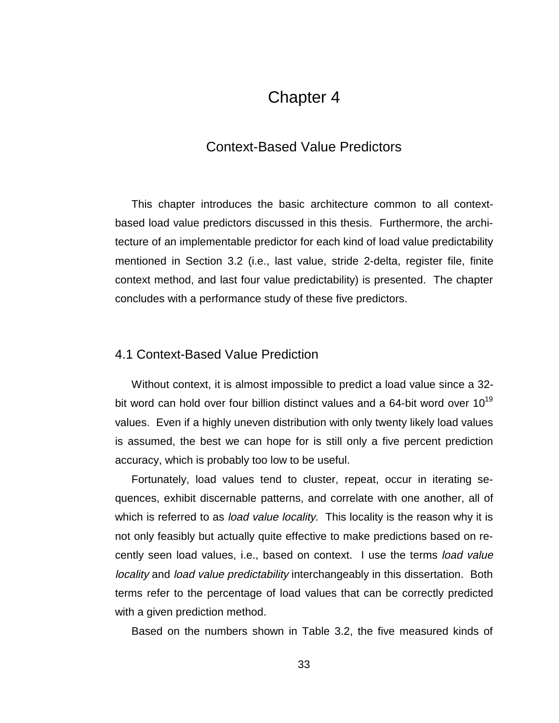# Chapter 4

# Context-Based Value Predictors

This chapter introduces the basic architecture common to all contextbased load value predictors discussed in this thesis. Furthermore, the architecture of an implementable predictor for each kind of load value predictability mentioned in Section 3.2 (i.e., last value, stride 2-delta, register file, finite context method, and last four value predictability) is presented. The chapter concludes with a performance study of these five predictors.

# 4.1 Context-Based Value Prediction

Without context, it is almost impossible to predict a load value since a 32 bit word can hold over four billion distinct values and a 64-bit word over  $10^{19}$ values. Even if a highly uneven distribution with only twenty likely load values is assumed, the best we can hope for is still only a five percent prediction accuracy, which is probably too low to be useful.

Fortunately, load values tend to cluster, repeat, occur in iterating sequences, exhibit discernable patterns, and correlate with one another, all of which is referred to as *load value locality*. This locality is the reason why it is not only feasibly but actually quite effective to make predictions based on recently seen load values, i.e., based on context. I use the terms load value locality and load value predictability interchangeably in this dissertation. Both terms refer to the percentage of load values that can be correctly predicted with a given prediction method.

Based on the numbers shown in Table 3.2, the five measured kinds of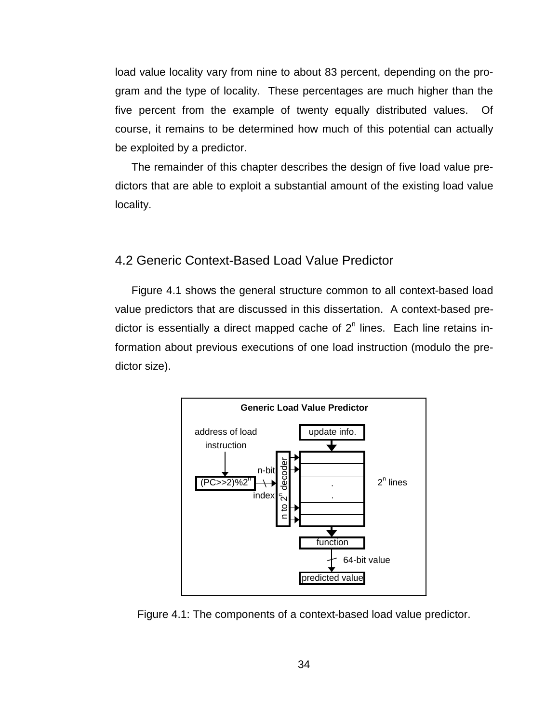load value locality vary from nine to about 83 percent, depending on the program and the type of locality. These percentages are much higher than the five percent from the example of twenty equally distributed values. Of course, it remains to be determined how much of this potential can actually be exploited by a predictor.

The remainder of this chapter describes the design of five load value predictors that are able to exploit a substantial amount of the existing load value locality.

# 4.2 Generic Context-Based Load Value Predictor

Figure 4.1 shows the general structure common to all context-based load value predictors that are discussed in this dissertation. A context-based predictor is essentially a direct mapped cache of  $2<sup>n</sup>$  lines. Each line retains information about previous executions of one load instruction (modulo the predictor size).



Figure 4.1: The components of a context-based load value predictor.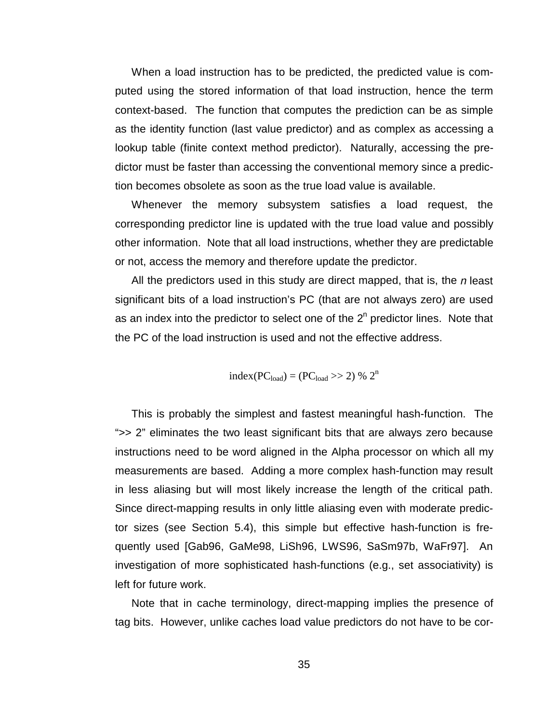When a load instruction has to be predicted, the predicted value is computed using the stored information of that load instruction, hence the term context-based. The function that computes the prediction can be as simple as the identity function (last value predictor) and as complex as accessing a lookup table (finite context method predictor). Naturally, accessing the predictor must be faster than accessing the conventional memory since a prediction becomes obsolete as soon as the true load value is available.

Whenever the memory subsystem satisfies a load request, the corresponding predictor line is updated with the true load value and possibly other information. Note that all load instructions, whether they are predictable or not, access the memory and therefore update the predictor.

All the predictors used in this study are direct mapped, that is, the  $n$  least significant bits of a load instruction's PC (that are not always zero) are used as an index into the predictor to select one of the  $2<sup>n</sup>$  predictor lines. Note that the PC of the load instruction is used and not the effective address.

$$
index(PC_{load}) = (PC_{load} \gg 2) \% 2n
$$

This is probably the simplest and fastest meaningful hash-function. The ">> 2" eliminates the two least significant bits that are always zero because instructions need to be word aligned in the Alpha processor on which all my measurements are based. Adding a more complex hash-function may result in less aliasing but will most likely increase the length of the critical path. Since direct-mapping results in only little aliasing even with moderate predictor sizes (see Section 5.4), this simple but effective hash-function is frequently used [Gab96, GaMe98, LiSh96, LWS96, SaSm97b, WaFr97]. An investigation of more sophisticated hash-functions (e.g., set associativity) is left for future work.

Note that in cache terminology, direct-mapping implies the presence of tag bits. However, unlike caches load value predictors do not have to be cor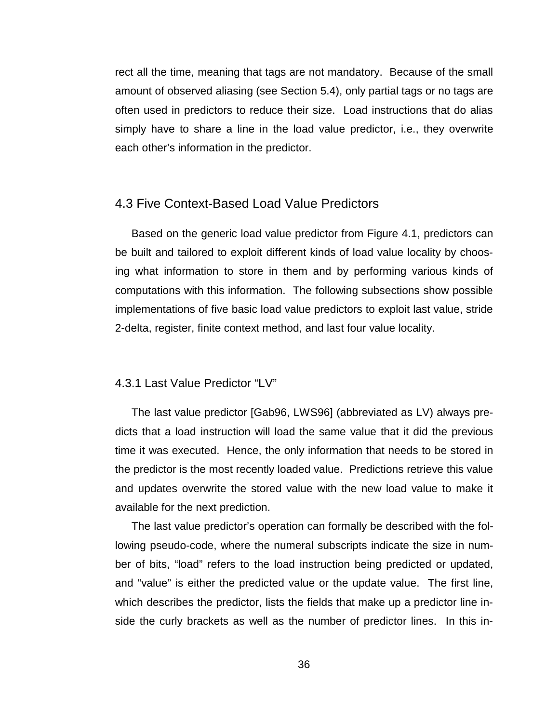rect all the time, meaning that tags are not mandatory. Because of the small amount of observed aliasing (see Section 5.4), only partial tags or no tags are often used in predictors to reduce their size. Load instructions that do alias simply have to share a line in the load value predictor, i.e., they overwrite each other's information in the predictor.

### 4.3 Five Context-Based Load Value Predictors

Based on the generic load value predictor from Figure 4.1, predictors can be built and tailored to exploit different kinds of load value locality by choosing what information to store in them and by performing various kinds of computations with this information. The following subsections show possible implementations of five basic load value predictors to exploit last value, stride 2-delta, register, finite context method, and last four value locality.

#### 4.3.1 Last Value Predictor "LV"

The last value predictor [Gab96, LWS96] (abbreviated as LV) always predicts that a load instruction will load the same value that it did the previous time it was executed. Hence, the only information that needs to be stored in the predictor is the most recently loaded value. Predictions retrieve this value and updates overwrite the stored value with the new load value to make it available for the next prediction.

The last value predictor's operation can formally be described with the following pseudo-code, where the numeral subscripts indicate the size in number of bits, "load" refers to the load instruction being predicted or updated, and "value" is either the predicted value or the update value. The first line, which describes the predictor, lists the fields that make up a predictor line inside the curly brackets as well as the number of predictor lines. In this in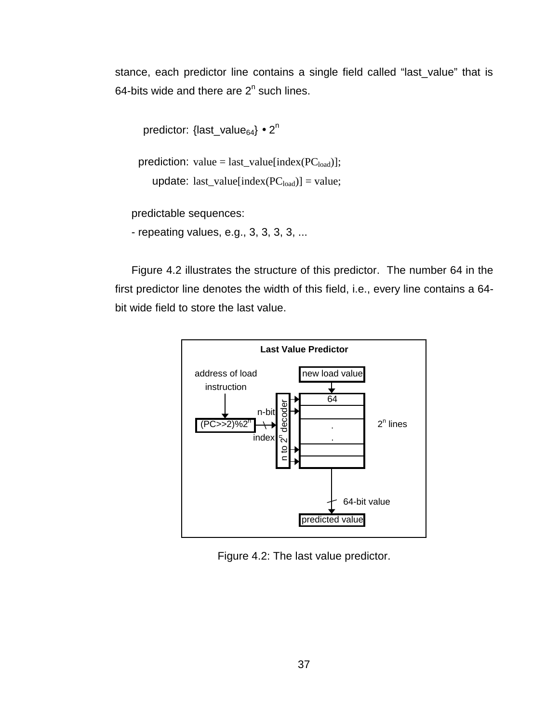stance, each predictor line contains a single field called "last\_value" that is 64-bits wide and there are  $2^n$  such lines.

```
predictor: \{last_value<sub>64</sub>\} • 2<sup>n</sup>
```

```
prediction: value = last_value[index(PC<sub>load</sub>)];
```

```
update: last_value[index(PC_{load})] = value;
```
predictable sequences:

- repeating values, e.g., 3, 3, 3, 3, ...

Figure 4.2 illustrates the structure of this predictor. The number 64 in the first predictor line denotes the width of this field, i.e., every line contains a 64 bit wide field to store the last value.



Figure 4.2: The last value predictor.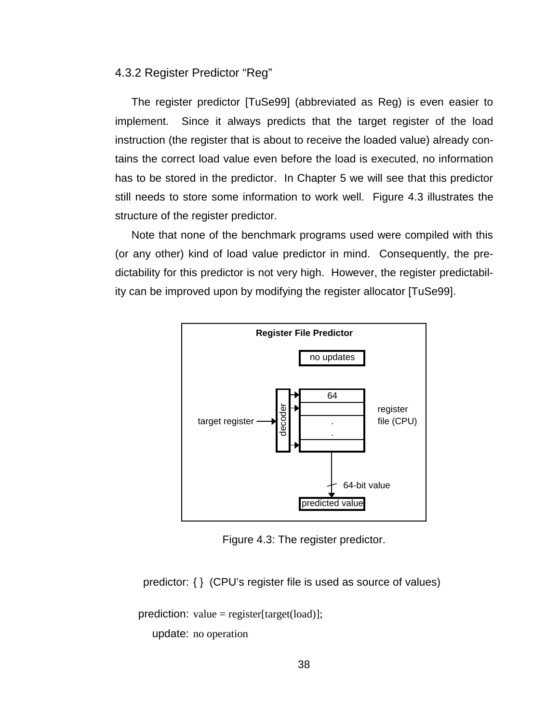4.3.2 Register Predictor "Reg"

The register predictor [TuSe99] (abbreviated as Reg) is even easier to implement. Since it always predicts that the target register of the load instruction (the register that is about to receive the loaded value) already contains the correct load value even before the load is executed, no information has to be stored in the predictor. In Chapter 5 we will see that this predictor still needs to store some information to work well. Figure 4.3 illustrates the structure of the register predictor.

Note that none of the benchmark programs used were compiled with this (or any other) kind of load value predictor in mind. Consequently, the predictability for this predictor is not very high. However, the register predictability can be improved upon by modifying the register allocator [TuSe99].



Figure 4.3: The register predictor.

predictor: { } (CPU's register file is used as source of values)

prediction: value = register[target(load)];

update: no operation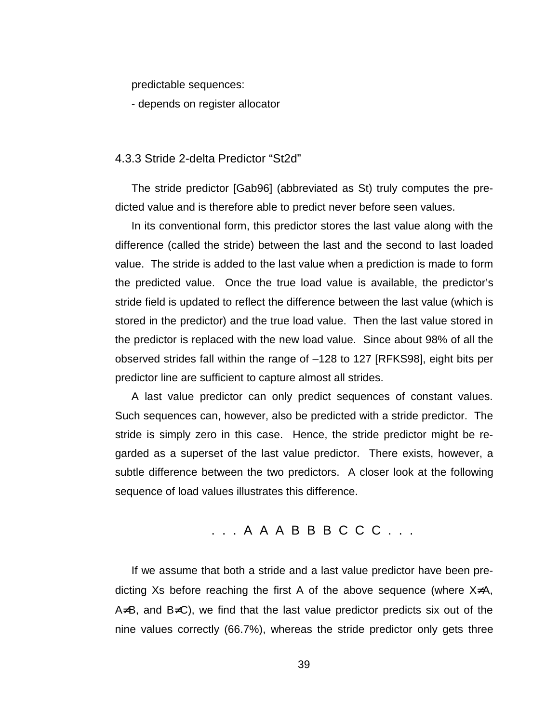predictable sequences:

- depends on register allocator

### 4.3.3 Stride 2-delta Predictor "St2d"

The stride predictor [Gab96] (abbreviated as St) truly computes the predicted value and is therefore able to predict never before seen values.

In its conventional form, this predictor stores the last value along with the difference (called the stride) between the last and the second to last loaded value. The stride is added to the last value when a prediction is made to form the predicted value. Once the true load value is available, the predictor's stride field is updated to reflect the difference between the last value (which is stored in the predictor) and the true load value. Then the last value stored in the predictor is replaced with the new load value. Since about 98% of all the observed strides fall within the range of –128 to 127 [RFKS98], eight bits per predictor line are sufficient to capture almost all strides.

A last value predictor can only predict sequences of constant values. Such sequences can, however, also be predicted with a stride predictor. The stride is simply zero in this case. Hence, the stride predictor might be regarded as a superset of the last value predictor. There exists, however, a subtle difference between the two predictors. A closer look at the following sequence of load values illustrates this difference.

# . . . A A A B B B C C C . . .

If we assume that both a stride and a last value predictor have been predicting Xs before reaching the first A of the above sequence (where X≠A, A≠B, and B≠C), we find that the last value predictor predicts six out of the nine values correctly (66.7%), whereas the stride predictor only gets three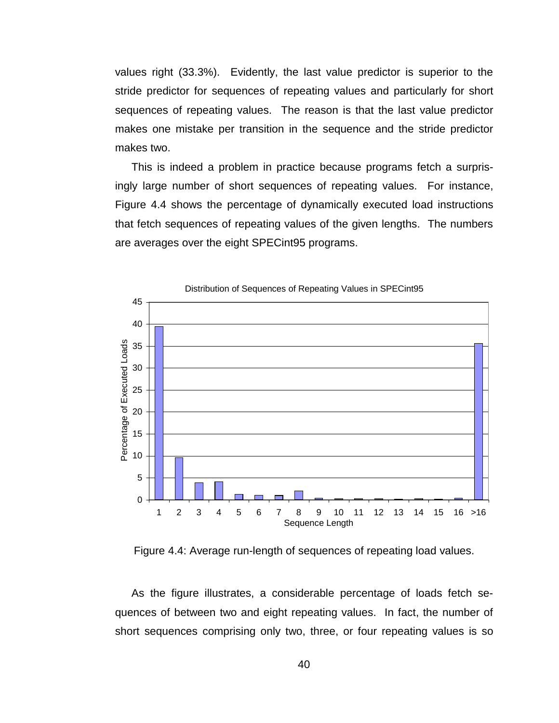values right (33.3%). Evidently, the last value predictor is superior to the stride predictor for sequences of repeating values and particularly for short sequences of repeating values. The reason is that the last value predictor makes one mistake per transition in the sequence and the stride predictor makes two.

This is indeed a problem in practice because programs fetch a surprisingly large number of short sequences of repeating values. For instance, Figure 4.4 shows the percentage of dynamically executed load instructions that fetch sequences of repeating values of the given lengths. The numbers are averages over the eight SPECint95 programs.



Distribution of Sequences of Repeating Values in SPECint95

Figure 4.4: Average run-length of sequences of repeating load values.

As the figure illustrates, a considerable percentage of loads fetch sequences of between two and eight repeating values. In fact, the number of short sequences comprising only two, three, or four repeating values is so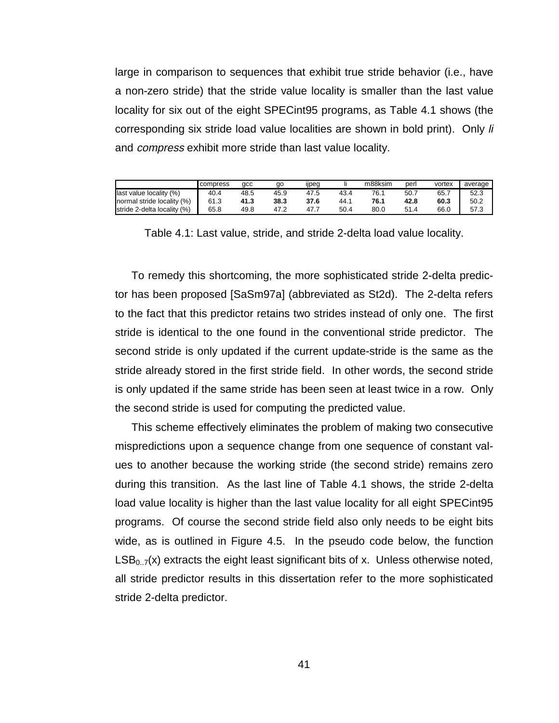large in comparison to sequences that exhibit true stride behavior (i.e., have a non-zero stride) that the stride value locality is smaller than the last value locality for six out of the eight SPECint95 programs, as Table 4.1 shows (the corresponding six stride load value localities are shown in bold print). Only li and compress exhibit more stride than last value locality.

|                             | compress | qcc  | qo   | ijpeg |      | m88ksim | perl | vortex | average |
|-----------------------------|----------|------|------|-------|------|---------|------|--------|---------|
| last value locality (%)     | 40.4     | 48.5 | 45.9 | 47.5  | 43.4 | 76.1    | 50.7 | 65.7   | 52.3    |
| normal stride locality (%)  | 61.3     | 41.3 | 38.3 | 37.6  | 44.1 | 76.1    | 42.8 | 60.3   | 50.2    |
| stride 2-delta locality (%) | 65.8     | 49.8 | 47.2 |       | 50.4 | 80.0    | 51.4 | 66.0   | 57.3    |

Table 4.1: Last value, stride, and stride 2-delta load value locality.

To remedy this shortcoming, the more sophisticated stride 2-delta predictor has been proposed [SaSm97a] (abbreviated as St2d). The 2-delta refers to the fact that this predictor retains two strides instead of only one. The first stride is identical to the one found in the conventional stride predictor. The second stride is only updated if the current update-stride is the same as the stride already stored in the first stride field. In other words, the second stride is only updated if the same stride has been seen at least twice in a row. Only the second stride is used for computing the predicted value.

This scheme effectively eliminates the problem of making two consecutive mispredictions upon a sequence change from one sequence of constant values to another because the working stride (the second stride) remains zero during this transition. As the last line of Table 4.1 shows, the stride 2-delta load value locality is higher than the last value locality for all eight SPECint95 programs. Of course the second stride field also only needs to be eight bits wide, as is outlined in Figure 4.5. In the pseudo code below, the function  $LSB<sub>0.7</sub>(x)$  extracts the eight least significant bits of x. Unless otherwise noted, all stride predictor results in this dissertation refer to the more sophisticated stride 2-delta predictor.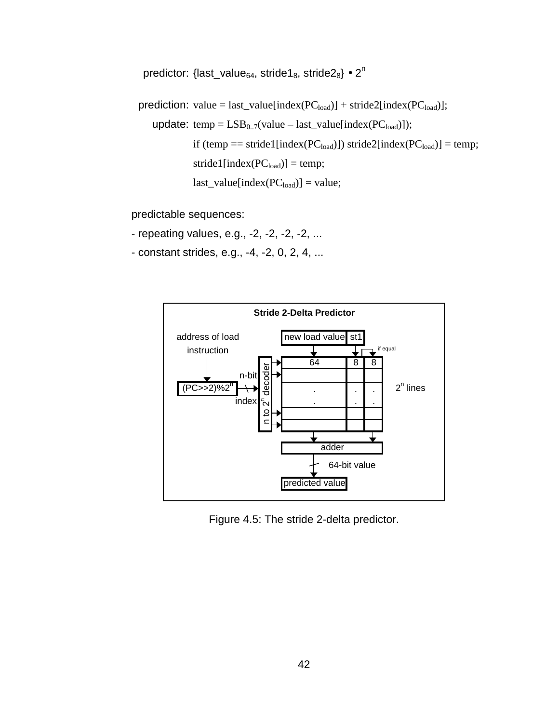predictor: {last\_value<sub>64</sub>, stride1<sub>8</sub>, stride2<sub>8</sub>} • 2<sup>n</sup>

prediction: value = last\_value[index( $PC_{load}$ ] + stride2[index( $PC_{load}$ ];

```
update: temp = LSB_{0.7}(value - last_value[index(PC_{load})]);if (temp == stride1[index(PC<sub>load</sub>]) stride2[index(PC<sub>load</sub>)] = temp;
 stride1[index(PC<sub>load</sub>)] = temp;
last_value[index(PC_{load})] = value;
```
predictable sequences:

- repeating values, e.g., -2, -2, -2, -2, ...
- constant strides, e.g., -4, -2, 0, 2, 4, ...



Figure 4.5: The stride 2-delta predictor.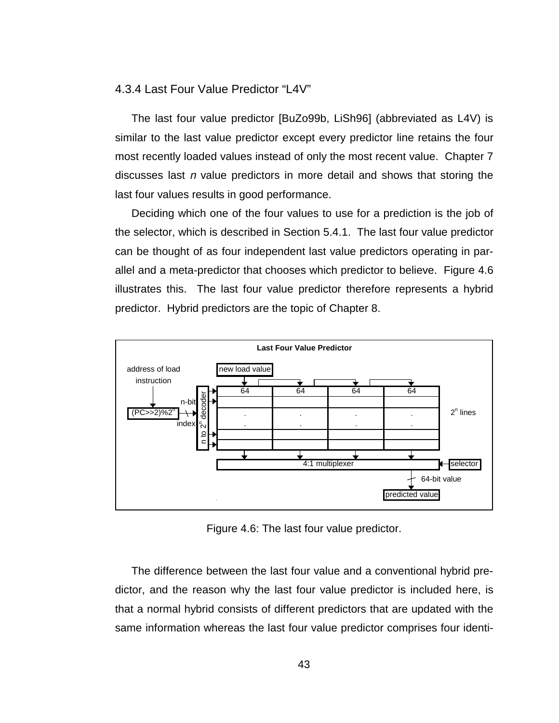#### 4.3.4 Last Four Value Predictor "L4V"

The last four value predictor [BuZo99b, LiSh96] (abbreviated as L4V) is similar to the last value predictor except every predictor line retains the four most recently loaded values instead of only the most recent value. Chapter 7 discusses last  $n$  value predictors in more detail and shows that storing the last four values results in good performance.

Deciding which one of the four values to use for a prediction is the job of the selector, which is described in Section 5.4.1. The last four value predictor can be thought of as four independent last value predictors operating in parallel and a meta-predictor that chooses which predictor to believe. Figure 4.6 illustrates this. The last four value predictor therefore represents a hybrid predictor. Hybrid predictors are the topic of Chapter 8.



Figure 4.6: The last four value predictor.

The difference between the last four value and a conventional hybrid predictor, and the reason why the last four value predictor is included here, is that a normal hybrid consists of different predictors that are updated with the same information whereas the last four value predictor comprises four identi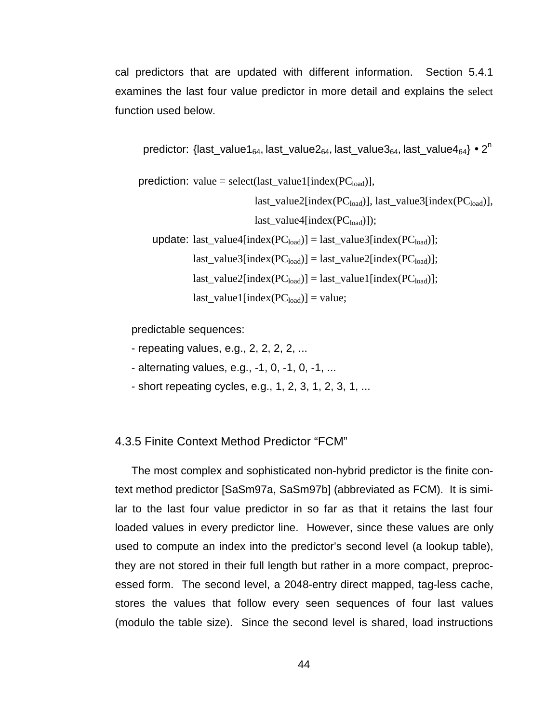cal predictors that are updated with different information. Section 5.4.1 examines the last four value predictor in more detail and explains the select function used below.

predictor: {last\_value1<sub>64</sub>, last\_value2<sub>64</sub>, last\_value3<sub>64</sub>, last\_value4<sub>64</sub>} • 2<sup>n</sup>

prediction: value = select(last\_value1[index( $PC<sub>load</sub>$ )],

 $last_value2[index(PC_{load})]$ , last\_value3[index( $PC_{load}$ )],

 $last_value4[index(PC<sub>load</sub>)])$ ;

update: last\_value4[index( $PC_{load}$ ] = last\_value3[index( $PC_{load}$ ];  $last_value3[index(PC_{load})] = last_value2[index(PC_{load})];$  $last_value2[index(PC_{load})] = last_value1[index(PC_{load})];$  $last_value1[index(PC<sub>load</sub>)] = value;$ 

predictable sequences:

- repeating values, e.g., 2, 2, 2, 2, ...
- alternating values, e.g., -1, 0, -1, 0, -1, ...
- short repeating cycles, e.g., 1, 2, 3, 1, 2, 3, 1, ...

4.3.5 Finite Context Method Predictor "FCM"

The most complex and sophisticated non-hybrid predictor is the finite context method predictor [SaSm97a, SaSm97b] (abbreviated as FCM). It is similar to the last four value predictor in so far as that it retains the last four loaded values in every predictor line. However, since these values are only used to compute an index into the predictor's second level (a lookup table), they are not stored in their full length but rather in a more compact, preprocessed form. The second level, a 2048-entry direct mapped, tag-less cache, stores the values that follow every seen sequences of four last values (modulo the table size). Since the second level is shared, load instructions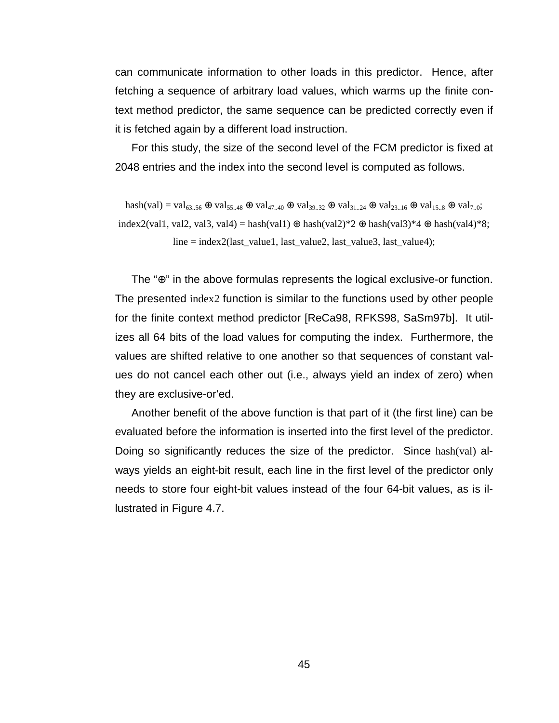can communicate information to other loads in this predictor. Hence, after fetching a sequence of arbitrary load values, which warms up the finite context method predictor, the same sequence can be predicted correctly even if it is fetched again by a different load instruction.

For this study, the size of the second level of the FCM predictor is fixed at 2048 entries and the index into the second level is computed as follows.

 $hash(val) = val_{63.56} \oplus val_{55.48} \oplus val_{47.40} \oplus val_{39.32} \oplus val_{31.24} \oplus val_{23.16} \oplus val_{15.8} \oplus val_{7.0};$ index2(val1, val2, val3, val4) = hash(val1) ⊕ hash(val2)\*2 ⊕ hash(val3)\*4 ⊕ hash(val4)\*8; line = index2(last\_value1, last\_value2, last\_value3, last\_value4);

The "⊕" in the above formulas represents the logical exclusive-or function. The presented index2 function is similar to the functions used by other people for the finite context method predictor [ReCa98, RFKS98, SaSm97b]. It utilizes all 64 bits of the load values for computing the index. Furthermore, the values are shifted relative to one another so that sequences of constant values do not cancel each other out (i.e., always yield an index of zero) when they are exclusive-or'ed.

Another benefit of the above function is that part of it (the first line) can be evaluated before the information is inserted into the first level of the predictor. Doing so significantly reduces the size of the predictor. Since hash(val) always yields an eight-bit result, each line in the first level of the predictor only needs to store four eight-bit values instead of the four 64-bit values, as is illustrated in Figure 4.7.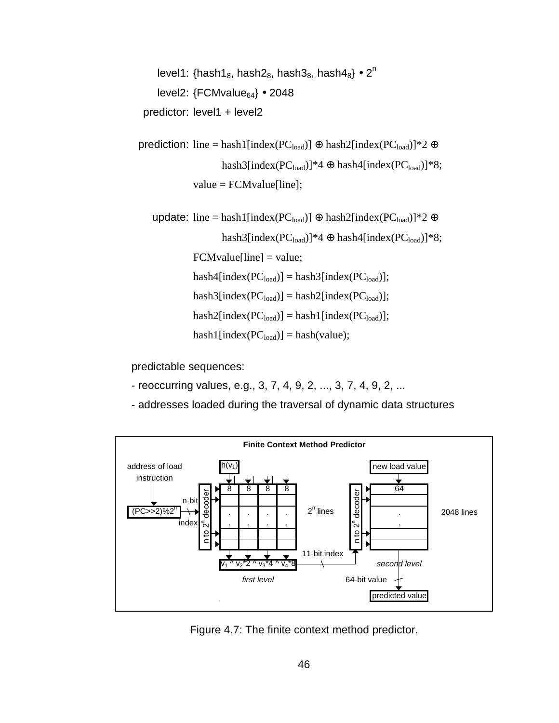level1: {hash1 $_8$ , hash2 $_8$ , hash3 $_8$ , hash4 $_8$ } • 2<sup>n</sup> level2:  ${FCMvalue}_{64} \cdot 2048$ predictor: level1 + level2

prediction: line = hash1[index(PC<sub>load</sub>)] ⊕ hash2[index(PC<sub>load</sub>)]\*2 ⊕ hash3[index(PC<sub>load</sub>)]\*4 ⊕ hash4[index(PC<sub>load</sub>)]\*8;  $value = FCMvalue[line];$ 

update: line = hash1[index(PC<sub>load</sub>)] ⊕ hash2[index(PC<sub>load</sub>)]\*2 ⊕ hash3[index( $PC_{load}$ ]\*4 ⊕ hash4[index( $PC_{load}$ ]\*8;

 $FCMvalue[line] = value;$ 

 $hash4[index(PC_{load})] = hash3[index(PC_{load})];$ 

 $hash3[index(PC_{load})] = hash2[index(PC_{load})];$ 

 $hash2[index(PC_{load})] = hash1[index(PC_{load})];$ 

 $hash1[index(PC_{load})] = hash(value);$ 

predictable sequences:

- reoccurring values, e.g., 3, 7, 4, 9, 2, ..., 3, 7, 4, 9, 2, ...
- addresses loaded during the traversal of dynamic data structures



Figure 4.7: The finite context method predictor.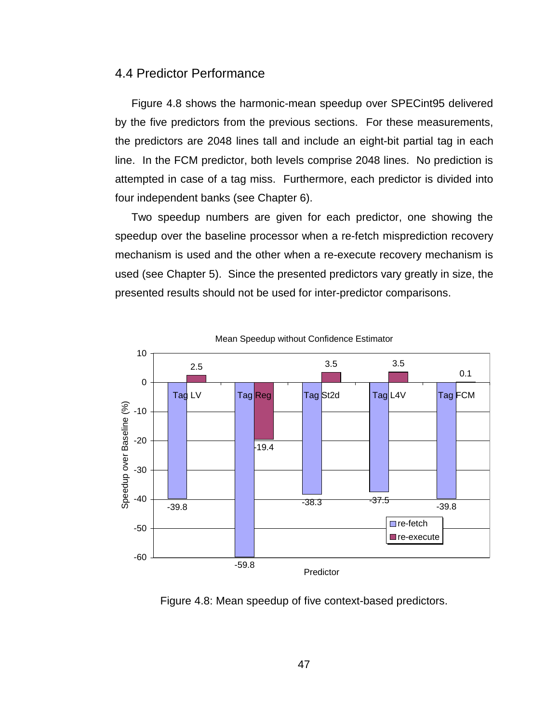### 4.4 Predictor Performance

Figure 4.8 shows the harmonic-mean speedup over SPECint95 delivered by the five predictors from the previous sections. For these measurements, the predictors are 2048 lines tall and include an eight-bit partial tag in each line. In the FCM predictor, both levels comprise 2048 lines. No prediction is attempted in case of a tag miss. Furthermore, each predictor is divided into four independent banks (see Chapter 6).

Two speedup numbers are given for each predictor, one showing the speedup over the baseline processor when a re-fetch misprediction recovery mechanism is used and the other when a re-execute recovery mechanism is used (see Chapter 5). Since the presented predictors vary greatly in size, the presented results should not be used for inter-predictor comparisons.





Figure 4.8: Mean speedup of five context-based predictors.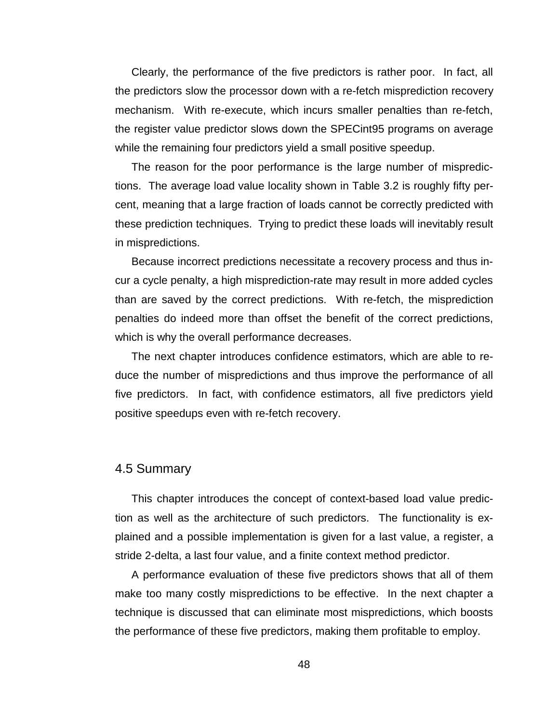Clearly, the performance of the five predictors is rather poor. In fact, all the predictors slow the processor down with a re-fetch misprediction recovery mechanism. With re-execute, which incurs smaller penalties than re-fetch, the register value predictor slows down the SPECint95 programs on average while the remaining four predictors yield a small positive speedup.

The reason for the poor performance is the large number of mispredictions. The average load value locality shown in Table 3.2 is roughly fifty percent, meaning that a large fraction of loads cannot be correctly predicted with these prediction techniques. Trying to predict these loads will inevitably result in mispredictions.

Because incorrect predictions necessitate a recovery process and thus incur a cycle penalty, a high misprediction-rate may result in more added cycles than are saved by the correct predictions. With re-fetch, the misprediction penalties do indeed more than offset the benefit of the correct predictions, which is why the overall performance decreases.

The next chapter introduces confidence estimators, which are able to reduce the number of mispredictions and thus improve the performance of all five predictors. In fact, with confidence estimators, all five predictors yield positive speedups even with re-fetch recovery.

## 4.5 Summary

This chapter introduces the concept of context-based load value prediction as well as the architecture of such predictors. The functionality is explained and a possible implementation is given for a last value, a register, a stride 2-delta, a last four value, and a finite context method predictor.

A performance evaluation of these five predictors shows that all of them make too many costly mispredictions to be effective. In the next chapter a technique is discussed that can eliminate most mispredictions, which boosts the performance of these five predictors, making them profitable to employ.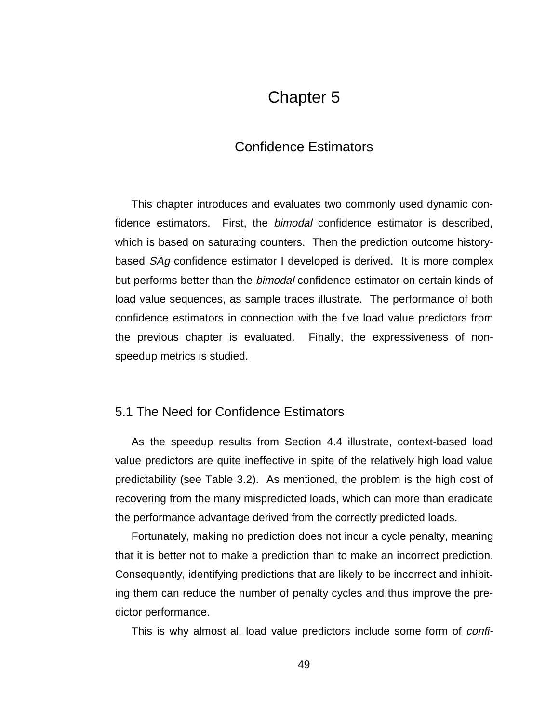# Chapter 5

# Confidence Estimators

This chapter introduces and evaluates two commonly used dynamic confidence estimators. First, the *bimodal* confidence estimator is described, which is based on saturating counters. Then the prediction outcome historybased SAg confidence estimator I developed is derived. It is more complex but performs better than the *bimodal* confidence estimator on certain kinds of load value sequences, as sample traces illustrate. The performance of both confidence estimators in connection with the five load value predictors from the previous chapter is evaluated. Finally, the expressiveness of nonspeedup metrics is studied.

## 5.1 The Need for Confidence Estimators

As the speedup results from Section 4.4 illustrate, context-based load value predictors are quite ineffective in spite of the relatively high load value predictability (see Table 3.2). As mentioned, the problem is the high cost of recovering from the many mispredicted loads, which can more than eradicate the performance advantage derived from the correctly predicted loads.

Fortunately, making no prediction does not incur a cycle penalty, meaning that it is better not to make a prediction than to make an incorrect prediction. Consequently, identifying predictions that are likely to be incorrect and inhibiting them can reduce the number of penalty cycles and thus improve the predictor performance.

This is why almost all load value predictors include some form of confi-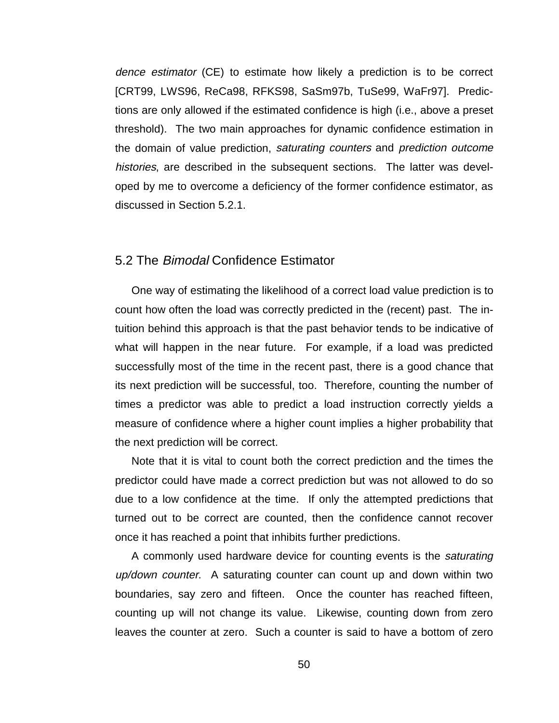dence estimator (CE) to estimate how likely a prediction is to be correct [CRT99, LWS96, ReCa98, RFKS98, SaSm97b, TuSe99, WaFr97]. Predictions are only allowed if the estimated confidence is high (i.e., above a preset threshold). The two main approaches for dynamic confidence estimation in the domain of value prediction, saturating counters and prediction outcome histories, are described in the subsequent sections. The latter was developed by me to overcome a deficiency of the former confidence estimator, as discussed in Section 5.2.1.

## 5.2 The Bimodal Confidence Estimator

One way of estimating the likelihood of a correct load value prediction is to count how often the load was correctly predicted in the (recent) past. The intuition behind this approach is that the past behavior tends to be indicative of what will happen in the near future. For example, if a load was predicted successfully most of the time in the recent past, there is a good chance that its next prediction will be successful, too. Therefore, counting the number of times a predictor was able to predict a load instruction correctly yields a measure of confidence where a higher count implies a higher probability that the next prediction will be correct.

Note that it is vital to count both the correct prediction and the times the predictor could have made a correct prediction but was not allowed to do so due to a low confidence at the time. If only the attempted predictions that turned out to be correct are counted, then the confidence cannot recover once it has reached a point that inhibits further predictions.

A commonly used hardware device for counting events is the saturating up/down counter. A saturating counter can count up and down within two boundaries, say zero and fifteen. Once the counter has reached fifteen, counting up will not change its value. Likewise, counting down from zero leaves the counter at zero. Such a counter is said to have a bottom of zero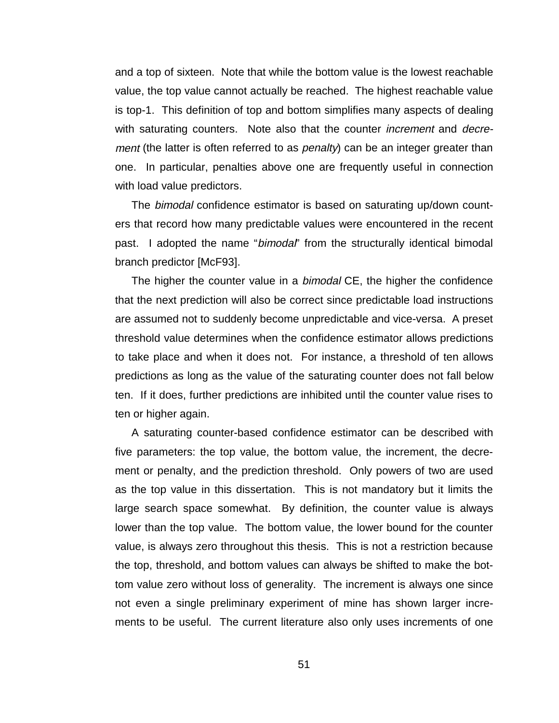and a top of sixteen. Note that while the bottom value is the lowest reachable value, the top value cannot actually be reached. The highest reachable value is top-1. This definition of top and bottom simplifies many aspects of dealing with saturating counters. Note also that the counter *increment* and *decre*ment (the latter is often referred to as *penalty*) can be an integer greater than one. In particular, penalties above one are frequently useful in connection with load value predictors.

The bimodal confidence estimator is based on saturating up/down counters that record how many predictable values were encountered in the recent past. I adopted the name "*bimodal*" from the structurally identical bimodal branch predictor [McF93].

The higher the counter value in a *bimodal* CE, the higher the confidence that the next prediction will also be correct since predictable load instructions are assumed not to suddenly become unpredictable and vice-versa. A preset threshold value determines when the confidence estimator allows predictions to take place and when it does not. For instance, a threshold of ten allows predictions as long as the value of the saturating counter does not fall below ten. If it does, further predictions are inhibited until the counter value rises to ten or higher again.

A saturating counter-based confidence estimator can be described with five parameters: the top value, the bottom value, the increment, the decrement or penalty, and the prediction threshold. Only powers of two are used as the top value in this dissertation. This is not mandatory but it limits the large search space somewhat. By definition, the counter value is always lower than the top value. The bottom value, the lower bound for the counter value, is always zero throughout this thesis. This is not a restriction because the top, threshold, and bottom values can always be shifted to make the bottom value zero without loss of generality. The increment is always one since not even a single preliminary experiment of mine has shown larger increments to be useful. The current literature also only uses increments of one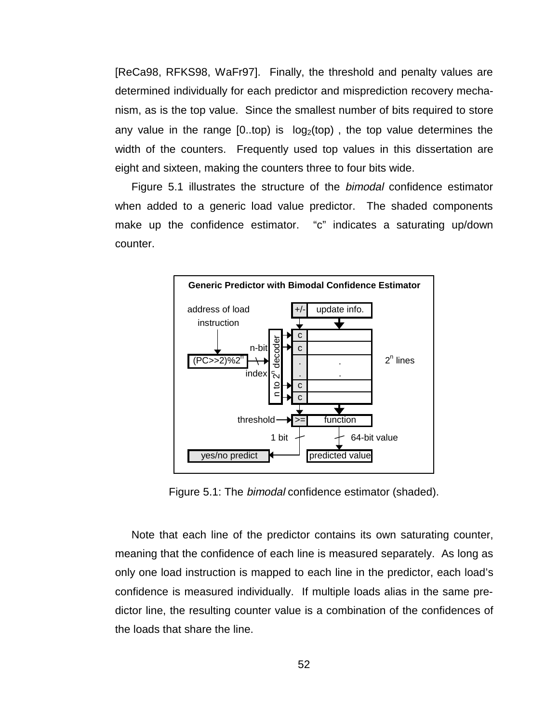[ReCa98, RFKS98, WaFr97]. Finally, the threshold and penalty values are determined individually for each predictor and misprediction recovery mechanism, as is the top value. Since the smallest number of bits required to store any value in the range  $[0..top)$  is  $\log_2(top)$ , the top value determines the width of the counters. Frequently used top values in this dissertation are eight and sixteen, making the counters three to four bits wide.

Figure 5.1 illustrates the structure of the *bimodal* confidence estimator when added to a generic load value predictor. The shaded components make up the confidence estimator. "c" indicates a saturating up/down counter.



Figure 5.1: The bimodal confidence estimator (shaded).

Note that each line of the predictor contains its own saturating counter, meaning that the confidence of each line is measured separately. As long as only one load instruction is mapped to each line in the predictor, each load's confidence is measured individually. If multiple loads alias in the same predictor line, the resulting counter value is a combination of the confidences of the loads that share the line.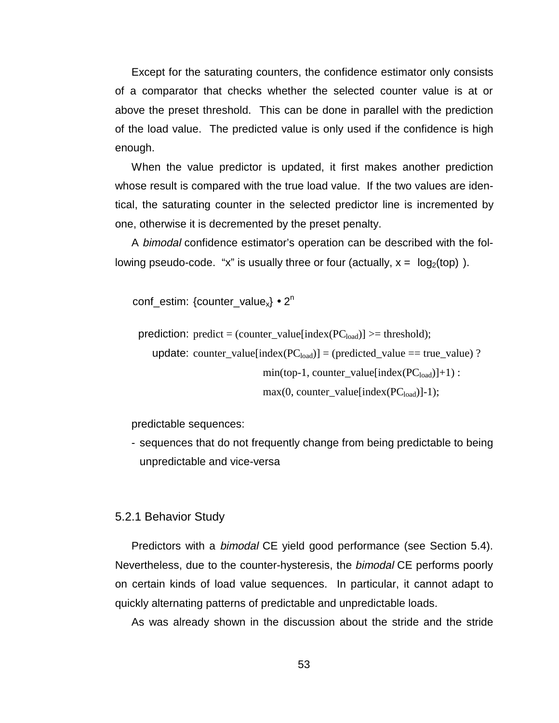Except for the saturating counters, the confidence estimator only consists of a comparator that checks whether the selected counter value is at or above the preset threshold. This can be done in parallel with the prediction of the load value. The predicted value is only used if the confidence is high enough.

When the value predictor is updated, it first makes another prediction whose result is compared with the true load value. If the two values are identical, the saturating counter in the selected predictor line is incremented by one, otherwise it is decremented by the preset penalty.

A bimodal confidence estimator's operation can be described with the following pseudo-code. "x" is usually three or four (actually,  $x = \lceil log_2(top) \rceil$ ).

conf estim: {counter value<sub>x</sub>} • 2<sup>n</sup>

prediction: predict = (counter\_value[index( $PC_{load}$ )] >= threshold);

update: counter\_value[index( $PC_{load}$ ] = (predicted\_value == true\_value) ?  $min(top-1, counter_value[index(PC<sub>load</sub>)]+1)$ :  $max(0, counter value[index(PC<sub>load</sub>)]-1);$ 

predictable sequences:

- sequences that do not frequently change from being predictable to being unpredictable and vice-versa

### 5.2.1 Behavior Study

Predictors with a bimodal CE yield good performance (see Section 5.4). Nevertheless, due to the counter-hysteresis, the *bimodal* CE performs poorly on certain kinds of load value sequences. In particular, it cannot adapt to quickly alternating patterns of predictable and unpredictable loads.

As was already shown in the discussion about the stride and the stride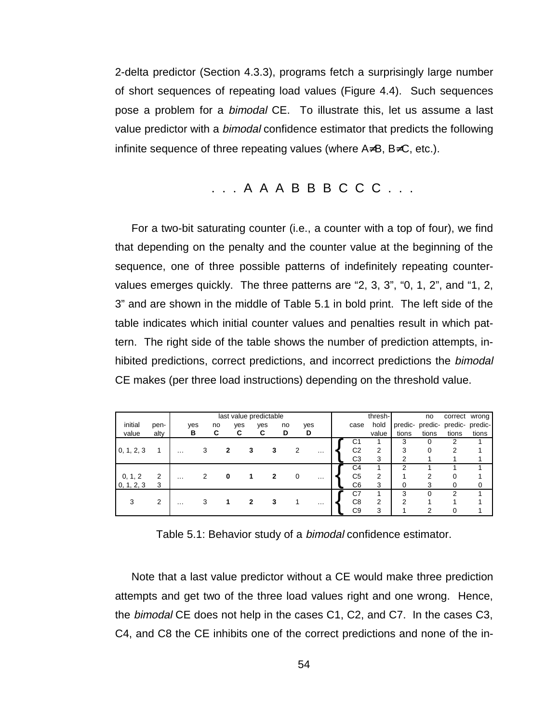2-delta predictor (Section 4.3.3), programs fetch a surprisingly large number of short sequences of repeating load values (Figure 4.4). Such sequences pose a problem for a bimodal CE. To illustrate this, let us assume a last value predictor with a *bimodal* confidence estimator that predicts the following infinite sequence of three repeating values (where A≠B, B≠C, etc.).

# . . . A A A B B B C C C . . .

For a two-bit saturating counter (i.e., a counter with a top of four), we find that depending on the penalty and the counter value at the beginning of the sequence, one of three possible patterns of indefinitely repeating countervalues emerges quickly. The three patterns are "2, 3, 3", "0, 1, 2", and "1, 2, 3" and are shown in the middle of Table 5.1 in bold print. The left side of the table indicates which initial counter values and penalties result in which pattern. The right side of the table shows the number of prediction attempts, inhibited predictions, correct predictions, and incorrect predictions the bimodal CE makes (per three load instructions) depending on the threshold value.

|            |                | last value predictable |     |    |     |     |    |   |                   | thresh-        |                | no    |       | correct wrong                   |       |
|------------|----------------|------------------------|-----|----|-----|-----|----|---|-------------------|----------------|----------------|-------|-------|---------------------------------|-------|
| initial    | pen-           |                        | yes | no | yes | yes | no |   | yes               | case           | hold           |       |       | predic- predic- predic- predic- |       |
| value      | alty           |                        | в   | C  | С   | C   | D  |   | D                 |                | value          | tions | tions | tions                           | tions |
|            |                |                        |     |    |     |     |    |   |                   | С1             |                | 3     | 0     | 2                               |       |
| 0, 1, 2, 3 |                | $\cdots$               | 3   | 2  |     | 3   | 3  | 2 | $\cdot\cdot\cdot$ | C <sub>2</sub> | 2              | 3     |       | ົ                               |       |
|            |                |                        |     |    |     |     |    |   |                   | C <sub>3</sub> | 3              | ົ     |       |                                 |       |
|            |                |                        |     |    |     |     |    |   |                   | C4             |                | ົ     |       |                                 |       |
| 0, 1, 2    | $\overline{2}$ | $\cdots$               |     | 0  |     |     |    | 0 | .                 | C <sub>5</sub> | $\overline{2}$ |       | ◠     |                                 |       |
| 0, 1, 2, 3 | 3              |                        |     |    |     |     |    |   |                   | C <sub>6</sub> | 3              |       | 3     |                                 | 0     |
|            |                |                        |     |    |     |     |    |   |                   | C7             |                | 3     |       | ◠                               |       |
| 3          | $\overline{2}$ | $\cdots$               |     | 1  |     | 2   | 3  |   | .                 | C <sub>8</sub> | $\overline{2}$ | ◠     |       |                                 |       |
|            |                |                        |     |    |     |     |    |   |                   | C <sub>9</sub> | 3              |       | ◠     |                                 |       |

Table 5.1: Behavior study of a bimodal confidence estimator.

Note that a last value predictor without a CE would make three prediction attempts and get two of the three load values right and one wrong. Hence, the *bimodal* CE does not help in the cases C1, C2, and C7. In the cases C3, C4, and C8 the CE inhibits one of the correct predictions and none of the in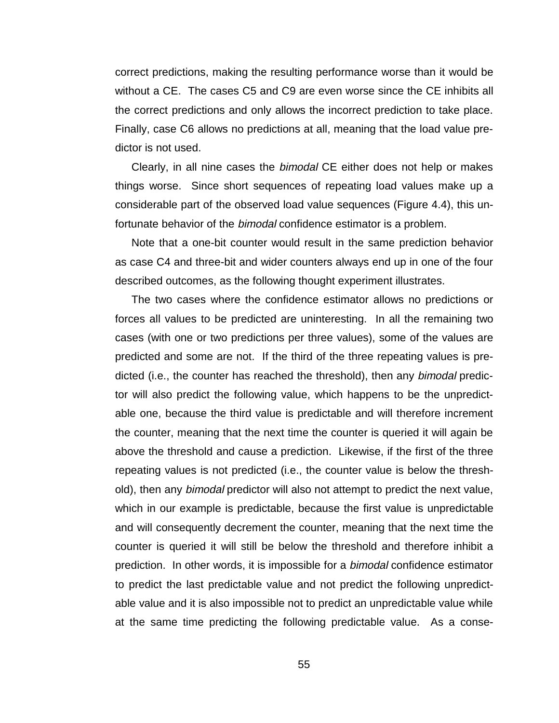correct predictions, making the resulting performance worse than it would be without a CE. The cases C5 and C9 are even worse since the CE inhibits all the correct predictions and only allows the incorrect prediction to take place. Finally, case C6 allows no predictions at all, meaning that the load value predictor is not used.

Clearly, in all nine cases the bimodal CE either does not help or makes things worse. Since short sequences of repeating load values make up a considerable part of the observed load value sequences (Figure 4.4), this unfortunate behavior of the *bimodal* confidence estimator is a problem.

Note that a one-bit counter would result in the same prediction behavior as case C4 and three-bit and wider counters always end up in one of the four described outcomes, as the following thought experiment illustrates.

The two cases where the confidence estimator allows no predictions or forces all values to be predicted are uninteresting. In all the remaining two cases (with one or two predictions per three values), some of the values are predicted and some are not. If the third of the three repeating values is predicted (i.e., the counter has reached the threshold), then any bimodal predictor will also predict the following value, which happens to be the unpredictable one, because the third value is predictable and will therefore increment the counter, meaning that the next time the counter is queried it will again be above the threshold and cause a prediction. Likewise, if the first of the three repeating values is not predicted (i.e., the counter value is below the threshold), then any *bimodal* predictor will also not attempt to predict the next value, which in our example is predictable, because the first value is unpredictable and will consequently decrement the counter, meaning that the next time the counter is queried it will still be below the threshold and therefore inhibit a prediction. In other words, it is impossible for a bimodal confidence estimator to predict the last predictable value and not predict the following unpredictable value and it is also impossible not to predict an unpredictable value while at the same time predicting the following predictable value. As a conse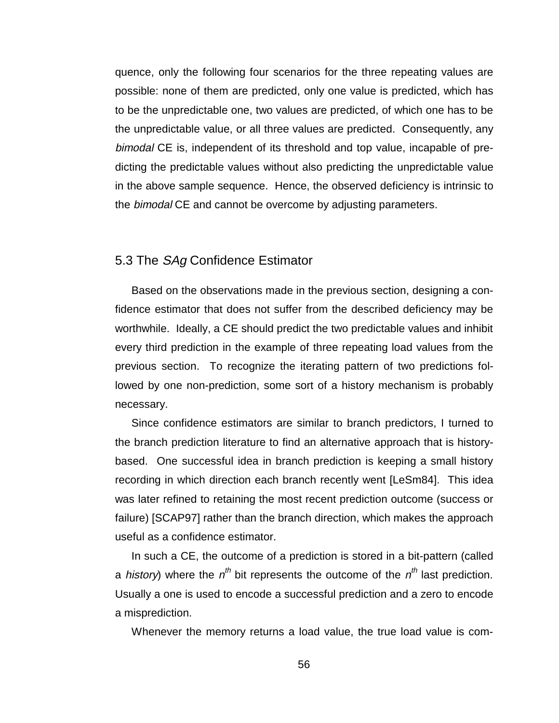quence, only the following four scenarios for the three repeating values are possible: none of them are predicted, only one value is predicted, which has to be the unpredictable one, two values are predicted, of which one has to be the unpredictable value, or all three values are predicted. Consequently, any bimodal CE is, independent of its threshold and top value, incapable of predicting the predictable values without also predicting the unpredictable value in the above sample sequence. Hence, the observed deficiency is intrinsic to the bimodal CE and cannot be overcome by adjusting parameters.

# 5.3 The SAg Confidence Estimator

Based on the observations made in the previous section, designing a confidence estimator that does not suffer from the described deficiency may be worthwhile. Ideally, a CE should predict the two predictable values and inhibit every third prediction in the example of three repeating load values from the previous section. To recognize the iterating pattern of two predictions followed by one non-prediction, some sort of a history mechanism is probably necessary.

Since confidence estimators are similar to branch predictors, I turned to the branch prediction literature to find an alternative approach that is historybased. One successful idea in branch prediction is keeping a small history recording in which direction each branch recently went [LeSm84]. This idea was later refined to retaining the most recent prediction outcome (success or failure) [SCAP97] rather than the branch direction, which makes the approach useful as a confidence estimator.

In such a CE, the outcome of a prediction is stored in a bit-pattern (called a history) where the  $n^{th}$  bit represents the outcome of the  $n^{th}$  last prediction. Usually a one is used to encode a successful prediction and a zero to encode a misprediction.

Whenever the memory returns a load value, the true load value is com-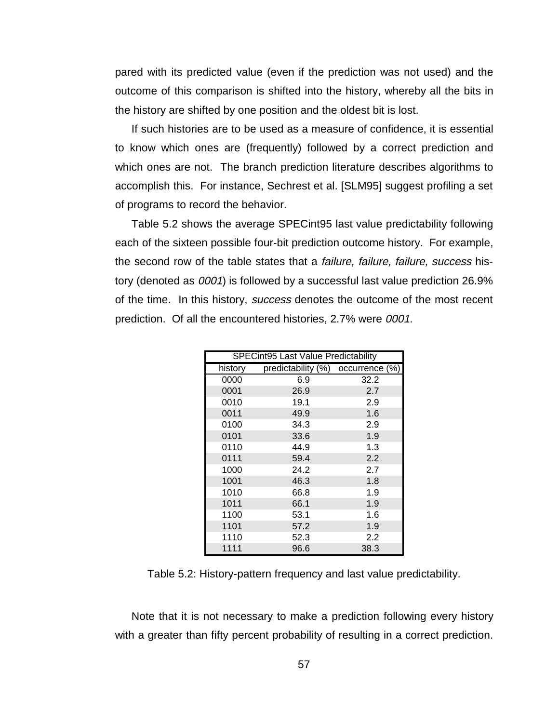pared with its predicted value (even if the prediction was not used) and the outcome of this comparison is shifted into the history, whereby all the bits in the history are shifted by one position and the oldest bit is lost.

If such histories are to be used as a measure of confidence, it is essential to know which ones are (frequently) followed by a correct prediction and which ones are not. The branch prediction literature describes algorithms to accomplish this. For instance, Sechrest et al. [SLM95] suggest profiling a set of programs to record the behavior.

Table 5.2 shows the average SPECint95 last value predictability following each of the sixteen possible four-bit prediction outcome history. For example, the second row of the table states that a *failure, failure, failure, success* history (denoted as 0001) is followed by a successful last value prediction 26.9% of the time. In this history, success denotes the outcome of the most recent prediction. Of all the encountered histories, 2.7% were 0001.

|         | SPECint95 Last Value Predictability |                  |  |  |  |  |  |  |  |
|---------|-------------------------------------|------------------|--|--|--|--|--|--|--|
| history | predictability (%) occurrence (%)   |                  |  |  |  |  |  |  |  |
| 0000    | 6.9                                 | 32.2             |  |  |  |  |  |  |  |
| 0001    | 26.9                                | 2.7              |  |  |  |  |  |  |  |
| 0010    | 19.1                                | 2.9              |  |  |  |  |  |  |  |
| 0011    | 49.9                                | 1.6              |  |  |  |  |  |  |  |
| 0100    | 34.3                                | 2.9              |  |  |  |  |  |  |  |
| 0101    | 33.6                                | 1.9              |  |  |  |  |  |  |  |
| 0110    | 44.9                                | 1.3              |  |  |  |  |  |  |  |
| 0111    | 59.4                                | 2.2              |  |  |  |  |  |  |  |
| 1000    | 24.2                                | 2.7              |  |  |  |  |  |  |  |
| 1001    | 46.3                                | 1.8              |  |  |  |  |  |  |  |
| 1010    | 66.8                                | 1.9              |  |  |  |  |  |  |  |
| 1011    | 66.1                                | 1.9              |  |  |  |  |  |  |  |
| 1100    | 53.1                                | 1.6              |  |  |  |  |  |  |  |
| 1101    | 57.2                                | 1.9              |  |  |  |  |  |  |  |
| 1110    | 52.3                                | $2.2\phantom{0}$ |  |  |  |  |  |  |  |
| 1111    | 96.6                                | 38.3             |  |  |  |  |  |  |  |

Table 5.2: History-pattern frequency and last value predictability.

Note that it is not necessary to make a prediction following every history with a greater than fifty percent probability of resulting in a correct prediction.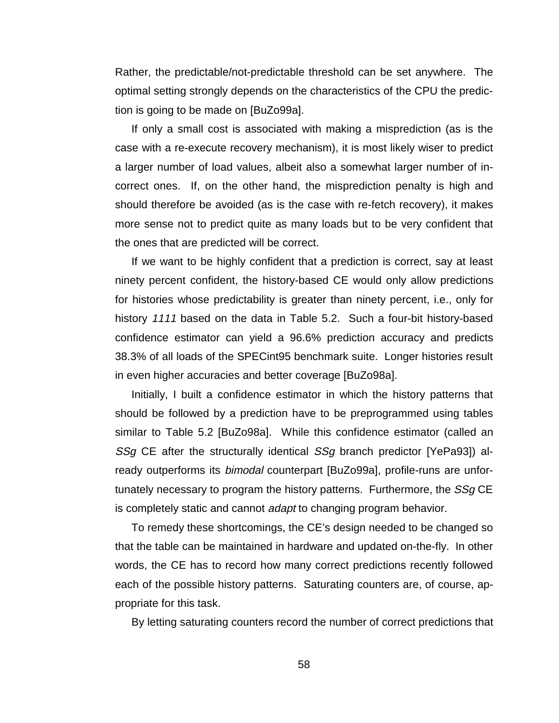Rather, the predictable/not-predictable threshold can be set anywhere. The optimal setting strongly depends on the characteristics of the CPU the prediction is going to be made on [BuZo99a].

If only a small cost is associated with making a misprediction (as is the case with a re-execute recovery mechanism), it is most likely wiser to predict a larger number of load values, albeit also a somewhat larger number of incorrect ones. If, on the other hand, the misprediction penalty is high and should therefore be avoided (as is the case with re-fetch recovery), it makes more sense not to predict quite as many loads but to be very confident that the ones that are predicted will be correct.

If we want to be highly confident that a prediction is correct, say at least ninety percent confident, the history-based CE would only allow predictions for histories whose predictability is greater than ninety percent, i.e., only for history 1111 based on the data in Table 5.2. Such a four-bit history-based confidence estimator can yield a 96.6% prediction accuracy and predicts 38.3% of all loads of the SPECint95 benchmark suite. Longer histories result in even higher accuracies and better coverage [BuZo98a].

Initially, I built a confidence estimator in which the history patterns that should be followed by a prediction have to be preprogrammed using tables similar to Table 5.2 [BuZo98a]. While this confidence estimator (called an SSg CE after the structurally identical SSg branch predictor [YePa93]) already outperforms its bimodal counterpart [BuZo99a], profile-runs are unfortunately necessary to program the history patterns. Furthermore, the SSg CE is completely static and cannot adapt to changing program behavior.

To remedy these shortcomings, the CE's design needed to be changed so that the table can be maintained in hardware and updated on-the-fly. In other words, the CE has to record how many correct predictions recently followed each of the possible history patterns. Saturating counters are, of course, appropriate for this task.

By letting saturating counters record the number of correct predictions that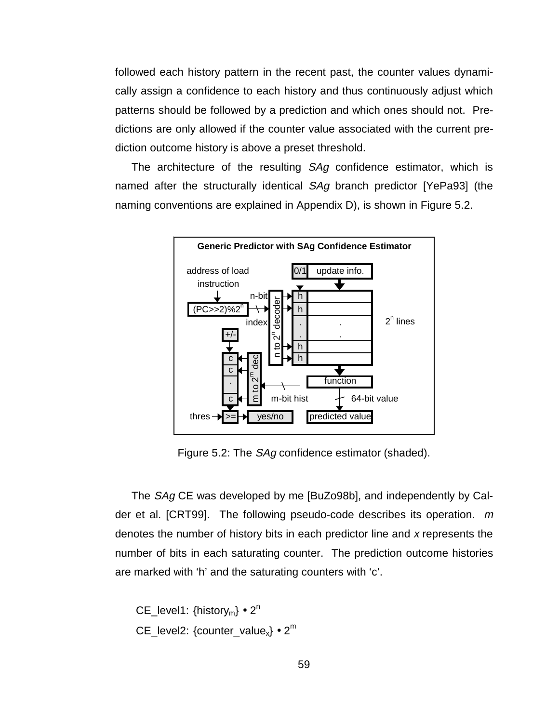followed each history pattern in the recent past, the counter values dynamically assign a confidence to each history and thus continuously adjust which patterns should be followed by a prediction and which ones should not. Predictions are only allowed if the counter value associated with the current prediction outcome history is above a preset threshold.

The architecture of the resulting SAg confidence estimator, which is named after the structurally identical SAg branch predictor [YePa93] (the naming conventions are explained in Appendix D), is shown in Figure 5.2.



Figure 5.2: The SAg confidence estimator (shaded).

The SAg CE was developed by me [BuZo98b], and independently by Calder et al. [CRT99]. The following pseudo-code describes its operation.  $m$ denotes the number of history bits in each predictor line and x represents the number of bits in each saturating counter. The prediction outcome histories are marked with 'h' and the saturating counters with 'c'.

```
CE_level1: \{history_m\} \bullet 2^nCE_level2: {counter\_value_x} \cdot 2^m
```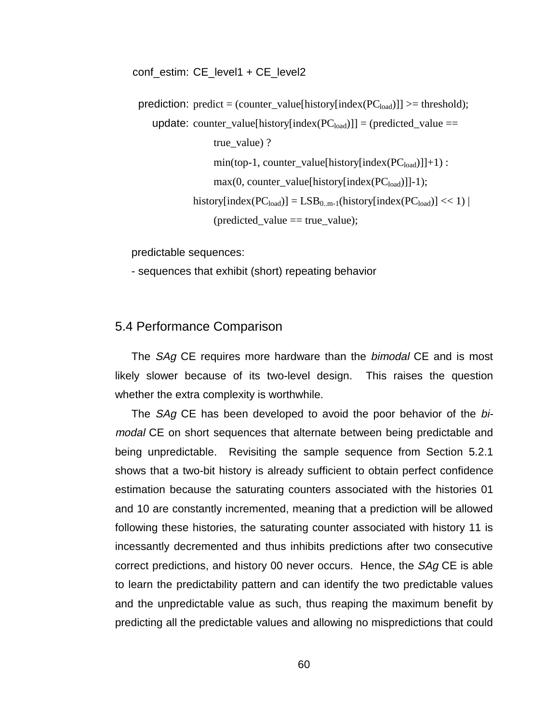conf estim: CE\_level1 + CE\_level2

prediction: predict = (counter\_value[history[index( $PC_{load}$ )]] >= threshold); update: counter\_value[history[index( $PC_{load}$ )]] = (predicted\_value == true\_value) ?  $min(top-1, counter_value[history/index(PC_{load})]]+1)$ :  $max(0, counter_value[history/index(PC<sub>load</sub>)]]-1);$ history[index( $PC_{load}$ )] =  $LSB_{0.m-1}$ (history[index( $PC_{load}$ )] << 1) | (predicted\_value == true\_value);

predictable sequences:

- sequences that exhibit (short) repeating behavior

#### 5.4 Performance Comparison

The *SAg* CE requires more hardware than the *bimodal* CE and is most likely slower because of its two-level design. This raises the question whether the extra complexity is worthwhile.

The SAg CE has been developed to avoid the poor behavior of the bimodal CE on short sequences that alternate between being predictable and being unpredictable. Revisiting the sample sequence from Section 5.2.1 shows that a two-bit history is already sufficient to obtain perfect confidence estimation because the saturating counters associated with the histories 01 and 10 are constantly incremented, meaning that a prediction will be allowed following these histories, the saturating counter associated with history 11 is incessantly decremented and thus inhibits predictions after two consecutive correct predictions, and history 00 never occurs. Hence, the *SAg* CE is able to learn the predictability pattern and can identify the two predictable values and the unpredictable value as such, thus reaping the maximum benefit by predicting all the predictable values and allowing no mispredictions that could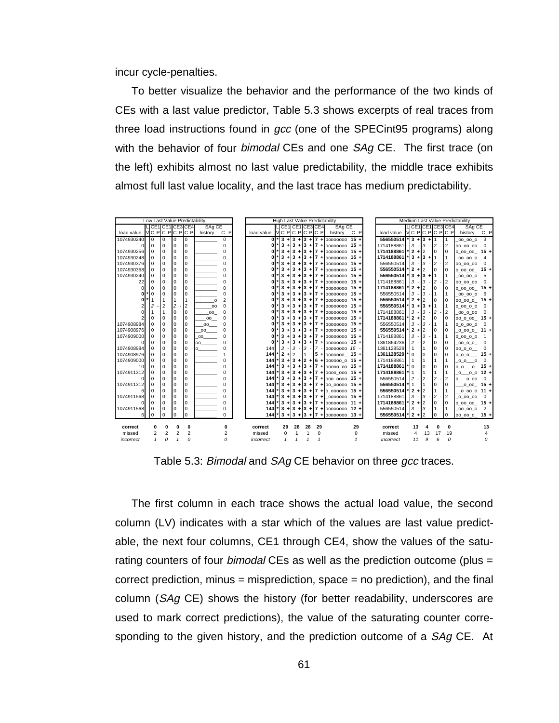incur cycle-penalties.

To better visualize the behavior and the performance of the two kinds of CEs with a last value predictor, Table 5.3 shows excerpts of real traces from three load instructions found in gcc (one of the SPECint95 programs) along with the behavior of four *bimodal* CEs and one SAq CE. The first trace (on the left) exhibits almost no last value predictability, the middle trace exhibits almost full last value locality, and the last trace has medium predictability.

| Low Last Value Predictability |                   |             |                | High Last Value Predictability |           |          | Medium Last Value Predictability |                |                |                   |              |                                     |    |                        |  |                |                |                |                   |                  |                         |
|-------------------------------|-------------------|-------------|----------------|--------------------------------|-----------|----------|----------------------------------|----------------|----------------|-------------------|--------------|-------------------------------------|----|------------------------|--|----------------|----------------|----------------|-------------------|------------------|-------------------------|
|                               | LICE1ICE1ICE3ICE4 |             |                |                                | SAg CE    |          |                                  |                |                | LICE1 CE1 CE3 CE4 |              | SAq CE                              |    |                        |  |                |                |                | LICE1ICE1ICE3 CE4 | SAq CE           |                         |
| load value                    | NC PIC PIC PIC P  |             |                |                                | history   | C P      | load value                       |                |                | AC PIC PIC PIC PI |              | history C P                         |    | load value             |  |                |                |                | MC PIC PIC PIC PI | history          | C P                     |
| 1074930240                    | $\Omega$          | 0           | $\Omega$       | $\mathbf 0$                    |           | $\Omega$ | $\mathbf{0}$                     |                |                |                   |              | $^*$  3 + 3 + 3 + 7 + 00000000 15 + |    | 556550514              |  |                | $13 + 3 + 11$  |                | I 1               | 00 00 0          | 3                       |
|                               |                   | 0           | $\Omega$       | $\Omega$                       |           | 0        | n.                               | 3<br>$\ddot{}$ |                |                   |              | $3 + 3 + 7 + 000000000015 +$        |    | 1714188861             |  | 3              | 3              | $\cdot$ 12     | $\overline{2}$    | 00 00 00         | $\overline{0}$          |
| 1074930256                    |                   | 0           | $\Omega$       | $\Omega$                       |           | 0        |                                  | 3<br>÷         |                |                   |              | $3 + 3 + 7 + 000000000015 +$        |    | 1714188861             |  | $2 +$          | $\overline{2}$ | $\Omega$       |                   | $0_00_00 - 15 +$ |                         |
| 1074930248                    |                   | 0           | $\Omega$       | $\Omega$                       |           | $\Omega$ |                                  | 3              |                |                   |              | $3 + 3 + 7 + 000000000015 +$        |    | 1714188861             |  |                | $3 + 3 + 1$    |                |                   | 00 00 0          | $\overline{4}$          |
| 1074930376                    |                   | 0           | $\mathbf 0$    | $\Omega$                       |           | 0        |                                  | 3<br>÷         |                |                   |              | $3 + 3 + 7 + 000000000015 +$        |    | 556550514              |  | 3              | l3             | 2              |                   | 00_00_00 0       |                         |
| 1074930368                    |                   | $\mathbf 0$ | $\Omega$       | $\Omega$                       |           | $\Omega$ |                                  | 3<br>÷         | 3              |                   |              | $+13$ +17 +100000000 15 +           |    | 556550514              |  | $2 +$          | $\overline{2}$ | $\Omega$       |                   | $0_00_00 - 15 +$ |                         |
| 1074930240                    |                   | 0           | 0              | $\Omega$                       |           | 0        |                                  | 3              | 3<br>$\ddot{}$ |                   |              | $13 + 7 + 1000000000015 +$          |    | $556550514$ $\mid$ 3 + |  |                | l3             | $+11$          |                   | 00 00 0          | - 5                     |
| 22                            |                   | $\mathbf 0$ | $\Omega$       | $\Omega$                       |           | 0        |                                  | 3              | $3 +$          |                   |              | $13 + 7 + 1000000000015 +$          |    | 1714188861             |  | 3              | 3              | $\overline{2}$ | $\overline{2}$    | 00_00_00 0       |                         |
| $\Omega$                      |                   | $\mathbf 0$ | $\Omega$       | $\Omega$                       |           | 0        |                                  | 3<br>÷         | $3 +$          |                   |              | $13 + 7 + 1000000000015 +$          |    | 1714188861             |  | $*2 +$         | $\overline{2}$ | $\Omega$       |                   | $0_00_00 - 15 +$ |                         |
| 0                             |                   | 0           | 0              | $\Omega$                       |           | 0        |                                  | 3              |                |                   |              | $3 + 3 + 7 + 000000000015 +$        |    | 556550514              |  | 3              | 3              |                |                   | 00 00 0          | - 6                     |
|                               |                   |             | $\vert$ 1      |                                | $\Omega$  | 2        |                                  | 3<br>÷         |                |                   |              | $3 + 3 + 7 + 000000000015 +$        |    | 556550514              |  | $2 +$          | $\overline{2}$ | $\Omega$       |                   | $00_00_0$ 15 +   |                         |
|                               |                   | 2           | $\overline{c}$ | $\overline{2}$                 | <b>OO</b> | $\Omega$ |                                  | 3<br>÷         |                |                   |              | $3 + 3 + 7 + 000000000015 +$        |    | 556550514              |  | $^*$ 3 +       | 3<br>$+11$     |                |                   | $0_0 0_0 0$      | $\overline{\mathbf{0}}$ |
|                               |                   |             | $\Omega$       | $\Omega$                       | 00        | $\Omega$ |                                  | 3              |                |                   |              | $3 + 3 + 7 + 000000000015 +$        |    | 1714188861             |  | 3              | 3              | 2              | $\overline{2}$    | 00_0_00 0        |                         |
|                               |                   | 0           | $\Omega$       | $\Omega$                       | 00        | 0        |                                  | 3<br>÷         |                |                   |              | $3 + 3 + 7 + 000000000015 +$        |    | 1714188861             |  | $2+$           | $\overline{2}$ | $\Omega$       |                   | 00_0_00_ 15 +    |                         |
| 1074908984                    |                   | $\mathbf 0$ | $\Omega$       | $\Omega$                       | 00        | 0        |                                  | 3              |                |                   |              | $3 + 3 + 7 + 000000000015 +$        |    | 556550514              |  | 3              | 3              |                |                   | $0_0 0 0$        |                         |
| 1074908976                    |                   | $\mathbf 0$ | $\Omega$       | $\Omega$                       | <b>OO</b> | 0        |                                  | 3<br>÷         |                |                   |              | $3 + 3 + 7 + 000000000015 +$        |    | 556550514              |  | $2 +$          | $\overline{2}$ | $\Omega$       | $\Omega$          | $0.0000 - 11 +$  |                         |
| 1074909000                    |                   | 0           | 0              | $\Omega$                       | <b>OO</b> | 0        | 0                                | 3              | 3              |                   |              | $+13$ +17 +100000000 15 +           |    | 1714188861             |  | 3              | 3              | $\mathbf{1}$   |                   | $0_00_0$         |                         |
|                               |                   | $\mathbf 0$ | $\Omega$       | $\Omega$                       | oo        | 0        | 0                                | 3<br>÷         | l 3            |                   |              | $+3$ + 7 + 00000000 15 +            |    | 1361864236             |  | $\overline{a}$ | $\overline{2}$ | $\Omega$       | $\Omega$          | [00 0 0 0 0]     |                         |
| 1074908984                    |                   | $\mathbf 0$ | $\Omega$       | $\Omega$                       |           | 0        | 144                              | 3              | <b>3</b>       |                   |              | $3 - 7 - 000000000015 -$            |    | 1361128529             |  |                |                | $\Omega$       | $\Omega$          | 0000             | $\Omega$                |
| 1074908976                    |                   | $\mathbf 0$ | $\mathbf 0$    | $\Omega$                       |           |          | 144                              | $\overline{2}$ | $+2$           |                   |              | $5 + 00000000015 +$                 |    | 1361128529             |  | $\Omega$       | 0              | 0              |                   | $0.00 - 15 +$    |                         |
| 1074909000                    | $\Omega$          | 0           | $\Omega$       | $\Omega$                       |           | 0        | 144                              | 3              |                |                   |              | $+3$ + 2 + 6 + 000000 0 15 +        |    | 1714188861             |  |                |                | $\mathbf{1}$   |                   | 000              | $\overline{0}$          |
| 10 <sup>1</sup>               |                   | $\mathbf 0$ | $\Omega$       | $\Omega$                       |           | 0        | 144                              | 3              |                |                   |              | $+3$ + 3 + 7 + 00000 00 15 +        |    | 1714188861             |  | $\Omega$       | 0              | $\Omega$       | $\Omega$          | $000015+$        |                         |
| 1074911312                    |                   | 0           | $\Omega$       | $\Omega$                       |           | 0        | 144                              |                |                |                   |              | $3 + 3 + 3 + 7 + 0000000015 +$      |    | 1714188861             |  | $\mathbf{1}$   |                |                |                   | $0 0 0 12 +$     |                         |
|                               |                   | 0           | $\Omega$       | $\Omega$                       |           | 0        | 144                              |                |                |                   |              | $3 + 3 + 3 + 7 + 000000015 +$       |    | 556550514              |  | $\mathbf{12}$  | $\overline{2}$ | $\overline{2}$ | $\overline{2}$    | $0$ 0 00         | $\overline{0}$          |
| 1074911312                    |                   | 0           | $\Omega$       | $\Omega$                       |           | 0        | 144                              |                |                |                   |              | $3 + 3 + 3 + 7 + 000000015 +$       |    | 556550514              |  |                |                | $\Omega$       | $\Omega$          | $0.00 - 15 +$    |                         |
|                               |                   | $\mathbf 0$ | $\Omega$       | $\Omega$                       |           | $\Omega$ | 144                              |                |                |                   |              | $3 + 3 + 3 + 7 + 0$ 000000 15 +     |    | 556550514              |  | $12 + 2$       |                |                |                   | $0.000011 +$     |                         |
| 1074911568                    |                   | $\mathbf 0$ | $\Omega$       | $\Omega$                       |           | 0        | 144                              |                |                |                   |              | $3 + 3 + 3 + 7 + 0000000015 +$      |    | 1714188861             |  | 3              | l3             | 2              | $\overline{2}$    | 0000             | $\overline{0}$          |
|                               |                   | $\Omega$    | $\Omega$       | $\Omega$                       |           | 0        | 144                              |                |                |                   |              | $3 + 3 + 3 + 7 + 00000000011 +$     |    | 1714188861             |  | $2 +$          | 12             | $\Omega$       |                   | $0_00_00_0$ 15 + |                         |
| 1074911568                    |                   | 0           | $\mathbf 0$    | $\Omega$                       |           | 0        | 144                              |                |                |                   |              | $3 + 3 + 3 + 7 + 000000000012 +$    |    | 556550514              |  | 3              | l3             | l 1            |                   | 00 00 0          | $\overline{2}$          |
|                               |                   | $\Omega$    | $\Omega$       | $\Omega$                       |           | 0        | 144                              |                |                |                   |              | $3 + 3 + 3 + 7 + 000000000013 +$    |    | 556550514              |  | $2 +$          | $\overline{2}$ | $\Omega$       |                   | 00 00 0 15 +     |                         |
|                               |                   |             |                |                                |           |          |                                  |                |                |                   |              |                                     |    |                        |  |                |                |                |                   |                  |                         |
| correct                       | 0                 | 0           |                | 0                              |           | 0        | correct                          | 29             | 28             | 28                | 29           |                                     | 29 | correct                |  | 13             | Δ              | 0              | 0                 |                  | 13                      |
| missed                        | $\overline{2}$    | 2           | $\overline{2}$ | $\overline{\mathbf{c}}$        |           | 2        | missed                           | 0              | $\mathbf{1}$   |                   | $\Omega$     |                                     | 0  | missed                 |  | 4              | 13             | 17             | 19                |                  |                         |
| incorrect                     | $\mathbf{1}$      | $\Omega$    |                | $\theta$                       |           | 0        | incorrect                        | 1              | $\mathbf{1}$   |                   | $\mathbf{1}$ |                                     |    | incorrect              |  | 11             | 9              | 6              | $\Omega$          |                  | 0                       |

Table 5.3: Bimodal and SAg CE behavior on three gcc traces.

The first column in each trace shows the actual load value, the second column (LV) indicates with a star which of the values are last value predictable, the next four columns, CE1 through CE4, show the values of the saturating counters of four *bimodal* CEs as well as the prediction outcome (plus = correct prediction, minus = misprediction, space = no prediction), and the final column (SAg CE) shows the history (for better readability, underscores are used to mark correct predictions), the value of the saturating counter corresponding to the given history, and the prediction outcome of a SAg CE. At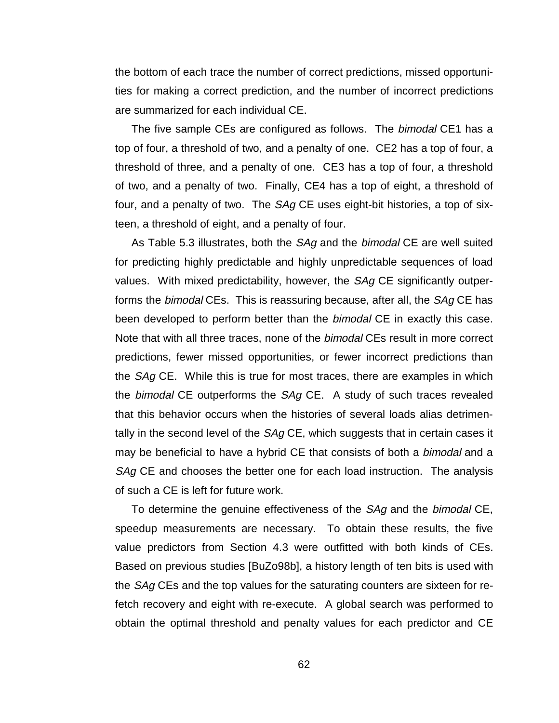the bottom of each trace the number of correct predictions, missed opportunities for making a correct prediction, and the number of incorrect predictions are summarized for each individual CE.

The five sample CEs are configured as follows. The *bimodal* CE1 has a top of four, a threshold of two, and a penalty of one. CE2 has a top of four, a threshold of three, and a penalty of one. CE3 has a top of four, a threshold of two, and a penalty of two. Finally, CE4 has a top of eight, a threshold of four, and a penalty of two. The SAg CE uses eight-bit histories, a top of sixteen, a threshold of eight, and a penalty of four.

As Table 5.3 illustrates, both the SAg and the bimodal CE are well suited for predicting highly predictable and highly unpredictable sequences of load values. With mixed predictability, however, the SAg CE significantly outperforms the *bimodal* CEs. This is reassuring because, after all, the *SAg* CE has been developed to perform better than the *bimodal* CE in exactly this case. Note that with all three traces, none of the bimodal CEs result in more correct predictions, fewer missed opportunities, or fewer incorrect predictions than the SAg CE. While this is true for most traces, there are examples in which the bimodal CE outperforms the SAg CE. A study of such traces revealed that this behavior occurs when the histories of several loads alias detrimentally in the second level of the *SAg* CE, which suggests that in certain cases it may be beneficial to have a hybrid CE that consists of both a bimodal and a SAg CE and chooses the better one for each load instruction. The analysis of such a CE is left for future work.

To determine the genuine effectiveness of the SAg and the bimodal CE, speedup measurements are necessary. To obtain these results, the five value predictors from Section 4.3 were outfitted with both kinds of CEs. Based on previous studies [BuZo98b], a history length of ten bits is used with the *SAg* CEs and the top values for the saturating counters are sixteen for refetch recovery and eight with re-execute. A global search was performed to obtain the optimal threshold and penalty values for each predictor and CE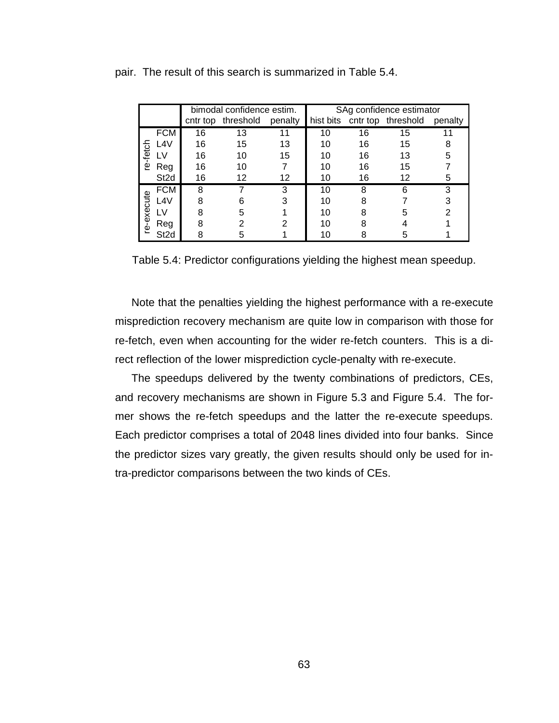|            |                  |    | bimodal confidence estim. |         | SAg confidence estimator |    |                              |         |  |  |  |
|------------|------------------|----|---------------------------|---------|--------------------------|----|------------------------------|---------|--|--|--|
|            |                  |    | cntr top threshold        | penalty |                          |    | hist bits cntr top threshold | penalty |  |  |  |
|            | <b>FCM</b>       | 16 | 13                        |         | 10                       | 16 | 15                           |         |  |  |  |
|            | L4V              | 16 | 15                        | 13      | 10                       | 16 | 15                           |         |  |  |  |
| re-fetch   | LV               | 16 | 10                        | 15      | 10                       | 16 | 13                           | 5       |  |  |  |
|            | Reg              | 16 | 10                        |         | 10                       | 16 | 15                           |         |  |  |  |
|            | St <sub>2d</sub> | 16 | 12                        | 12      | 10                       | 16 | 12                           | 5       |  |  |  |
|            | <b>FCM</b>       | 8  |                           | з       | 10                       | 8  | ิค                           | 3       |  |  |  |
|            | L4V              | ጸ  |                           |         | 10                       | я  |                              |         |  |  |  |
|            | ١V               | я  |                           |         | 10                       |    |                              |         |  |  |  |
| re-execute | Reg              | ႙  |                           |         | 10                       |    |                              |         |  |  |  |
|            | St2d             |    |                           |         |                          |    |                              |         |  |  |  |

pair. The result of this search is summarized in Table 5.4.

Table 5.4: Predictor configurations yielding the highest mean speedup.

Note that the penalties yielding the highest performance with a re-execute misprediction recovery mechanism are quite low in comparison with those for re-fetch, even when accounting for the wider re-fetch counters. This is a direct reflection of the lower misprediction cycle-penalty with re-execute.

The speedups delivered by the twenty combinations of predictors, CEs, and recovery mechanisms are shown in Figure 5.3 and Figure 5.4. The former shows the re-fetch speedups and the latter the re-execute speedups. Each predictor comprises a total of 2048 lines divided into four banks. Since the predictor sizes vary greatly, the given results should only be used for intra-predictor comparisons between the two kinds of CEs.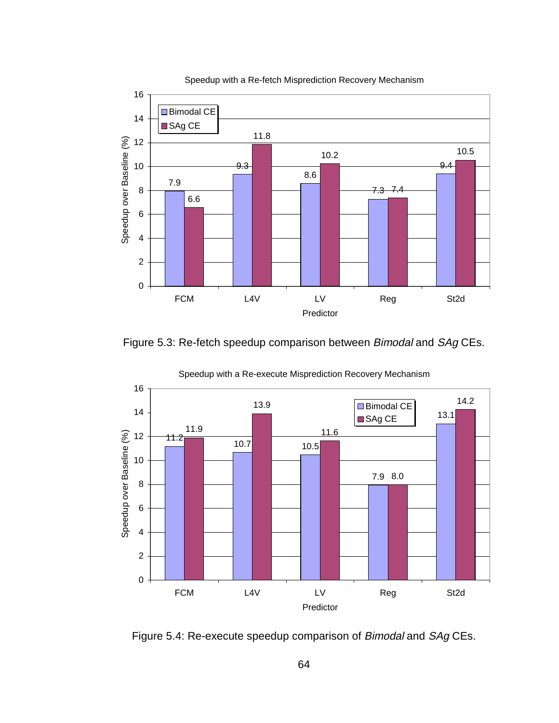

Figure 5.3: Re-fetch speedup comparison between Bimodal and SAg CEs.



Speedup with a Re-execute Misprediction Recovery Mechanism



 $64$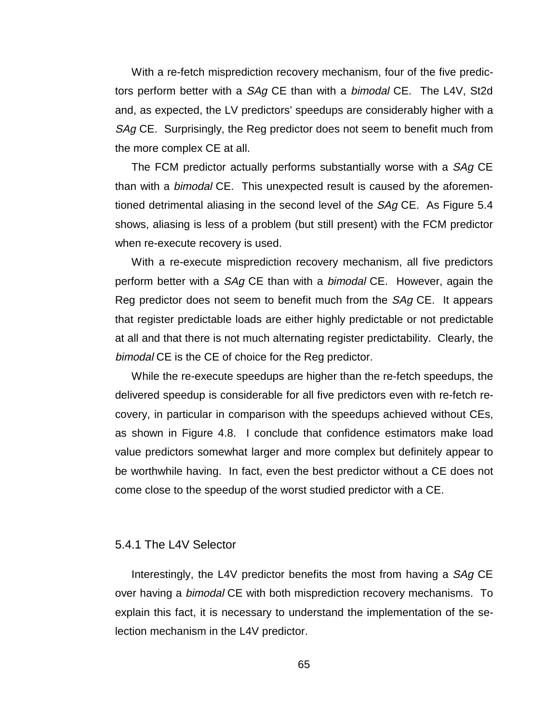With a re-fetch misprediction recovery mechanism, four of the five predictors perform better with a SAg CE than with a bimodal CE. The L4V, St2d and, as expected, the LV predictors' speedups are considerably higher with a SAg CE. Surprisingly, the Reg predictor does not seem to benefit much from the more complex CE at all.

The FCM predictor actually performs substantially worse with a SAg CE than with a bimodal CE. This unexpected result is caused by the aforementioned detrimental aliasing in the second level of the SAg CE. As Figure 5.4 shows, aliasing is less of a problem (but still present) with the FCM predictor when re-execute recovery is used.

With a re-execute misprediction recovery mechanism, all five predictors perform better with a SAg CE than with a bimodal CE. However, again the Reg predictor does not seem to benefit much from the SAg CE. It appears that register predictable loads are either highly predictable or not predictable at all and that there is not much alternating register predictability. Clearly, the bimodal CE is the CE of choice for the Reg predictor.

While the re-execute speedups are higher than the re-fetch speedups, the delivered speedup is considerable for all five predictors even with re-fetch recovery, in particular in comparison with the speedups achieved without CEs, as shown in Figure 4.8. I conclude that confidence estimators make load value predictors somewhat larger and more complex but definitely appear to be worthwhile having. In fact, even the best predictor without a CE does not come close to the speedup of the worst studied predictor with a CE.

#### 5.4.1 The L4V Selector

Interestingly, the L4V predictor benefits the most from having a SAg CE over having a bimodal CE with both misprediction recovery mechanisms. To explain this fact, it is necessary to understand the implementation of the selection mechanism in the L4V predictor.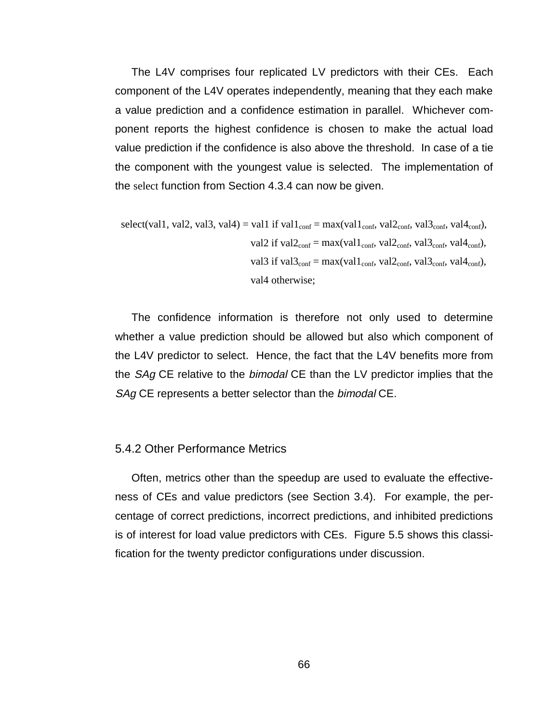The L4V comprises four replicated LV predictors with their CEs. Each component of the L4V operates independently, meaning that they each make a value prediction and a confidence estimation in parallel. Whichever component reports the highest confidence is chosen to make the actual load value prediction if the confidence is also above the threshold. In case of a tie the component with the youngest value is selected. The implementation of the select function from Section 4.3.4 can now be given.

select(val1, val2, val3, val4) = val1 if val1conf = max(val1conf, val2conf, val3conf, val4conf), val2 if val2conf = max(val1conf, val2conf, val3conf, val4conf), val3 if val3conf = max(val1conf, val2conf, val3conf, val4conf), val4 otherwise;

The confidence information is therefore not only used to determine whether a value prediction should be allowed but also which component of the L4V predictor to select. Hence, the fact that the L4V benefits more from the SAg CE relative to the bimodal CE than the LV predictor implies that the SAg CE represents a better selector than the bimodal CE.

#### 5.4.2 Other Performance Metrics

Often, metrics other than the speedup are used to evaluate the effectiveness of CEs and value predictors (see Section 3.4). For example, the percentage of correct predictions, incorrect predictions, and inhibited predictions is of interest for load value predictors with CEs. Figure 5.5 shows this classification for the twenty predictor configurations under discussion.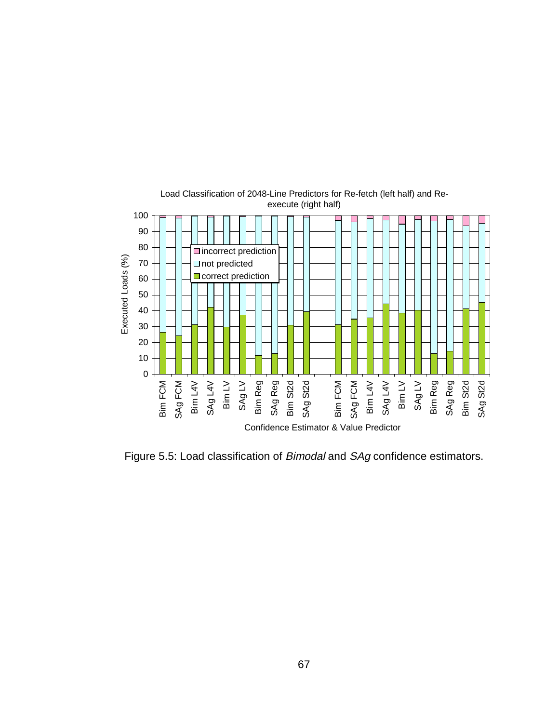

Figure 5.5: Load classification of Bimodal and SAg confidence estimators.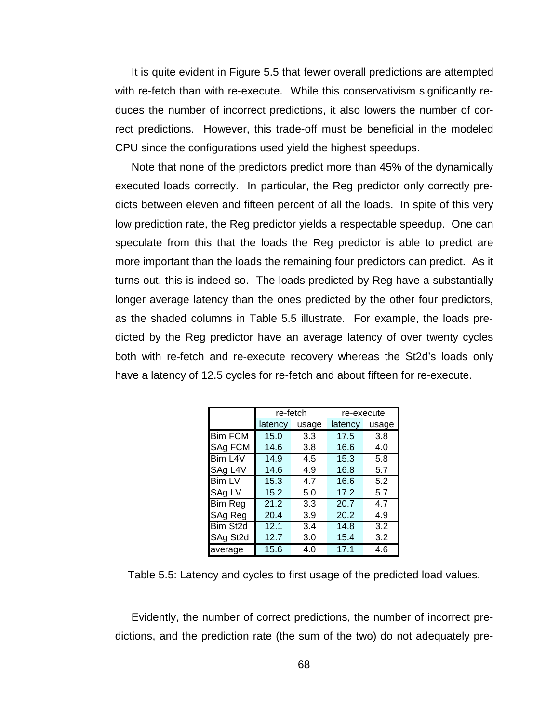It is quite evident in Figure 5.5 that fewer overall predictions are attempted with re-fetch than with re-execute. While this conservativism significantly reduces the number of incorrect predictions, it also lowers the number of correct predictions. However, this trade-off must be beneficial in the modeled CPU since the configurations used yield the highest speedups.

Note that none of the predictors predict more than 45% of the dynamically executed loads correctly. In particular, the Reg predictor only correctly predicts between eleven and fifteen percent of all the loads. In spite of this very low prediction rate, the Reg predictor yields a respectable speedup. One can speculate from this that the loads the Reg predictor is able to predict are more important than the loads the remaining four predictors can predict. As it turns out, this is indeed so. The loads predicted by Reg have a substantially longer average latency than the ones predicted by the other four predictors, as the shaded columns in Table 5.5 illustrate. For example, the loads predicted by the Reg predictor have an average latency of over twenty cycles both with re-fetch and re-execute recovery whereas the St2d's loads only have a latency of 12.5 cycles for re-fetch and about fifteen for re-execute.

|                | re-fetch         |             | re-execute |       |  |  |
|----------------|------------------|-------------|------------|-------|--|--|
|                | latency<br>usage |             | latency    | usage |  |  |
| <b>Bim FCM</b> | 15.0             | 3.3         | 17.5       | 3.8   |  |  |
| SAg FCM        | 14.6             | 16.6<br>3.8 |            | 4.0   |  |  |
| Bim L4V        | 14.9             | 4.5         | 15.3       | 5.8   |  |  |
| SAg L4V        | 14.6             | 16.8<br>4.9 |            | 5.7   |  |  |
| <b>Bim LV</b>  | 15.3             | 4.7         | 16.6       | 5.2   |  |  |
| SAg LV         | 15.2             | 5.0         | 17.2       | 5.7   |  |  |
| <b>Bim Reg</b> | 21.2             | 3.3         | 20.7       | 4.7   |  |  |
| SAg Reg        | 20.4             | 3.9         | 20.2       | 4.9   |  |  |
| Bim St2d       | 12.1             | 3.4         | 14.8       | 3.2   |  |  |
| SAg St2d       | 12.7             | 3.0         | 15.4       | 3.2   |  |  |
| average        | 15.6             | 4.0         | 17.1       | 4.6   |  |  |

Table 5.5: Latency and cycles to first usage of the predicted load values.

Evidently, the number of correct predictions, the number of incorrect predictions, and the prediction rate (the sum of the two) do not adequately pre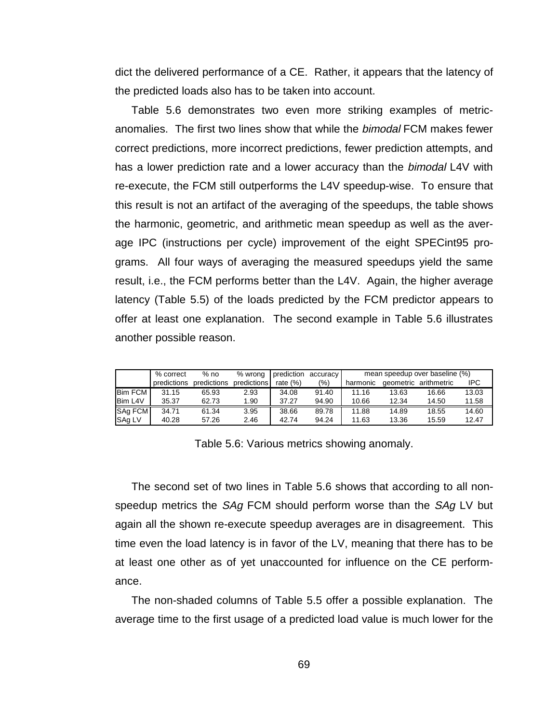dict the delivered performance of a CE. Rather, it appears that the latency of the predicted loads also has to be taken into account.

Table 5.6 demonstrates two even more striking examples of metricanomalies. The first two lines show that while the bimodal FCM makes fewer correct predictions, more incorrect predictions, fewer prediction attempts, and has a lower prediction rate and a lower accuracy than the *bimodal* L4V with re-execute, the FCM still outperforms the L4V speedup-wise. To ensure that this result is not an artifact of the averaging of the speedups, the table shows the harmonic, geometric, and arithmetic mean speedup as well as the average IPC (instructions per cycle) improvement of the eight SPECint95 programs. All four ways of averaging the measured speedups yield the same result, i.e., the FCM performs better than the L4V. Again, the higher average latency (Table 5.5) of the loads predicted by the FCM predictor appears to offer at least one explanation. The second example in Table 5.6 illustrates another possible reason.

|                | % correct   | $%$ no      | % wrong     | prediction | accuracy | mean speedup over baseline (%) |       |                       |       |  |
|----------------|-------------|-------------|-------------|------------|----------|--------------------------------|-------|-----------------------|-------|--|
|                | predictions | predictions | predictions | rate $(%)$ | $(\% )$  | harmonic                       |       | geometric arithmetric | IPC.  |  |
| <b>Bim FCM</b> | 31.15       | 65.93       | 2.93        | 34.08      | 91.40    | 11.16                          | 13.63 | 16.66                 | 13.03 |  |
| Bim L4V        | 35.37       | 62.73       | 1.90        | 37.27      | 94.90    | 10.66                          | 12.34 | 14.50                 | 11.58 |  |
| <b>SAg FCM</b> | 34.71       | 61.34       | 3.95        | 38.66      | 89.78    | 11.88                          | 14.89 | 18.55                 | 14.60 |  |
| SAg LV         | 40.28       | 57.26       | 2.46        | 42.74      | 94.24    | 11.63                          | 13.36 | 15.59                 | 12.47 |  |

Table 5.6: Various metrics showing anomaly.

The second set of two lines in Table 5.6 shows that according to all nonspeedup metrics the SAg FCM should perform worse than the SAg LV but again all the shown re-execute speedup averages are in disagreement. This time even the load latency is in favor of the LV, meaning that there has to be at least one other as of yet unaccounted for influence on the CE performance.

The non-shaded columns of Table 5.5 offer a possible explanation. The average time to the first usage of a predicted load value is much lower for the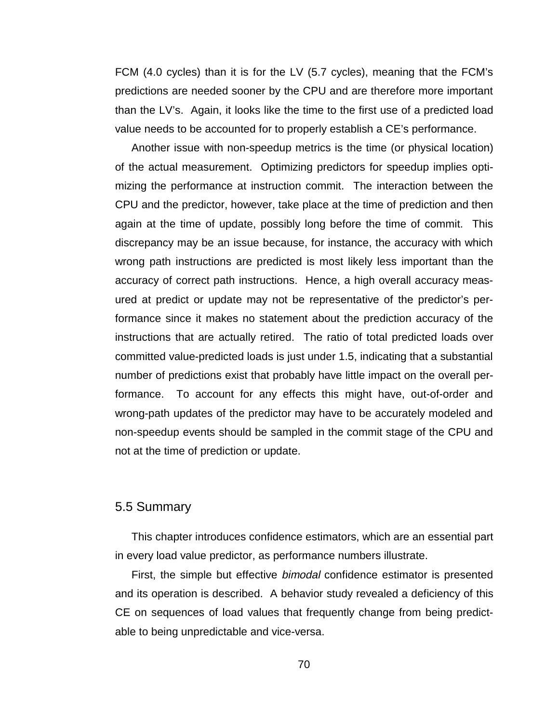FCM (4.0 cycles) than it is for the LV (5.7 cycles), meaning that the FCM's predictions are needed sooner by the CPU and are therefore more important than the LV's. Again, it looks like the time to the first use of a predicted load value needs to be accounted for to properly establish a CE's performance.

Another issue with non-speedup metrics is the time (or physical location) of the actual measurement. Optimizing predictors for speedup implies optimizing the performance at instruction commit. The interaction between the CPU and the predictor, however, take place at the time of prediction and then again at the time of update, possibly long before the time of commit. This discrepancy may be an issue because, for instance, the accuracy with which wrong path instructions are predicted is most likely less important than the accuracy of correct path instructions. Hence, a high overall accuracy measured at predict or update may not be representative of the predictor's performance since it makes no statement about the prediction accuracy of the instructions that are actually retired. The ratio of total predicted loads over committed value-predicted loads is just under 1.5, indicating that a substantial number of predictions exist that probably have little impact on the overall performance. To account for any effects this might have, out-of-order and wrong-path updates of the predictor may have to be accurately modeled and non-speedup events should be sampled in the commit stage of the CPU and not at the time of prediction or update.

#### 5.5 Summary

This chapter introduces confidence estimators, which are an essential part in every load value predictor, as performance numbers illustrate.

First, the simple but effective bimodal confidence estimator is presented and its operation is described. A behavior study revealed a deficiency of this CE on sequences of load values that frequently change from being predictable to being unpredictable and vice-versa.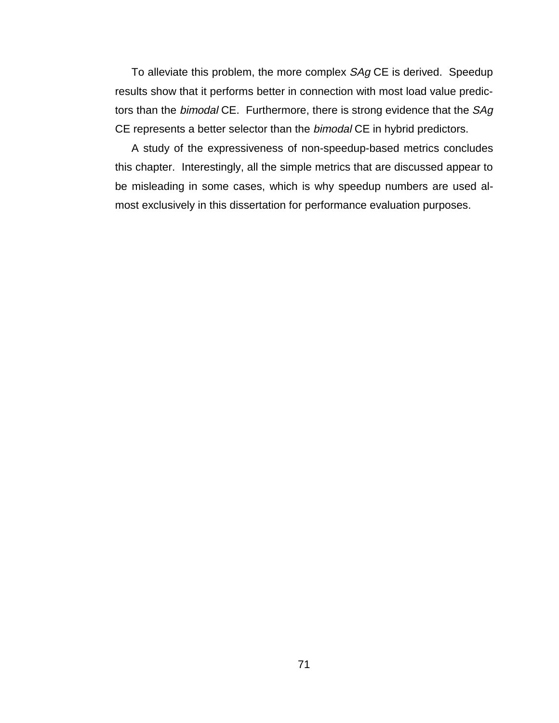To alleviate this problem, the more complex SAg CE is derived. Speedup results show that it performs better in connection with most load value predictors than the bimodal CE. Furthermore, there is strong evidence that the SAg CE represents a better selector than the bimodal CE in hybrid predictors.

A study of the expressiveness of non-speedup-based metrics concludes this chapter. Interestingly, all the simple metrics that are discussed appear to be misleading in some cases, which is why speedup numbers are used almost exclusively in this dissertation for performance evaluation purposes.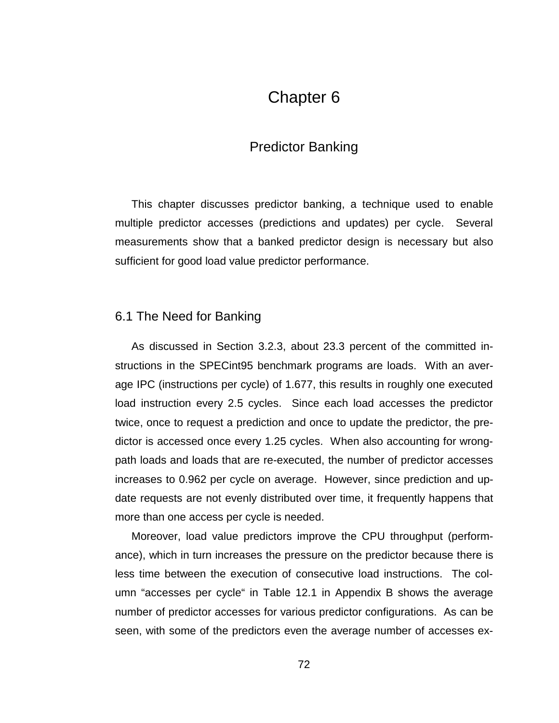# Chapter 6

## Predictor Banking

This chapter discusses predictor banking, a technique used to enable multiple predictor accesses (predictions and updates) per cycle. Several measurements show that a banked predictor design is necessary but also sufficient for good load value predictor performance.

## 6.1 The Need for Banking

As discussed in Section 3.2.3, about 23.3 percent of the committed instructions in the SPECint95 benchmark programs are loads. With an average IPC (instructions per cycle) of 1.677, this results in roughly one executed load instruction every 2.5 cycles. Since each load accesses the predictor twice, once to request a prediction and once to update the predictor, the predictor is accessed once every 1.25 cycles. When also accounting for wrongpath loads and loads that are re-executed, the number of predictor accesses increases to 0.962 per cycle on average. However, since prediction and update requests are not evenly distributed over time, it frequently happens that more than one access per cycle is needed.

Moreover, load value predictors improve the CPU throughput (performance), which in turn increases the pressure on the predictor because there is less time between the execution of consecutive load instructions. The column "accesses per cycle" in Table 12.1 in Appendix B shows the average number of predictor accesses for various predictor configurations. As can be seen, with some of the predictors even the average number of accesses ex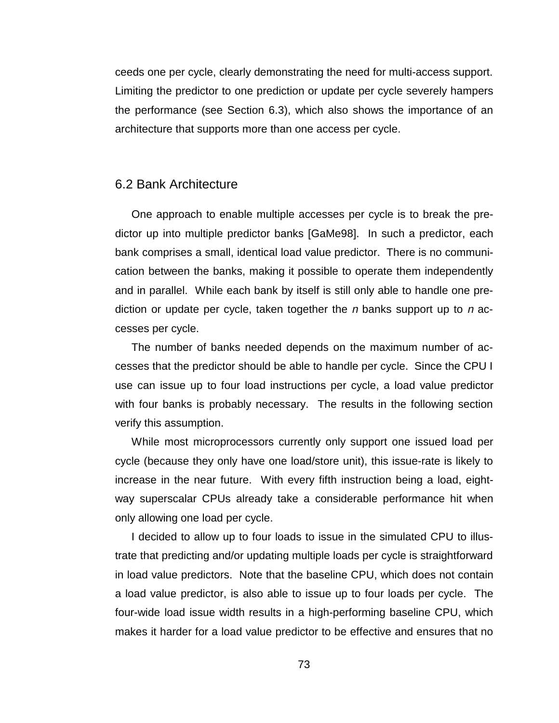ceeds one per cycle, clearly demonstrating the need for multi-access support. Limiting the predictor to one prediction or update per cycle severely hampers the performance (see Section 6.3), which also shows the importance of an architecture that supports more than one access per cycle.

#### 6.2 Bank Architecture

One approach to enable multiple accesses per cycle is to break the predictor up into multiple predictor banks [GaMe98]. In such a predictor, each bank comprises a small, identical load value predictor. There is no communication between the banks, making it possible to operate them independently and in parallel. While each bank by itself is still only able to handle one prediction or update per cycle, taken together the n banks support up to n accesses per cycle.

The number of banks needed depends on the maximum number of accesses that the predictor should be able to handle per cycle. Since the CPU I use can issue up to four load instructions per cycle, a load value predictor with four banks is probably necessary. The results in the following section verify this assumption.

While most microprocessors currently only support one issued load per cycle (because they only have one load/store unit), this issue-rate is likely to increase in the near future. With every fifth instruction being a load, eightway superscalar CPUs already take a considerable performance hit when only allowing one load per cycle.

I decided to allow up to four loads to issue in the simulated CPU to illustrate that predicting and/or updating multiple loads per cycle is straightforward in load value predictors. Note that the baseline CPU, which does not contain a load value predictor, is also able to issue up to four loads per cycle. The four-wide load issue width results in a high-performing baseline CPU, which makes it harder for a load value predictor to be effective and ensures that no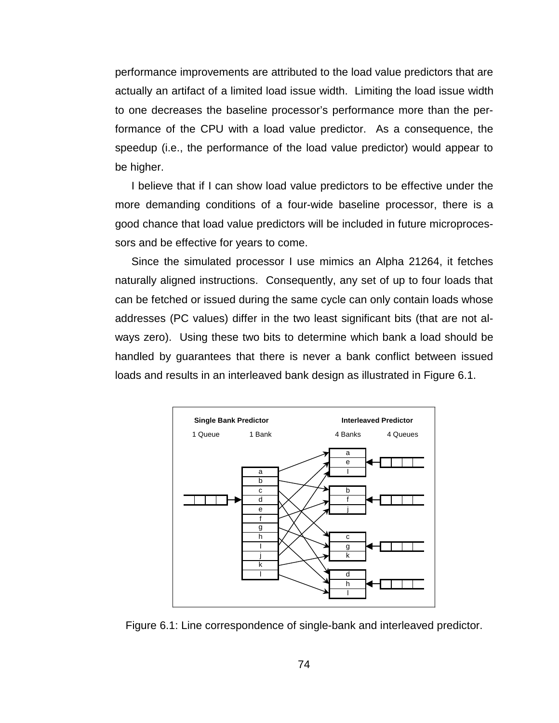performance improvements are attributed to the load value predictors that are actually an artifact of a limited load issue width. Limiting the load issue width to one decreases the baseline processor's performance more than the performance of the CPU with a load value predictor. As a consequence, the speedup (i.e., the performance of the load value predictor) would appear to be higher.

I believe that if I can show load value predictors to be effective under the more demanding conditions of a four-wide baseline processor, there is a good chance that load value predictors will be included in future microprocessors and be effective for years to come.

Since the simulated processor I use mimics an Alpha 21264, it fetches naturally aligned instructions. Consequently, any set of up to four loads that can be fetched or issued during the same cycle can only contain loads whose addresses (PC values) differ in the two least significant bits (that are not always zero). Using these two bits to determine which bank a load should be handled by guarantees that there is never a bank conflict between issued loads and results in an interleaved bank design as illustrated in Figure 6.1.



Figure 6.1: Line correspondence of single-bank and interleaved predictor.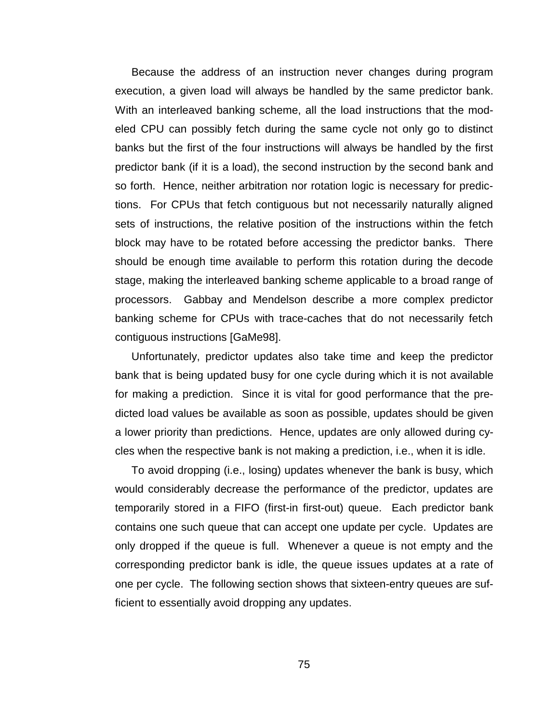Because the address of an instruction never changes during program execution, a given load will always be handled by the same predictor bank. With an interleaved banking scheme, all the load instructions that the modeled CPU can possibly fetch during the same cycle not only go to distinct banks but the first of the four instructions will always be handled by the first predictor bank (if it is a load), the second instruction by the second bank and so forth. Hence, neither arbitration nor rotation logic is necessary for predictions. For CPUs that fetch contiguous but not necessarily naturally aligned sets of instructions, the relative position of the instructions within the fetch block may have to be rotated before accessing the predictor banks. There should be enough time available to perform this rotation during the decode stage, making the interleaved banking scheme applicable to a broad range of processors. Gabbay and Mendelson describe a more complex predictor banking scheme for CPUs with trace-caches that do not necessarily fetch contiguous instructions [GaMe98].

Unfortunately, predictor updates also take time and keep the predictor bank that is being updated busy for one cycle during which it is not available for making a prediction. Since it is vital for good performance that the predicted load values be available as soon as possible, updates should be given a lower priority than predictions. Hence, updates are only allowed during cycles when the respective bank is not making a prediction, i.e., when it is idle.

To avoid dropping (i.e., losing) updates whenever the bank is busy, which would considerably decrease the performance of the predictor, updates are temporarily stored in a FIFO (first-in first-out) queue. Each predictor bank contains one such queue that can accept one update per cycle. Updates are only dropped if the queue is full. Whenever a queue is not empty and the corresponding predictor bank is idle, the queue issues updates at a rate of one per cycle. The following section shows that sixteen-entry queues are sufficient to essentially avoid dropping any updates.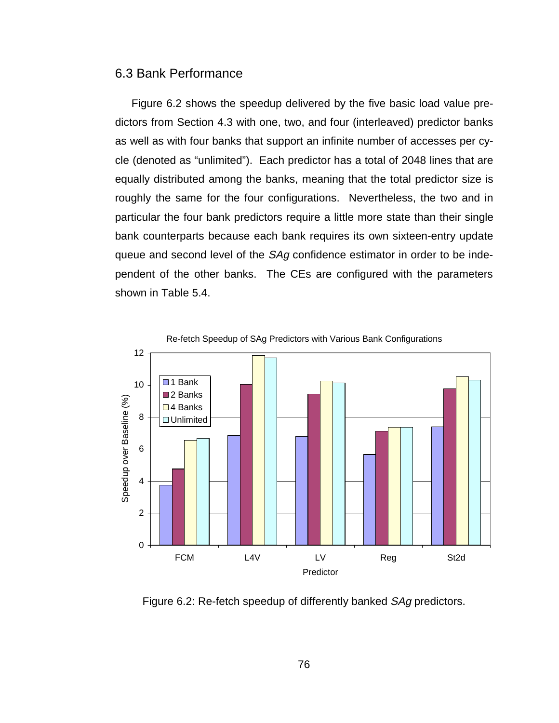#### 6.3 Bank Performance

Figure 6.2 shows the speedup delivered by the five basic load value predictors from Section 4.3 with one, two, and four (interleaved) predictor banks as well as with four banks that support an infinite number of accesses per cycle (denoted as "unlimited"). Each predictor has a total of 2048 lines that are equally distributed among the banks, meaning that the total predictor size is roughly the same for the four configurations. Nevertheless, the two and in particular the four bank predictors require a little more state than their single bank counterparts because each bank requires its own sixteen-entry update queue and second level of the SAg confidence estimator in order to be independent of the other banks. The CEs are configured with the parameters shown in Table 5.4.



Figure 6.2: Re-fetch speedup of differently banked SAg predictors.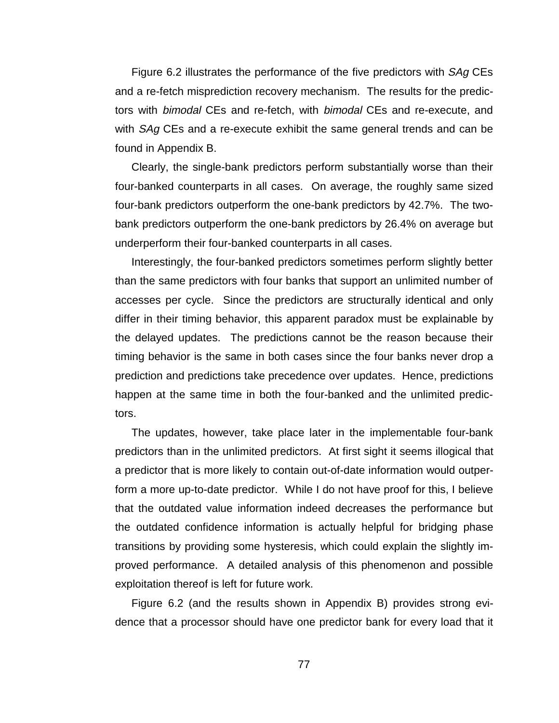Figure 6.2 illustrates the performance of the five predictors with *SAg* CEs and a re-fetch misprediction recovery mechanism. The results for the predictors with bimodal CEs and re-fetch, with bimodal CEs and re-execute, and with *SAg* CEs and a re-execute exhibit the same general trends and can be found in Appendix B.

Clearly, the single-bank predictors perform substantially worse than their four-banked counterparts in all cases. On average, the roughly same sized four-bank predictors outperform the one-bank predictors by 42.7%. The twobank predictors outperform the one-bank predictors by 26.4% on average but underperform their four-banked counterparts in all cases.

Interestingly, the four-banked predictors sometimes perform slightly better than the same predictors with four banks that support an unlimited number of accesses per cycle. Since the predictors are structurally identical and only differ in their timing behavior, this apparent paradox must be explainable by the delayed updates. The predictions cannot be the reason because their timing behavior is the same in both cases since the four banks never drop a prediction and predictions take precedence over updates. Hence, predictions happen at the same time in both the four-banked and the unlimited predictors.

The updates, however, take place later in the implementable four-bank predictors than in the unlimited predictors. At first sight it seems illogical that a predictor that is more likely to contain out-of-date information would outperform a more up-to-date predictor. While I do not have proof for this, I believe that the outdated value information indeed decreases the performance but the outdated confidence information is actually helpful for bridging phase transitions by providing some hysteresis, which could explain the slightly improved performance. A detailed analysis of this phenomenon and possible exploitation thereof is left for future work.

Figure 6.2 (and the results shown in Appendix B) provides strong evidence that a processor should have one predictor bank for every load that it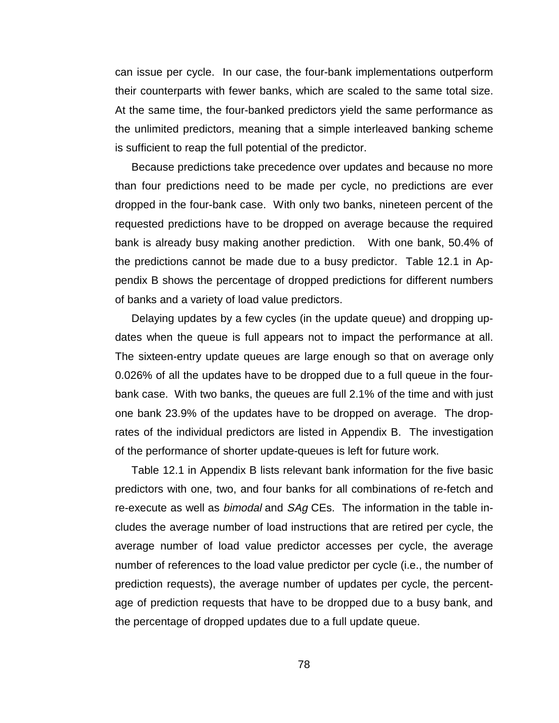can issue per cycle. In our case, the four-bank implementations outperform their counterparts with fewer banks, which are scaled to the same total size. At the same time, the four-banked predictors yield the same performance as the unlimited predictors, meaning that a simple interleaved banking scheme is sufficient to reap the full potential of the predictor.

Because predictions take precedence over updates and because no more than four predictions need to be made per cycle, no predictions are ever dropped in the four-bank case. With only two banks, nineteen percent of the requested predictions have to be dropped on average because the required bank is already busy making another prediction. With one bank, 50.4% of the predictions cannot be made due to a busy predictor. Table 12.1 in Appendix B shows the percentage of dropped predictions for different numbers of banks and a variety of load value predictors.

Delaying updates by a few cycles (in the update queue) and dropping updates when the queue is full appears not to impact the performance at all. The sixteen-entry update queues are large enough so that on average only 0.026% of all the updates have to be dropped due to a full queue in the fourbank case. With two banks, the queues are full 2.1% of the time and with just one bank 23.9% of the updates have to be dropped on average. The droprates of the individual predictors are listed in Appendix B. The investigation of the performance of shorter update-queues is left for future work.

Table 12.1 in Appendix B lists relevant bank information for the five basic predictors with one, two, and four banks for all combinations of re-fetch and re-execute as well as *bimodal* and SAg CEs. The information in the table includes the average number of load instructions that are retired per cycle, the average number of load value predictor accesses per cycle, the average number of references to the load value predictor per cycle (i.e., the number of prediction requests), the average number of updates per cycle, the percentage of prediction requests that have to be dropped due to a busy bank, and the percentage of dropped updates due to a full update queue.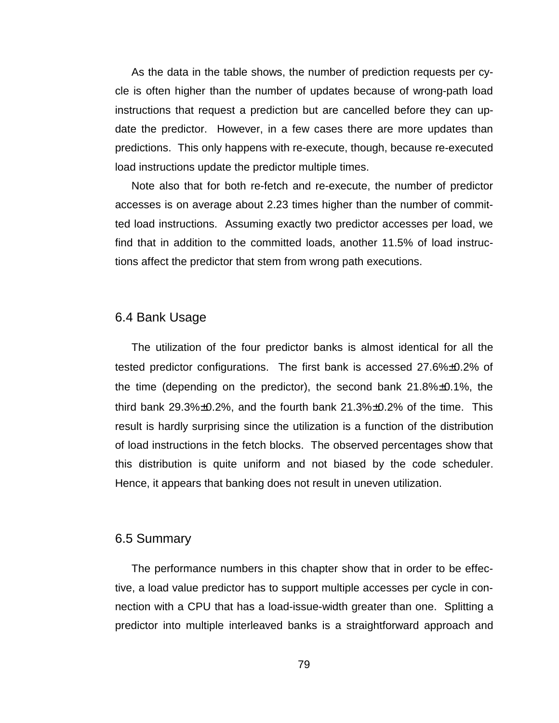As the data in the table shows, the number of prediction requests per cycle is often higher than the number of updates because of wrong-path load instructions that request a prediction but are cancelled before they can update the predictor. However, in a few cases there are more updates than predictions. This only happens with re-execute, though, because re-executed load instructions update the predictor multiple times.

Note also that for both re-fetch and re-execute, the number of predictor accesses is on average about 2.23 times higher than the number of committed load instructions. Assuming exactly two predictor accesses per load, we find that in addition to the committed loads, another 11.5% of load instructions affect the predictor that stem from wrong path executions.

#### 6.4 Bank Usage

The utilization of the four predictor banks is almost identical for all the tested predictor configurations. The first bank is accessed 27.6%±0.2% of the time (depending on the predictor), the second bank 21.8%±0.1%, the third bank  $29.3\% \pm 0.2\%$ , and the fourth bank  $21.3\% \pm 0.2\%$  of the time. This result is hardly surprising since the utilization is a function of the distribution of load instructions in the fetch blocks. The observed percentages show that this distribution is quite uniform and not biased by the code scheduler. Hence, it appears that banking does not result in uneven utilization.

#### 6.5 Summary

The performance numbers in this chapter show that in order to be effective, a load value predictor has to support multiple accesses per cycle in connection with a CPU that has a load-issue-width greater than one. Splitting a predictor into multiple interleaved banks is a straightforward approach and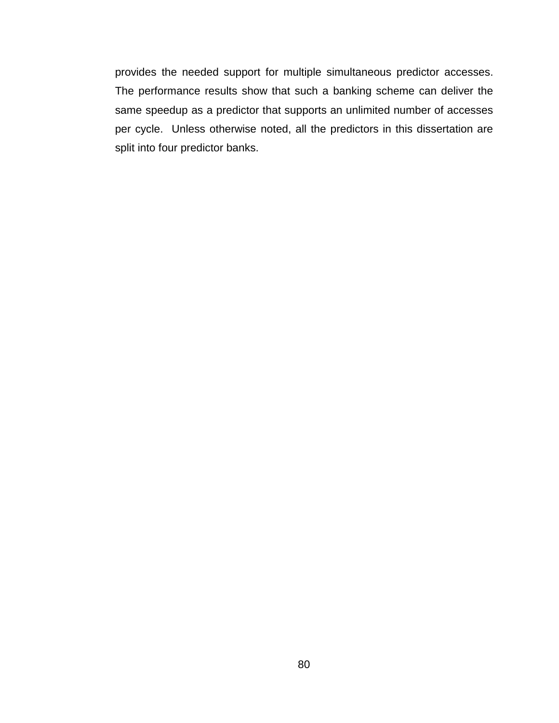provides the needed support for multiple simultaneous predictor accesses. The performance results show that such a banking scheme can deliver the same speedup as a predictor that supports an unlimited number of accesses per cycle. Unless otherwise noted, all the predictors in this dissertation are split into four predictor banks.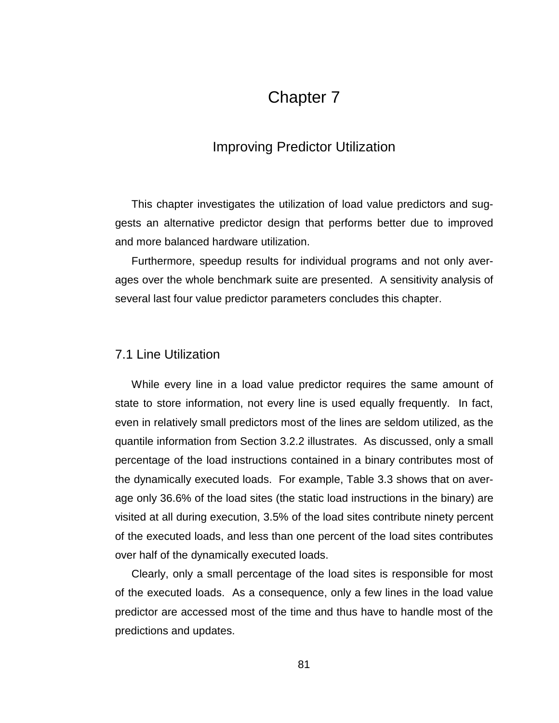# Chapter 7

## Improving Predictor Utilization

This chapter investigates the utilization of load value predictors and suggests an alternative predictor design that performs better due to improved and more balanced hardware utilization.

Furthermore, speedup results for individual programs and not only averages over the whole benchmark suite are presented. A sensitivity analysis of several last four value predictor parameters concludes this chapter.

## 7.1 Line Utilization

While every line in a load value predictor requires the same amount of state to store information, not every line is used equally frequently. In fact, even in relatively small predictors most of the lines are seldom utilized, as the quantile information from Section 3.2.2 illustrates. As discussed, only a small percentage of the load instructions contained in a binary contributes most of the dynamically executed loads. For example, Table 3.3 shows that on average only 36.6% of the load sites (the static load instructions in the binary) are visited at all during execution, 3.5% of the load sites contribute ninety percent of the executed loads, and less than one percent of the load sites contributes over half of the dynamically executed loads.

Clearly, only a small percentage of the load sites is responsible for most of the executed loads. As a consequence, only a few lines in the load value predictor are accessed most of the time and thus have to handle most of the predictions and updates.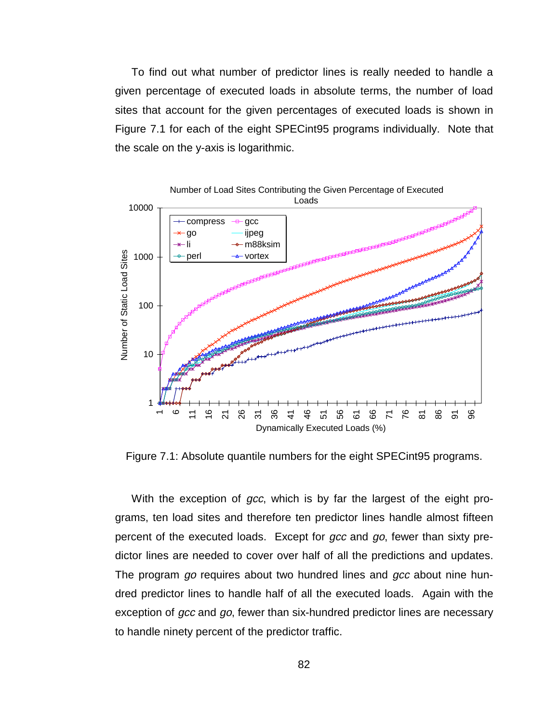To find out what number of predictor lines is really needed to handle a given percentage of executed loads in absolute terms, the number of load sites that account for the given percentages of executed loads is shown in Figure 7.1 for each of the eight SPECint95 programs individually. Note that the scale on the y-axis is logarithmic.



Figure 7.1: Absolute quantile numbers for the eight SPECint95 programs.

With the exception of gcc, which is by far the largest of the eight programs, ten load sites and therefore ten predictor lines handle almost fifteen percent of the executed loads. Except for gcc and go, fewer than sixty predictor lines are needed to cover over half of all the predictions and updates. The program go requires about two hundred lines and gcc about nine hundred predictor lines to handle half of all the executed loads. Again with the exception of gcc and go, fewer than six-hundred predictor lines are necessary to handle ninety percent of the predictor traffic.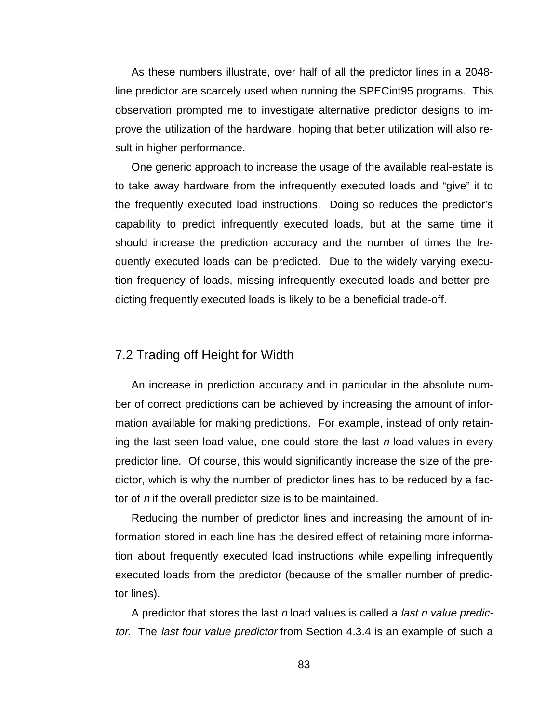As these numbers illustrate, over half of all the predictor lines in a 2048 line predictor are scarcely used when running the SPECint95 programs. This observation prompted me to investigate alternative predictor designs to improve the utilization of the hardware, hoping that better utilization will also result in higher performance.

One generic approach to increase the usage of the available real-estate is to take away hardware from the infrequently executed loads and "give" it to the frequently executed load instructions. Doing so reduces the predictor's capability to predict infrequently executed loads, but at the same time it should increase the prediction accuracy and the number of times the frequently executed loads can be predicted. Due to the widely varying execution frequency of loads, missing infrequently executed loads and better predicting frequently executed loads is likely to be a beneficial trade-off.

## 7.2 Trading off Height for Width

An increase in prediction accuracy and in particular in the absolute number of correct predictions can be achieved by increasing the amount of information available for making predictions. For example, instead of only retaining the last seen load value, one could store the last  $n$  load values in every predictor line. Of course, this would significantly increase the size of the predictor, which is why the number of predictor lines has to be reduced by a factor of n if the overall predictor size is to be maintained.

Reducing the number of predictor lines and increasing the amount of information stored in each line has the desired effect of retaining more information about frequently executed load instructions while expelling infrequently executed loads from the predictor (because of the smaller number of predictor lines).

A predictor that stores the last  $n$  load values is called a *last n value predic*tor. The last four value predictor from Section 4.3.4 is an example of such a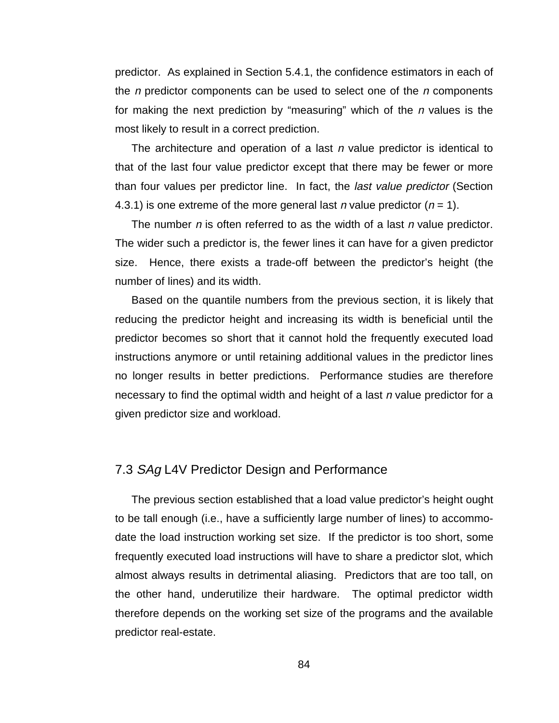predictor. As explained in Section 5.4.1, the confidence estimators in each of the n predictor components can be used to select one of the  $n$  components for making the next prediction by "measuring" which of the  $n$  values is the most likely to result in a correct prediction.

The architecture and operation of a last  $n$  value predictor is identical to that of the last four value predictor except that there may be fewer or more than four values per predictor line. In fact, the last value predictor (Section 4.3.1) is one extreme of the more general last n value predictor ( $n = 1$ ).

The number  $n$  is often referred to as the width of a last  $n$  value predictor. The wider such a predictor is, the fewer lines it can have for a given predictor size. Hence, there exists a trade-off between the predictor's height (the number of lines) and its width.

Based on the quantile numbers from the previous section, it is likely that reducing the predictor height and increasing its width is beneficial until the predictor becomes so short that it cannot hold the frequently executed load instructions anymore or until retaining additional values in the predictor lines no longer results in better predictions. Performance studies are therefore necessary to find the optimal width and height of a last n value predictor for a given predictor size and workload.

## 7.3 SAg L4V Predictor Design and Performance

The previous section established that a load value predictor's height ought to be tall enough (i.e., have a sufficiently large number of lines) to accommodate the load instruction working set size. If the predictor is too short, some frequently executed load instructions will have to share a predictor slot, which almost always results in detrimental aliasing. Predictors that are too tall, on the other hand, underutilize their hardware. The optimal predictor width therefore depends on the working set size of the programs and the available predictor real-estate.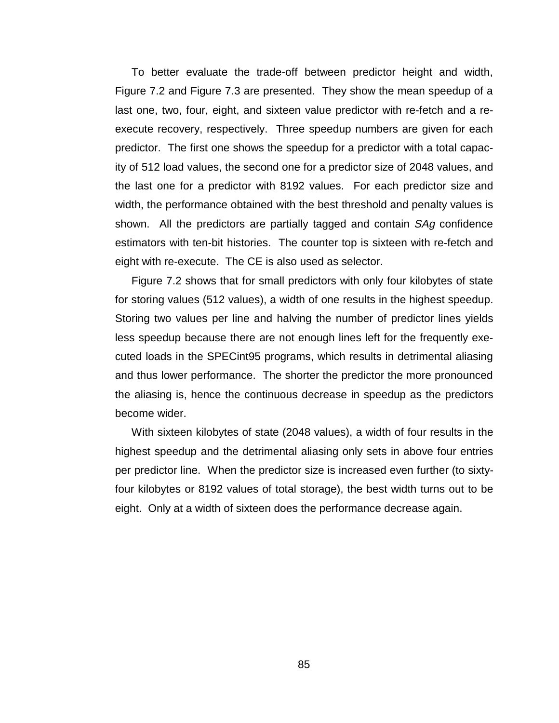To better evaluate the trade-off between predictor height and width, Figure 7.2 and Figure 7.3 are presented. They show the mean speedup of a last one, two, four, eight, and sixteen value predictor with re-fetch and a reexecute recovery, respectively. Three speedup numbers are given for each predictor. The first one shows the speedup for a predictor with a total capacity of 512 load values, the second one for a predictor size of 2048 values, and the last one for a predictor with 8192 values. For each predictor size and width, the performance obtained with the best threshold and penalty values is shown. All the predictors are partially tagged and contain SAg confidence estimators with ten-bit histories. The counter top is sixteen with re-fetch and eight with re-execute. The CE is also used as selector.

Figure 7.2 shows that for small predictors with only four kilobytes of state for storing values (512 values), a width of one results in the highest speedup. Storing two values per line and halving the number of predictor lines yields less speedup because there are not enough lines left for the frequently executed loads in the SPECint95 programs, which results in detrimental aliasing and thus lower performance. The shorter the predictor the more pronounced the aliasing is, hence the continuous decrease in speedup as the predictors become wider.

With sixteen kilobytes of state (2048 values), a width of four results in the highest speedup and the detrimental aliasing only sets in above four entries per predictor line. When the predictor size is increased even further (to sixtyfour kilobytes or 8192 values of total storage), the best width turns out to be eight. Only at a width of sixteen does the performance decrease again.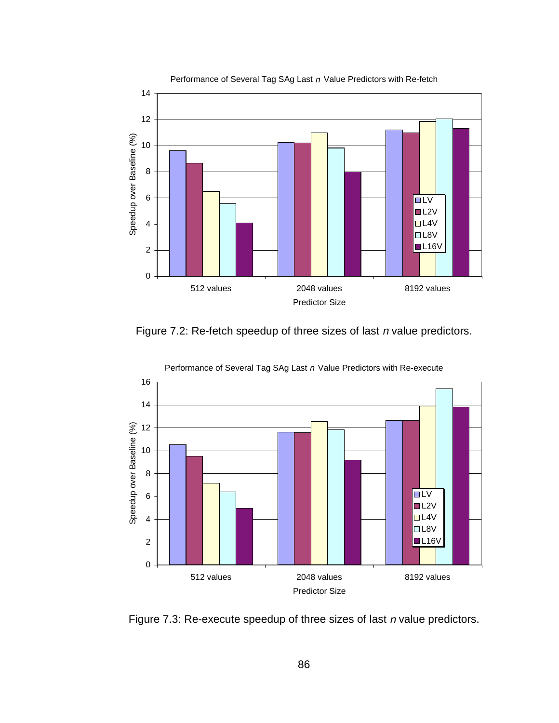

Performance of Several Tag SAg Last n Value Predictors with Re-fetch





Performance of Several Tag SAg Last n Value Predictors with Re-execute

Figure 7.3: Re-execute speedup of three sizes of last  $n$  value predictors.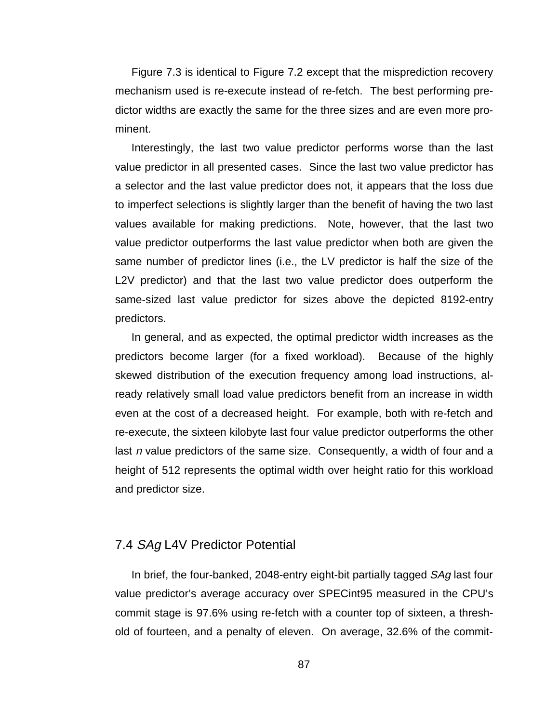Figure 7.3 is identical to Figure 7.2 except that the misprediction recovery mechanism used is re-execute instead of re-fetch. The best performing predictor widths are exactly the same for the three sizes and are even more prominent.

Interestingly, the last two value predictor performs worse than the last value predictor in all presented cases. Since the last two value predictor has a selector and the last value predictor does not, it appears that the loss due to imperfect selections is slightly larger than the benefit of having the two last values available for making predictions. Note, however, that the last two value predictor outperforms the last value predictor when both are given the same number of predictor lines (i.e., the LV predictor is half the size of the L2V predictor) and that the last two value predictor does outperform the same-sized last value predictor for sizes above the depicted 8192-entry predictors.

In general, and as expected, the optimal predictor width increases as the predictors become larger (for a fixed workload). Because of the highly skewed distribution of the execution frequency among load instructions, already relatively small load value predictors benefit from an increase in width even at the cost of a decreased height. For example, both with re-fetch and re-execute, the sixteen kilobyte last four value predictor outperforms the other last n value predictors of the same size. Consequently, a width of four and a height of 512 represents the optimal width over height ratio for this workload and predictor size.

## 7.4 SAg L4V Predictor Potential

In brief, the four-banked, 2048-entry eight-bit partially tagged SAg last four value predictor's average accuracy over SPECint95 measured in the CPU's commit stage is 97.6% using re-fetch with a counter top of sixteen, a threshold of fourteen, and a penalty of eleven. On average, 32.6% of the commit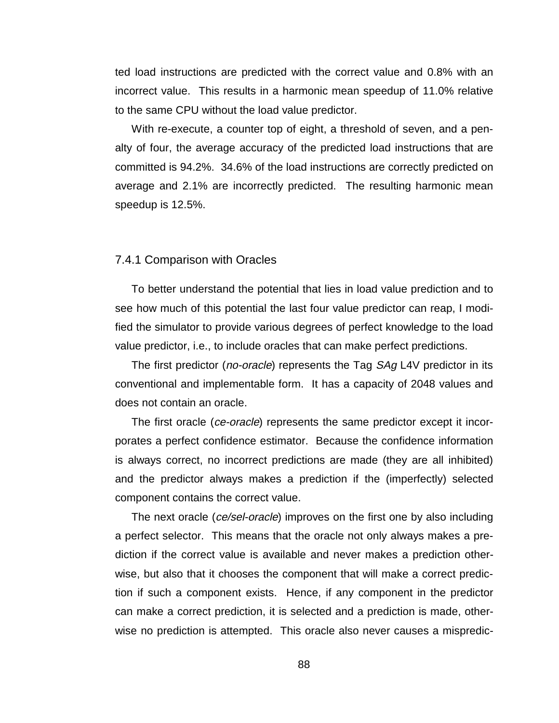ted load instructions are predicted with the correct value and 0.8% with an incorrect value. This results in a harmonic mean speedup of 11.0% relative to the same CPU without the load value predictor.

With re-execute, a counter top of eight, a threshold of seven, and a penalty of four, the average accuracy of the predicted load instructions that are committed is 94.2%. 34.6% of the load instructions are correctly predicted on average and 2.1% are incorrectly predicted. The resulting harmonic mean speedup is 12.5%.

#### 7.4.1 Comparison with Oracles

To better understand the potential that lies in load value prediction and to see how much of this potential the last four value predictor can reap, I modified the simulator to provide various degrees of perfect knowledge to the load value predictor, i.e., to include oracles that can make perfect predictions.

The first predictor (*no-oracle*) represents the Tag *SAg* L4V predictor in its conventional and implementable form. It has a capacity of 2048 values and does not contain an oracle.

The first oracle (*ce-oracle*) represents the same predictor except it incorporates a perfect confidence estimator. Because the confidence information is always correct, no incorrect predictions are made (they are all inhibited) and the predictor always makes a prediction if the (imperfectly) selected component contains the correct value.

The next oracle (ce/sel-oracle) improves on the first one by also including a perfect selector. This means that the oracle not only always makes a prediction if the correct value is available and never makes a prediction otherwise, but also that it chooses the component that will make a correct prediction if such a component exists. Hence, if any component in the predictor can make a correct prediction, it is selected and a prediction is made, otherwise no prediction is attempted. This oracle also never causes a mispredic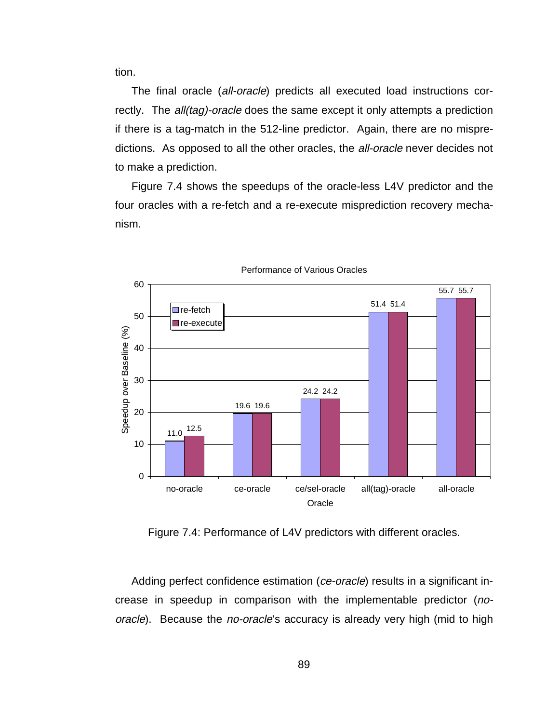tion.

The final oracle (all-oracle) predicts all executed load instructions correctly. The *all(tag)-oracle* does the same except it only attempts a prediction if there is a tag-match in the 512-line predictor. Again, there are no mispredictions. As opposed to all the other oracles, the all-oracle never decides not to make a prediction.

Figure 7.4 shows the speedups of the oracle-less L4V predictor and the four oracles with a re-fetch and a re-execute misprediction recovery mechanism.



Performance of Various Oracles

Figure 7.4: Performance of L4V predictors with different oracles.

Adding perfect confidence estimation (ce-oracle) results in a significant increase in speedup in comparison with the implementable predictor (nooracle). Because the no-oracle's accuracy is already very high (mid to high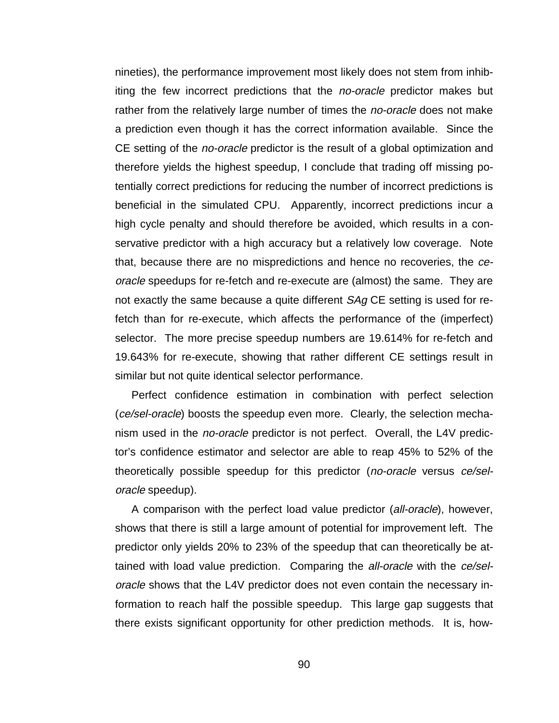nineties), the performance improvement most likely does not stem from inhibiting the few incorrect predictions that the no-oracle predictor makes but rather from the relatively large number of times the *no-oracle* does not make a prediction even though it has the correct information available. Since the CE setting of the *no-oracle* predictor is the result of a global optimization and therefore yields the highest speedup, I conclude that trading off missing potentially correct predictions for reducing the number of incorrect predictions is beneficial in the simulated CPU. Apparently, incorrect predictions incur a high cycle penalty and should therefore be avoided, which results in a conservative predictor with a high accuracy but a relatively low coverage. Note that, because there are no mispredictions and hence no recoveries, the ceoracle speedups for re-fetch and re-execute are (almost) the same. They are not exactly the same because a quite different SAg CE setting is used for refetch than for re-execute, which affects the performance of the (imperfect) selector. The more precise speedup numbers are 19.614% for re-fetch and 19.643% for re-execute, showing that rather different CE settings result in similar but not quite identical selector performance.

Perfect confidence estimation in combination with perfect selection (ce/sel-oracle) boosts the speedup even more. Clearly, the selection mechanism used in the no-oracle predictor is not perfect. Overall, the L4V predictor's confidence estimator and selector are able to reap 45% to 52% of the theoretically possible speedup for this predictor (no-oracle versus ce/seloracle speedup).

A comparison with the perfect load value predictor (all-oracle), however, shows that there is still a large amount of potential for improvement left. The predictor only yields 20% to 23% of the speedup that can theoretically be attained with load value prediction. Comparing the *all-oracle* with the ce/seloracle shows that the L4V predictor does not even contain the necessary information to reach half the possible speedup. This large gap suggests that there exists significant opportunity for other prediction methods. It is, how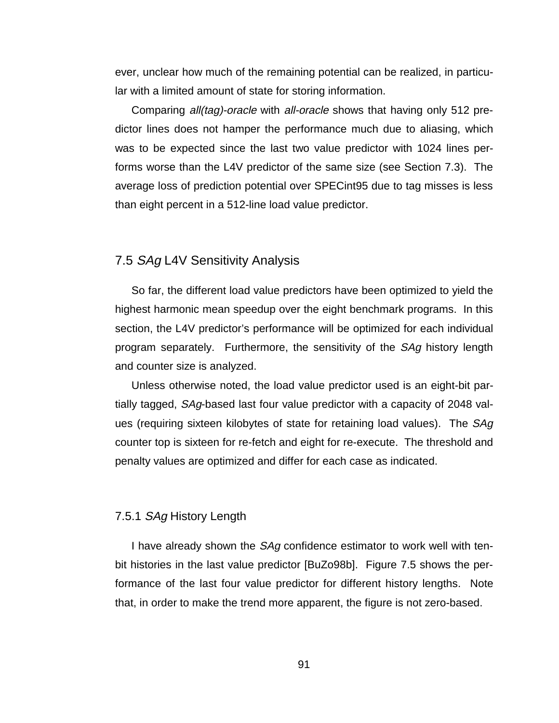ever, unclear how much of the remaining potential can be realized, in particular with a limited amount of state for storing information.

Comparing all(tag)-oracle with all-oracle shows that having only 512 predictor lines does not hamper the performance much due to aliasing, which was to be expected since the last two value predictor with 1024 lines performs worse than the L4V predictor of the same size (see Section 7.3). The average loss of prediction potential over SPECint95 due to tag misses is less than eight percent in a 512-line load value predictor.

#### 7.5 SAg L4V Sensitivity Analysis

So far, the different load value predictors have been optimized to yield the highest harmonic mean speedup over the eight benchmark programs. In this section, the L4V predictor's performance will be optimized for each individual program separately. Furthermore, the sensitivity of the SAg history length and counter size is analyzed.

Unless otherwise noted, the load value predictor used is an eight-bit partially tagged, SAg-based last four value predictor with a capacity of 2048 values (requiring sixteen kilobytes of state for retaining load values). The SAg counter top is sixteen for re-fetch and eight for re-execute. The threshold and penalty values are optimized and differ for each case as indicated.

#### 7.5.1 SAg History Length

I have already shown the SAg confidence estimator to work well with tenbit histories in the last value predictor [BuZo98b]. Figure 7.5 shows the performance of the last four value predictor for different history lengths. Note that, in order to make the trend more apparent, the figure is not zero-based.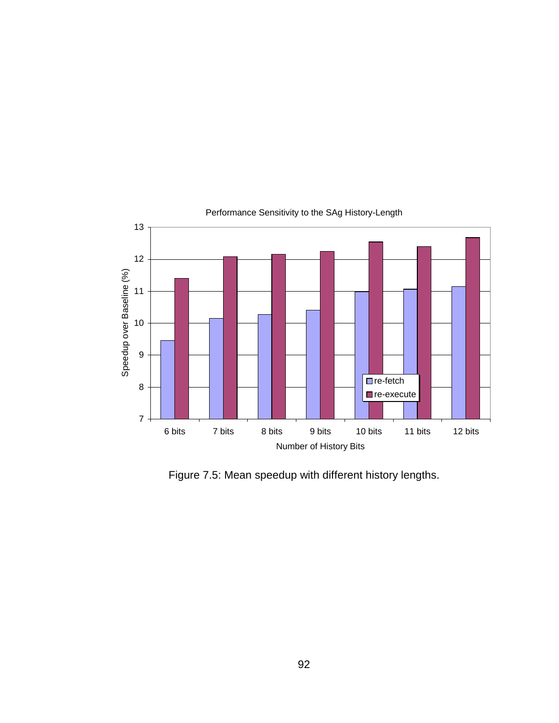

## Performance Sensitivity to the SAg History-Length

Figure 7.5: Mean speedup with different history lengths.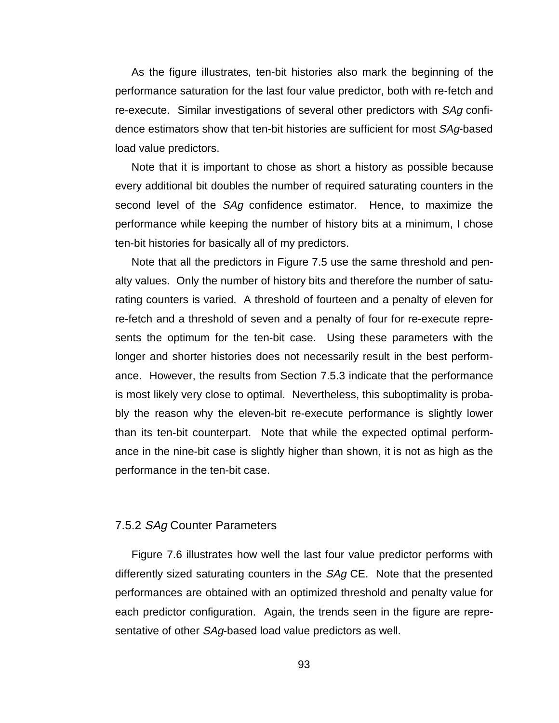As the figure illustrates, ten-bit histories also mark the beginning of the performance saturation for the last four value predictor, both with re-fetch and re-execute. Similar investigations of several other predictors with SAg confidence estimators show that ten-bit histories are sufficient for most SAg-based load value predictors.

Note that it is important to chose as short a history as possible because every additional bit doubles the number of required saturating counters in the second level of the SAg confidence estimator. Hence, to maximize the performance while keeping the number of history bits at a minimum, I chose ten-bit histories for basically all of my predictors.

Note that all the predictors in Figure 7.5 use the same threshold and penalty values. Only the number of history bits and therefore the number of saturating counters is varied. A threshold of fourteen and a penalty of eleven for re-fetch and a threshold of seven and a penalty of four for re-execute represents the optimum for the ten-bit case. Using these parameters with the longer and shorter histories does not necessarily result in the best performance. However, the results from Section 7.5.3 indicate that the performance is most likely very close to optimal. Nevertheless, this suboptimality is probably the reason why the eleven-bit re-execute performance is slightly lower than its ten-bit counterpart. Note that while the expected optimal performance in the nine-bit case is slightly higher than shown, it is not as high as the performance in the ten-bit case.

#### 7.5.2 SAg Counter Parameters

Figure 7.6 illustrates how well the last four value predictor performs with differently sized saturating counters in the *SAg* CE. Note that the presented performances are obtained with an optimized threshold and penalty value for each predictor configuration. Again, the trends seen in the figure are representative of other SAg-based load value predictors as well.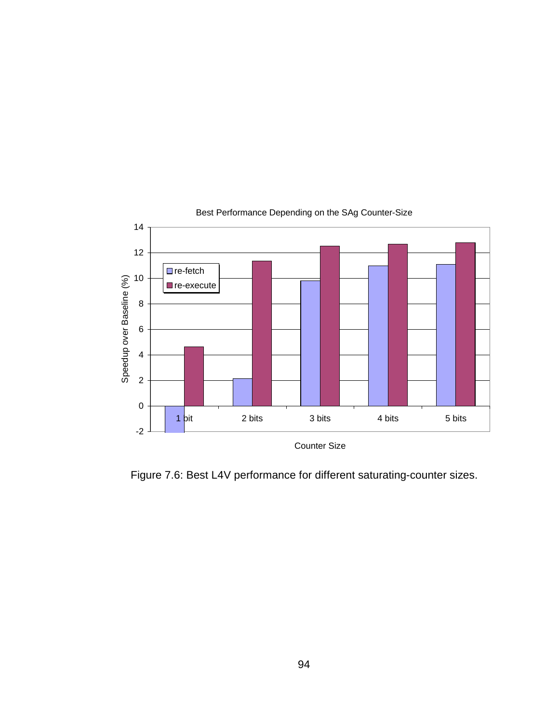

## Best Performance Depending on the SAg Counter-Size

Figure 7.6: Best L4V performance for different saturating-counter sizes.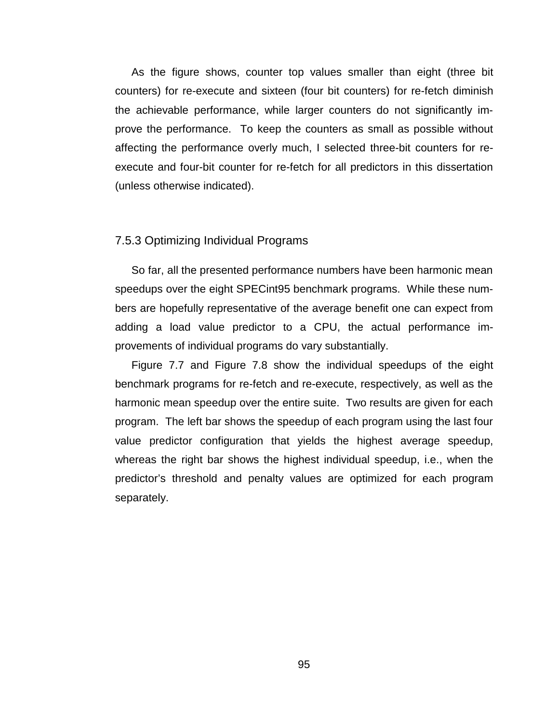As the figure shows, counter top values smaller than eight (three bit counters) for re-execute and sixteen (four bit counters) for re-fetch diminish the achievable performance, while larger counters do not significantly improve the performance. To keep the counters as small as possible without affecting the performance overly much, I selected three-bit counters for reexecute and four-bit counter for re-fetch for all predictors in this dissertation (unless otherwise indicated).

#### 7.5.3 Optimizing Individual Programs

So far, all the presented performance numbers have been harmonic mean speedups over the eight SPECint95 benchmark programs. While these numbers are hopefully representative of the average benefit one can expect from adding a load value predictor to a CPU, the actual performance improvements of individual programs do vary substantially.

Figure 7.7 and Figure 7.8 show the individual speedups of the eight benchmark programs for re-fetch and re-execute, respectively, as well as the harmonic mean speedup over the entire suite. Two results are given for each program. The left bar shows the speedup of each program using the last four value predictor configuration that yields the highest average speedup, whereas the right bar shows the highest individual speedup, i.e., when the predictor's threshold and penalty values are optimized for each program separately.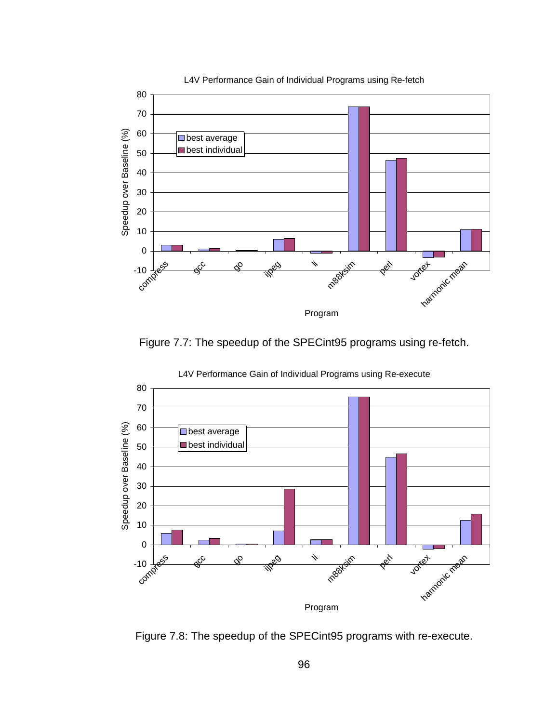

Figure 7.7: The speedup of the SPECint95 programs using re-fetch.



L4V Performance Gain of Individual Programs using Re-execute

Figure 7.8: The speedup of the SPECint95 programs with re-execute.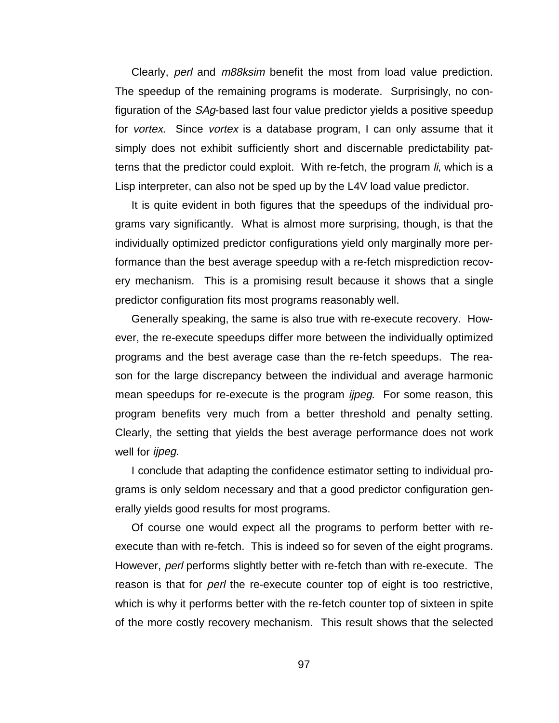Clearly, *perl* and *m88ksim* benefit the most from load value prediction. The speedup of the remaining programs is moderate. Surprisingly, no configuration of the SAg-based last four value predictor yields a positive speedup for *vortex*. Since *vortex* is a database program, I can only assume that it simply does not exhibit sufficiently short and discernable predictability patterns that the predictor could exploit. With re-fetch, the program *li*, which is a Lisp interpreter, can also not be sped up by the L4V load value predictor.

It is quite evident in both figures that the speedups of the individual programs vary significantly. What is almost more surprising, though, is that the individually optimized predictor configurations yield only marginally more performance than the best average speedup with a re-fetch misprediction recovery mechanism. This is a promising result because it shows that a single predictor configuration fits most programs reasonably well.

Generally speaking, the same is also true with re-execute recovery. However, the re-execute speedups differ more between the individually optimized programs and the best average case than the re-fetch speedups. The reason for the large discrepancy between the individual and average harmonic mean speedups for re-execute is the program *ijpeg*. For some reason, this program benefits very much from a better threshold and penalty setting. Clearly, the setting that yields the best average performance does not work well for *ijpeg*.

I conclude that adapting the confidence estimator setting to individual programs is only seldom necessary and that a good predictor configuration generally yields good results for most programs.

Of course one would expect all the programs to perform better with reexecute than with re-fetch. This is indeed so for seven of the eight programs. However, perl performs slightly better with re-fetch than with re-execute. The reason is that for *perl* the re-execute counter top of eight is too restrictive, which is why it performs better with the re-fetch counter top of sixteen in spite of the more costly recovery mechanism. This result shows that the selected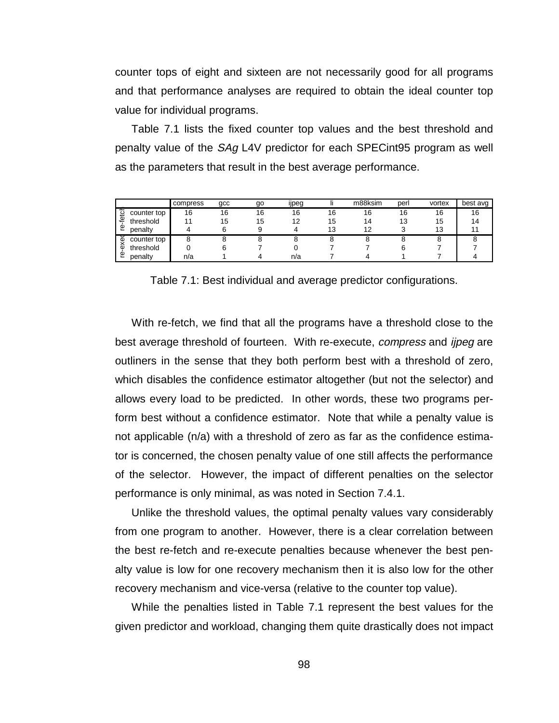counter tops of eight and sixteen are not necessarily good for all programs and that performance analyses are required to obtain the ideal counter top value for individual programs.

Table 7.1 lists the fixed counter top values and the best threshold and penalty value of the SAg L4V predictor for each SPECint95 program as well as the parameters that result in the best average performance.

|        |             | compress | gcc | go | <br><b>I</b> peg |    | m88ksim | perl | vortex | best avg |
|--------|-------------|----------|-----|----|------------------|----|---------|------|--------|----------|
| fetc   | counter top | 16       | 16  | 16 | 16               | 16 | 16      | 16   | 16     | 16       |
|        | threshold   |          | 15  | 15 | 12               | 15 | 14      | 13   | 15     |          |
| Φ<br>ے | penalty     |          |     |    |                  | 13 | 12      |      | 13     |          |
| Φ      | counter top |          |     |    |                  |    |         |      | ō      |          |
| ¢      | threshold   |          |     |    |                  |    |         |      |        |          |
| Φ      | penalty     | n/a      |     |    | n/a              |    |         |      |        |          |

Table 7.1: Best individual and average predictor configurations.

With re-fetch, we find that all the programs have a threshold close to the best average threshold of fourteen. With re-execute, *compress* and *ijpeg* are outliners in the sense that they both perform best with a threshold of zero, which disables the confidence estimator altogether (but not the selector) and allows every load to be predicted. In other words, these two programs perform best without a confidence estimator. Note that while a penalty value is not applicable (n/a) with a threshold of zero as far as the confidence estimator is concerned, the chosen penalty value of one still affects the performance of the selector. However, the impact of different penalties on the selector performance is only minimal, as was noted in Section 7.4.1.

Unlike the threshold values, the optimal penalty values vary considerably from one program to another. However, there is a clear correlation between the best re-fetch and re-execute penalties because whenever the best penalty value is low for one recovery mechanism then it is also low for the other recovery mechanism and vice-versa (relative to the counter top value).

While the penalties listed in Table 7.1 represent the best values for the given predictor and workload, changing them quite drastically does not impact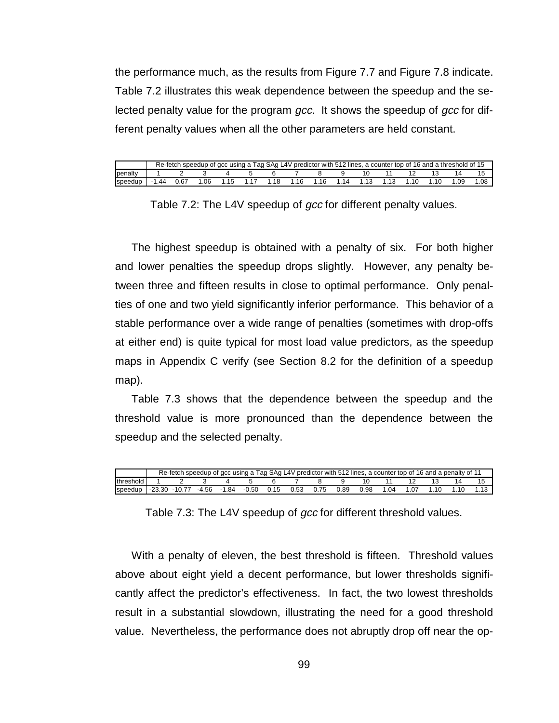the performance much, as the results from Figure 7.7 and Figure 7.8 indicate. Table 7.2 illustrates this weak dependence between the speedup and the selected penalty value for the program gcc. It shows the speedup of gcc for different penalty values when all the other parameters are held constant.

|                 | Re-fetch |     | speedup of gcc using a Tag SAg L4V predictor with 512 lines, a counter top of 16 and a threshold of 15 |     |    |     |  |      |     |     |
|-----------------|----------|-----|--------------------------------------------------------------------------------------------------------|-----|----|-----|--|------|-----|-----|
| <b>I</b> penalt |          |     |                                                                                                        |     |    |     |  |      |     |     |
| speedup         | 44       | .06 |                                                                                                        | .18 | 16 | -14 |  | . 10 | .09 | 08. |

Table 7.2: The L4V speedup of gcc for different penalty values.

The highest speedup is obtained with a penalty of six. For both higher and lower penalties the speedup drops slightly. However, any penalty between three and fifteen results in close to optimal performance. Only penalties of one and two yield significantly inferior performance. This behavior of a stable performance over a wide range of penalties (sometimes with drop-offs at either end) is quite typical for most load value predictors, as the speedup maps in Appendix C verify (see Section 8.2 for the definition of a speedup map).

Table 7.3 shows that the dependence between the speedup and the threshold value is more pronounced than the dependence between the speedup and the selected penalty.

|           |     | Re-fetch |         |         |       |      |      |       |      | r speedup of gcc using a Tag SAg L4V predictor with 512 lines, a counter top of 16 and a penalty of $\gamma$ |  |  |
|-----------|-----|----------|---------|---------|-------|------|------|-------|------|--------------------------------------------------------------------------------------------------------------|--|--|
| threshold |     |          |         |         |       |      |      |       |      |                                                                                                              |  |  |
| speedup   | .30 | $-10.77$ | $-4.56$ | $-1.84$ | -0.50 | 0.15 | 0.53 | .89 ر | ን 98 | ብ4                                                                                                           |  |  |

Table 7.3: The L4V speedup of gcc for different threshold values.

With a penalty of eleven, the best threshold is fifteen. Threshold values above about eight yield a decent performance, but lower thresholds significantly affect the predictor's effectiveness. In fact, the two lowest thresholds result in a substantial slowdown, illustrating the need for a good threshold value. Nevertheless, the performance does not abruptly drop off near the op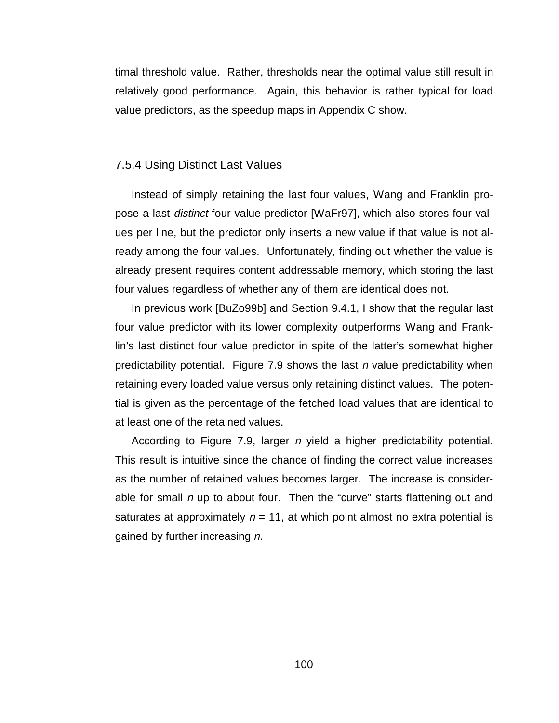timal threshold value. Rather, thresholds near the optimal value still result in relatively good performance. Again, this behavior is rather typical for load value predictors, as the speedup maps in Appendix C show.

## 7.5.4 Using Distinct Last Values

Instead of simply retaining the last four values, Wang and Franklin propose a last distinct four value predictor [WaFr97], which also stores four values per line, but the predictor only inserts a new value if that value is not already among the four values. Unfortunately, finding out whether the value is already present requires content addressable memory, which storing the last four values regardless of whether any of them are identical does not.

In previous work [BuZo99b] and Section 9.4.1, I show that the regular last four value predictor with its lower complexity outperforms Wang and Franklin's last distinct four value predictor in spite of the latter's somewhat higher predictability potential. Figure 7.9 shows the last  $n$  value predictability when retaining every loaded value versus only retaining distinct values. The potential is given as the percentage of the fetched load values that are identical to at least one of the retained values.

According to Figure 7.9, larger *n* yield a higher predictability potential. This result is intuitive since the chance of finding the correct value increases as the number of retained values becomes larger. The increase is considerable for small  $n$  up to about four. Then the "curve" starts flattening out and saturates at approximately  $n = 11$ , at which point almost no extra potential is gained by further increasing n.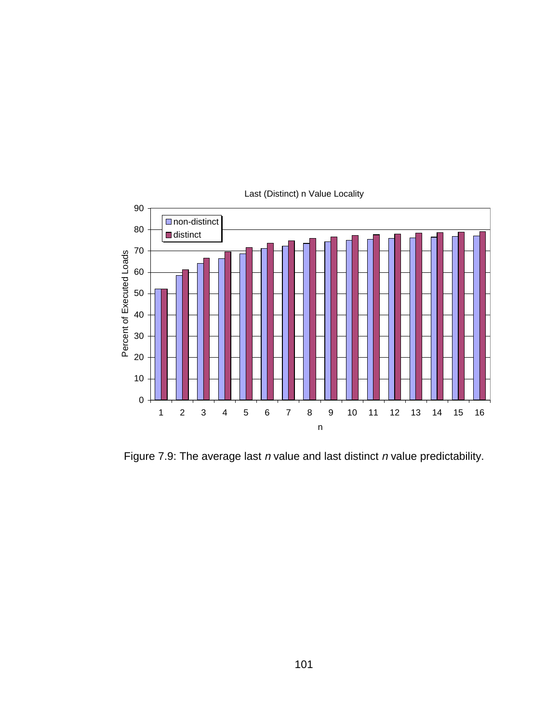

Last (Distinct) n Value Locality

Figure 7.9: The average last  $n$  value and last distinct  $n$  value predictability.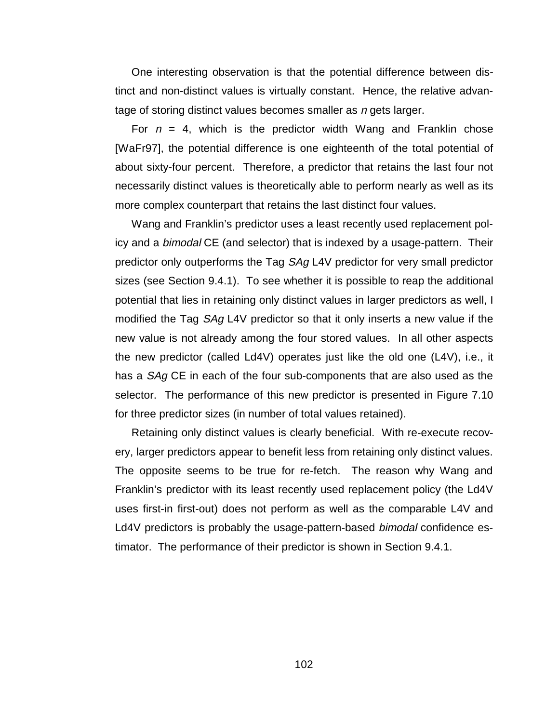One interesting observation is that the potential difference between distinct and non-distinct values is virtually constant. Hence, the relative advantage of storing distinct values becomes smaller as n gets larger.

For  $n = 4$ , which is the predictor width Wang and Franklin chose [WaFr97], the potential difference is one eighteenth of the total potential of about sixty-four percent. Therefore, a predictor that retains the last four not necessarily distinct values is theoretically able to perform nearly as well as its more complex counterpart that retains the last distinct four values.

Wang and Franklin's predictor uses a least recently used replacement policy and a *bimodal* CE (and selector) that is indexed by a usage-pattern. Their predictor only outperforms the Tag SAg L4V predictor for very small predictor sizes (see Section 9.4.1). To see whether it is possible to reap the additional potential that lies in retaining only distinct values in larger predictors as well, I modified the Tag SAg L4V predictor so that it only inserts a new value if the new value is not already among the four stored values. In all other aspects the new predictor (called Ld4V) operates just like the old one (L4V), i.e., it has a SAg CE in each of the four sub-components that are also used as the selector. The performance of this new predictor is presented in Figure 7.10 for three predictor sizes (in number of total values retained).

Retaining only distinct values is clearly beneficial. With re-execute recovery, larger predictors appear to benefit less from retaining only distinct values. The opposite seems to be true for re-fetch. The reason why Wang and Franklin's predictor with its least recently used replacement policy (the Ld4V uses first-in first-out) does not perform as well as the comparable L4V and Ld4V predictors is probably the usage-pattern-based bimodal confidence estimator. The performance of their predictor is shown in Section 9.4.1.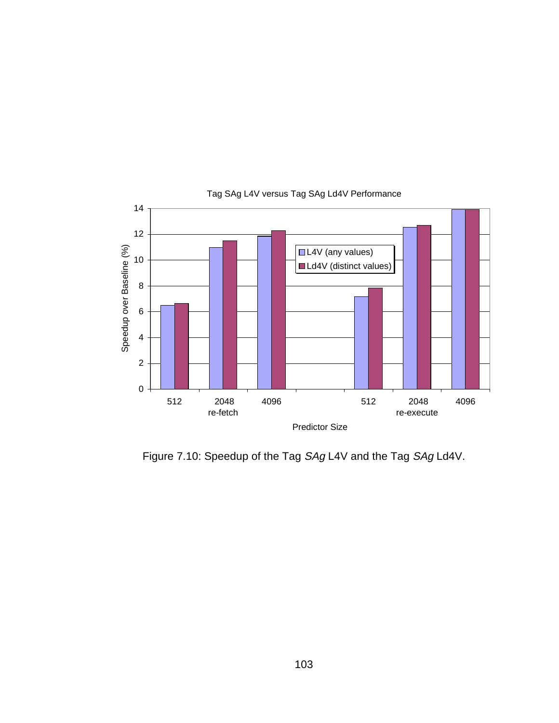

## Tag SAg L4V versus Tag SAg Ld4V Performance

Figure 7.10: Speedup of the Tag SAg L4V and the Tag SAg Ld4V.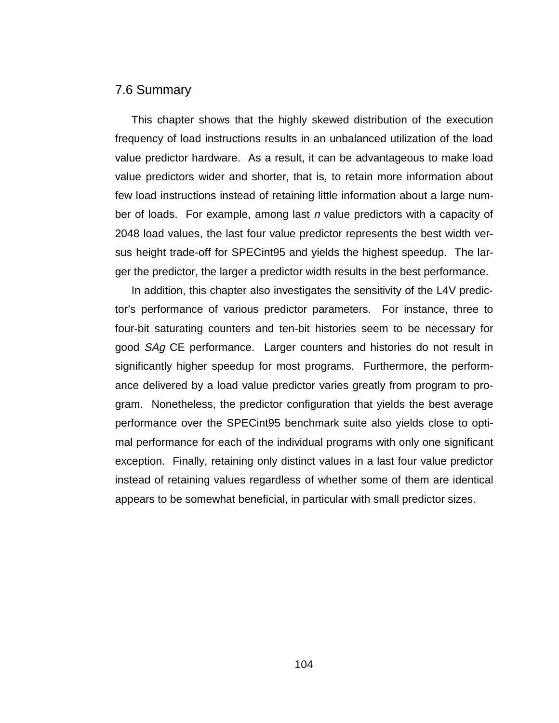## 7.6 Summary

This chapter shows that the highly skewed distribution of the execution frequency of load instructions results in an unbalanced utilization of the load value predictor hardware. As a result, it can be advantageous to make load value predictors wider and shorter, that is, to retain more information about few load instructions instead of retaining little information about a large number of loads. For example, among last n value predictors with a capacity of 2048 load values, the last four value predictor represents the best width versus height trade-off for SPECint95 and yields the highest speedup. The larger the predictor, the larger a predictor width results in the best performance.

In addition, this chapter also investigates the sensitivity of the L4V predictor's performance of various predictor parameters. For instance, three to four-bit saturating counters and ten-bit histories seem to be necessary for good SAg CE performance. Larger counters and histories do not result in significantly higher speedup for most programs. Furthermore, the performance delivered by a load value predictor varies greatly from program to program. Nonetheless, the predictor configuration that yields the best average performance over the SPECint95 benchmark suite also yields close to optimal performance for each of the individual programs with only one significant exception. Finally, retaining only distinct values in a last four value predictor instead of retaining values regardless of whether some of them are identical appears to be somewhat beneficial, in particular with small predictor sizes.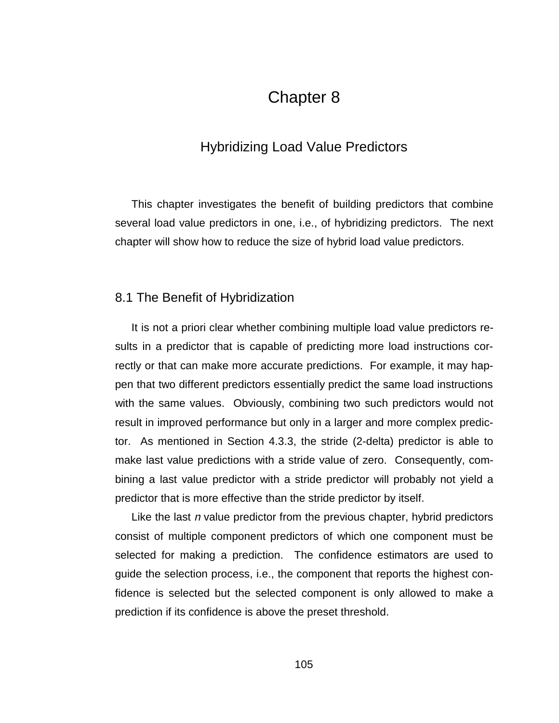# Chapter 8

# Hybridizing Load Value Predictors

This chapter investigates the benefit of building predictors that combine several load value predictors in one, i.e., of hybridizing predictors. The next chapter will show how to reduce the size of hybrid load value predictors.

## 8.1 The Benefit of Hybridization

It is not a priori clear whether combining multiple load value predictors results in a predictor that is capable of predicting more load instructions correctly or that can make more accurate predictions. For example, it may happen that two different predictors essentially predict the same load instructions with the same values. Obviously, combining two such predictors would not result in improved performance but only in a larger and more complex predictor. As mentioned in Section 4.3.3, the stride (2-delta) predictor is able to make last value predictions with a stride value of zero. Consequently, combining a last value predictor with a stride predictor will probably not yield a predictor that is more effective than the stride predictor by itself.

Like the last n value predictor from the previous chapter, hybrid predictors consist of multiple component predictors of which one component must be selected for making a prediction. The confidence estimators are used to guide the selection process, i.e., the component that reports the highest confidence is selected but the selected component is only allowed to make a prediction if its confidence is above the preset threshold.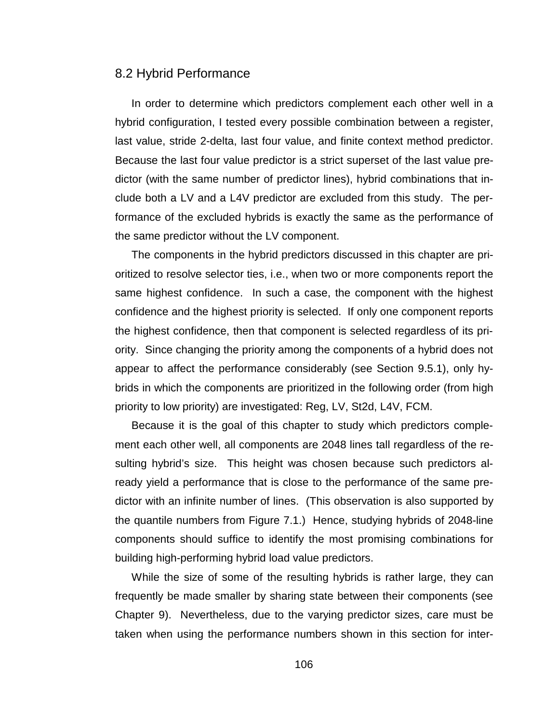#### 8.2 Hybrid Performance

In order to determine which predictors complement each other well in a hybrid configuration, I tested every possible combination between a register, last value, stride 2-delta, last four value, and finite context method predictor. Because the last four value predictor is a strict superset of the last value predictor (with the same number of predictor lines), hybrid combinations that include both a LV and a L4V predictor are excluded from this study. The performance of the excluded hybrids is exactly the same as the performance of the same predictor without the LV component.

The components in the hybrid predictors discussed in this chapter are prioritized to resolve selector ties, i.e., when two or more components report the same highest confidence. In such a case, the component with the highest confidence and the highest priority is selected. If only one component reports the highest confidence, then that component is selected regardless of its priority. Since changing the priority among the components of a hybrid does not appear to affect the performance considerably (see Section 9.5.1), only hybrids in which the components are prioritized in the following order (from high priority to low priority) are investigated: Reg, LV, St2d, L4V, FCM.

Because it is the goal of this chapter to study which predictors complement each other well, all components are 2048 lines tall regardless of the resulting hybrid's size. This height was chosen because such predictors already yield a performance that is close to the performance of the same predictor with an infinite number of lines. (This observation is also supported by the quantile numbers from Figure 7.1.) Hence, studying hybrids of 2048-line components should suffice to identify the most promising combinations for building high-performing hybrid load value predictors.

While the size of some of the resulting hybrids is rather large, they can frequently be made smaller by sharing state between their components (see Chapter 9). Nevertheless, due to the varying predictor sizes, care must be taken when using the performance numbers shown in this section for inter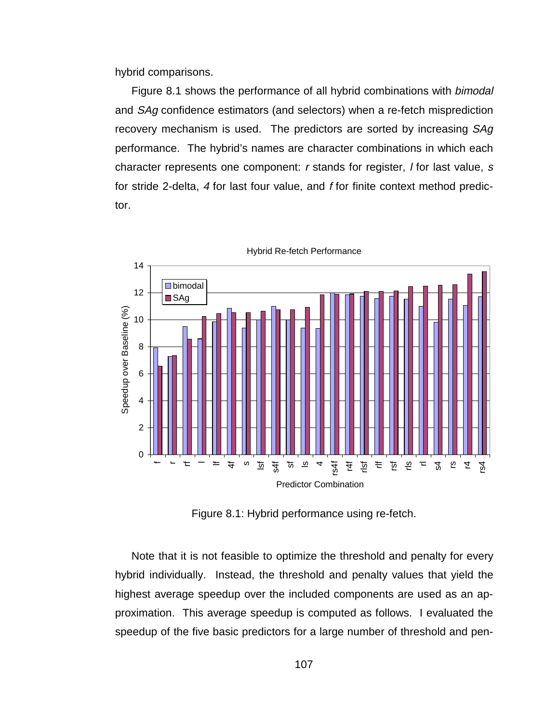hybrid comparisons.

Figure 8.1 shows the performance of all hybrid combinations with bimodal and SAg confidence estimators (and selectors) when a re-fetch misprediction recovery mechanism is used. The predictors are sorted by increasing SAg performance. The hybrid's names are character combinations in which each character represents one component: r stands for register, I for last value, s for stride 2-delta, 4 for last four value, and f for finite context method predictor.



Hybrid Re-fetch Performance

Figure 8.1: Hybrid performance using re-fetch.

Note that it is not feasible to optimize the threshold and penalty for every hybrid individually. Instead, the threshold and penalty values that yield the highest average speedup over the included components are used as an approximation. This average speedup is computed as follows. I evaluated the speedup of the five basic predictors for a large number of threshold and pen-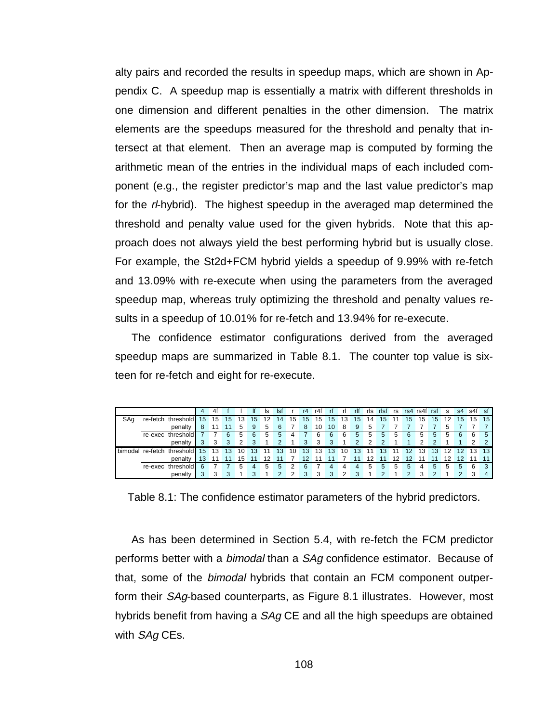alty pairs and recorded the results in speedup maps, which are shown in Appendix C. A speedup map is essentially a matrix with different thresholds in one dimension and different penalties in the other dimension. The matrix elements are the speedups measured for the threshold and penalty that intersect at that element. Then an average map is computed by forming the arithmetic mean of the entries in the individual maps of each included component (e.g., the register predictor's map and the last value predictor's map for the r--hybrid). The highest speedup in the averaged map determined the threshold and penalty value used for the given hybrids. Note that this approach does not always yield the best performing hybrid but is usually close. For example, the St2d+FCM hybrid yields a speedup of 9.99% with re-fetch and 13.09% with re-execute when using the parameters from the averaged speedup map, whereas truly optimizing the threshold and penalty values results in a speedup of 10.01% for re-fetch and 13.94% for re-execute.

The confidence estimator configurations derived from the averaged speedup maps are summarized in Table 8.1. The counter top value is sixteen for re-fetch and eight for re-execute.

|     |                  |                    |    | 4f |    |    |    | ls | Ist           |    | r4  | r4f | -rf |     | rlf           | ris | rist          | rs |    | rs4 rs4f | rsf | s.  | s4 | s4f | -St |
|-----|------------------|--------------------|----|----|----|----|----|----|---------------|----|-----|-----|-----|-----|---------------|-----|---------------|----|----|----------|-----|-----|----|-----|-----|
| SAq |                  | re-fetch threshold | 15 | 15 | 15 | 13 | 15 |    | 14            | 15 | 15  | 15  | 15  | 13. | 15            | 14  | 15            |    | 15 | 15       | 15  |     | 15 | 15  | 15  |
|     |                  | penalty            |    |    |    | 5  | 9  | 5  | -6            |    | 8   | 10  | 10  | 8   | -9            | 5   |               |    |    |          |     | 5.  |    |     |     |
|     |                  | re-exec threshold  |    |    | 6  | 5  | 6  | 5  | 5             | 4  |     | 6   | 6   | 6   | 5             | 5   | 5             | 5  | 6  | 5        | 5   | 5   | 6  | 6   | 5   |
|     |                  | penalty            |    | 3  | 3  | 2  | 3  |    | $\mathcal{P}$ |    | 3   | 3   | -3  |     | $\mathcal{P}$ | C   | $\mathcal{D}$ |    |    |          |     |     |    |     |     |
|     | bimodal re-fetch | threshold          | 15 | 13 | 13 | 10 | 13 |    | 13            | 10 | -13 | 13  | 13  | 10  | 13            |     | 13            |    | 12 | 13       | -13 | 12. | 12 | 13  | 13  |
|     |                  | penalty            |    |    |    | 15 |    | 12 | 11            |    | 12  | 11  | 11  |     | 11            | 12  |               | 12 | 12 |          |     | 12  | 12 |     |     |
|     |                  | re-exec threshold  |    |    |    | 5  |    | 5  | 5             |    |     |     |     |     | 4             | 5   | 5             | 5  | 5  |          | 5   | 5   | 5  | 6   |     |
|     |                  | penalty            |    |    | 3  |    | з  |    |               |    |     | 3   | ર   | າ   | 3             |     | ົ             |    | 2  |          |     |     |    |     |     |

Table 8.1: The confidence estimator parameters of the hybrid predictors.

As has been determined in Section 5.4, with re-fetch the FCM predictor performs better with a *bimodal* than a *SAg* confidence estimator. Because of that, some of the bimodal hybrids that contain an FCM component outperform their SAg-based counterparts, as Figure 8.1 illustrates. However, most hybrids benefit from having a SAg CE and all the high speedups are obtained with SAq CEs.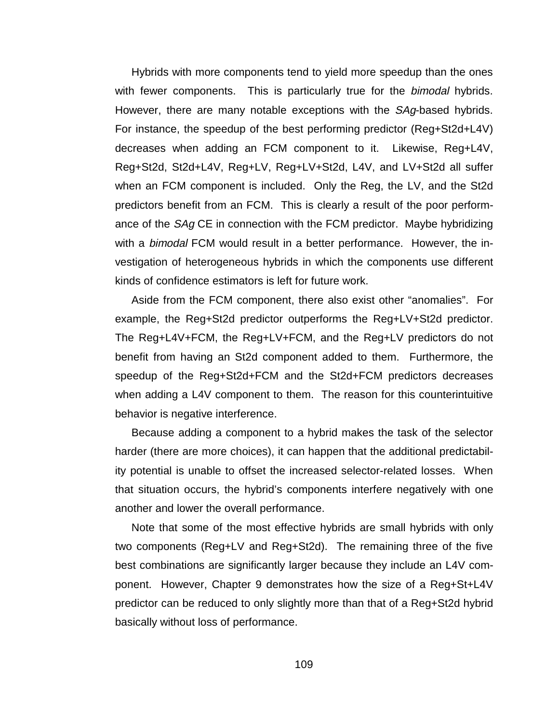Hybrids with more components tend to yield more speedup than the ones with fewer components. This is particularly true for the bimodal hybrids. However, there are many notable exceptions with the SAg-based hybrids. For instance, the speedup of the best performing predictor (Reg+St2d+L4V) decreases when adding an FCM component to it. Likewise, Reg+L4V, Reg+St2d, St2d+L4V, Reg+LV, Reg+LV+St2d, L4V, and LV+St2d all suffer when an FCM component is included. Only the Reg, the LV, and the St2d predictors benefit from an FCM. This is clearly a result of the poor performance of the *SAg* CE in connection with the FCM predictor. Maybe hybridizing with a *bimodal* FCM would result in a better performance. However, the investigation of heterogeneous hybrids in which the components use different kinds of confidence estimators is left for future work.

Aside from the FCM component, there also exist other "anomalies". For example, the Reg+St2d predictor outperforms the Reg+LV+St2d predictor. The Reg+L4V+FCM, the Reg+LV+FCM, and the Reg+LV predictors do not benefit from having an St2d component added to them. Furthermore, the speedup of the Reg+St2d+FCM and the St2d+FCM predictors decreases when adding a L4V component to them. The reason for this counterintuitive behavior is negative interference.

Because adding a component to a hybrid makes the task of the selector harder (there are more choices), it can happen that the additional predictability potential is unable to offset the increased selector-related losses. When that situation occurs, the hybrid's components interfere negatively with one another and lower the overall performance.

Note that some of the most effective hybrids are small hybrids with only two components (Reg+LV and Reg+St2d). The remaining three of the five best combinations are significantly larger because they include an L4V component. However, Chapter 9 demonstrates how the size of a Reg+St+L4V predictor can be reduced to only slightly more than that of a Reg+St2d hybrid basically without loss of performance.

109 and 109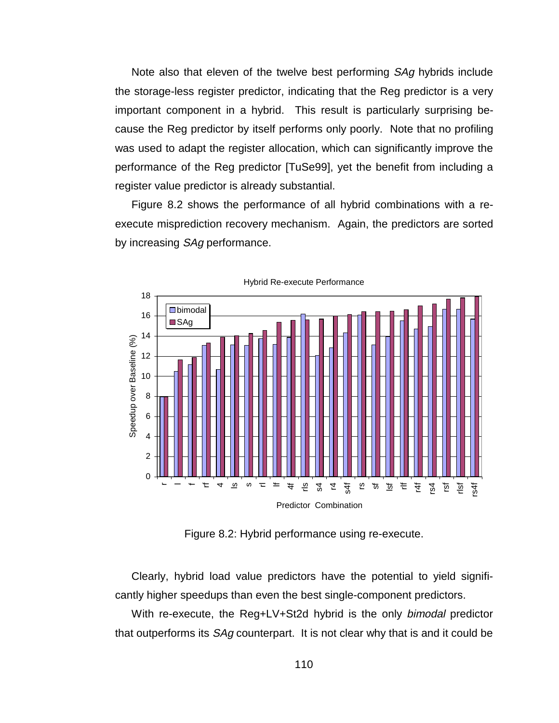Note also that eleven of the twelve best performing SAg hybrids include the storage-less register predictor, indicating that the Reg predictor is a very important component in a hybrid. This result is particularly surprising because the Reg predictor by itself performs only poorly. Note that no profiling was used to adapt the register allocation, which can significantly improve the performance of the Reg predictor [TuSe99], yet the benefit from including a register value predictor is already substantial.

Figure 8.2 shows the performance of all hybrid combinations with a reexecute misprediction recovery mechanism. Again, the predictors are sorted by increasing SAg performance.



Figure 8.2: Hybrid performance using re-execute.

Clearly, hybrid load value predictors have the potential to yield significantly higher speedups than even the best single-component predictors.

With re-execute, the Reg+LV+St2d hybrid is the only bimodal predictor that outperforms its *SAq* counterpart. It is not clear why that is and it could be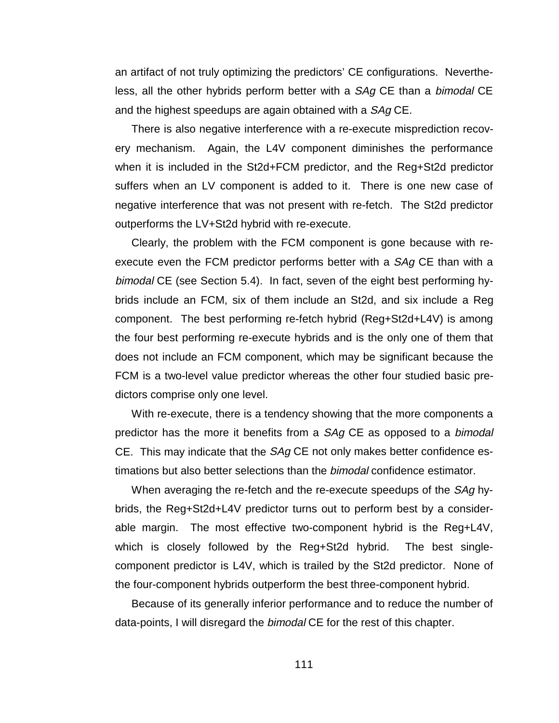an artifact of not truly optimizing the predictors' CE configurations. Nevertheless, all the other hybrids perform better with a SAg CE than a bimodal CE and the highest speedups are again obtained with a SAg CE.

There is also negative interference with a re-execute misprediction recovery mechanism. Again, the L4V component diminishes the performance when it is included in the St2d+FCM predictor, and the Reg+St2d predictor suffers when an LV component is added to it. There is one new case of negative interference that was not present with re-fetch. The St2d predictor outperforms the LV+St2d hybrid with re-execute.

Clearly, the problem with the FCM component is gone because with reexecute even the FCM predictor performs better with a SAg CE than with a bimodal CE (see Section 5.4). In fact, seven of the eight best performing hybrids include an FCM, six of them include an St2d, and six include a Reg component. The best performing re-fetch hybrid (Reg+St2d+L4V) is among the four best performing re-execute hybrids and is the only one of them that does not include an FCM component, which may be significant because the FCM is a two-level value predictor whereas the other four studied basic predictors comprise only one level.

With re-execute, there is a tendency showing that the more components a predictor has the more it benefits from a SAg CE as opposed to a bimodal CE. This may indicate that the  $SAg$  CE not only makes better confidence estimations but also better selections than the *bimodal* confidence estimator.

When averaging the re-fetch and the re-execute speedups of the SAg hybrids, the Reg+St2d+L4V predictor turns out to perform best by a considerable margin. The most effective two-component hybrid is the Reg+L4V, which is closely followed by the Reg+St2d hybrid. The best singlecomponent predictor is L4V, which is trailed by the St2d predictor. None of the four-component hybrids outperform the best three-component hybrid.

Because of its generally inferior performance and to reduce the number of data-points, I will disregard the bimodal CE for the rest of this chapter.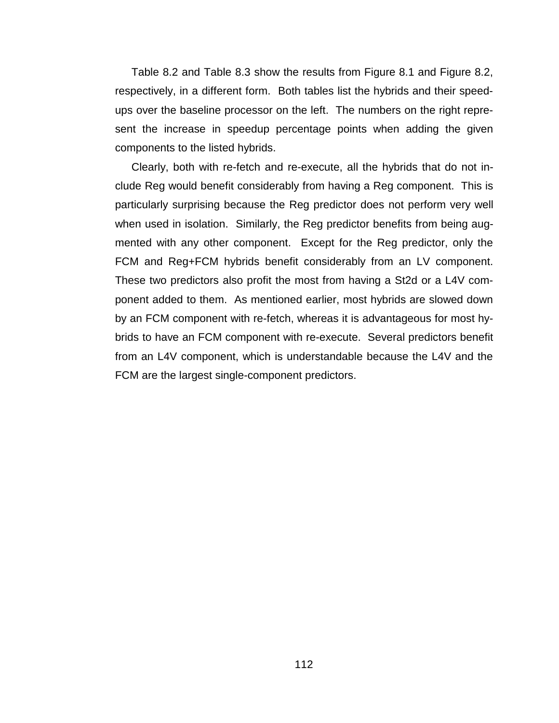Table 8.2 and Table 8.3 show the results from Figure 8.1 and Figure 8.2, respectively, in a different form. Both tables list the hybrids and their speedups over the baseline processor on the left. The numbers on the right represent the increase in speedup percentage points when adding the given components to the listed hybrids.

Clearly, both with re-fetch and re-execute, all the hybrids that do not include Reg would benefit considerably from having a Reg component. This is particularly surprising because the Reg predictor does not perform very well when used in isolation. Similarly, the Reg predictor benefits from being augmented with any other component. Except for the Reg predictor, only the FCM and Reg+FCM hybrids benefit considerably from an LV component. These two predictors also profit the most from having a St2d or a L4V component added to them. As mentioned earlier, most hybrids are slowed down by an FCM component with re-fetch, whereas it is advantageous for most hybrids to have an FCM component with re-execute. Several predictors benefit from an L4V component, which is understandable because the L4V and the FCM are the largest single-component predictors.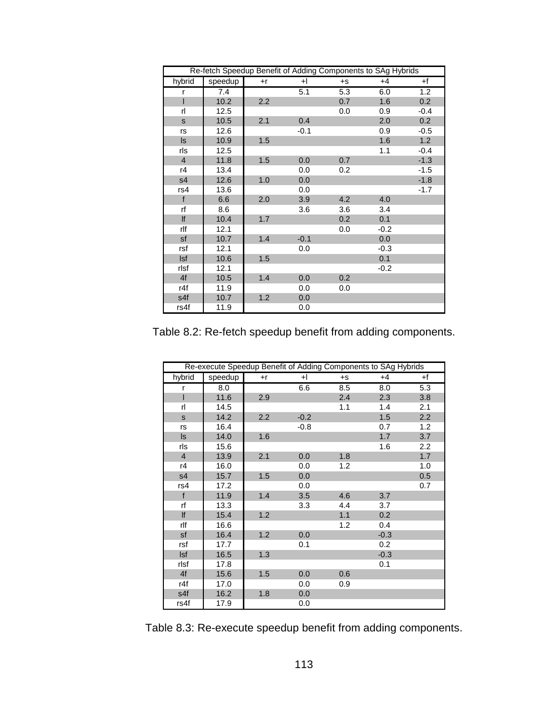| Re-fetch Speedup Benefit of Adding Components to SAg Hybrids |         |      |        |      |        |        |  |  |  |  |
|--------------------------------------------------------------|---------|------|--------|------|--------|--------|--|--|--|--|
| hybrid                                                       | speedup | $+r$ | +l     | $+S$ | $+4$   | +f     |  |  |  |  |
| r                                                            | 7.4     |      | 5.1    | 5.3  | 6.0    | 1.2    |  |  |  |  |
|                                                              | 10.2    | 2.2  |        | 0.7  | 1.6    | 0.2    |  |  |  |  |
| rl                                                           | 12.5    |      |        | 0.0  | 0.9    | $-0.4$ |  |  |  |  |
| s                                                            | 10.5    | 2.1  | 0.4    |      | 2.0    | 0.2    |  |  |  |  |
| rs                                                           | 12.6    |      | $-0.1$ |      | 0.9    | $-0.5$ |  |  |  |  |
| $\sf ls$                                                     | 10.9    | 1.5  |        |      | 1.6    | 1.2    |  |  |  |  |
| rls                                                          | 12.5    |      |        |      | 1.1    | $-0.4$ |  |  |  |  |
| $\overline{4}$                                               | 11.8    | 1.5  | 0.0    | 0.7  |        | $-1.3$ |  |  |  |  |
| r4                                                           | 13.4    |      | 0.0    | 0.2  |        | $-1.5$ |  |  |  |  |
| s <sub>4</sub>                                               | 12.6    | 1.0  | 0.0    |      |        | $-1.8$ |  |  |  |  |
| rs4                                                          | 13.6    |      | 0.0    |      |        | $-1.7$ |  |  |  |  |
| f                                                            | 6.6     | 2.0  | 3.9    | 4.2  | 4.0    |        |  |  |  |  |
| rf                                                           | 8.6     |      | 3.6    | 3.6  | 3.4    |        |  |  |  |  |
| lf                                                           | 10.4    | 1.7  |        | 0.2  | 0.1    |        |  |  |  |  |
| rlf                                                          | 12.1    |      |        | 0.0  | $-0.2$ |        |  |  |  |  |
| sf                                                           | 10.7    | 1.4  | $-0.1$ |      | 0.0    |        |  |  |  |  |
| rsf                                                          | 12.1    |      | 0.0    |      | $-0.3$ |        |  |  |  |  |
| <b>Isf</b>                                                   | 10.6    | 1.5  |        |      | 0.1    |        |  |  |  |  |
| rlsf                                                         | 12.1    |      |        |      | $-0.2$ |        |  |  |  |  |
| 4f                                                           | 10.5    | 1.4  | 0.0    | 0.2  |        |        |  |  |  |  |
| r4f                                                          | 11.9    |      | 0.0    | 0.0  |        |        |  |  |  |  |
| s4f                                                          | 10.7    | 1.2  | 0.0    |      |        |        |  |  |  |  |
| rs4f                                                         | 11.9    |      | 0.0    |      |        |        |  |  |  |  |

Table 8.2: Re-fetch speedup benefit from adding components.

| Re-execute Speedup Benefit of Adding Components to SAg Hybrids |         |      |        |      |        |     |  |  |  |  |
|----------------------------------------------------------------|---------|------|--------|------|--------|-----|--|--|--|--|
| hybrid                                                         | speedup | $+r$ | $+$    | $+S$ | $+4$   | +f  |  |  |  |  |
| r                                                              | 8.0     |      | 6.6    | 8.5  | 8.0    | 5.3 |  |  |  |  |
| I                                                              | 11.6    | 2.9  |        | 2.4  | 2.3    | 3.8 |  |  |  |  |
| rl                                                             | 14.5    |      |        | 1.1  | 1.4    | 2.1 |  |  |  |  |
| s                                                              | 14.2    | 2.2  | $-0.2$ |      | 1.5    | 2.2 |  |  |  |  |
| rs                                                             | 16.4    |      | $-0.8$ |      | 0.7    | 1.2 |  |  |  |  |
| ls                                                             | 14.0    | 1.6  |        |      | 1.7    | 3.7 |  |  |  |  |
| rls                                                            | 15.6    |      |        |      | 1.6    | 2.2 |  |  |  |  |
| $\overline{4}$                                                 | 13.9    | 2.1  | 0.0    | 1.8  |        | 1.7 |  |  |  |  |
| r4                                                             | 16.0    |      | 0.0    | 1.2  |        | 1.0 |  |  |  |  |
| s4                                                             | 15.7    | 1.5  | 0.0    |      |        | 0.5 |  |  |  |  |
| rs4                                                            | 17.2    |      | 0.0    |      |        | 0.7 |  |  |  |  |
| $\mathsf{f}$                                                   | 11.9    | 1.4  | 3.5    | 4.6  | 3.7    |     |  |  |  |  |
| rf                                                             | 13.3    |      | 3.3    | 4.4  | 3.7    |     |  |  |  |  |
| lf                                                             | 15.4    | 1.2  |        | 1.1  | 0.2    |     |  |  |  |  |
| rlf                                                            | 16.6    |      |        | 1.2  | 0.4    |     |  |  |  |  |
| sf                                                             | 16.4    | 1.2  | 0.0    |      | $-0.3$ |     |  |  |  |  |
| rsf                                                            | 17.7    |      | 0.1    |      | 0.2    |     |  |  |  |  |
| <b>Isf</b>                                                     | 16.5    | 1.3  |        |      | $-0.3$ |     |  |  |  |  |
| rlsf                                                           | 17.8    |      |        |      | 0.1    |     |  |  |  |  |
| 4f                                                             | 15.6    | 1.5  | 0.0    | 0.6  |        |     |  |  |  |  |
| r4f                                                            | 17.0    |      | 0.0    | 0.9  |        |     |  |  |  |  |
| s4f                                                            | 16.2    | 1.8  | 0.0    |      |        |     |  |  |  |  |
| rs4f                                                           | 17.9    |      | 0.0    |      |        |     |  |  |  |  |

Table 8.3: Re-execute speedup benefit from adding components.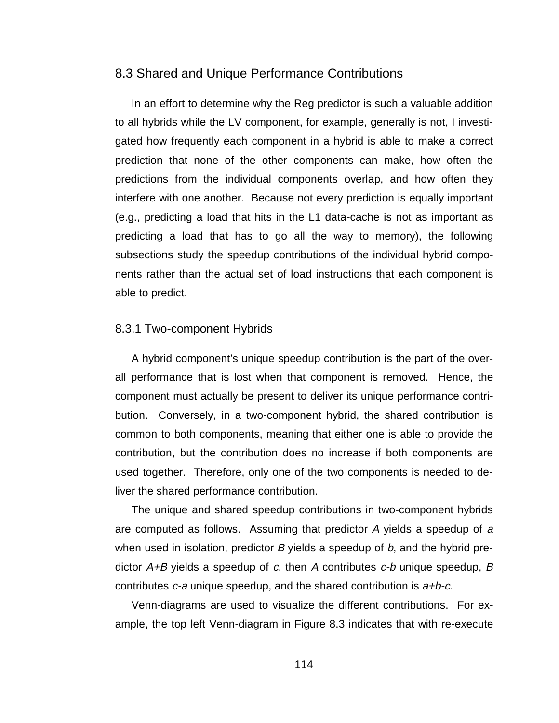### 8.3 Shared and Unique Performance Contributions

In an effort to determine why the Reg predictor is such a valuable addition to all hybrids while the LV component, for example, generally is not, I investigated how frequently each component in a hybrid is able to make a correct prediction that none of the other components can make, how often the predictions from the individual components overlap, and how often they interfere with one another. Because not every prediction is equally important (e.g., predicting a load that hits in the L1 data-cache is not as important as predicting a load that has to go all the way to memory), the following subsections study the speedup contributions of the individual hybrid components rather than the actual set of load instructions that each component is able to predict.

#### 8.3.1 Two-component Hybrids

A hybrid component's unique speedup contribution is the part of the overall performance that is lost when that component is removed. Hence, the component must actually be present to deliver its unique performance contribution. Conversely, in a two-component hybrid, the shared contribution is common to both components, meaning that either one is able to provide the contribution, but the contribution does no increase if both components are used together. Therefore, only one of the two components is needed to deliver the shared performance contribution.

The unique and shared speedup contributions in two-component hybrids are computed as follows. Assuming that predictor A yields a speedup of <sup>a</sup> when used in isolation, predictor B yields a speedup of  $b$ , and the hybrid predictor  $A+B$  yields a speedup of c, then A contributes  $c-b$  unique speedup, B contributes  $c$ -a unique speedup, and the shared contribution is  $a+b-c$ .

Venn-diagrams are used to visualize the different contributions. For example, the top left Venn-diagram in Figure 8.3 indicates that with re-execute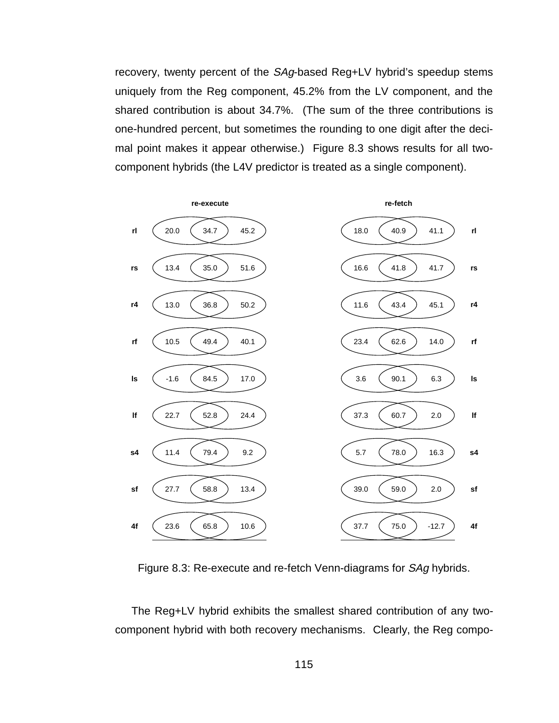recovery, twenty percent of the SAg-based Reg+LV hybrid's speedup stems uniquely from the Reg component, 45.2% from the LV component, and the shared contribution is about 34.7%. (The sum of the three contributions is one-hundred percent, but sometimes the rounding to one digit after the decimal point makes it appear otherwise.) Figure 8.3 shows results for all twocomponent hybrids (the L4V predictor is treated as a single component).



Figure 8.3: Re-execute and re-fetch Venn-diagrams for SAg hybrids.

The Reg+LV hybrid exhibits the smallest shared contribution of any twocomponent hybrid with both recovery mechanisms. Clearly, the Reg compo-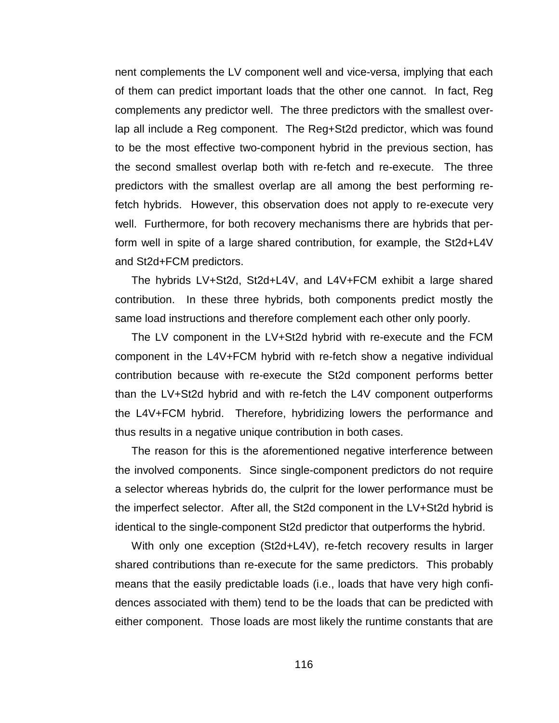nent complements the LV component well and vice-versa, implying that each of them can predict important loads that the other one cannot. In fact, Reg complements any predictor well. The three predictors with the smallest overlap all include a Reg component. The Reg+St2d predictor, which was found to be the most effective two-component hybrid in the previous section, has the second smallest overlap both with re-fetch and re-execute. The three predictors with the smallest overlap are all among the best performing refetch hybrids. However, this observation does not apply to re-execute very well. Furthermore, for both recovery mechanisms there are hybrids that perform well in spite of a large shared contribution, for example, the St2d+L4V and St2d+FCM predictors.

The hybrids LV+St2d, St2d+L4V, and L4V+FCM exhibit a large shared contribution. In these three hybrids, both components predict mostly the same load instructions and therefore complement each other only poorly.

The LV component in the LV+St2d hybrid with re-execute and the FCM component in the L4V+FCM hybrid with re-fetch show a negative individual contribution because with re-execute the St2d component performs better than the LV+St2d hybrid and with re-fetch the L4V component outperforms the L4V+FCM hybrid. Therefore, hybridizing lowers the performance and thus results in a negative unique contribution in both cases.

The reason for this is the aforementioned negative interference between the involved components. Since single-component predictors do not require a selector whereas hybrids do, the culprit for the lower performance must be the imperfect selector. After all, the St2d component in the LV+St2d hybrid is identical to the single-component St2d predictor that outperforms the hybrid.

With only one exception (St2d+L4V), re-fetch recovery results in larger shared contributions than re-execute for the same predictors. This probably means that the easily predictable loads (i.e., loads that have very high confidences associated with them) tend to be the loads that can be predicted with either component. Those loads are most likely the runtime constants that are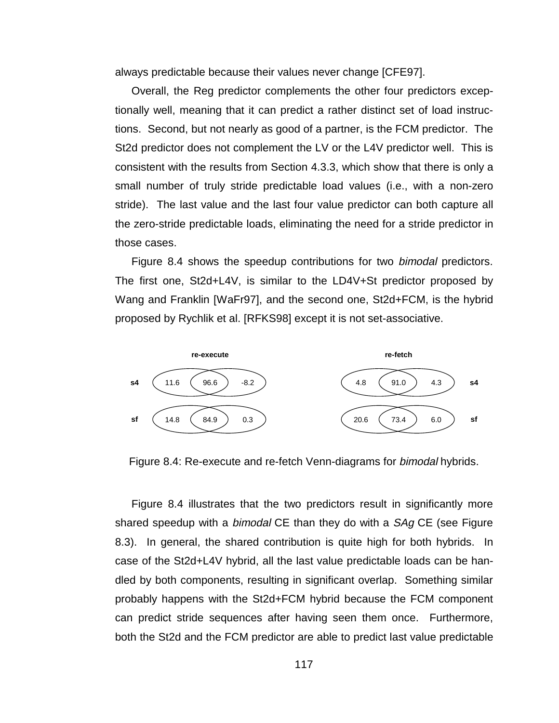always predictable because their values never change [CFE97].

Overall, the Reg predictor complements the other four predictors exceptionally well, meaning that it can predict a rather distinct set of load instructions. Second, but not nearly as good of a partner, is the FCM predictor. The St2d predictor does not complement the LV or the L4V predictor well. This is consistent with the results from Section 4.3.3, which show that there is only a small number of truly stride predictable load values (i.e., with a non-zero stride). The last value and the last four value predictor can both capture all the zero-stride predictable loads, eliminating the need for a stride predictor in those cases.

Figure 8.4 shows the speedup contributions for two *bimodal* predictors. The first one, St2d+L4V, is similar to the LD4V+St predictor proposed by Wang and Franklin [WaFr97], and the second one, St2d+FCM, is the hybrid proposed by Rychlik et al. [RFKS98] except it is not set-associative.



Figure 8.4: Re-execute and re-fetch Venn-diagrams for *bimodal* hybrids.

Figure 8.4 illustrates that the two predictors result in significantly more shared speedup with a *bimodal* CE than they do with a SAg CE (see Figure 8.3). In general, the shared contribution is quite high for both hybrids. In case of the St2d+L4V hybrid, all the last value predictable loads can be handled by both components, resulting in significant overlap. Something similar probably happens with the St2d+FCM hybrid because the FCM component can predict stride sequences after having seen them once. Furthermore, both the St2d and the FCM predictor are able to predict last value predictable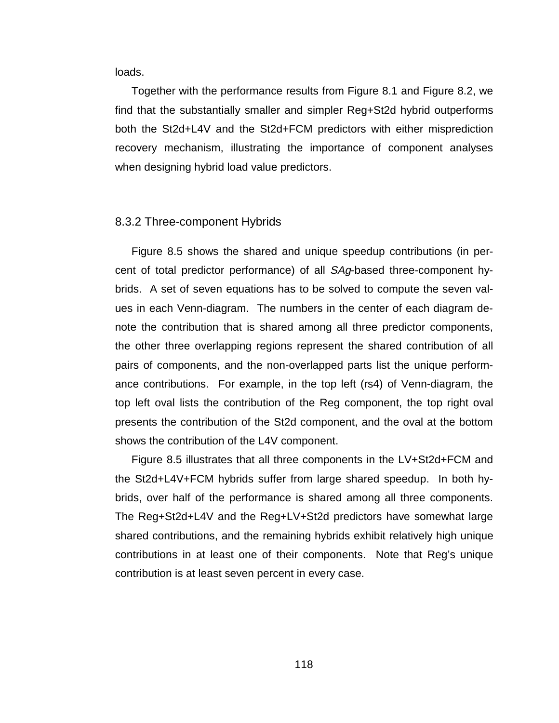loads.

Together with the performance results from Figure 8.1 and Figure 8.2, we find that the substantially smaller and simpler Reg+St2d hybrid outperforms both the St2d+L4V and the St2d+FCM predictors with either misprediction recovery mechanism, illustrating the importance of component analyses when designing hybrid load value predictors.

#### 8.3.2 Three-component Hybrids

Figure 8.5 shows the shared and unique speedup contributions (in percent of total predictor performance) of all SAg-based three-component hybrids. A set of seven equations has to be solved to compute the seven values in each Venn-diagram. The numbers in the center of each diagram denote the contribution that is shared among all three predictor components, the other three overlapping regions represent the shared contribution of all pairs of components, and the non-overlapped parts list the unique performance contributions. For example, in the top left (rs4) of Venn-diagram, the top left oval lists the contribution of the Reg component, the top right oval presents the contribution of the St2d component, and the oval at the bottom shows the contribution of the L4V component.

Figure 8.5 illustrates that all three components in the LV+St2d+FCM and the St2d+L4V+FCM hybrids suffer from large shared speedup. In both hybrids, over half of the performance is shared among all three components. The Reg+St2d+L4V and the Reg+LV+St2d predictors have somewhat large shared contributions, and the remaining hybrids exhibit relatively high unique contributions in at least one of their components. Note that Reg's unique contribution is at least seven percent in every case.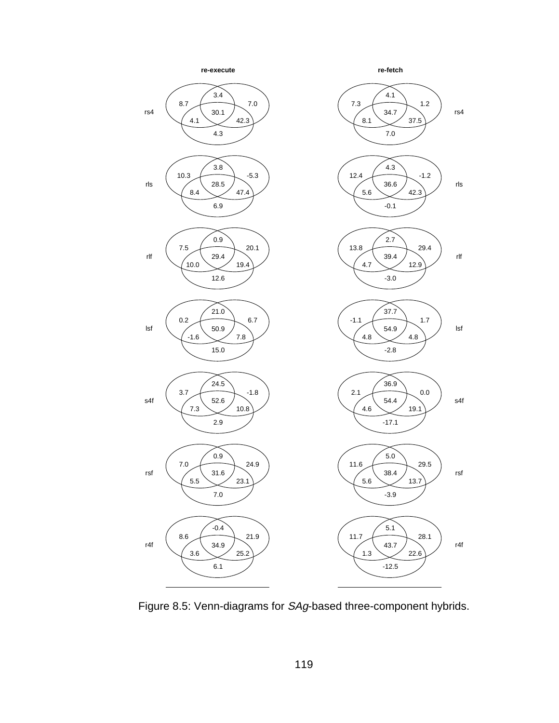

Figure 8.5: Venn-diagrams for SAg-based three-component hybrids.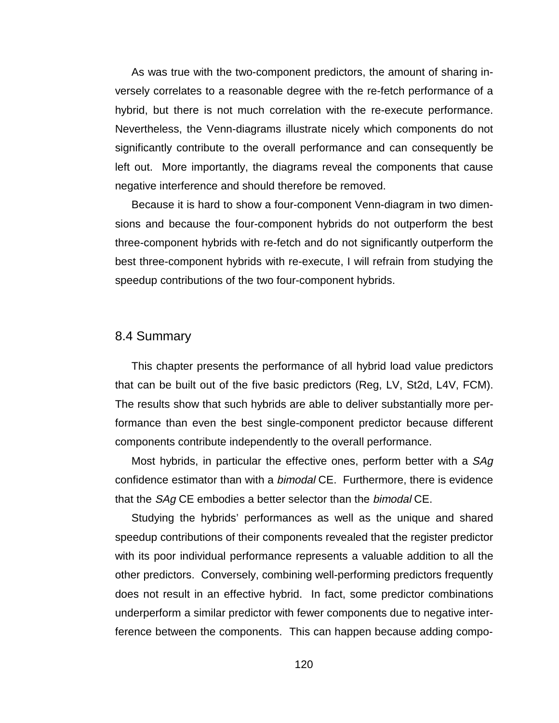As was true with the two-component predictors, the amount of sharing inversely correlates to a reasonable degree with the re-fetch performance of a hybrid, but there is not much correlation with the re-execute performance. Nevertheless, the Venn-diagrams illustrate nicely which components do not significantly contribute to the overall performance and can consequently be left out. More importantly, the diagrams reveal the components that cause negative interference and should therefore be removed.

Because it is hard to show a four-component Venn-diagram in two dimensions and because the four-component hybrids do not outperform the best three-component hybrids with re-fetch and do not significantly outperform the best three-component hybrids with re-execute, I will refrain from studying the speedup contributions of the two four-component hybrids.

## 8.4 Summary

This chapter presents the performance of all hybrid load value predictors that can be built out of the five basic predictors (Reg, LV, St2d, L4V, FCM). The results show that such hybrids are able to deliver substantially more performance than even the best single-component predictor because different components contribute independently to the overall performance.

Most hybrids, in particular the effective ones, perform better with a SAg confidence estimator than with a *bimodal* CE. Furthermore, there is evidence that the SAg CE embodies a better selector than the bimodal CE.

Studying the hybrids' performances as well as the unique and shared speedup contributions of their components revealed that the register predictor with its poor individual performance represents a valuable addition to all the other predictors. Conversely, combining well-performing predictors frequently does not result in an effective hybrid. In fact, some predictor combinations underperform a similar predictor with fewer components due to negative interference between the components. This can happen because adding compo-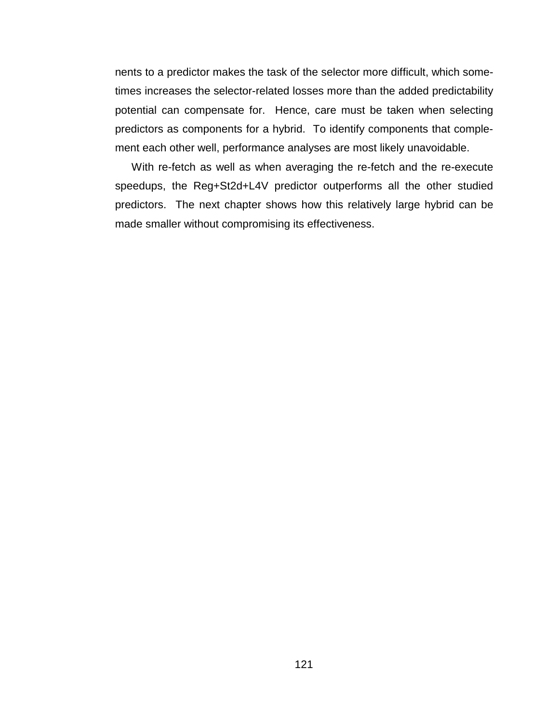nents to a predictor makes the task of the selector more difficult, which sometimes increases the selector-related losses more than the added predictability potential can compensate for. Hence, care must be taken when selecting predictors as components for a hybrid. To identify components that complement each other well, performance analyses are most likely unavoidable.

With re-fetch as well as when averaging the re-fetch and the re-execute speedups, the Reg+St2d+L4V predictor outperforms all the other studied predictors. The next chapter shows how this relatively large hybrid can be made smaller without compromising its effectiveness.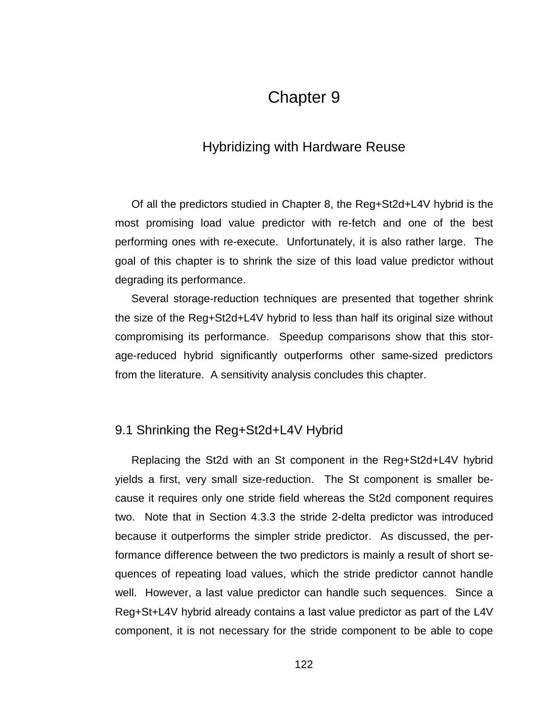# Chapter 9

## Hybridizing with Hardware Reuse

Of all the predictors studied in Chapter 8, the Reg+St2d+L4V hybrid is the most promising load value predictor with re-fetch and one of the best performing ones with re-execute. Unfortunately, it is also rather large. The goal of this chapter is to shrink the size of this load value predictor without degrading its performance.

Several storage-reduction techniques are presented that together shrink the size of the Reg+St2d+L4V hybrid to less than half its original size without compromising its performance. Speedup comparisons show that this storage-reduced hybrid significantly outperforms other same-sized predictors from the literature. A sensitivity analysis concludes this chapter.

## 9.1 Shrinking the Reg+St2d+L4V Hybrid

Replacing the St2d with an St component in the Reg+St2d+L4V hybrid yields a first, very small size-reduction. The St component is smaller because it requires only one stride field whereas the St2d component requires two. Note that in Section 4.3.3 the stride 2-delta predictor was introduced because it outperforms the simpler stride predictor. As discussed, the performance difference between the two predictors is mainly a result of short sequences of repeating load values, which the stride predictor cannot handle well. However, a last value predictor can handle such sequences. Since a Reg+St+L4V hybrid already contains a last value predictor as part of the L4V component, it is not necessary for the stride component to be able to cope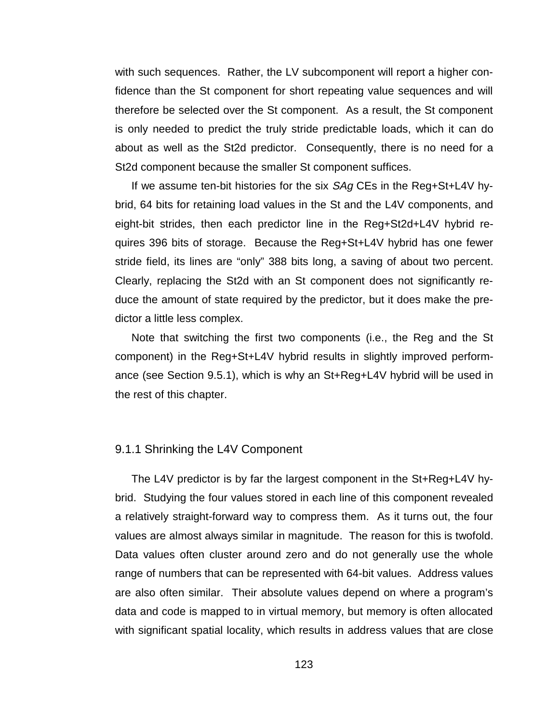with such sequences. Rather, the LV subcomponent will report a higher confidence than the St component for short repeating value sequences and will therefore be selected over the St component. As a result, the St component is only needed to predict the truly stride predictable loads, which it can do about as well as the St2d predictor. Consequently, there is no need for a St2d component because the smaller St component suffices.

If we assume ten-bit histories for the six SAg CEs in the Reg+St+L4V hybrid, 64 bits for retaining load values in the St and the L4V components, and eight-bit strides, then each predictor line in the Reg+St2d+L4V hybrid requires 396 bits of storage. Because the Reg+St+L4V hybrid has one fewer stride field, its lines are "only" 388 bits long, a saving of about two percent. Clearly, replacing the St2d with an St component does not significantly reduce the amount of state required by the predictor, but it does make the predictor a little less complex.

Note that switching the first two components (i.e., the Reg and the St component) in the Reg+St+L4V hybrid results in slightly improved performance (see Section 9.5.1), which is why an St+Reg+L4V hybrid will be used in the rest of this chapter.

## 9.1.1 Shrinking the L4V Component

The L4V predictor is by far the largest component in the St+Reg+L4V hybrid. Studying the four values stored in each line of this component revealed a relatively straight-forward way to compress them. As it turns out, the four values are almost always similar in magnitude. The reason for this is twofold. Data values often cluster around zero and do not generally use the whole range of numbers that can be represented with 64-bit values. Address values are also often similar. Their absolute values depend on where a program's data and code is mapped to in virtual memory, but memory is often allocated with significant spatial locality, which results in address values that are close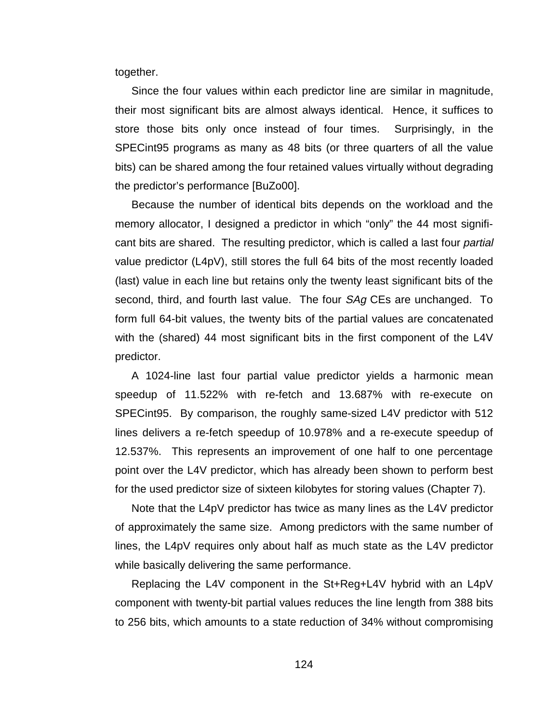together.

Since the four values within each predictor line are similar in magnitude, their most significant bits are almost always identical. Hence, it suffices to store those bits only once instead of four times. Surprisingly, in the SPECint95 programs as many as 48 bits (or three quarters of all the value bits) can be shared among the four retained values virtually without degrading the predictor's performance [BuZo00].

Because the number of identical bits depends on the workload and the memory allocator, I designed a predictor in which "only" the 44 most significant bits are shared. The resulting predictor, which is called a last four partial value predictor (L4pV), still stores the full 64 bits of the most recently loaded (last) value in each line but retains only the twenty least significant bits of the second, third, and fourth last value. The four SAg CEs are unchanged. To form full 64-bit values, the twenty bits of the partial values are concatenated with the (shared) 44 most significant bits in the first component of the L4V predictor.

A 1024-line last four partial value predictor yields a harmonic mean speedup of 11.522% with re-fetch and 13.687% with re-execute on SPECint95. By comparison, the roughly same-sized L4V predictor with 512 lines delivers a re-fetch speedup of 10.978% and a re-execute speedup of 12.537%. This represents an improvement of one half to one percentage point over the L4V predictor, which has already been shown to perform best for the used predictor size of sixteen kilobytes for storing values (Chapter 7).

Note that the L4pV predictor has twice as many lines as the L4V predictor of approximately the same size. Among predictors with the same number of lines, the L4pV requires only about half as much state as the L4V predictor while basically delivering the same performance.

Replacing the L4V component in the St+Reg+L4V hybrid with an L4pV component with twenty-bit partial values reduces the line length from 388 bits to 256 bits, which amounts to a state reduction of 34% without compromising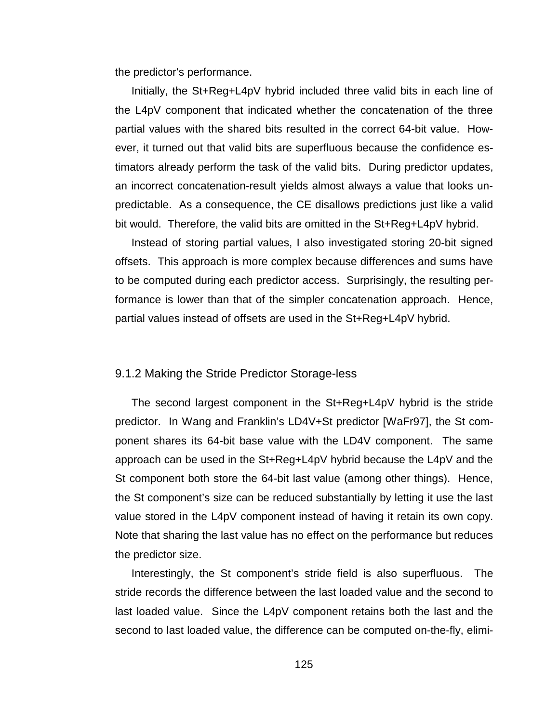the predictor's performance.

Initially, the St+Reg+L4pV hybrid included three valid bits in each line of the L4pV component that indicated whether the concatenation of the three partial values with the shared bits resulted in the correct 64-bit value. However, it turned out that valid bits are superfluous because the confidence estimators already perform the task of the valid bits. During predictor updates, an incorrect concatenation-result yields almost always a value that looks unpredictable. As a consequence, the CE disallows predictions just like a valid bit would. Therefore, the valid bits are omitted in the St+Reg+L4pV hybrid.

Instead of storing partial values, I also investigated storing 20-bit signed offsets. This approach is more complex because differences and sums have to be computed during each predictor access. Surprisingly, the resulting performance is lower than that of the simpler concatenation approach. Hence, partial values instead of offsets are used in the St+Reg+L4pV hybrid.

#### 9.1.2 Making the Stride Predictor Storage-less

The second largest component in the St+Reg+L4pV hybrid is the stride predictor. In Wang and Franklin's LD4V+St predictor [WaFr97], the St component shares its 64-bit base value with the LD4V component. The same approach can be used in the St+Reg+L4pV hybrid because the L4pV and the St component both store the 64-bit last value (among other things). Hence, the St component's size can be reduced substantially by letting it use the last value stored in the L4pV component instead of having it retain its own copy. Note that sharing the last value has no effect on the performance but reduces the predictor size.

Interestingly, the St component's stride field is also superfluous. The stride records the difference between the last loaded value and the second to last loaded value. Since the L4pV component retains both the last and the second to last loaded value, the difference can be computed on-the-fly, elimi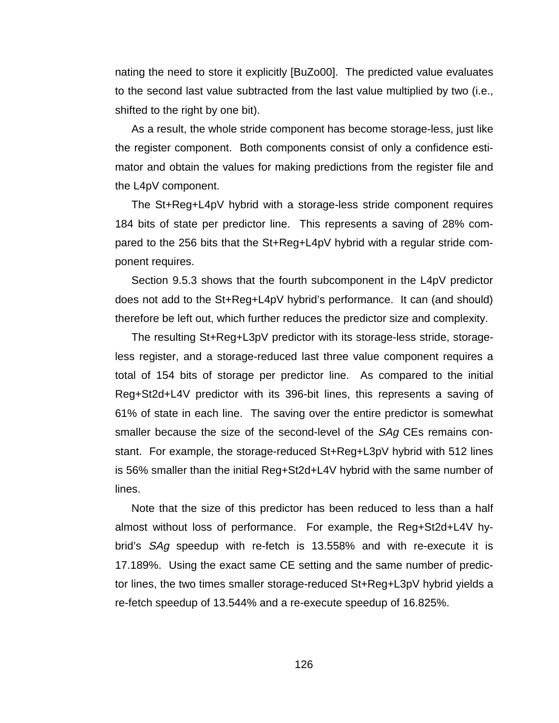nating the need to store it explicitly [BuZo00]. The predicted value evaluates to the second last value subtracted from the last value multiplied by two (i.e., shifted to the right by one bit).

As a result, the whole stride component has become storage-less, just like the register component. Both components consist of only a confidence estimator and obtain the values for making predictions from the register file and the L4pV component.

The St+Reg+L4pV hybrid with a storage-less stride component requires 184 bits of state per predictor line. This represents a saving of 28% compared to the 256 bits that the St+Reg+L4pV hybrid with a regular stride component requires.

Section 9.5.3 shows that the fourth subcomponent in the L4pV predictor does not add to the St+Reg+L4pV hybrid's performance. It can (and should) therefore be left out, which further reduces the predictor size and complexity.

The resulting St+Reg+L3pV predictor with its storage-less stride, storageless register, and a storage-reduced last three value component requires a total of 154 bits of storage per predictor line. As compared to the initial Reg+St2d+L4V predictor with its 396-bit lines, this represents a saving of 61% of state in each line. The saving over the entire predictor is somewhat smaller because the size of the second-level of the SAq CEs remains constant. For example, the storage-reduced St+Reg+L3pV hybrid with 512 lines is 56% smaller than the initial Reg+St2d+L4V hybrid with the same number of lines.

Note that the size of this predictor has been reduced to less than a half almost without loss of performance. For example, the Reg+St2d+L4V hybrid's *SAg* speedup with re-fetch is 13.558% and with re-execute it is 17.189%. Using the exact same CE setting and the same number of predictor lines, the two times smaller storage-reduced St+Reg+L3pV hybrid yields a re-fetch speedup of 13.544% and a re-execute speedup of 16.825%.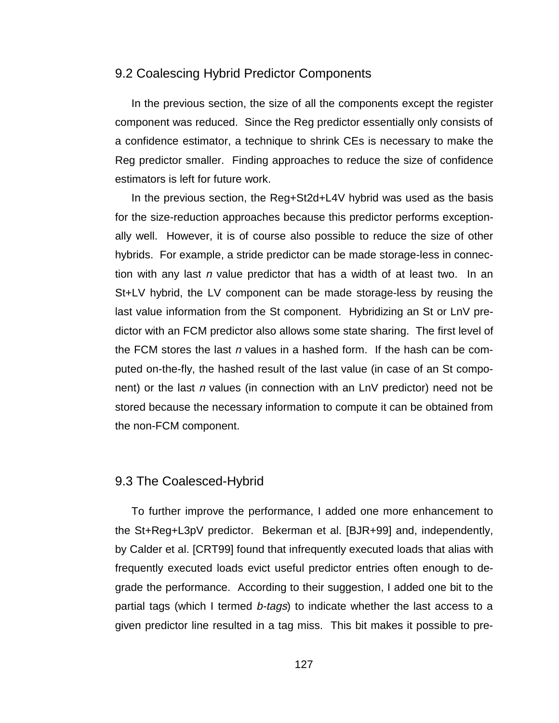## 9.2 Coalescing Hybrid Predictor Components

In the previous section, the size of all the components except the register component was reduced. Since the Reg predictor essentially only consists of a confidence estimator, a technique to shrink CEs is necessary to make the Reg predictor smaller. Finding approaches to reduce the size of confidence estimators is left for future work.

In the previous section, the Reg+St2d+L4V hybrid was used as the basis for the size-reduction approaches because this predictor performs exceptionally well. However, it is of course also possible to reduce the size of other hybrids. For example, a stride predictor can be made storage-less in connection with any last *n* value predictor that has a width of at least two. In an St+LV hybrid, the LV component can be made storage-less by reusing the last value information from the St component. Hybridizing an St or LnV predictor with an FCM predictor also allows some state sharing. The first level of the FCM stores the last n values in a hashed form. If the hash can be computed on-the-fly, the hashed result of the last value (in case of an St component) or the last n values (in connection with an LnV predictor) need not be stored because the necessary information to compute it can be obtained from the non-FCM component.

## 9.3 The Coalesced-Hybrid

To further improve the performance, I added one more enhancement to the St+Reg+L3pV predictor. Bekerman et al. [BJR+99] and, independently, by Calder et al. [CRT99] found that infrequently executed loads that alias with frequently executed loads evict useful predictor entries often enough to degrade the performance. According to their suggestion, I added one bit to the partial tags (which I termed *b-tags*) to indicate whether the last access to a given predictor line resulted in a tag miss. This bit makes it possible to pre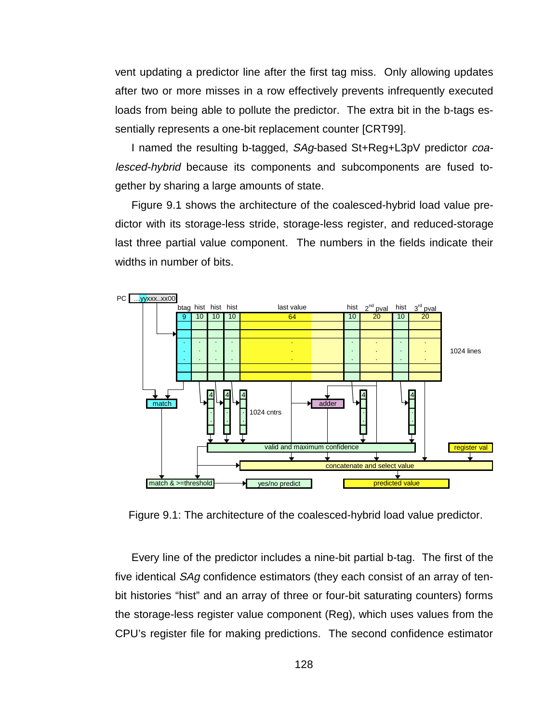vent updating a predictor line after the first tag miss. Only allowing updates after two or more misses in a row effectively prevents infrequently executed loads from being able to pollute the predictor. The extra bit in the b-tags essentially represents a one-bit replacement counter [CRT99].

I named the resulting b-tagged, SAg-based St+Reg+L3pV predictor coalesced-hybrid because its components and subcomponents are fused together by sharing a large amounts of state.

Figure 9.1 shows the architecture of the coalesced-hybrid load value predictor with its storage-less stride, storage-less register, and reduced-storage last three partial value component. The numbers in the fields indicate their widths in number of bits.



Figure 9.1: The architecture of the coalesced-hybrid load value predictor.

Every line of the predictor includes a nine-bit partial b-tag. The first of the five identical SAg confidence estimators (they each consist of an array of tenbit histories "hist" and an array of three or four-bit saturating counters) forms the storage-less register value component (Reg), which uses values from the CPU's register file for making predictions. The second confidence estimator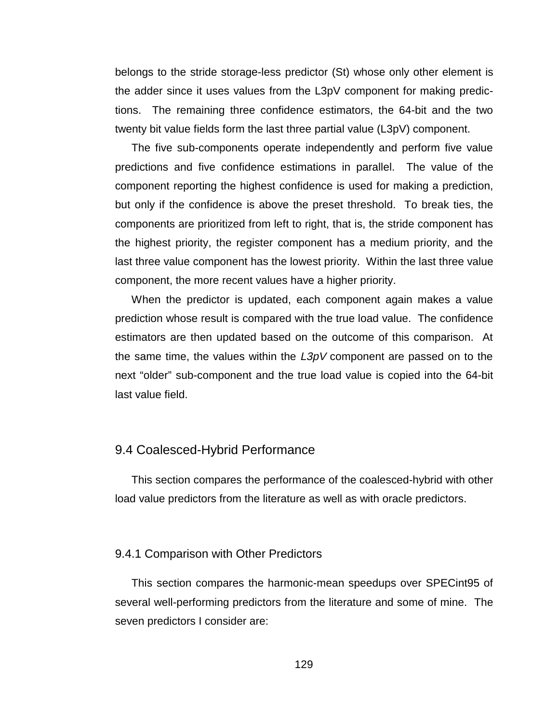belongs to the stride storage-less predictor (St) whose only other element is the adder since it uses values from the L3pV component for making predictions. The remaining three confidence estimators, the 64-bit and the two twenty bit value fields form the last three partial value (L3pV) component.

The five sub-components operate independently and perform five value predictions and five confidence estimations in parallel. The value of the component reporting the highest confidence is used for making a prediction, but only if the confidence is above the preset threshold. To break ties, the components are prioritized from left to right, that is, the stride component has the highest priority, the register component has a medium priority, and the last three value component has the lowest priority. Within the last three value component, the more recent values have a higher priority.

When the predictor is updated, each component again makes a value prediction whose result is compared with the true load value. The confidence estimators are then updated based on the outcome of this comparison. At the same time, the values within the  $L3pV$  component are passed on to the next "older" sub-component and the true load value is copied into the 64-bit last value field.

## 9.4 Coalesced-Hybrid Performance

This section compares the performance of the coalesced-hybrid with other load value predictors from the literature as well as with oracle predictors.

#### 9.4.1 Comparison with Other Predictors

This section compares the harmonic-mean speedups over SPECint95 of several well-performing predictors from the literature and some of mine. The seven predictors I consider are: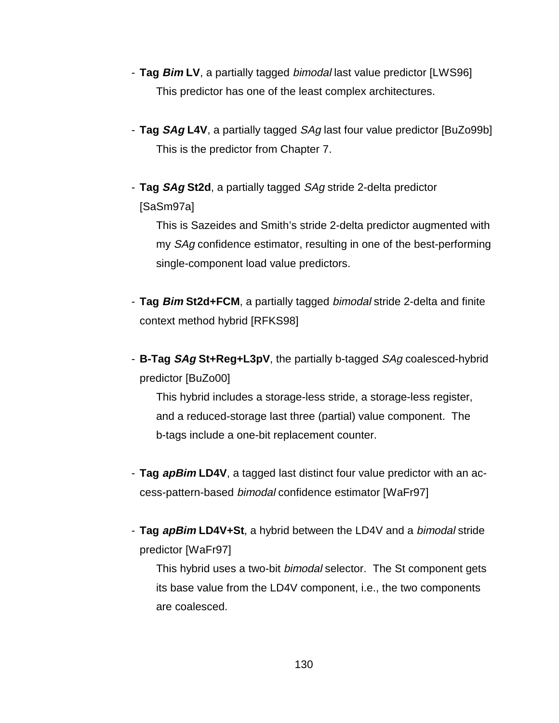- **Tag Bim LV**, a partially tagged bimodal last value predictor [LWS96] This predictor has one of the least complex architectures.
- **Tag SAg L4V**, a partially tagged SAg last four value predictor [BuZo99b] This is the predictor from Chapter 7.
- **Tag SAg St2d**, a partially tagged SAg stride 2-delta predictor [SaSm97a]

 This is Sazeides and Smith's stride 2-delta predictor augmented with my SAg confidence estimator, resulting in one of the best-performing single-component load value predictors.

- **Tag Bim St2d+FCM**, a partially tagged bimodal stride 2-delta and finite context method hybrid [RFKS98]
- **B-Tag SAg St+Reg+L3pV**, the partially b-tagged SAg coalesced-hybrid predictor [BuZo00]

 This hybrid includes a storage-less stride, a storage-less register, and a reduced-storage last three (partial) value component. The b-tags include a one-bit replacement counter.

- **Tag apBim LD4V**, a tagged last distinct four value predictor with an access-pattern-based bimodal confidence estimator [WaFr97]
- **Tag apBim LD4V+St**, a hybrid between the LD4V and a bimodal stride predictor [WaFr97]

This hybrid uses a two-bit *bimodal* selector. The St component gets its base value from the LD4V component, i.e., the two components are coalesced.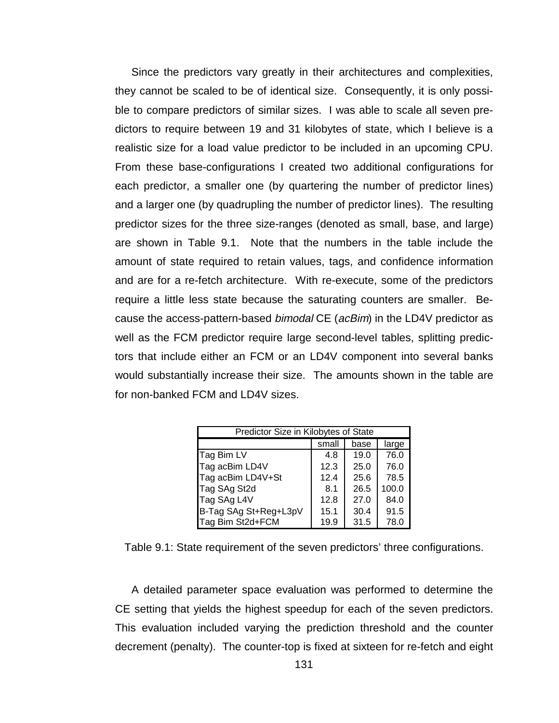Since the predictors vary greatly in their architectures and complexities, they cannot be scaled to be of identical size. Consequently, it is only possible to compare predictors of similar sizes. I was able to scale all seven predictors to require between 19 and 31 kilobytes of state, which I believe is a realistic size for a load value predictor to be included in an upcoming CPU. From these base-configurations I created two additional configurations for each predictor, a smaller one (by quartering the number of predictor lines) and a larger one (by quadrupling the number of predictor lines). The resulting predictor sizes for the three size-ranges (denoted as small, base, and large) are shown in Table 9.1. Note that the numbers in the table include the amount of state required to retain values, tags, and confidence information and are for a re-fetch architecture. With re-execute, some of the predictors require a little less state because the saturating counters are smaller. Because the access-pattern-based *bimodal* CE (acBim) in the LD4V predictor as well as the FCM predictor require large second-level tables, splitting predictors that include either an FCM or an LD4V component into several banks would substantially increase their size. The amounts shown in the table are for non-banked FCM and LD4V sizes.

| Predictor Size in Kilobytes of State |       |      |       |  |  |  |  |  |  |  |
|--------------------------------------|-------|------|-------|--|--|--|--|--|--|--|
|                                      | small | base | large |  |  |  |  |  |  |  |
| Tag Bim LV                           | 4.8   | 19.0 | 76.0  |  |  |  |  |  |  |  |
| Tag acBim LD4V                       | 12.3  | 25.0 | 76.0  |  |  |  |  |  |  |  |
| Tag acBim LD4V+St                    | 12.4  | 25.6 | 78.5  |  |  |  |  |  |  |  |
| Tag SAg St2d                         | 8.1   | 26.5 | 100.0 |  |  |  |  |  |  |  |
| Tag SAg L4V                          | 12.8  | 27.0 | 84.0  |  |  |  |  |  |  |  |
| B-Tag SAg St+Reg+L3pV                | 15.1  | 30.4 | 91.5  |  |  |  |  |  |  |  |
| Tag Bim St2d+FCM                     | 19.9  | 31.5 | 78.0  |  |  |  |  |  |  |  |

Table 9.1: State requirement of the seven predictors' three configurations.

A detailed parameter space evaluation was performed to determine the CE setting that yields the highest speedup for each of the seven predictors. This evaluation included varying the prediction threshold and the counter decrement (penalty). The counter-top is fixed at sixteen for re-fetch and eight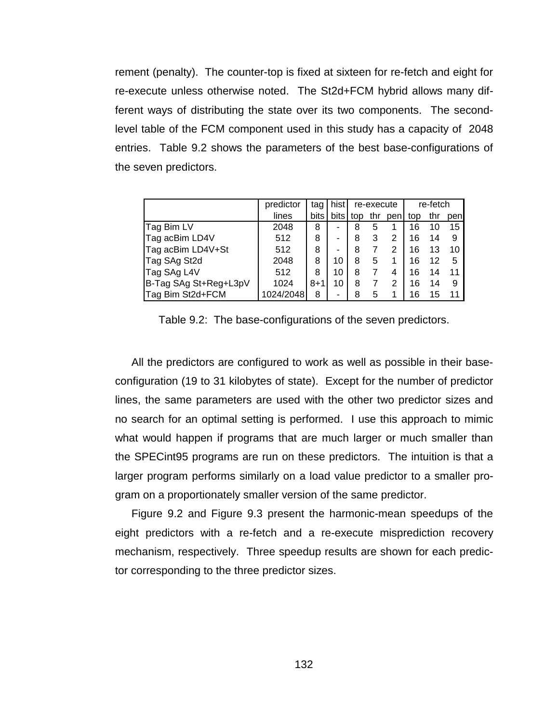rement (penalty). The counter-top is fixed at sixteen for re-fetch and eight for re-execute unless otherwise noted. The St2d+FCM hybrid allows many different ways of distributing the state over its two components. The secondlevel table of the FCM component used in this study has a capacity of 2048 entries. Table 9.2 shows the parameters of the best base-configurations of the seven predictors.

|                       | predictor | tag         | hist | re-execute |     |      | re-fetch |     |      |
|-----------------------|-----------|-------------|------|------------|-----|------|----------|-----|------|
|                       | lines     | <b>bits</b> | bits | top        | thr | penl | top      | thr | penl |
| Tag Bim LV            | 2048      | 8           | ۰    | 8          | 5   |      | 16       | 10  | 15   |
| Tag acBim LD4V        | 512       | 8           | ۰    | 8          | 3   | 2    | 16       | 14  | 9    |
| Tag acBim LD4V+St     | 512       | 8           | -    | 8          |     | 2    | 16       | 13  | 10   |
| Tag SAg St2d          | 2048      | 8           | 10   | 8          | 5   |      | 16       | 12  | -5   |
| Tag SAg L4V           | 512       | 8           | 10   | 8          |     | 4    | 16       | 14  | 11   |
| B-Tag SAg St+Reg+L3pV | 1024      | $8 + 1$     | 10   | 8          |     | 2    | 16       | 14  | 9    |
| Tag Bim St2d+FCM      | 1024/2048 | 8           | -    | 8          | 5   |      | 16       | 15  |      |

Table 9.2: The base-configurations of the seven predictors.

All the predictors are configured to work as well as possible in their baseconfiguration (19 to 31 kilobytes of state). Except for the number of predictor lines, the same parameters are used with the other two predictor sizes and no search for an optimal setting is performed. I use this approach to mimic what would happen if programs that are much larger or much smaller than the SPECint95 programs are run on these predictors. The intuition is that a larger program performs similarly on a load value predictor to a smaller program on a proportionately smaller version of the same predictor.

Figure 9.2 and Figure 9.3 present the harmonic-mean speedups of the eight predictors with a re-fetch and a re-execute misprediction recovery mechanism, respectively. Three speedup results are shown for each predictor corresponding to the three predictor sizes.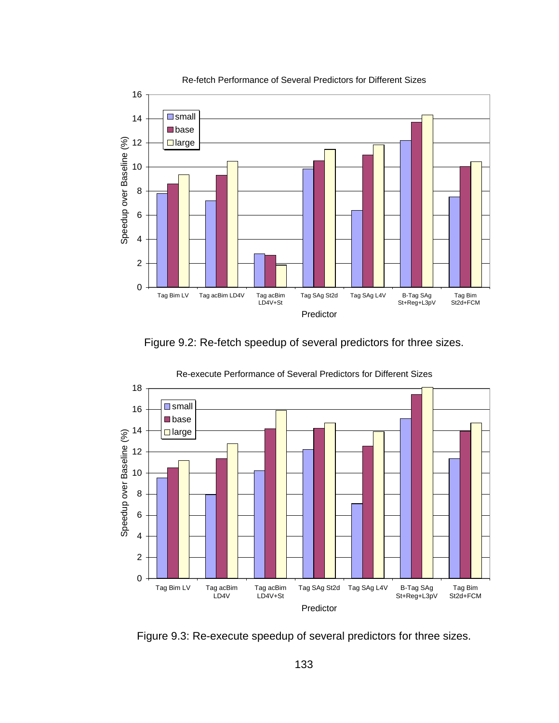

Figure 9.2: Re-fetch speedup of several predictors for three sizes.



Re-execute Performance of Several Predictors for Different Sizes

Figure 9.3: Re-execute speedup of several predictors for three sizes.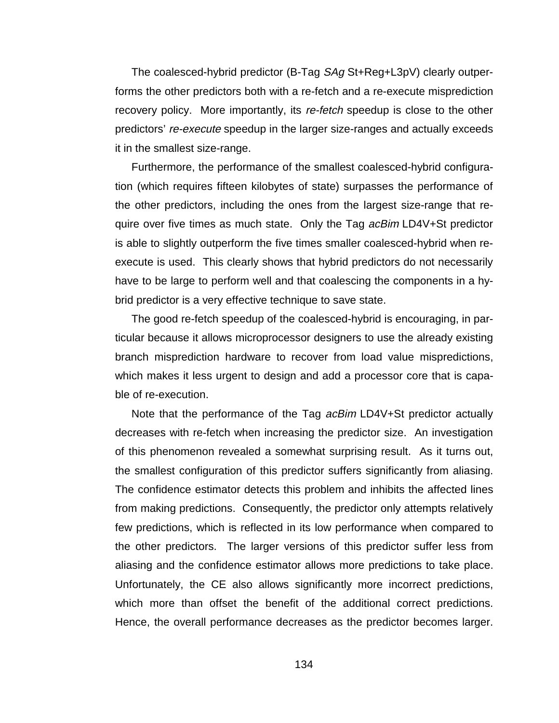The coalesced-hybrid predictor (B-Tag SAg St+Reg+L3pV) clearly outperforms the other predictors both with a re-fetch and a re-execute misprediction recovery policy. More importantly, its re-fetch speedup is close to the other predictors' re-execute speedup in the larger size-ranges and actually exceeds it in the smallest size-range.

Furthermore, the performance of the smallest coalesced-hybrid configuration (which requires fifteen kilobytes of state) surpasses the performance of the other predictors, including the ones from the largest size-range that require over five times as much state. Only the Tag acBim LD4V+St predictor is able to slightly outperform the five times smaller coalesced-hybrid when reexecute is used. This clearly shows that hybrid predictors do not necessarily have to be large to perform well and that coalescing the components in a hybrid predictor is a very effective technique to save state.

The good re-fetch speedup of the coalesced-hybrid is encouraging, in particular because it allows microprocessor designers to use the already existing branch misprediction hardware to recover from load value mispredictions, which makes it less urgent to design and add a processor core that is capable of re-execution.

Note that the performance of the Tag *acBim* LD4V+St predictor actually decreases with re-fetch when increasing the predictor size. An investigation of this phenomenon revealed a somewhat surprising result. As it turns out, the smallest configuration of this predictor suffers significantly from aliasing. The confidence estimator detects this problem and inhibits the affected lines from making predictions. Consequently, the predictor only attempts relatively few predictions, which is reflected in its low performance when compared to the other predictors. The larger versions of this predictor suffer less from aliasing and the confidence estimator allows more predictions to take place. Unfortunately, the CE also allows significantly more incorrect predictions, which more than offset the benefit of the additional correct predictions. Hence, the overall performance decreases as the predictor becomes larger.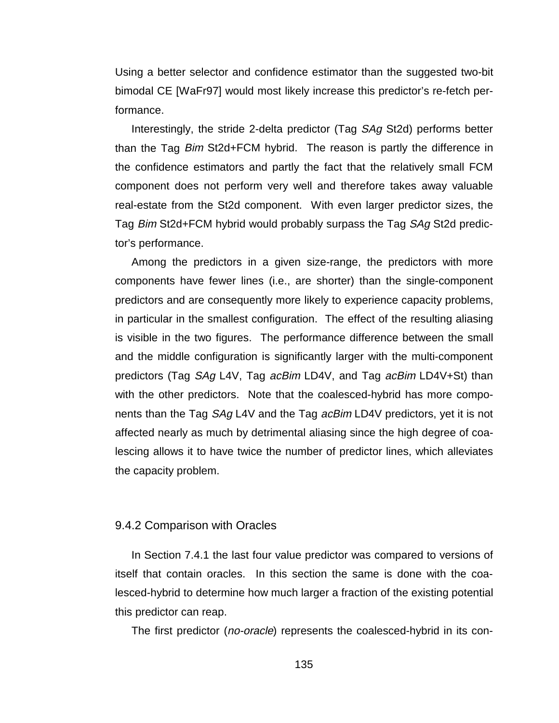Using a better selector and confidence estimator than the suggested two-bit bimodal CE [WaFr97] would most likely increase this predictor's re-fetch performance.

Interestingly, the stride 2-delta predictor (Tag SAg St2d) performs better than the Tag Bim St2d+FCM hybrid. The reason is partly the difference in the confidence estimators and partly the fact that the relatively small FCM component does not perform very well and therefore takes away valuable real-estate from the St2d component. With even larger predictor sizes, the Tag Bim St2d+FCM hybrid would probably surpass the Tag SAg St2d predictor's performance.

Among the predictors in a given size-range, the predictors with more components have fewer lines (i.e., are shorter) than the single-component predictors and are consequently more likely to experience capacity problems, in particular in the smallest configuration. The effect of the resulting aliasing is visible in the two figures. The performance difference between the small and the middle configuration is significantly larger with the multi-component predictors (Tag SAg L4V, Tag acBim LD4V, and Tag acBim LD4V+St) than with the other predictors. Note that the coalesced-hybrid has more components than the Tag SAg L4V and the Tag *acBim* LD4V predictors, yet it is not affected nearly as much by detrimental aliasing since the high degree of coalescing allows it to have twice the number of predictor lines, which alleviates the capacity problem.

#### 9.4.2 Comparison with Oracles

In Section 7.4.1 the last four value predictor was compared to versions of itself that contain oracles. In this section the same is done with the coalesced-hybrid to determine how much larger a fraction of the existing potential this predictor can reap.

The first predictor (*no-oracle*) represents the coalesced-hybrid in its con-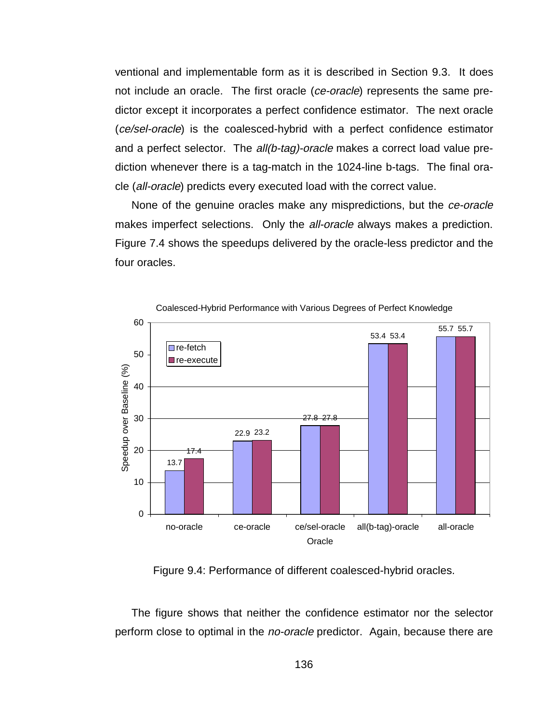ventional and implementable form as it is described in Section 9.3. It does not include an oracle. The first oracle (ce-oracle) represents the same predictor except it incorporates a perfect confidence estimator. The next oracle (ce/sel-oracle) is the coalesced-hybrid with a perfect confidence estimator and a perfect selector. The *all(b-tag)-oracle* makes a correct load value prediction whenever there is a tag-match in the 1024-line b-tags. The final oracle (all-oracle) predicts every executed load with the correct value.

None of the genuine oracles make any mispredictions, but the ce-oracle makes imperfect selections. Only the all-oracle always makes a prediction. Figure 7.4 shows the speedups delivered by the oracle-less predictor and the four oracles.



Coalesced-Hybrid Performance with Various Degrees of Perfect Knowledge

Figure 9.4: Performance of different coalesced-hybrid oracles.

The figure shows that neither the confidence estimator nor the selector perform close to optimal in the no-oracle predictor. Again, because there are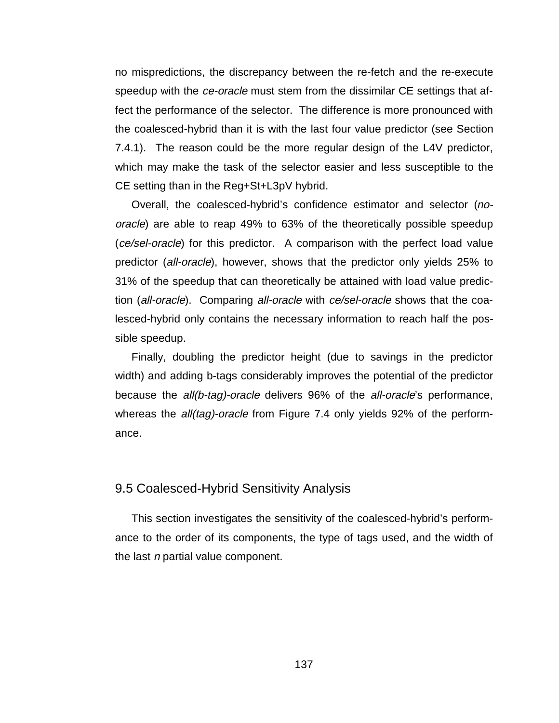no mispredictions, the discrepancy between the re-fetch and the re-execute speedup with the *ce-oracle* must stem from the dissimilar CE settings that affect the performance of the selector. The difference is more pronounced with the coalesced-hybrid than it is with the last four value predictor (see Section 7.4.1). The reason could be the more regular design of the L4V predictor, which may make the task of the selector easier and less susceptible to the CE setting than in the Reg+St+L3pV hybrid.

Overall, the coalesced-hybrid's confidence estimator and selector (nooracle) are able to reap 49% to 63% of the theoretically possible speedup (ce/sel-oracle) for this predictor. A comparison with the perfect load value predictor (all-oracle), however, shows that the predictor only yields 25% to 31% of the speedup that can theoretically be attained with load value prediction (all-oracle). Comparing all-oracle with ce/sel-oracle shows that the coalesced-hybrid only contains the necessary information to reach half the possible speedup.

Finally, doubling the predictor height (due to savings in the predictor width) and adding b-tags considerably improves the potential of the predictor because the *all(b-tag)-oracle* delivers 96% of the *all-oracle*'s performance, whereas the *all(tag)-oracle* from Figure 7.4 only yields 92% of the performance.

## 9.5 Coalesced-Hybrid Sensitivity Analysis

This section investigates the sensitivity of the coalesced-hybrid's performance to the order of its components, the type of tags used, and the width of the last  $n$  partial value component.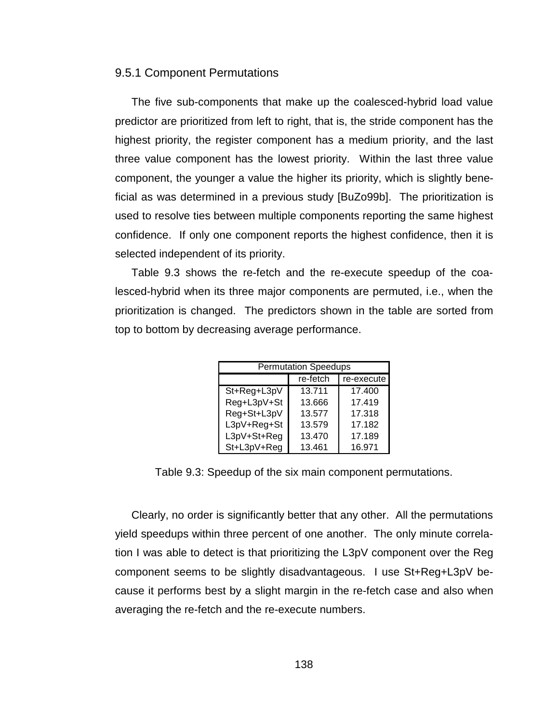#### 9.5.1 Component Permutations

The five sub-components that make up the coalesced-hybrid load value predictor are prioritized from left to right, that is, the stride component has the highest priority, the register component has a medium priority, and the last three value component has the lowest priority. Within the last three value component, the younger a value the higher its priority, which is slightly beneficial as was determined in a previous study [BuZo99b]. The prioritization is used to resolve ties between multiple components reporting the same highest confidence. If only one component reports the highest confidence, then it is selected independent of its priority.

Table 9.3 shows the re-fetch and the re-execute speedup of the coalesced-hybrid when its three major components are permuted, i.e., when the prioritization is changed. The predictors shown in the table are sorted from top to bottom by decreasing average performance.

| <b>Permutation Speedups</b> |          |            |  |  |  |  |
|-----------------------------|----------|------------|--|--|--|--|
|                             | re-fetch | re-execute |  |  |  |  |
| St+Reg+L3pV                 | 13.711   | 17.400     |  |  |  |  |
| Reg+L3pV+St                 | 13.666   | 17.419     |  |  |  |  |
| Reg+St+L3pV                 | 13.577   | 17.318     |  |  |  |  |
| L3pV+Reg+St                 | 13.579   | 17.182     |  |  |  |  |
| L3pV+St+Reg                 | 13.470   | 17.189     |  |  |  |  |
| St+L3pV+Reg                 | 13.461   | 16.971     |  |  |  |  |

Table 9.3: Speedup of the six main component permutations.

Clearly, no order is significantly better that any other. All the permutations yield speedups within three percent of one another. The only minute correlation I was able to detect is that prioritizing the L3pV component over the Reg component seems to be slightly disadvantageous. I use St+Reg+L3pV because it performs best by a slight margin in the re-fetch case and also when averaging the re-fetch and the re-execute numbers.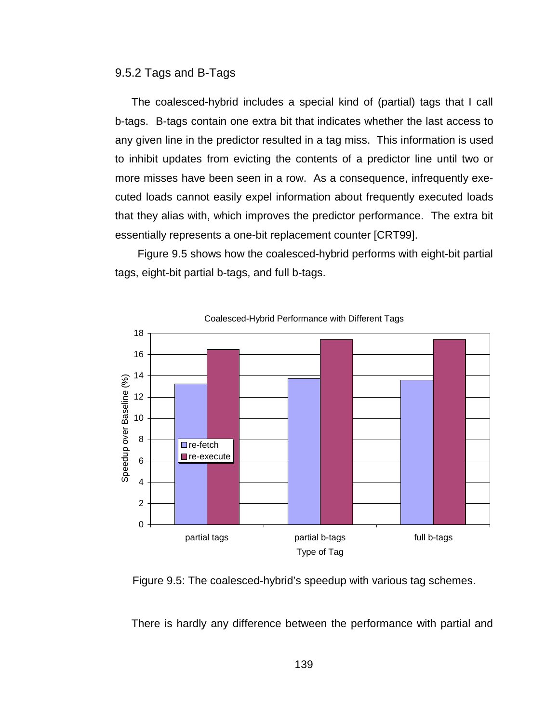#### 9.5.2 Tags and B-Tags

The coalesced-hybrid includes a special kind of (partial) tags that I call b-tags. B-tags contain one extra bit that indicates whether the last access to any given line in the predictor resulted in a tag miss. This information is used to inhibit updates from evicting the contents of a predictor line until two or more misses have been seen in a row. As a consequence, infrequently executed loads cannot easily expel information about frequently executed loads that they alias with, which improves the predictor performance. The extra bit essentially represents a one-bit replacement counter [CRT99].

 Figure 9.5 shows how the coalesced-hybrid performs with eight-bit partial tags, eight-bit partial b-tags, and full b-tags.



Figure 9.5: The coalesced-hybrid's speedup with various tag schemes.

There is hardly any difference between the performance with partial and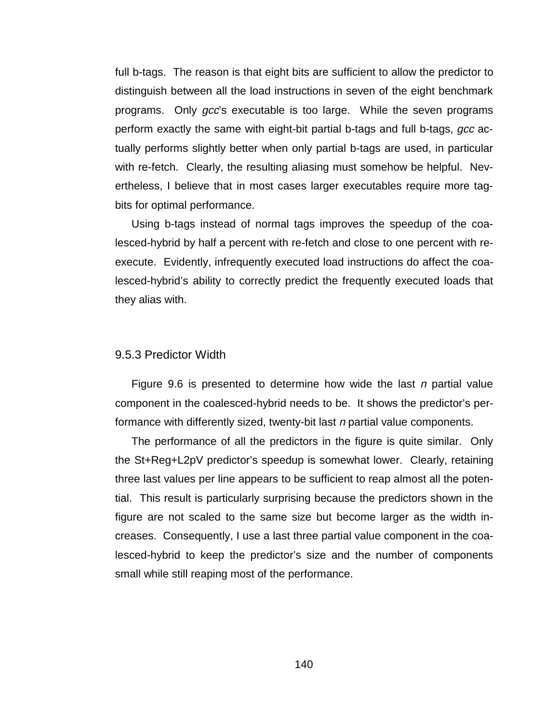full b-tags. The reason is that eight bits are sufficient to allow the predictor to distinguish between all the load instructions in seven of the eight benchmark programs. Only gcc's executable is too large. While the seven programs perform exactly the same with eight-bit partial b-tags and full b-tags, *gcc* actually performs slightly better when only partial b-tags are used, in particular with re-fetch. Clearly, the resulting aliasing must somehow be helpful. Nevertheless, I believe that in most cases larger executables require more tagbits for optimal performance.

Using b-tags instead of normal tags improves the speedup of the coalesced-hybrid by half a percent with re-fetch and close to one percent with reexecute. Evidently, infrequently executed load instructions do affect the coalesced-hybrid's ability to correctly predict the frequently executed loads that they alias with.

#### 9.5.3 Predictor Width

Figure 9.6 is presented to determine how wide the last  $n$  partial value component in the coalesced-hybrid needs to be. It shows the predictor's performance with differently sized, twenty-bit last n partial value components.

The performance of all the predictors in the figure is quite similar. Only the St+Reg+L2pV predictor's speedup is somewhat lower. Clearly, retaining three last values per line appears to be sufficient to reap almost all the potential. This result is particularly surprising because the predictors shown in the figure are not scaled to the same size but become larger as the width increases. Consequently, I use a last three partial value component in the coalesced-hybrid to keep the predictor's size and the number of components small while still reaping most of the performance.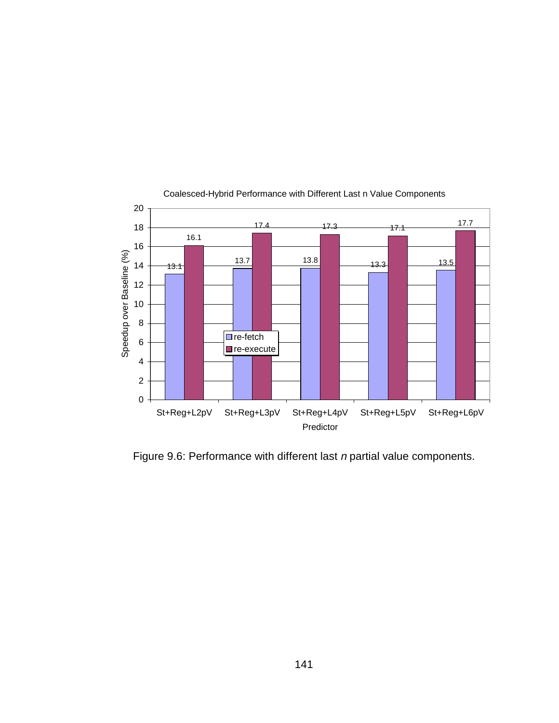

#### Coalesced-Hybrid Performance with Different Last n Value Components

Figure 9.6: Performance with different last n partial value components.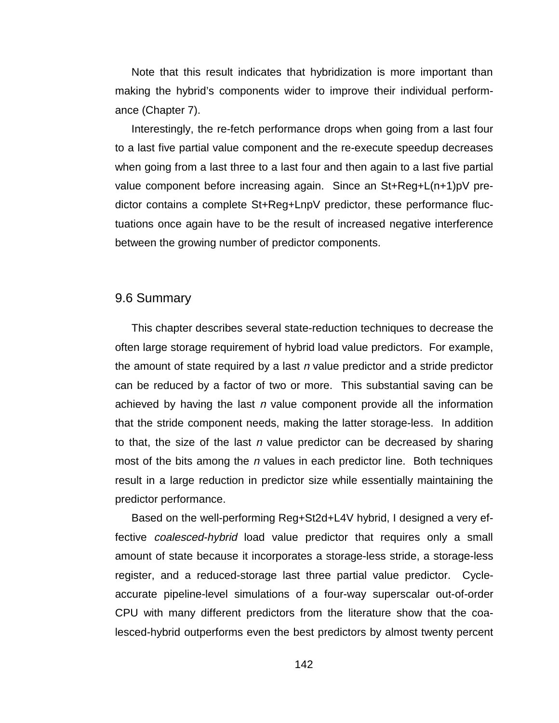Note that this result indicates that hybridization is more important than making the hybrid's components wider to improve their individual performance (Chapter 7).

Interestingly, the re-fetch performance drops when going from a last four to a last five partial value component and the re-execute speedup decreases when going from a last three to a last four and then again to a last five partial value component before increasing again. Since an St+Reg+L(n+1)pV predictor contains a complete St+Reg+LnpV predictor, these performance fluctuations once again have to be the result of increased negative interference between the growing number of predictor components.

### 9.6 Summary

This chapter describes several state-reduction techniques to decrease the often large storage requirement of hybrid load value predictors. For example, the amount of state required by a last  $n$  value predictor and a stride predictor can be reduced by a factor of two or more. This substantial saving can be achieved by having the last  $n$  value component provide all the information that the stride component needs, making the latter storage-less. In addition to that, the size of the last  $n$  value predictor can be decreased by sharing most of the bits among the  $n$  values in each predictor line. Both techniques result in a large reduction in predictor size while essentially maintaining the predictor performance.

Based on the well-performing Reg+St2d+L4V hybrid, I designed a very effective *coalesced-hybrid* load value predictor that requires only a small amount of state because it incorporates a storage-less stride, a storage-less register, and a reduced-storage last three partial value predictor. Cycleaccurate pipeline-level simulations of a four-way superscalar out-of-order CPU with many different predictors from the literature show that the coalesced-hybrid outperforms even the best predictors by almost twenty percent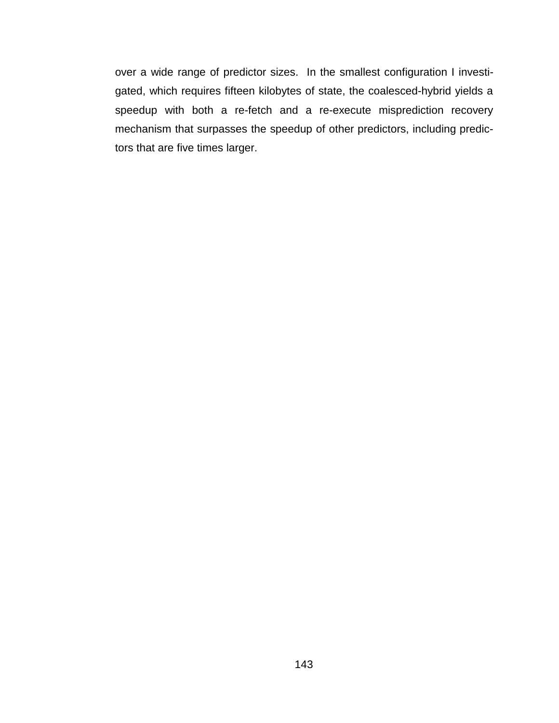over a wide range of predictor sizes. In the smallest configuration I investigated, which requires fifteen kilobytes of state, the coalesced-hybrid yields a speedup with both a re-fetch and a re-execute misprediction recovery mechanism that surpasses the speedup of other predictors, including predictors that are five times larger.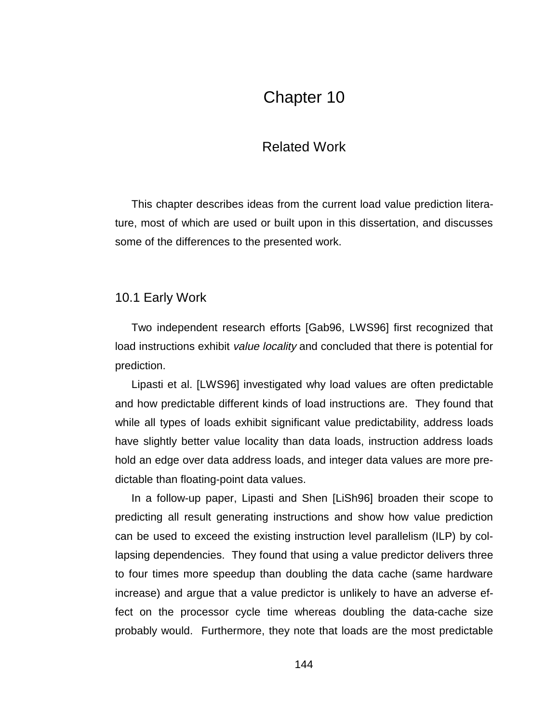## Chapter 10

### Related Work

This chapter describes ideas from the current load value prediction literature, most of which are used or built upon in this dissertation, and discusses some of the differences to the presented work.

#### 10.1 Early Work

Two independent research efforts [Gab96, LWS96] first recognized that load instructions exhibit *value locality* and concluded that there is potential for prediction.

Lipasti et al. [LWS96] investigated why load values are often predictable and how predictable different kinds of load instructions are. They found that while all types of loads exhibit significant value predictability, address loads have slightly better value locality than data loads, instruction address loads hold an edge over data address loads, and integer data values are more predictable than floating-point data values.

In a follow-up paper, Lipasti and Shen [LiSh96] broaden their scope to predicting all result generating instructions and show how value prediction can be used to exceed the existing instruction level parallelism (ILP) by collapsing dependencies. They found that using a value predictor delivers three to four times more speedup than doubling the data cache (same hardware increase) and argue that a value predictor is unlikely to have an adverse effect on the processor cycle time whereas doubling the data-cache size probably would. Furthermore, they note that loads are the most predictable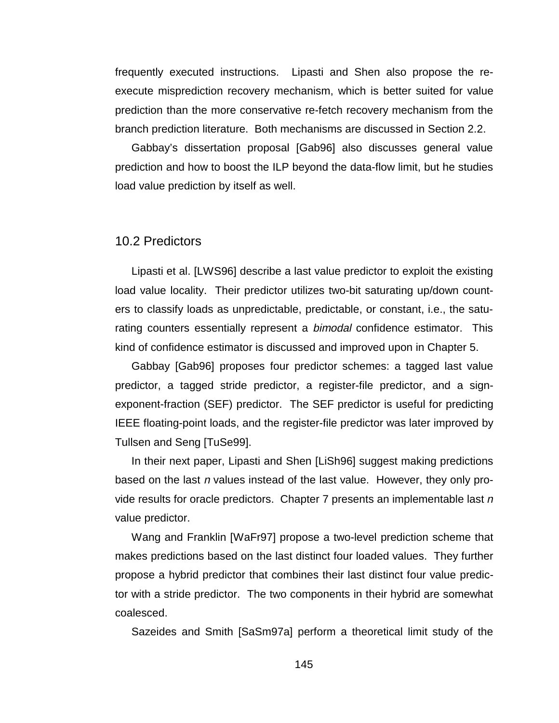frequently executed instructions. Lipasti and Shen also propose the reexecute misprediction recovery mechanism, which is better suited for value prediction than the more conservative re-fetch recovery mechanism from the branch prediction literature. Both mechanisms are discussed in Section 2.2.

Gabbay's dissertation proposal [Gab96] also discusses general value prediction and how to boost the ILP beyond the data-flow limit, but he studies load value prediction by itself as well.

#### 10.2 Predictors

Lipasti et al. [LWS96] describe a last value predictor to exploit the existing load value locality. Their predictor utilizes two-bit saturating up/down counters to classify loads as unpredictable, predictable, or constant, i.e., the saturating counters essentially represent a *bimodal* confidence estimator. This kind of confidence estimator is discussed and improved upon in Chapter 5.

Gabbay [Gab96] proposes four predictor schemes: a tagged last value predictor, a tagged stride predictor, a register-file predictor, and a signexponent-fraction (SEF) predictor. The SEF predictor is useful for predicting IEEE floating-point loads, and the register-file predictor was later improved by Tullsen and Seng [TuSe99].

In their next paper, Lipasti and Shen [LiSh96] suggest making predictions based on the last n values instead of the last value. However, they only provide results for oracle predictors. Chapter 7 presents an implementable last  $n$ value predictor.

Wang and Franklin [WaFr97] propose a two-level prediction scheme that makes predictions based on the last distinct four loaded values. They further propose a hybrid predictor that combines their last distinct four value predictor with a stride predictor. The two components in their hybrid are somewhat coalesced.

Sazeides and Smith [SaSm97a] perform a theoretical limit study of the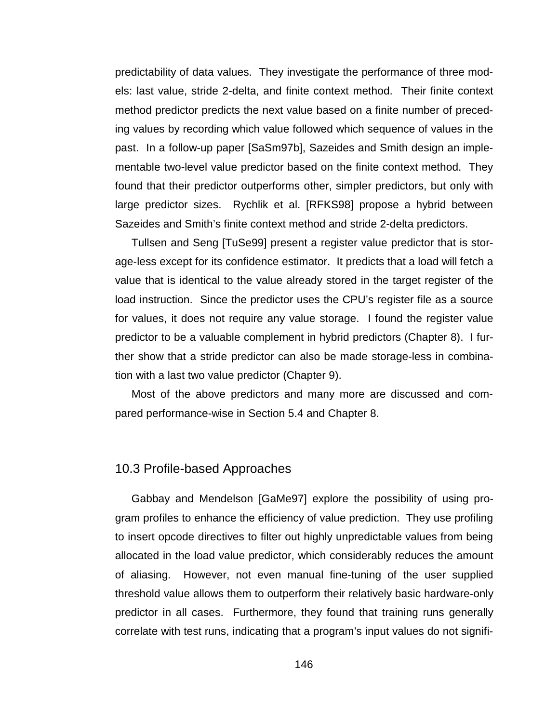predictability of data values. They investigate the performance of three models: last value, stride 2-delta, and finite context method. Their finite context method predictor predicts the next value based on a finite number of preceding values by recording which value followed which sequence of values in the past. In a follow-up paper [SaSm97b], Sazeides and Smith design an implementable two-level value predictor based on the finite context method. They found that their predictor outperforms other, simpler predictors, but only with large predictor sizes. Rychlik et al. [RFKS98] propose a hybrid between Sazeides and Smith's finite context method and stride 2-delta predictors.

Tullsen and Seng [TuSe99] present a register value predictor that is storage-less except for its confidence estimator. It predicts that a load will fetch a value that is identical to the value already stored in the target register of the load instruction. Since the predictor uses the CPU's register file as a source for values, it does not require any value storage. I found the register value predictor to be a valuable complement in hybrid predictors (Chapter 8). I further show that a stride predictor can also be made storage-less in combination with a last two value predictor (Chapter 9).

Most of the above predictors and many more are discussed and compared performance-wise in Section 5.4 and Chapter 8.

#### 10.3 Profile-based Approaches

Gabbay and Mendelson [GaMe97] explore the possibility of using program profiles to enhance the efficiency of value prediction. They use profiling to insert opcode directives to filter out highly unpredictable values from being allocated in the load value predictor, which considerably reduces the amount of aliasing. However, not even manual fine-tuning of the user supplied threshold value allows them to outperform their relatively basic hardware-only predictor in all cases. Furthermore, they found that training runs generally correlate with test runs, indicating that a program's input values do not signifi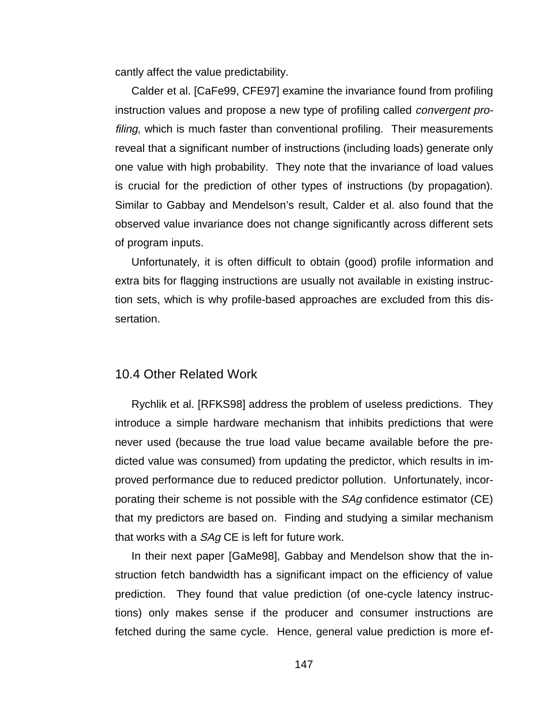cantly affect the value predictability.

Calder et al. [CaFe99, CFE97] examine the invariance found from profiling instruction values and propose a new type of profiling called convergent profiling, which is much faster than conventional profiling. Their measurements reveal that a significant number of instructions (including loads) generate only one value with high probability. They note that the invariance of load values is crucial for the prediction of other types of instructions (by propagation). Similar to Gabbay and Mendelson's result, Calder et al. also found that the observed value invariance does not change significantly across different sets of program inputs.

Unfortunately, it is often difficult to obtain (good) profile information and extra bits for flagging instructions are usually not available in existing instruction sets, which is why profile-based approaches are excluded from this dissertation.

#### 10.4 Other Related Work

Rychlik et al. [RFKS98] address the problem of useless predictions. They introduce a simple hardware mechanism that inhibits predictions that were never used (because the true load value became available before the predicted value was consumed) from updating the predictor, which results in improved performance due to reduced predictor pollution. Unfortunately, incorporating their scheme is not possible with the *SAg* confidence estimator (CE) that my predictors are based on. Finding and studying a similar mechanism that works with a SAg CE is left for future work.

In their next paper [GaMe98], Gabbay and Mendelson show that the instruction fetch bandwidth has a significant impact on the efficiency of value prediction. They found that value prediction (of one-cycle latency instructions) only makes sense if the producer and consumer instructions are fetched during the same cycle. Hence, general value prediction is more ef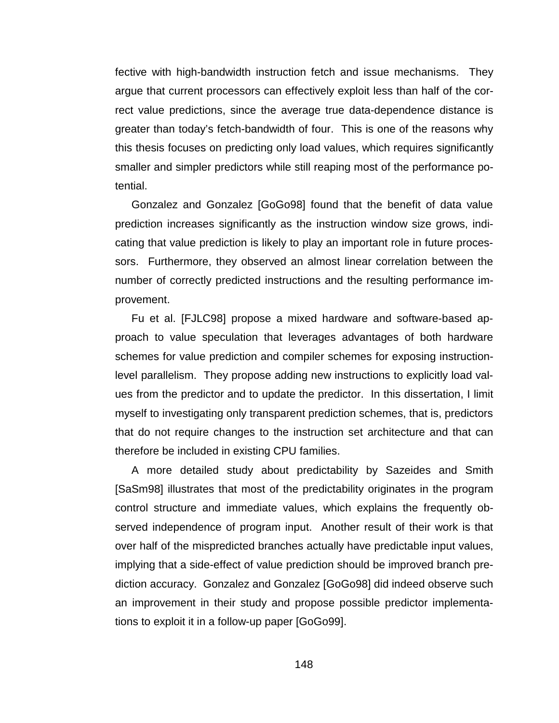fective with high-bandwidth instruction fetch and issue mechanisms. They argue that current processors can effectively exploit less than half of the correct value predictions, since the average true data-dependence distance is greater than today's fetch-bandwidth of four. This is one of the reasons why this thesis focuses on predicting only load values, which requires significantly smaller and simpler predictors while still reaping most of the performance potential.

Gonzalez and Gonzalez [GoGo98] found that the benefit of data value prediction increases significantly as the instruction window size grows, indicating that value prediction is likely to play an important role in future processors. Furthermore, they observed an almost linear correlation between the number of correctly predicted instructions and the resulting performance improvement.

Fu et al. [FJLC98] propose a mixed hardware and software-based approach to value speculation that leverages advantages of both hardware schemes for value prediction and compiler schemes for exposing instructionlevel parallelism. They propose adding new instructions to explicitly load values from the predictor and to update the predictor. In this dissertation, I limit myself to investigating only transparent prediction schemes, that is, predictors that do not require changes to the instruction set architecture and that can therefore be included in existing CPU families.

A more detailed study about predictability by Sazeides and Smith [SaSm98] illustrates that most of the predictability originates in the program control structure and immediate values, which explains the frequently observed independence of program input. Another result of their work is that over half of the mispredicted branches actually have predictable input values, implying that a side-effect of value prediction should be improved branch prediction accuracy. Gonzalez and Gonzalez [GoGo98] did indeed observe such an improvement in their study and propose possible predictor implementations to exploit it in a follow-up paper [GoGo99].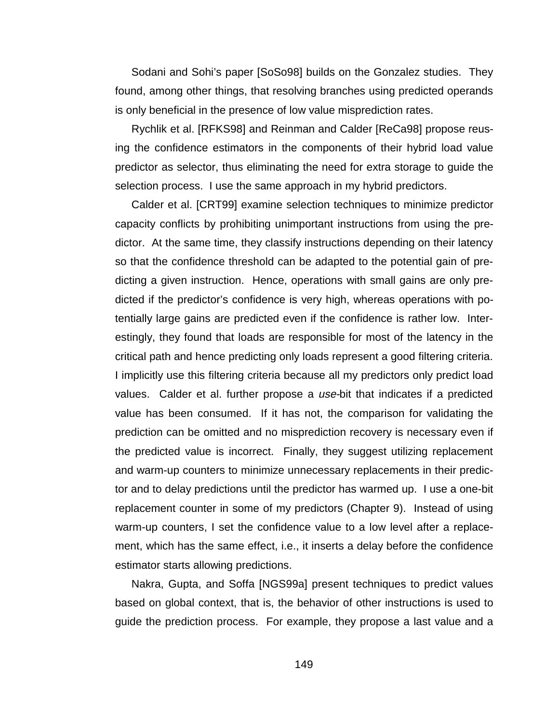Sodani and Sohi's paper [SoSo98] builds on the Gonzalez studies. They found, among other things, that resolving branches using predicted operands is only beneficial in the presence of low value misprediction rates.

Rychlik et al. [RFKS98] and Reinman and Calder [ReCa98] propose reusing the confidence estimators in the components of their hybrid load value predictor as selector, thus eliminating the need for extra storage to guide the selection process. I use the same approach in my hybrid predictors.

Calder et al. [CRT99] examine selection techniques to minimize predictor capacity conflicts by prohibiting unimportant instructions from using the predictor. At the same time, they classify instructions depending on their latency so that the confidence threshold can be adapted to the potential gain of predicting a given instruction. Hence, operations with small gains are only predicted if the predictor's confidence is very high, whereas operations with potentially large gains are predicted even if the confidence is rather low. Interestingly, they found that loads are responsible for most of the latency in the critical path and hence predicting only loads represent a good filtering criteria. I implicitly use this filtering criteria because all my predictors only predict load values. Calder et al. further propose a use-bit that indicates if a predicted value has been consumed. If it has not, the comparison for validating the prediction can be omitted and no misprediction recovery is necessary even if the predicted value is incorrect. Finally, they suggest utilizing replacement and warm-up counters to minimize unnecessary replacements in their predictor and to delay predictions until the predictor has warmed up. I use a one-bit replacement counter in some of my predictors (Chapter 9). Instead of using warm-up counters, I set the confidence value to a low level after a replacement, which has the same effect, i.e., it inserts a delay before the confidence estimator starts allowing predictions.

Nakra, Gupta, and Soffa [NGS99a] present techniques to predict values based on global context, that is, the behavior of other instructions is used to guide the prediction process. For example, they propose a last value and a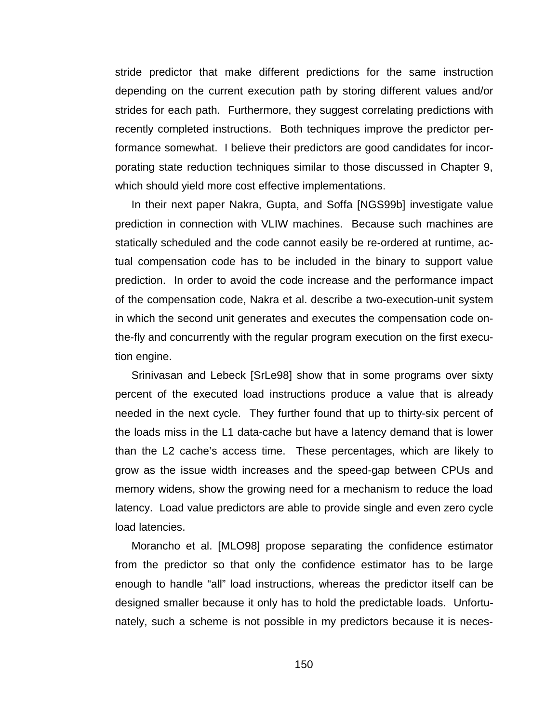stride predictor that make different predictions for the same instruction depending on the current execution path by storing different values and/or strides for each path. Furthermore, they suggest correlating predictions with recently completed instructions. Both techniques improve the predictor performance somewhat. I believe their predictors are good candidates for incorporating state reduction techniques similar to those discussed in Chapter 9, which should yield more cost effective implementations.

In their next paper Nakra, Gupta, and Soffa [NGS99b] investigate value prediction in connection with VLIW machines. Because such machines are statically scheduled and the code cannot easily be re-ordered at runtime, actual compensation code has to be included in the binary to support value prediction. In order to avoid the code increase and the performance impact of the compensation code, Nakra et al. describe a two-execution-unit system in which the second unit generates and executes the compensation code onthe-fly and concurrently with the regular program execution on the first execution engine.

Srinivasan and Lebeck [SrLe98] show that in some programs over sixty percent of the executed load instructions produce a value that is already needed in the next cycle. They further found that up to thirty-six percent of the loads miss in the L1 data-cache but have a latency demand that is lower than the L2 cache's access time. These percentages, which are likely to grow as the issue width increases and the speed-gap between CPUs and memory widens, show the growing need for a mechanism to reduce the load latency. Load value predictors are able to provide single and even zero cycle load latencies.

Morancho et al. [MLO98] propose separating the confidence estimator from the predictor so that only the confidence estimator has to be large enough to handle "all" load instructions, whereas the predictor itself can be designed smaller because it only has to hold the predictable loads. Unfortunately, such a scheme is not possible in my predictors because it is neces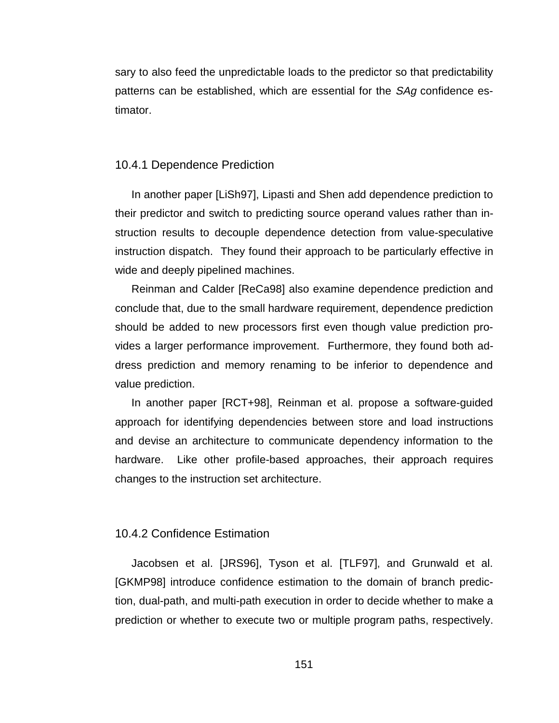sary to also feed the unpredictable loads to the predictor so that predictability patterns can be established, which are essential for the *SAg* confidence estimator.

#### 10.4.1 Dependence Prediction

In another paper [LiSh97], Lipasti and Shen add dependence prediction to their predictor and switch to predicting source operand values rather than instruction results to decouple dependence detection from value-speculative instruction dispatch. They found their approach to be particularly effective in wide and deeply pipelined machines.

Reinman and Calder [ReCa98] also examine dependence prediction and conclude that, due to the small hardware requirement, dependence prediction should be added to new processors first even though value prediction provides a larger performance improvement. Furthermore, they found both address prediction and memory renaming to be inferior to dependence and value prediction.

In another paper [RCT+98], Reinman et al. propose a software-guided approach for identifying dependencies between store and load instructions and devise an architecture to communicate dependency information to the hardware. Like other profile-based approaches, their approach requires changes to the instruction set architecture.

#### 10.4.2 Confidence Estimation

Jacobsen et al. [JRS96], Tyson et al. [TLF97], and Grunwald et al. [GKMP98] introduce confidence estimation to the domain of branch prediction, dual-path, and multi-path execution in order to decide whether to make a prediction or whether to execute two or multiple program paths, respectively.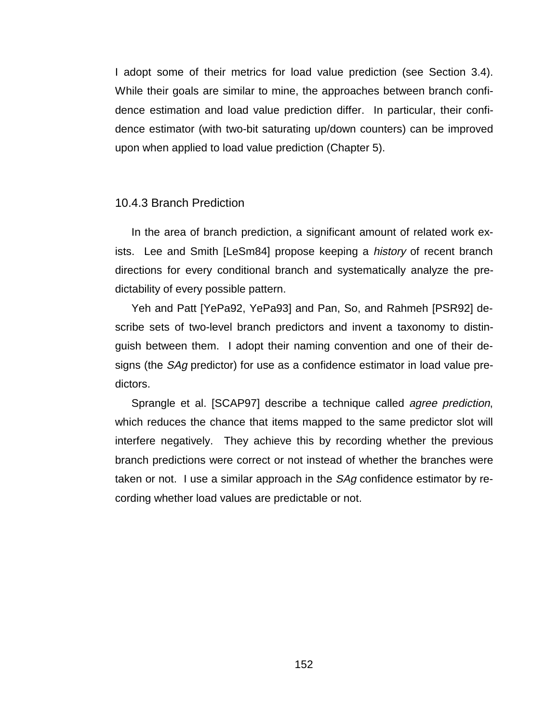I adopt some of their metrics for load value prediction (see Section 3.4). While their goals are similar to mine, the approaches between branch confidence estimation and load value prediction differ. In particular, their confidence estimator (with two-bit saturating up/down counters) can be improved upon when applied to load value prediction (Chapter 5).

#### 10.4.3 Branch Prediction

In the area of branch prediction, a significant amount of related work exists. Lee and Smith [LeSm84] propose keeping a *history* of recent branch directions for every conditional branch and systematically analyze the predictability of every possible pattern.

Yeh and Patt [YePa92, YePa93] and Pan, So, and Rahmeh [PSR92] describe sets of two-level branch predictors and invent a taxonomy to distinguish between them. I adopt their naming convention and one of their designs (the SAg predictor) for use as a confidence estimator in load value predictors.

Sprangle et al. [SCAP97] describe a technique called agree prediction, which reduces the chance that items mapped to the same predictor slot will interfere negatively. They achieve this by recording whether the previous branch predictions were correct or not instead of whether the branches were taken or not. I use a similar approach in the *SAg* confidence estimator by recording whether load values are predictable or not.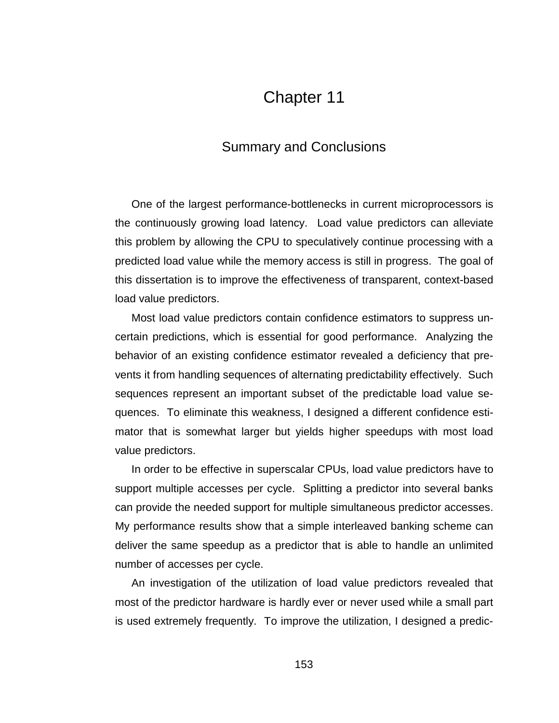# Chapter 11

## Summary and Conclusions

One of the largest performance-bottlenecks in current microprocessors is the continuously growing load latency. Load value predictors can alleviate this problem by allowing the CPU to speculatively continue processing with a predicted load value while the memory access is still in progress. The goal of this dissertation is to improve the effectiveness of transparent, context-based load value predictors.

Most load value predictors contain confidence estimators to suppress uncertain predictions, which is essential for good performance. Analyzing the behavior of an existing confidence estimator revealed a deficiency that prevents it from handling sequences of alternating predictability effectively. Such sequences represent an important subset of the predictable load value sequences. To eliminate this weakness, I designed a different confidence estimator that is somewhat larger but yields higher speedups with most load value predictors.

In order to be effective in superscalar CPUs, load value predictors have to support multiple accesses per cycle. Splitting a predictor into several banks can provide the needed support for multiple simultaneous predictor accesses. My performance results show that a simple interleaved banking scheme can deliver the same speedup as a predictor that is able to handle an unlimited number of accesses per cycle.

An investigation of the utilization of load value predictors revealed that most of the predictor hardware is hardly ever or never used while a small part is used extremely frequently. To improve the utilization, I designed a predic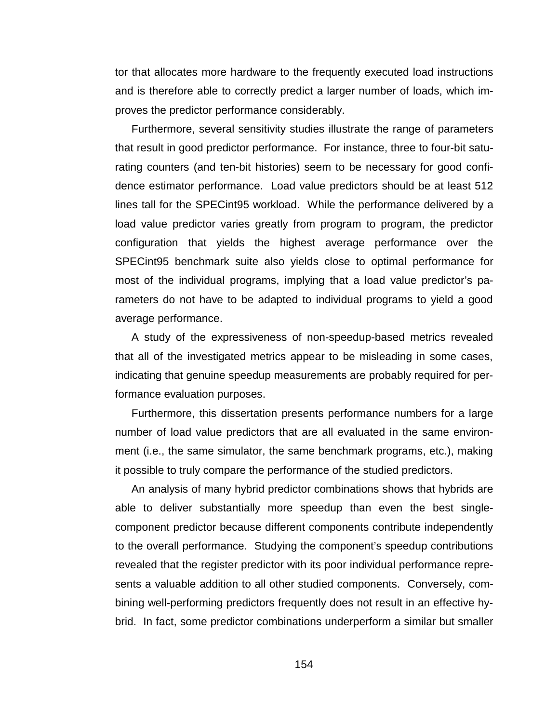tor that allocates more hardware to the frequently executed load instructions and is therefore able to correctly predict a larger number of loads, which improves the predictor performance considerably.

Furthermore, several sensitivity studies illustrate the range of parameters that result in good predictor performance. For instance, three to four-bit saturating counters (and ten-bit histories) seem to be necessary for good confidence estimator performance. Load value predictors should be at least 512 lines tall for the SPECint95 workload. While the performance delivered by a load value predictor varies greatly from program to program, the predictor configuration that yields the highest average performance over the SPECint95 benchmark suite also yields close to optimal performance for most of the individual programs, implying that a load value predictor's parameters do not have to be adapted to individual programs to yield a good average performance.

A study of the expressiveness of non-speedup-based metrics revealed that all of the investigated metrics appear to be misleading in some cases, indicating that genuine speedup measurements are probably required for performance evaluation purposes.

Furthermore, this dissertation presents performance numbers for a large number of load value predictors that are all evaluated in the same environment (i.e., the same simulator, the same benchmark programs, etc.), making it possible to truly compare the performance of the studied predictors.

An analysis of many hybrid predictor combinations shows that hybrids are able to deliver substantially more speedup than even the best singlecomponent predictor because different components contribute independently to the overall performance. Studying the component's speedup contributions revealed that the register predictor with its poor individual performance represents a valuable addition to all other studied components. Conversely, combining well-performing predictors frequently does not result in an effective hybrid. In fact, some predictor combinations underperform a similar but smaller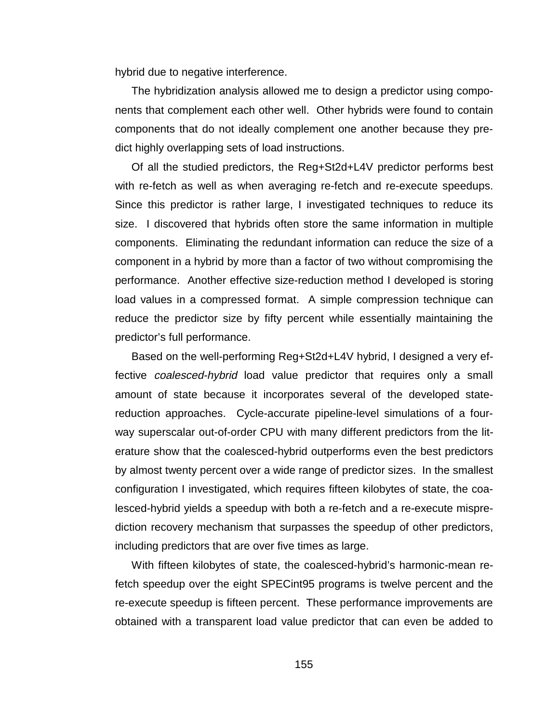hybrid due to negative interference.

The hybridization analysis allowed me to design a predictor using components that complement each other well. Other hybrids were found to contain components that do not ideally complement one another because they predict highly overlapping sets of load instructions.

Of all the studied predictors, the Reg+St2d+L4V predictor performs best with re-fetch as well as when averaging re-fetch and re-execute speedups. Since this predictor is rather large, I investigated techniques to reduce its size. I discovered that hybrids often store the same information in multiple components. Eliminating the redundant information can reduce the size of a component in a hybrid by more than a factor of two without compromising the performance. Another effective size-reduction method I developed is storing load values in a compressed format. A simple compression technique can reduce the predictor size by fifty percent while essentially maintaining the predictor's full performance.

Based on the well-performing Reg+St2d+L4V hybrid, I designed a very effective *coalesced-hybrid* load value predictor that requires only a small amount of state because it incorporates several of the developed statereduction approaches. Cycle-accurate pipeline-level simulations of a fourway superscalar out-of-order CPU with many different predictors from the literature show that the coalesced-hybrid outperforms even the best predictors by almost twenty percent over a wide range of predictor sizes. In the smallest configuration I investigated, which requires fifteen kilobytes of state, the coalesced-hybrid yields a speedup with both a re-fetch and a re-execute misprediction recovery mechanism that surpasses the speedup of other predictors, including predictors that are over five times as large.

With fifteen kilobytes of state, the coalesced-hybrid's harmonic-mean refetch speedup over the eight SPECint95 programs is twelve percent and the re-execute speedup is fifteen percent. These performance improvements are obtained with a transparent load value predictor that can even be added to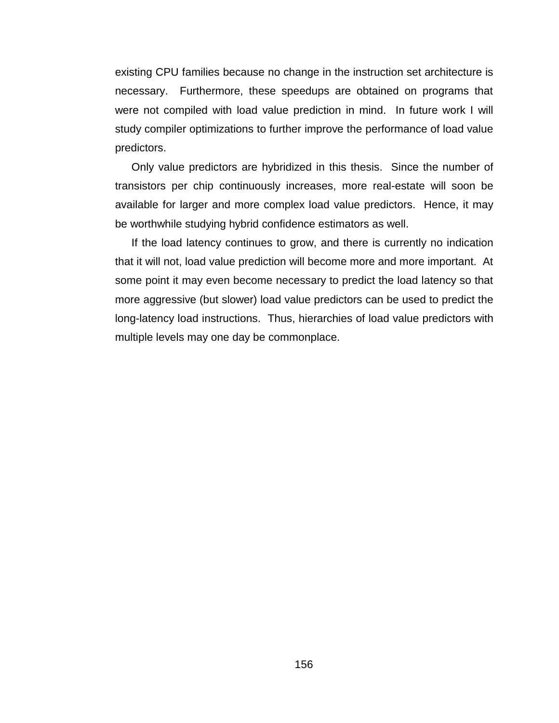existing CPU families because no change in the instruction set architecture is necessary. Furthermore, these speedups are obtained on programs that were not compiled with load value prediction in mind. In future work I will study compiler optimizations to further improve the performance of load value predictors.

Only value predictors are hybridized in this thesis. Since the number of transistors per chip continuously increases, more real-estate will soon be available for larger and more complex load value predictors. Hence, it may be worthwhile studying hybrid confidence estimators as well.

If the load latency continues to grow, and there is currently no indication that it will not, load value prediction will become more and more important. At some point it may even become necessary to predict the load latency so that more aggressive (but slower) load value predictors can be used to predict the long-latency load instructions. Thus, hierarchies of load value predictors with multiple levels may one day be commonplace.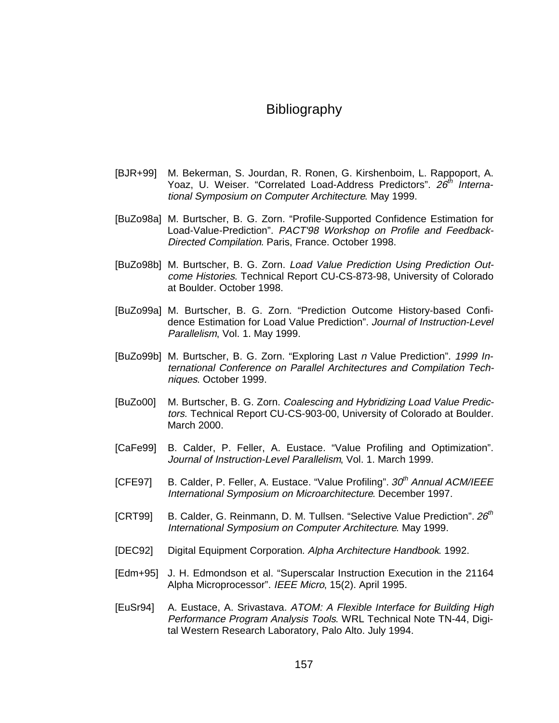## Bibliography

- [BJR+99] M. Bekerman, S. Jourdan, R. Ronen, G. Kirshenboim, L. Rappoport, A. Yoaz, U. Weiser. "Correlated Load-Address Predictors". 26<sup>th</sup> International Symposium on Computer Architecture. May 1999.
- [BuZo98a] M. Burtscher, B. G. Zorn. "Profile-Supported Confidence Estimation for Load-Value-Prediction". PACT'98 Workshop on Profile and Feedback-Directed Compilation. Paris, France. October 1998.
- [BuZo98b] M. Burtscher, B. G. Zorn. Load Value Prediction Using Prediction Outcome Histories. Technical Report CU-CS-873-98, University of Colorado at Boulder. October 1998.
- [BuZo99a] M. Burtscher, B. G. Zorn. "Prediction Outcome History-based Confidence Estimation for Load Value Prediction". Journal of Instruction-Level Parallelism, Vol. 1. May 1999.
- [BuZo99b] M. Burtscher, B. G. Zorn. "Exploring Last n Value Prediction". 1999 International Conference on Parallel Architectures and Compilation Techniques. October 1999.
- [BuZo00] M. Burtscher, B. G. Zorn. Coalescing and Hybridizing Load Value Predictors. Technical Report CU-CS-903-00, University of Colorado at Boulder. March 2000.
- [CaFe99] B. Calder, P. Feller, A. Eustace. "Value Profiling and Optimization". Journal of Instruction-Level Parallelism, Vol. 1. March 1999.
- $[CFE97]$  B. Calder, P. Feller, A. Eustace. "Value Profiling".  $30<sup>th</sup>$  Annual ACM/IEEE International Symposium on Microarchitecture. December 1997.
- [CRT99] B. Calder, G. Reinmann, D. M. Tullsen. "Selective Value Prediction".  $26<sup>m</sup>$ International Symposium on Computer Architecture. May 1999.
- [DEC92] Digital Equipment Corporation. Alpha Architecture Handbook. 1992.
- [Edm+95] J. H. Edmondson et al. "Superscalar Instruction Execution in the 21164 Alpha Microprocessor". IEEE Micro, 15(2). April 1995.
- [EuSr94] A. Eustace, A. Srivastava. ATOM: A Flexible Interface for Building High Performance Program Analysis Tools. WRL Technical Note TN-44, Digital Western Research Laboratory, Palo Alto. July 1994.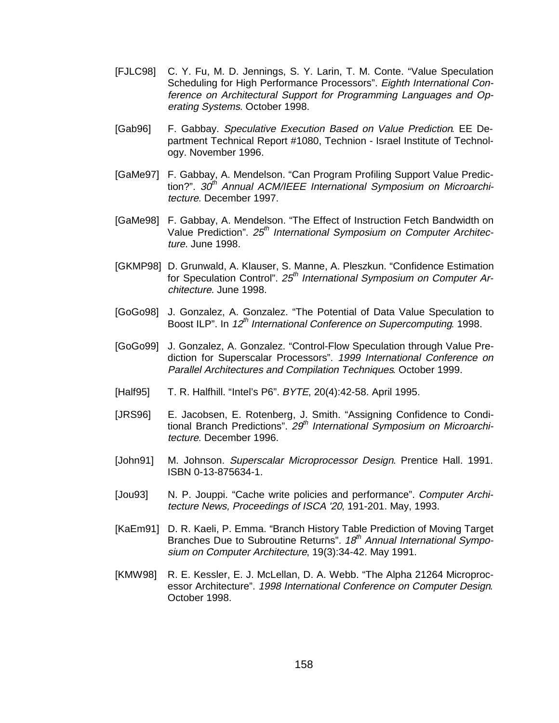- [FJLC98] C. Y. Fu, M. D. Jennings, S. Y. Larin, T. M. Conte. "Value Speculation Scheduling for High Performance Processors". Eighth International Conference on Architectural Support for Programming Languages and Operating Systems. October 1998.
- [Gab96] F. Gabbay. Speculative Execution Based on Value Prediction. EE Department Technical Report #1080, Technion - Israel Institute of Technology. November 1996.
- [GaMe97] F. Gabbay, A. Mendelson. "Can Program Profiling Support Value Prediction?".  $30<sup>th</sup>$  Annual ACM/IEEE International Symposium on Microarchitecture. December 1997.
- [GaMe98] F. Gabbay, A. Mendelson. "The Effect of Instruction Fetch Bandwidth on Value Prediction". 25<sup>th</sup> International Symposium on Computer Architecture. June 1998.
- [GKMP98] D. Grunwald, A. Klauser, S. Manne, A. Pleszkun. "Confidence Estimation for Speculation Control".  $25<sup>th</sup>$  International Symposium on Computer Architecture. June 1998.
- [GoGo98] J. Gonzalez, A. Gonzalez. "The Potential of Data Value Speculation to Boost ILP". In 12<sup>th</sup> International Conference on Supercomputing. 1998.
- [GoGo99] J. Gonzalez, A. Gonzalez. "Control-Flow Speculation through Value Prediction for Superscalar Processors". 1999 International Conference on Parallel Architectures and Compilation Techniques. October 1999.
- [Half95] T. R. Halfhill. "Intel's P6". BYTE, 20(4):42-58. April 1995.
- [JRS96] E. Jacobsen, E. Rotenberg, J. Smith. "Assigning Confidence to Conditional Branch Predictions". 29<sup>th</sup> International Symposium on Microarchitecture. December 1996.
- [John91] M. Johnson. Superscalar Microprocessor Design. Prentice Hall. 1991. ISBN 0-13-875634-1.
- [Jou93] N. P. Jouppi. "Cache write policies and performance". Computer Architecture News, Proceedings of ISCA '20, 191-201. May, 1993.
- [KaEm91] D. R. Kaeli, P. Emma. "Branch History Table Prediction of Moving Target Branches Due to Subroutine Returns". 18<sup>th</sup> Annual International Symposium on Computer Architecture, 19(3):34-42. May 1991.
- [KMW98] R. E. Kessler, E. J. McLellan, D. A. Webb. "The Alpha 21264 Microprocessor Architecture". 1998 International Conference on Computer Design. October 1998.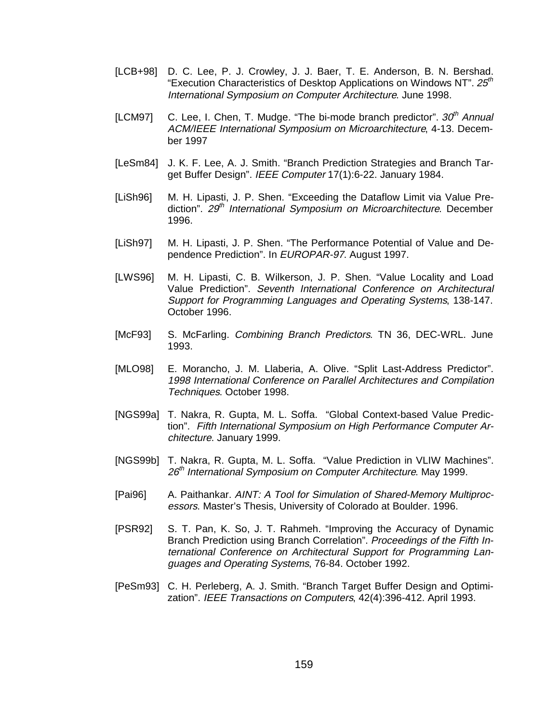- [LCB+98] D. C. Lee, P. J. Crowley, J. J. Baer, T. E. Anderson, B. N. Bershad. "Execution Characteristics of Desktop Applications on Windows NT". 25<sup>th</sup> International Symposium on Computer Architecture. June 1998.
- [LCM97] C. Lee, I. Chen, T. Mudge. "The bi-mode branch predictor".  $30<sup>th</sup>$  Annual ACM/IEEE International Symposium on Microarchitecture, 4-13. December 1997
- [LeSm84] J. K. F. Lee, A. J. Smith. "Branch Prediction Strategies and Branch Target Buffer Design". IEEE Computer 17(1):6-22. January 1984.
- [LiSh96] M. H. Lipasti, J. P. Shen. "Exceeding the Dataflow Limit via Value Prediction". 29<sup>th</sup> International Symposium on Microarchitecture. December 1996.
- [LiSh97] M. H. Lipasti, J. P. Shen. "The Performance Potential of Value and Dependence Prediction". In EUROPAR-97. August 1997.
- [LWS96] M. H. Lipasti, C. B. Wilkerson, J. P. Shen. "Value Locality and Load Value Prediction". Seventh International Conference on Architectural Support for Programming Languages and Operating Systems, 138-147. October 1996.
- [McF93] S. McFarling. Combining Branch Predictors. TN 36, DEC-WRL. June 1993.
- [MLO98] E. Morancho, J. M. Llaberia, A. Olive. "Split Last-Address Predictor". 1998 International Conference on Parallel Architectures and Compilation Techniques. October 1998.
- [NGS99a] T. Nakra, R. Gupta, M. L. Soffa. "Global Context-based Value Prediction". Fifth International Symposium on High Performance Computer Architecture. January 1999.
- [NGS99b] T. Nakra, R. Gupta, M. L. Soffa. "Value Prediction in VLIW Machines". 26<sup>th</sup> International Symposium on Computer Architecture. May 1999.
- [Pai96] A. Paithankar. AINT: A Tool for Simulation of Shared-Memory Multiprocessors. Master's Thesis, University of Colorado at Boulder. 1996.
- [PSR92] S. T. Pan, K. So, J. T. Rahmeh. "Improving the Accuracy of Dynamic Branch Prediction using Branch Correlation". Proceedings of the Fifth International Conference on Architectural Support for Programming Languages and Operating Systems, 76-84. October 1992.
- [PeSm93] C. H. Perleberg, A. J. Smith. "Branch Target Buffer Design and Optimization". IEEE Transactions on Computers, 42(4):396-412. April 1993.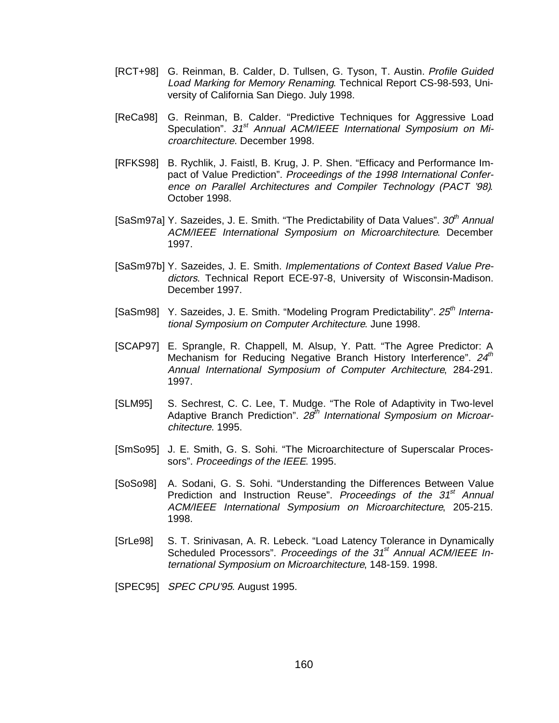- [RCT+98] G. Reinman, B. Calder, D. Tullsen, G. Tyson, T. Austin. Profile Guided Load Marking for Memory Renaming. Technical Report CS-98-593, University of California San Diego. July 1998.
- [ReCa98] G. Reinman, B. Calder. "Predictive Techniques for Aggressive Load Speculation". 31<sup>st</sup> Annual ACM/IEEE International Symposium on Microarchitecture. December 1998.
- [RFKS98] B. Rychlik, J. Faistl, B. Krug, J. P. Shen. "Efficacy and Performance Impact of Value Prediction". Proceedings of the 1998 International Conference on Parallel Architectures and Compiler Technology (PACT '98). October 1998.
- [SaSm97a] Y. Sazeides, J. E. Smith. "The Predictability of Data Values".  $30<sup>th</sup>$  Annual ACM/IEEE International Symposium on Microarchitecture. December 1997.
- [SaSm97b] Y. Sazeides, J. E. Smith. Implementations of Context Based Value Predictors. Technical Report ECE-97-8, University of Wisconsin-Madison. December 1997.
- [SaSm98] Y. Sazeides, J. E. Smith. "Modeling Program Predictability".  $25<sup>th</sup>$  International Symposium on Computer Architecture. June 1998.
- [SCAP97] E. Sprangle, R. Chappell, M. Alsup, Y. Patt. "The Agree Predictor: A Mechanism for Reducing Negative Branch History Interference".  $24<sup>th</sup>$ Annual International Symposium of Computer Architecture, 284-291. 1997.
- [SLM95] S. Sechrest, C. C. Lee, T. Mudge. "The Role of Adaptivity in Two-level Adaptive Branch Prediction".  $28<sup>th</sup>$  International Symposium on Microarchitecture. 1995.
- [SmSo95] J. E. Smith, G. S. Sohi. "The Microarchitecture of Superscalar Processors". Proceedings of the IEEE. 1995.
- [SoSo98] A. Sodani, G. S. Sohi. "Understanding the Differences Between Value Prediction and Instruction Reuse". Proceedings of the  $31<sup>st</sup>$  Annual ACM/IEEE International Symposium on Microarchitecture, 205-215. 1998.
- [SrLe98] S. T. Srinivasan, A. R. Lebeck. "Load Latency Tolerance in Dynamically Scheduled Processors". Proceedings of the 31<sup>st</sup> Annual ACM/IEEE International Symposium on Microarchitecture, 148-159. 1998.
- [SPEC95] SPEC CPU'95. August 1995.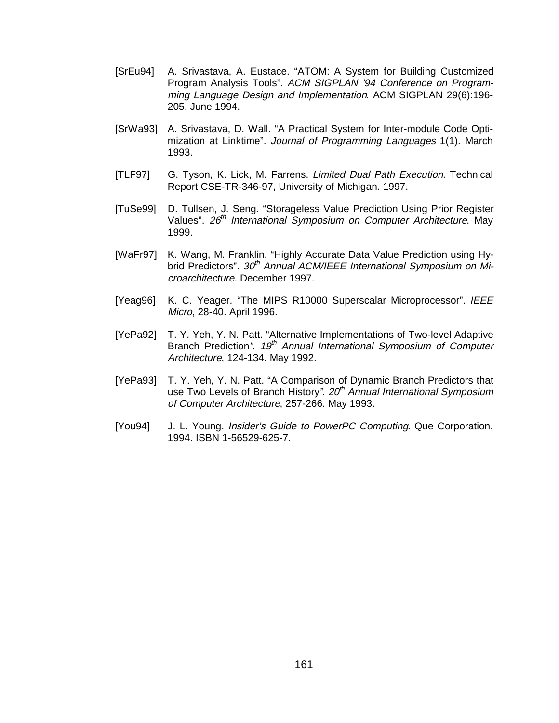- [SrEu94] A. Srivastava, A. Eustace. "ATOM: A System for Building Customized Program Analysis Tools". ACM SIGPLAN '94 Conference on Programming Language Design and Implementation. ACM SIGPLAN 29(6):196- 205. June 1994.
- [SrWa93] A. Srivastava, D. Wall. "A Practical System for Inter-module Code Optimization at Linktime". Journal of Programming Languages 1(1). March 1993.
- [TLF97] G. Tyson, K. Lick, M. Farrens. Limited Dual Path Execution. Technical Report CSE-TR-346-97, University of Michigan. 1997.
- [TuSe99] D. Tullsen, J. Seng. "Storageless Value Prediction Using Prior Register Values".  $26<sup>th</sup>$  International Symposium on Computer Architecture. May 1999.
- [WaFr97] K. Wang, M. Franklin. "Highly Accurate Data Value Prediction using Hybrid Predictors". 30<sup>th</sup> Annual ACM/IEEE International Symposium on Microarchitecture. December 1997.
- [Yeag96] K. C. Yeager. "The MIPS R10000 Superscalar Microprocessor". IEEE Micro, 28-40. April 1996.
- [YePa92] T. Y. Yeh, Y. N. Patt. "Alternative Implementations of Two-level Adaptive Branch Prediction".  $19<sup>th</sup>$  Annual International Symposium of Computer Architecture, 124-134. May 1992.
- [YePa93] T. Y. Yeh, Y. N. Patt. "A Comparison of Dynamic Branch Predictors that use Two Levels of Branch History".  $20<sup>th</sup>$  Annual International Symposium of Computer Architecture, 257-266. May 1993.
- [You94] J. L. Young. Insider's Guide to PowerPC Computing. Que Corporation. 1994. ISBN 1-56529-625-7.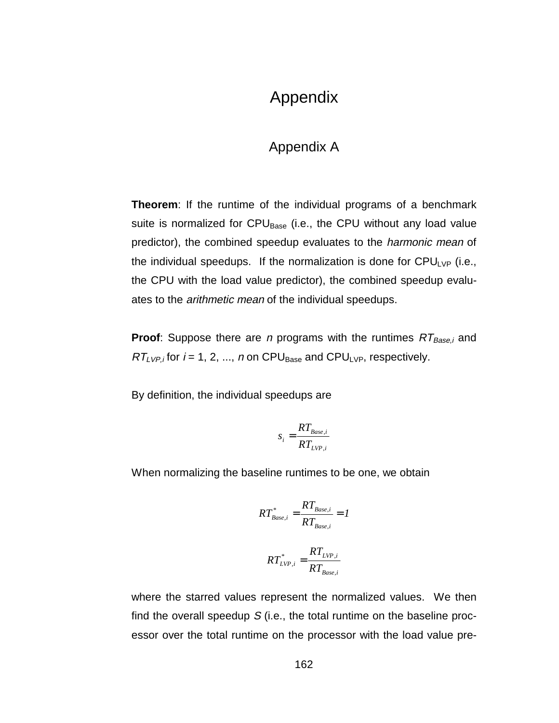## Appendix

## Appendix A

**Theorem**: If the runtime of the individual programs of a benchmark suite is normalized for CPU<sub>Base</sub> (i.e., the CPU without any load value predictor), the combined speedup evaluates to the *harmonic mean* of the individual speedups. If the normalization is done for  $CPU_{LVP}$  (i.e., the CPU with the load value predictor), the combined speedup evaluates to the *arithmetic mean* of the individual speedups.

**Proof:** Suppose there are *n* programs with the runtimes  $RT_{Base,i}$  and  $RT_{LVP,i}$  for  $i = 1, 2, ..., n$  on CPU<sub>Base</sub> and CPU<sub>LVP</sub>, respectively.

By definition, the individual speedups are

$$
s_i = \frac{RT_{Base,i}}{RT_{LVP,i}}
$$

When normalizing the baseline runtimes to be one, we obtain

$$
RT_{Base,i}^{*} = \frac{RT_{Base,i}}{RT_{Base,i}} = 1
$$
  

$$
PT^{*} = RT_{LVP,i}
$$

$$
RT^*_{LVP,i} = \frac{1 - LVP,i}{RT_{Base,i}}
$$

where the starred values represent the normalized values. We then find the overall speedup  $S$  (i.e., the total runtime on the baseline processor over the total runtime on the processor with the load value pre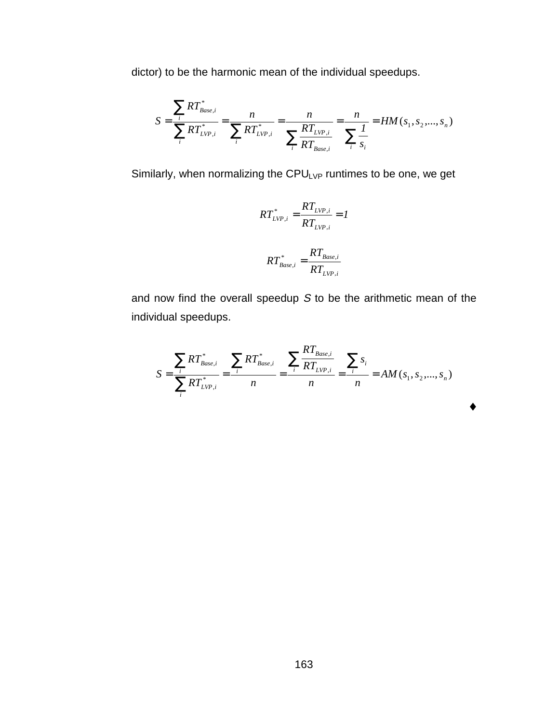dictor) to be the harmonic mean of the individual speedups.

$$
S = \frac{\sum_{i} RT_{Base,i}^{*}}{\sum_{i} RT_{LVP,i}^{*}} = \frac{n}{\sum_{i} RT_{LVP,i}^{*}} = \frac{n}{\sum_{i} RT_{LVP,i}^{*}} = \frac{n}{\sum_{i} \frac{I}{ST_{Base,i}}} = HM(s_1, s_2, ..., s_n)
$$

Similarly, when normalizing the  $CPU_{LVP}$  runtimes to be one, we get

$$
RT_{LVP,i}^* = \frac{RT_{LVP,i}}{RT_{LVP,i}} = I
$$

$$
RT_{Base,i}^* = \frac{RT_{Base,i}}{RT_{LVP,i}}
$$

and now find the overall speedup S to be the arithmetic mean of the individual speedups.

$$
S = \frac{\sum_{i} RT_{Base,i}^{*}}{\sum_{i} RT_{LVP,i}^{*}} = \frac{\sum_{i} RT_{Base,i}^{*}}{n} = \frac{\sum_{i} RT_{Base,i}}{n} = \frac{\sum_{i} s_{i}}{n} = AM(s_{1}, s_{2},...,s_{n})
$$

♦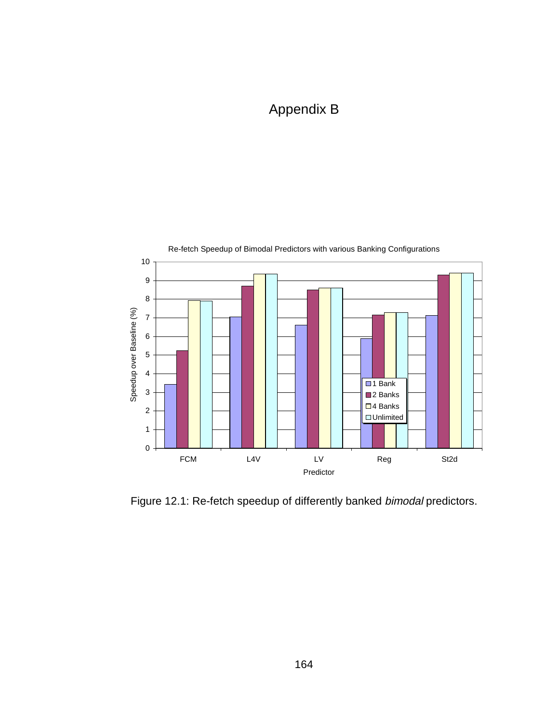# Appendix B



Figure 12.1: Re-fetch speedup of differently banked bimodal predictors.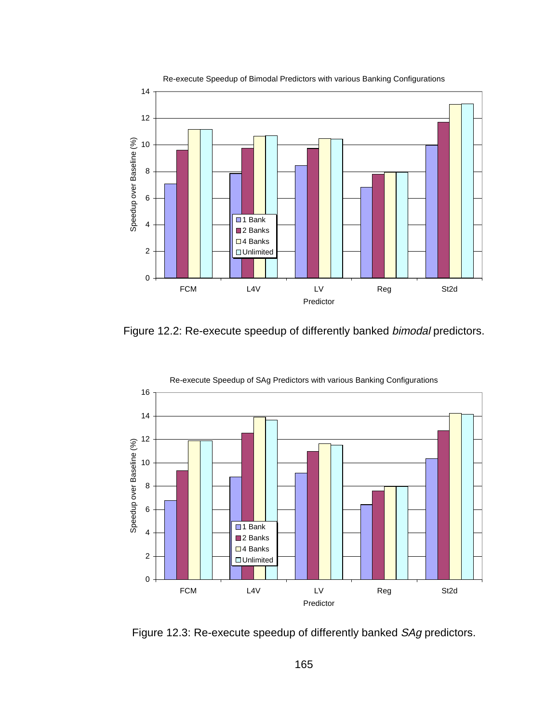

Re-execute Speedup of Bimodal Predictors with various Banking Configurations

Figure 12.2: Re-execute speedup of differently banked bimodal predictors.



Figure 12.3: Re-execute speedup of differently banked SAg predictors.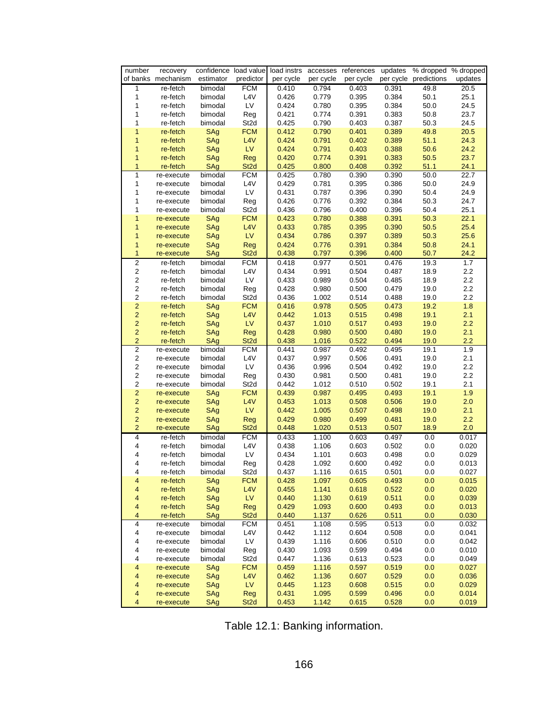| number                           | recovery                 |            |                   |                |                | confidence load value load instrs accesses references | updates        | % dropped % dropped             |              |
|----------------------------------|--------------------------|------------|-------------------|----------------|----------------|-------------------------------------------------------|----------------|---------------------------------|--------------|
|                                  | of banks mechanism       | estimator  | predictor         | per cycle      | per cycle      |                                                       |                | per cycle per cycle predictions | updates      |
| 1                                | re-fetch                 | bimodal    | <b>FCM</b>        | 0.410          | 0.794          | 0.403                                                 | 0.391          | 49.8                            | 20.5         |
| 1                                | re-fetch                 | bimodal    | L <sub>4</sub> V  | 0.426          | 0.779          | 0.395                                                 | 0.384          | 50.1                            | 25.1         |
| 1                                | re-fetch                 | bimodal    | LV                | 0.424          | 0.780          | 0.395                                                 | 0.384          | 50.0                            | 24.5         |
| 1                                | re-fetch                 | bimodal    | Reg               | 0.421          | 0.774          | 0.391                                                 | 0.383          | 50.8                            | 23.7         |
| 1                                | re-fetch                 | bimodal    | St <sub>2d</sub>  | 0.425          | 0.790          | 0.403                                                 | 0.387          | 50.3                            | 24.5         |
| $\mathbf{1}$<br>$\mathbf{1}$     | re-fetch                 | SAg        | <b>FCM</b><br>L4V | 0.412<br>0.424 | 0.790<br>0.791 | 0.401<br>0.402                                        | 0.389          | 49.8<br>51.1                    | 20.5<br>24.3 |
| $\mathbf{1}$                     | re-fetch                 | SAg<br>SAg | <b>LV</b>         | 0.424          | 0.791          | 0.403                                                 | 0.389<br>0.388 | 50.6                            | 24.2         |
| $\mathbf{1}$                     | re-fetch<br>re-fetch     | SAg        | Reg               | 0.420          | 0.774          | 0.391                                                 | 0.383          | 50.5                            | 23.7         |
| 1                                | re-fetch                 | SAg        | St <sub>2d</sub>  | 0.425          | 0.800          | 0.408                                                 | 0.392          | 51.1                            | 24.1         |
| 1                                | re-execute               | bimodal    | <b>FCM</b>        | 0.425          | 0.780          | 0.390                                                 | 0.390          | 50.0                            | 22.7         |
| 1                                | re-execute               | bimodal    | L <sub>4</sub> V  | 0.429          | 0.781          | 0.395                                                 | 0.386          | 50.0                            | 24.9         |
| 1                                | re-execute               | bimodal    | LV                | 0.431          | 0.787          | 0.396                                                 | 0.390          | 50.4                            | 24.9         |
| 1                                | re-execute               | bimodal    | Reg               | 0.426          | 0.776          | 0.392                                                 | 0.384          | 50.3                            | 24.7         |
| 1                                | re-execute               | bimodal    | St <sub>2d</sub>  | 0.436          | 0.796          | 0.400                                                 | 0.396          | 50.4                            | 25.1         |
| 1                                | re-execute               | SAg        | <b>FCM</b>        | 0.423          | 0.780          | 0.388                                                 | 0.391          | 50.3                            | 22.1         |
| 1                                | re-execute               | SAg        | L4V               | 0.433          | 0.785          | 0.395                                                 | 0.390          | 50.5                            | 25.4         |
| $\overline{1}$                   | re-execute               | SAg        | <b>LV</b>         | 0.434          | 0.786          | 0.397                                                 | 0.389          | 50.3                            | 25.6         |
| $\mathbf{1}$                     | re-execute               | SAg        | Reg               | 0.424          | 0.776          | 0.391                                                 | 0.384          | 50.8                            | 24.1         |
| $\mathbf{1}$                     | re-execute               | SAg        | St <sub>2d</sub>  | 0.438          | 0.797          | 0.396                                                 | 0.400          | 50.7                            | 24.2         |
| $\overline{2}$                   | re-fetch                 | bimodal    | <b>FCM</b>        | 0.418          | 0.977          | 0.501                                                 | 0.476          | 19.3                            | 1.7          |
| $\overline{\mathbf{c}}$          | re-fetch                 | bimodal    | L4V               | 0.434          | 0.991          | 0.504                                                 | 0.487          | 18.9                            | 2.2          |
| $\overline{\mathbf{c}}$          | re-fetch                 | bimodal    | LV                | 0.433          | 0.989          | 0.504                                                 | 0.485          | 18.9                            | 2.2          |
| $\overline{c}$                   | re-fetch                 | bimodal    | Reg               | 0.428          | 0.980          | 0.500                                                 | 0.479          | 19.0                            | 2.2          |
| $\overline{\mathbf{c}}$          | re-fetch                 | bimodal    | St <sub>2d</sub>  | 0.436          | 1.002          | 0.514                                                 | 0.488          | 19.0                            | 2.2          |
| $\overline{2}$                   | re-fetch                 | SAg        | <b>FCM</b>        | 0.416          | 0.978          | 0.505                                                 | 0.473          | 19.2                            | 1.8          |
| $\overline{2}$                   | re-fetch                 | SAg        | L4V               | 0.442          | 1.013          | 0.515                                                 | 0.498          | 19.1                            | 2.1          |
| $\overline{2}$                   | re-fetch                 | SAg        | LV.               | 0.437          | 1.010          | 0.517                                                 | 0.493          | 19.0                            | 2.2          |
| $\overline{2}$                   | re-fetch                 | SAg        | Reg               | 0.428          | 0.980          | 0.500                                                 | 0.480          | 19.0                            | 2.1          |
| $\overline{a}$                   | re-fetch                 | SAg        | St <sub>2d</sub>  | 0.438          | 1.016          | 0.522                                                 | 0.494          | 19.0                            | 2.2          |
| $\overline{\mathbf{c}}$          | re-execute               | bimodal    | <b>FCM</b>        | 0.441          | 0.987          | 0.492                                                 | 0.495          | 19.1                            | 1.9          |
| $\mathbf 2$                      | re-execute               | bimodal    | L4V               | 0.437          | 0.997          | 0.506                                                 | 0.491          | 19.0                            | 2.1          |
| $\overline{\mathbf{c}}$          | re-execute               | bimodal    | LV                | 0.436          | 0.996          | 0.504                                                 | 0.492          | 19.0                            | $2.2\,$      |
| $\overline{c}$                   | re-execute               | bimodal    | Reg               | 0.430          | 0.981          | 0.500                                                 | 0.481          | 19.0                            | 2.2          |
| $\overline{c}$                   | re-execute               | bimodal    | St <sub>2d</sub>  | 0.442          | 1.012          | 0.510                                                 | 0.502          | 19.1                            | 2.1          |
| $\overline{a}$<br>$\overline{2}$ | re-execute<br>re-execute | SAg<br>SAg | <b>FCM</b><br>L4V | 0.439<br>0.453 | 0.987<br>1.013 | 0.495<br>0.508                                        | 0.493<br>0.506 | 19.1<br>19.0                    | 1.9<br>2.0   |
| $\overline{2}$                   | re-execute               | SAg        | LV.               | 0.442          | 1.005          | 0.507                                                 | 0.498          | 19.0                            | 2.1          |
| $\overline{2}$                   | re-execute               | SAg        | Reg               | 0.429          | 0.980          | 0.499                                                 | 0.481          | 19.0                            | 2.2          |
| $\overline{2}$                   | re-execute               | SAg        | St <sub>2d</sub>  | 0.448          | 1.020          | 0.513                                                 | 0.507          | 18.9                            | 2.0          |
| 4                                | re-fetch                 | bimodal    | <b>FCM</b>        | 0.433          | 1.100          | 0.603                                                 | 0.497          | 0.0                             | 0.017        |
| $\overline{\mathbf{4}}$          | re-fetch                 | bimodal    | L4V               | 0.438          | 1.106          | 0.603                                                 | 0.502          | 0.0                             | 0.020        |
| $\overline{\mathbf{4}}$          | re-fetch                 | bimodal    | LV                | 0.434          | 1.101          | 0.603                                                 | 0.498          | 0.0                             | 0.029        |
| 4                                | re-fetch                 | bimodal    | Reg               | 0.428          | 1.092          | 0.600                                                 | 0.492          | 0.0                             | 0.013        |
| 4                                | re-fetch                 | bimodal    | St2d              | 0.437          | 1.116          | 0.615                                                 | 0.501          | 0.0                             | 0.027        |
| 4                                | re-fetch                 | SAg        | <b>FCM</b>        | 0.428          | 1.097          | 0.605                                                 | 0.493          | 0.0                             | 0.015        |
| 4                                | re-fetch                 | SAg        | L4V               | 0.455          | 1.141          | 0.618                                                 | 0.522          | 0.0                             | 0.020        |
| 4                                | re-fetch                 | SAg        | LV.               | 0.440          | 1.130          | 0.619                                                 | 0.511          | 0.0                             | 0.039        |
| $\overline{\mathbf{4}}$          | re-fetch                 | SAg        | Reg               | 0.429          | 1.093          | 0.600                                                 | 0.493          | 0.0                             | 0.013        |
| $\overline{\mathbf{4}}$          | re-fetch                 | SAg        | St <sub>2d</sub>  | 0.440          | 1.137          | 0.626                                                 | 0.511          | 0.0                             | 0.030        |
| 4                                | re-execute               | bimodal    | <b>FCM</b>        | 0.451          | 1.108          | 0.595                                                 | 0.513          | 0.0                             | 0.032        |
| 4                                | re-execute               | bimodal    | L4V               | 0.442          | 1.112          | 0.604                                                 | 0.508          | 0.0                             | 0.041        |
| 4                                | re-execute               | bimodal    | <b>LV</b>         | 0.439          | 1.116          | 0.606                                                 | 0.510          | 0.0                             | 0.042        |
| 4                                | re-execute               | bimodal    | Reg               | 0.430          | 1.093          | 0.599                                                 | 0.494          | 0.0                             | 0.010        |
| 4                                | re-execute               | bimodal    | St <sub>2d</sub>  | 0.447          | 1.136          | 0.613                                                 | 0.523          | 0.0                             | 0.049        |
| $\overline{\mathbf{4}}$          | re-execute               | SAg        | <b>FCM</b>        | 0.459          | 1.116          | 0.597                                                 | 0.519          | 0.0                             | 0.027        |
| 4                                | re-execute               | SAg        | L4V               | 0.462          | 1.136          | 0.607                                                 | 0.529          | 0.0                             | 0.036        |
| 4                                | re-execute               | SAg        | LV.               | 0.445          | 1.123          | 0.608                                                 | 0.515          | 0.0                             | 0.029        |
| $\overline{\mathbf{4}}$          | re-execute               | SAg        | Reg               | 0.431          | 1.095          | 0.599                                                 | 0.496          | 0.0                             | 0.014        |
| 4                                | re-execute               | SAg        | St <sub>2d</sub>  | 0.453          | 1.142          | 0.615                                                 | 0.528          | 0.0                             | 0.019        |

Table 12.1: Banking information.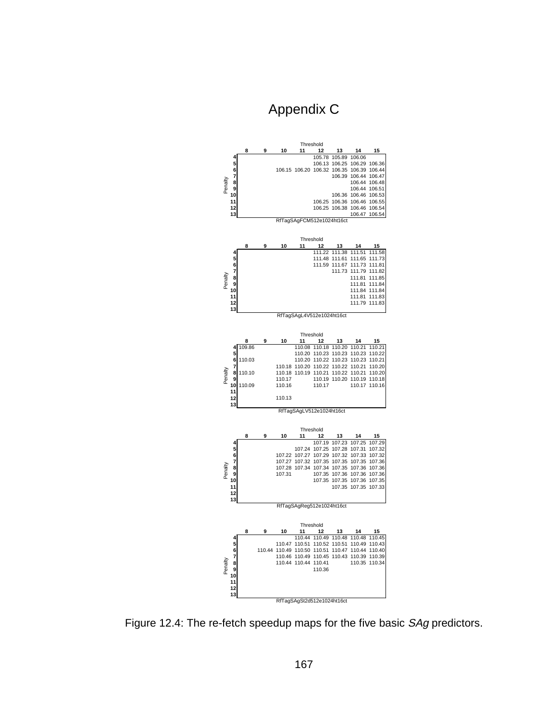## Appendix C



Figure 12.4: The re-fetch speedup maps for the five basic SAg predictors.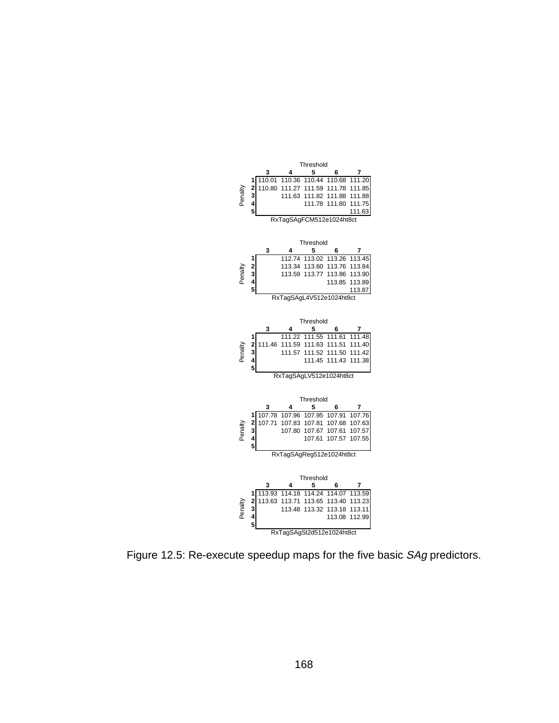

Figure 12.5: Re-execute speedup maps for the five basic SAg predictors.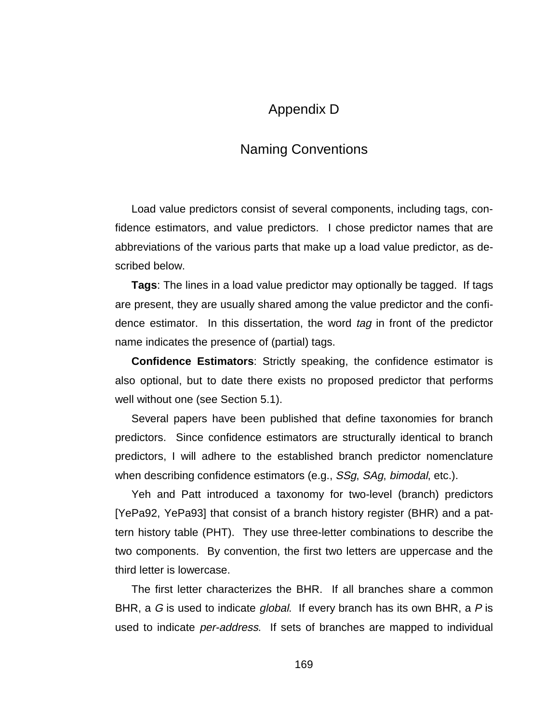## Appendix D

## Naming Conventions

Load value predictors consist of several components, including tags, confidence estimators, and value predictors. I chose predictor names that are abbreviations of the various parts that make up a load value predictor, as described below.

**Tags**: The lines in a load value predictor may optionally be tagged. If tags are present, they are usually shared among the value predictor and the confidence estimator. In this dissertation, the word tag in front of the predictor name indicates the presence of (partial) tags.

**Confidence Estimators**: Strictly speaking, the confidence estimator is also optional, but to date there exists no proposed predictor that performs well without one (see Section 5.1).

Several papers have been published that define taxonomies for branch predictors. Since confidence estimators are structurally identical to branch predictors, I will adhere to the established branch predictor nomenclature when describing confidence estimators (e.g., SSg, SAg, bimodal, etc.).

Yeh and Patt introduced a taxonomy for two-level (branch) predictors [YePa92, YePa93] that consist of a branch history register (BHR) and a pattern history table (PHT). They use three-letter combinations to describe the two components. By convention, the first two letters are uppercase and the third letter is lowercase.

The first letter characterizes the BHR. If all branches share a common BHR, a G is used to indicate *global*. If every branch has its own BHR, a P is used to indicate per-address. If sets of branches are mapped to individual